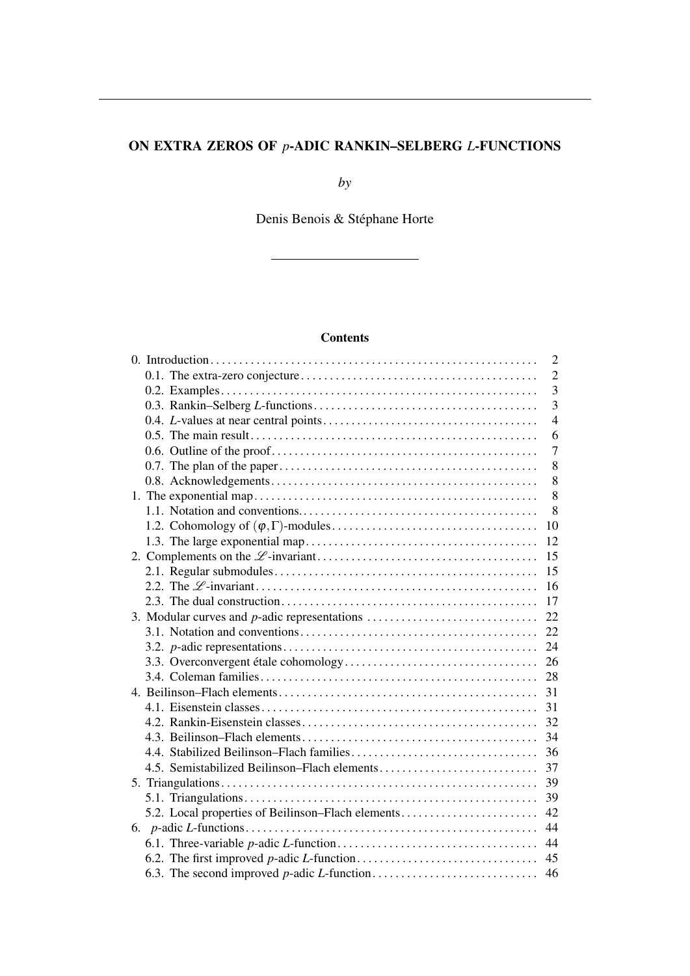# ON EXTRA ZEROS OF *p*-ADIC RANKIN–SELBERG *L*-FUNCTIONS

*by*

Denis Benois & Stéphane Horte

# **Contents**

|                                                      | $\overline{2}$ |
|------------------------------------------------------|----------------|
|                                                      | $\overline{2}$ |
|                                                      | $\overline{3}$ |
|                                                      | $\overline{3}$ |
|                                                      | $\overline{4}$ |
|                                                      | 6              |
|                                                      | $\overline{7}$ |
|                                                      | 8              |
|                                                      | 8              |
|                                                      | 8              |
|                                                      | 8              |
|                                                      | 10             |
|                                                      | 12             |
|                                                      | 15             |
|                                                      | 15             |
|                                                      | 16             |
|                                                      | 17             |
| 3. Modular curves and <i>p</i> -adic representations | 22             |
|                                                      | 22             |
|                                                      | 24             |
|                                                      |                |
|                                                      |                |
|                                                      |                |
|                                                      | 31             |
|                                                      |                |
|                                                      | 34             |
|                                                      | 36             |
|                                                      | 37             |
|                                                      | 39             |
|                                                      | 39             |
| 5.2. Local properties of Beilinson-Flach elements    | 42             |
|                                                      | 44             |
|                                                      | 44             |
|                                                      | 45             |
|                                                      |                |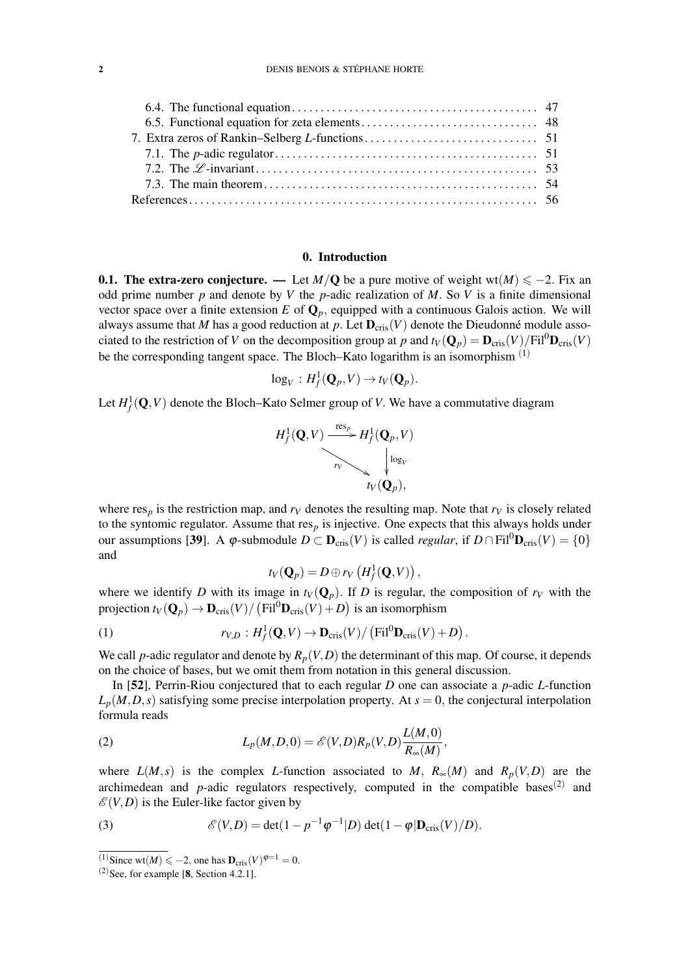#### 0. Introduction

**0.1. The extra-zero conjecture.** — Let  $M/Q$  be a pure motive of weight wt $(M) \le -2$ . Fix an odd prime number *p* and denote by *V* the *p*-adic realization of *M*. So *V* is a finite dimensional vector space over a finite extension  $E$  of  $\mathbf{Q}_p$ , equipped with a continuous Galois action. We will always assume that *M* has a good reduction at *p*. Let  $D_{\text{cris}}(V)$  denote the Dieudonné module associated to the restriction of *V* on the decomposition group at *p* and  $t_V(Q_p) = \mathbf{D}_{cris}(V)/\text{Fil}^0\mathbf{D}_{cris}(V)$ be the corresponding tangent space. The Bloch–Kato logarithm is an isomorphism  $(1)$ 

$$
\log_V: H^1_f(\mathbf{Q}_p,V) \to t_V(\mathbf{Q}_p).
$$

Let  $H_f^1(\mathbf{Q}, V)$  denote the Bloch–Kato Selmer group of *V*. We have a commutative diagram

$$
H_f^1(\mathbf{Q}, V) \xrightarrow{res_p} H_f^1(\mathbf{Q}_p, V)
$$
\n
$$
\downarrow^{log_V} \qquad \qquad \downarrow^{log_V} \qquad \qquad \downarrow^{log_V} \qquad \qquad \downarrow^{log_V} \qquad \qquad \downarrow^{log_V} \qquad \qquad \downarrow^{log_V} \qquad \qquad \downarrow^{log_V} \qquad \qquad \downarrow^{log_V} \qquad \qquad \downarrow^{log_V} \qquad \qquad \downarrow^{log_V} \qquad \qquad \downarrow^{log_V} \qquad \qquad \downarrow^{log_V} \qquad \qquad \downarrow^{log_V} \qquad \qquad \downarrow^{log_V} \qquad \qquad \downarrow^{log_V} \qquad \qquad \downarrow^{log_V} \qquad \qquad \downarrow^{log_V} \qquad \qquad \downarrow^{log_V} \qquad \qquad \downarrow^{log_V} \qquad \qquad \downarrow^{log_V} \qquad \qquad \downarrow^{log_V} \qquad \qquad \downarrow^{log_V} \qquad \qquad \downarrow^{log_V} \qquad \qquad \downarrow^{log_V} \qquad \qquad \downarrow^{log_V} \qquad \qquad \downarrow^{log_V} \qquad \qquad \downarrow^{log_V} \qquad \qquad \downarrow^{log_V} \qquad \qquad \downarrow^{log_V} \qquad \qquad \downarrow^{log_V} \qquad \qquad \downarrow^{log_V} \qquad \qquad \downarrow^{log_V} \qquad \qquad \downarrow^{log_V} \qquad \qquad \downarrow^{log_V} \qquad \qquad \downarrow^{log_V} \qquad \qquad \downarrow^{log_V} \qquad \qquad \downarrow^{log_V} \qquad \qquad \downarrow^{log_V} \qquad \qquad \downarrow^{log_V} \qquad \qquad \downarrow^{log_V} \qquad \qquad \downarrow^{log_V} \qquad \qquad \downarrow^{log_V} \qquad \qquad \downarrow^{log_V} \qquad \qquad \downarrow^{log_V} \qquad \qquad \downarrow^{log_V} \qquad \qquad \downarrow^{log_V} \qquad \qquad \downarrow^{log_V} \qquad \qquad \downarrow^{log_V} \qquad \qquad \downarrow^{log_V} \qquad \qquad \downarrow^{log_V} \qquad \qquad \downarrow^{log_V} \qquad \qquad \downarrow^{log_V} \qquad \qquad \downarrow^{log_V} \qquad \qquad \downarrow^{log_V} \qquad \qquad \downarrow^{log_V} \qquad \qquad \downarrow
$$

where  $res_p$  is the restriction map, and  $r_V$  denotes the resulting map. Note that  $r_V$  is closely related to the syntomic regulator. Assume that  $res<sub>p</sub>$  is injective. One expects that this always holds under our assumptions [39]. A  $\varphi$ -submodule  $D \subset \mathbf{D}_{\text{cris}}(V)$  is called *regular*, if  $D \cap \text{Fil}^0\mathbf{D}_{\text{cris}}(V) = \{0\}$ and

$$
t_V(\mathbf{Q}_p)=D\oplus r_V\left(H^1_f(\mathbf{Q},V)\right),
$$

where we identify *D* with its image in  $t_V(Q_p)$ . If *D* is regular, the composition of  $r_V$  with the projection  $t_V(\mathbf{Q}_p) \to \mathbf{D}_{\text{cris}}(V) / (\text{Fil}^0 \mathbf{D}_{\text{cris}}(V) + D)$  is an isomorphism

(1) 
$$
r_{V,D}: H_f^1(\mathbf{Q}, V) \to \mathbf{D}_{\mathrm{cris}}(V) / (\mathrm{Fil}^0 \mathbf{D}_{\mathrm{cris}}(V) + D).
$$

We call *p*-adic regulator and denote by  $R_p(V, D)$  the determinant of this map. Of course, it depends on the choice of bases, but we omit them from notation in this general discussion.

In [52], Perrin-Riou conjectured that to each regular *D* one can associate a *p*-adic *L*-function  $L_p(M, D, s)$  satisfying some precise interpolation property. At  $s = 0$ , the conjectural interpolation formula reads

(2) 
$$
L_p(M,D,0) = \mathscr{E}(V,D)R_p(V,D)\frac{L(M,0)}{R_\infty(M)},
$$

where  $L(M, s)$  is the complex *L*-function associated to *M*,  $R_{\infty}(M)$  and  $R_p(V, D)$  are the archimedean and  $p$ -adic regulators respectively, computed in the compatible bases<sup>(2)</sup> and  $\mathscr{E}(V,D)$  is the Euler-like factor given by

(3) 
$$
\mathscr{E}(V,D) = \det(1-p^{-1}\varphi^{-1}|D) \det(1-\varphi|\mathbf{D}_{\mathrm{cris}}(V)/D).
$$

<sup>&</sup>lt;sup>(1)</sup>Since wt(*M*)  $\leq -2$ , one has  $\mathbf{D}_{\text{cris}}(V)^{\varphi=1} = 0$ .

 $(2)$ See, for example [8, Section 4.2.1].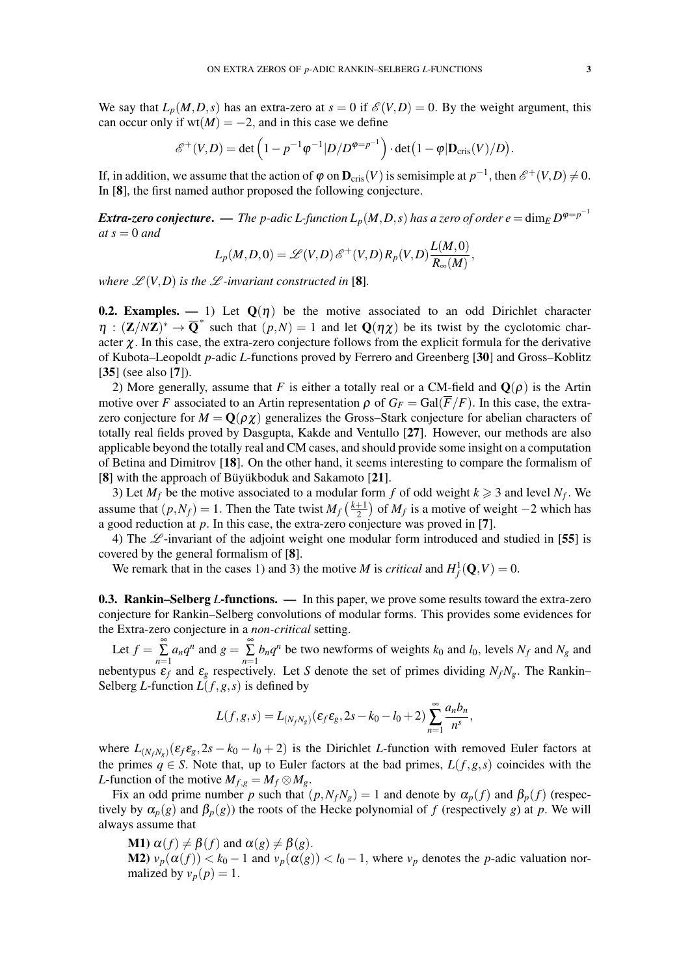We say that  $L_p(M, D, s)$  has an extra-zero at  $s = 0$  if  $\mathcal{E}(V, D) = 0$ . By the weight argument, this can occur only if wt $(M) = -2$ , and in this case we define

$$
\mathscr{E}^+(V,D) = \det \left(1 - p^{-1} \varphi^{-1} |D/D^{\varphi=p^{-1}}\right) \cdot \det\left(1 - \varphi |D_{\mathrm{cris}}(V)/D\right).
$$

If, in addition, we assume that the action of  $\varphi$  on  $\mathbf{D}_{\text{cris}}(V)$  is semisimple at  $p^{-1}$ , then  $\mathscr{E}^+(V,D) \neq 0$ . In [8], the first named author proposed the following conjecture.

 $E$ xtra-zero conjecture. — The p-adic L-function  $L_p(M,D,s)$  has a zero of order  $e = \dim_E D^{\varphi = p^{-1}}$  $at s = 0$  *and* 

$$
L_p(M,D,0) = \mathscr{L}(V,D) \mathscr{E}^+(V,D) R_p(V,D) \frac{L(M,0)}{R_\infty(M)},
$$

*where*  $\mathscr{L}(V,D)$  *is the*  $\mathscr{L}$ *-invariant constructed in* [8]*.* 

**0.2. Examples.** — 1) Let  $Q(\eta)$  be the motive associated to an odd Dirichlet character  $\eta$  :  $(\mathbf{Z}/N\mathbf{Z})^* \to \overline{\mathbf{Q}}^*$  such that  $(p,N) = 1$  and let  $\mathbf{Q}(\eta \chi)$  be its twist by the cyclotomic character  $\chi$ . In this case, the extra-zero conjecture follows from the explicit formula for the derivative of Kubota–Leopoldt *p*-adic *L*-functions proved by Ferrero and Greenberg [30] and Gross–Koblitz [35] (see also [7]).

2) More generally, assume that *F* is either a totally real or a CM-field and  $\mathbf{Q}(\rho)$  is the Artin motive over *F* associated to an Artin representation  $\rho$  of  $G_F = \text{Gal}(\overline{F}/F)$ . In this case, the extrazero conjecture for  $M = \mathbf{Q}(\rho \chi)$  generalizes the Gross–Stark conjecture for abelian characters of totally real fields proved by Dasgupta, Kakde and Ventullo [27]. However, our methods are also applicable beyond the totally real and CM cases, and should provide some insight on a computation of Betina and Dimitrov [18]. On the other hand, it seems interesting to compare the formalism of [8] with the approach of Büyükboduk and Sakamoto [21].

3) Let  $M_f$  be the motive associated to a modular form f of odd weight  $k \geq 3$  and level  $N_f$ . We assume that  $(p, N_f) = 1$ . Then the Tate twist  $M_f \left(\frac{k+1}{2}\right)$  $\frac{+1}{2}$ ) of *M<sub>f</sub>* is a motive of weight −2 which has a good reduction at *p*. In this case, the extra-zero conjecture was proved in [7].

4) The  $\mathscr{L}$ -invariant of the adjoint weight one modular form introduced and studied in [55] is covered by the general formalism of [8].

We remark that in the cases 1) and 3) the motive *M* is *critical* and  $H_f^1(\mathbf{Q}, V) = 0$ .

0.3. Rankin–Selberg *L*-functions. — In this paper, we prove some results toward the extra-zero conjecture for Rankin–Selberg convolutions of modular forms. This provides some evidences for the Extra-zero conjecture in a *non-critical* setting.

Let  $f = \sum_{n=1}^{\infty}$  $\sum_{n=1}^{\infty} a_n q^n$  and  $g = \sum_{n=1}^{\infty} a_n$  $\sum_{n=1}$  *b*<sub>n</sub> $q^n$  be two newforms of weights  $k_0$  and  $l_0$ , levels  $N_f$  and  $N_g$  and nebentypus  $\varepsilon_f$  and  $\varepsilon_g$  respectively. Let *S* denote the set of primes dividing  $N_fN_g$ . The Rankin– Selberg *L*-function  $L(f, g, s)$  is defined by

$$
L(f, g, s) = L_{(N_f N_g)}(\varepsilon_f \varepsilon_g, 2s - k_0 - l_0 + 2) \sum_{n=1}^{\infty} \frac{a_n b_n}{n^s},
$$

where  $L_{(N_fN_g)}(\epsilon_f \epsilon_g, 2s - k_0 - l_0 + 2)$  is the Dirichlet *L*-function with removed Euler factors at the primes  $q \in S$ . Note that, up to Euler factors at the bad primes,  $L(f, g, s)$  coincides with the *L*-function of the motive  $M_{f,g} = M_f \otimes M_g$ .

Fix an odd prime number *p* such that  $(p, N_fN_g) = 1$  and denote by  $\alpha_p(f)$  and  $\beta_p(f)$  (respectively by  $\alpha_p(g)$  and  $\beta_p(g)$ ) the roots of the Hecke polynomial of *f* (respectively *g*) at *p*. We will always assume that

**M1**)  $\alpha(f) \neq \beta(f)$  and  $\alpha(g) \neq \beta(g)$ .

M2)  $v_p(\alpha(f)) < k_0 - 1$  and  $v_p(\alpha(g)) < l_0 - 1$ , where  $v_p$  denotes the *p*-adic valuation normalized by  $v_p(p) = 1$ .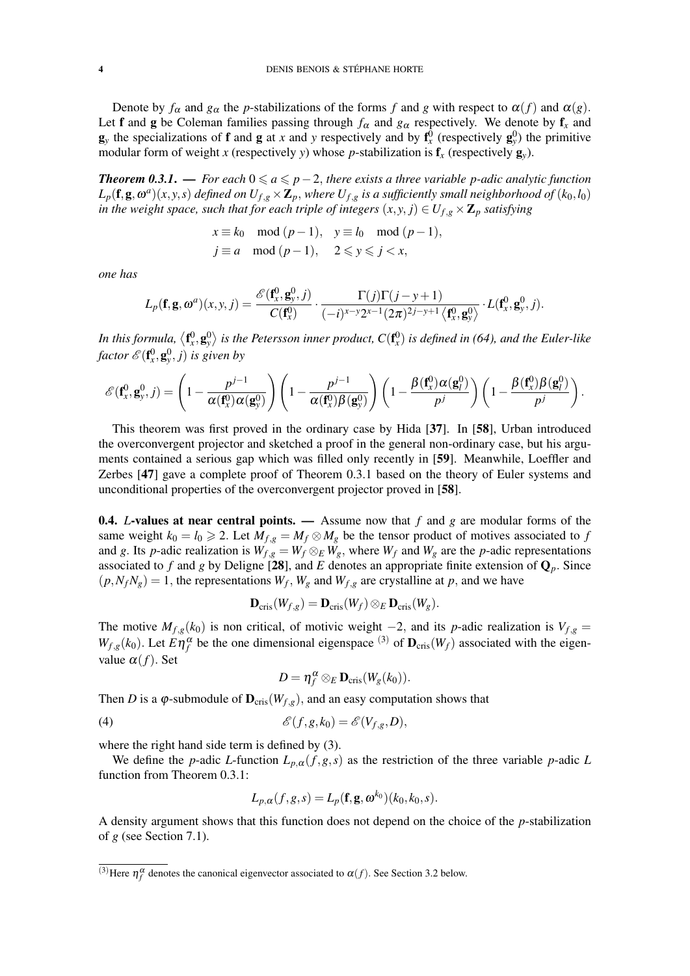Denote by  $f_\alpha$  and  $g_\alpha$  the *p*-stabilizations of the forms *f* and *g* with respect to  $\alpha(f)$  and  $\alpha(g)$ . Let f and g be Coleman families passing through  $f_\alpha$  and  $g_\alpha$  respectively. We denote by  $f_x$  and  $\mathbf{g}_y$  the specializations of **f** and **g** at *x* and *y* respectively and by  $\mathbf{f}_x^0$  (respectively  $\mathbf{g}_y^0$ ) the primitive modular form of weight *x* (respectively *y*) whose *p*-stabilization is  $f_x$  (respectively  $g_y$ ).

*Theorem 0.3.1.* — *For each*  $0 ≤ a ≤ p-2$ *, there exists a three variable p-adic analytic function*  $L_p(\mathbf{f},\mathbf{g},\omega^a)(x,y,s)$  *defined on*  $U_{f,g}\times\mathbf{Z}_p$ *, where*  $U_{f,g}$  *is a sufficiently small neighborhood of*  $(k_0,l_0)$ *in the weight space, such that for each triple of integers*  $(x, y, j) \in U_{f,g} \times \mathbb{Z}_p$  *satisfying* 

$$
x \equiv k_0 \mod (p-1), \quad y \equiv l_0 \mod (p-1),
$$
  

$$
j \equiv a \mod (p-1), \quad 2 \leq y \leq j < x,
$$

*one has*

$$
L_p(\mathbf{f}, \mathbf{g}, \omega^a)(x, y, j) = \frac{\mathscr{E}(\mathbf{f}_x^0, \mathbf{g}_y^0, j)}{C(\mathbf{f}_x^0)} \cdot \frac{\Gamma(j)\Gamma(j - y + 1)}{(-i)^{x - y}2^{x - 1}(2\pi)^{2j - y + 1}\left\langle \mathbf{f}_x^0, \mathbf{g}_y^0 \right\rangle} \cdot L(\mathbf{f}_x^0, \mathbf{g}_y^0, j).
$$

In this formula,  $\langle\mathbf{f}_x^0,\mathbf{g}_y^0\rangle$  is the Petersson inner product,  $C(\mathbf{f}_x^0)$  is defined in (64), and the Euler-like factor  $\mathscr{E}(\mathbf{f}_x^0, \mathbf{g}_y^0, j)$  is given by

$$
\mathscr{E}(\mathbf{f}_x^0, \mathbf{g}_y^0, j) = \left(1 - \frac{p^{j-1}}{\alpha(\mathbf{f}_x^0)\alpha(\mathbf{g}_y^0)}\right) \left(1 - \frac{p^{j-1}}{\alpha(\mathbf{f}_x^0)\beta(\mathbf{g}_y^0)}\right) \left(1 - \frac{\beta(\mathbf{f}_x^0)\alpha(\mathbf{g}_l^0)}{p^j}\right) \left(1 - \frac{\beta(\mathbf{f}_x^0)\beta(\mathbf{g}_l^0)}{p^j}\right).
$$

This theorem was first proved in the ordinary case by Hida [37]. In [58], Urban introduced the overconvergent projector and sketched a proof in the general non-ordinary case, but his arguments contained a serious gap which was filled only recently in [59]. Meanwhile, Loeffler and Zerbes [47] gave a complete proof of Theorem 0.3.1 based on the theory of Euler systems and unconditional properties of the overconvergent projector proved in [58].

0.4. *L*-values at near central points. — Assume now that *f* and *g* are modular forms of the same weight  $k_0 = l_0 \ge 2$ . Let  $M_{f,g} = M_f \otimes M_g$  be the tensor product of motives associated to f and *g*. Its *p*-adic realization is  $W_{f,g} = W_f \otimes_E W_g$ , where  $W_f$  and  $W_g$  are the *p*-adic representations associated to f and g by Deligne [28], and E denotes an appropriate finite extension of  $\mathbf{Q}_p$ . Since  $(p, N_fN_g) = 1$ , the representations  $W_f$ ,  $W_g$  and  $W_{f,g}$  are crystalline at p, and we have

$$
\mathbf{D}_{\mathrm{cris}}(W_{f,g})=\mathbf{D}_{\mathrm{cris}}(W_f)\otimes_E \mathbf{D}_{\mathrm{cris}}(W_g).
$$

The motive  $M_{f,g}(k_0)$  is non critical, of motivic weight  $-2$ , and its *p*-adic realization is  $V_{f,g}$  =  $W_{f,g}(k_0)$ . Let  $E \eta_f^{\alpha}$  be the one dimensional eigenspace <sup>(3)</sup> of  $\mathbf{D}_{\text{cris}}(W_f)$  associated with the eigenvalue  $\alpha(f)$ . Set

$$
D=\eta_f^{\alpha}\otimes_E \mathbf{D}_{\mathrm{cris}}(W_g(k_0)).
$$

Then *D* is a  $\varphi$ -submodule of  $\mathbf{D}_{\text{cris}}(W_{f,g})$ , and an easy computation shows that

(4) 
$$
\mathscr{E}(f,g,k_0)=\mathscr{E}(V_{f,g},D),
$$

where the right hand side term is defined by (3).

We define the *p*-adic *L*-function  $L_{p,\alpha}(f,g,s)$  as the restriction of the three variable *p*-adic *L* function from Theorem 0.3.1:

$$
L_{p,\alpha}(f,g,s) = L_p(\mathbf{f}, \mathbf{g}, \omega^{k_0})(k_0, k_0, s).
$$

A density argument shows that this function does not depend on the choice of the *p*-stabilization of *g* (see Section 7.1).

<sup>&</sup>lt;sup>(3)</sup>Here  $\eta_f^{\alpha}$  denotes the canonical eigenvector associated to  $\alpha(f)$ . See Section 3.2 below.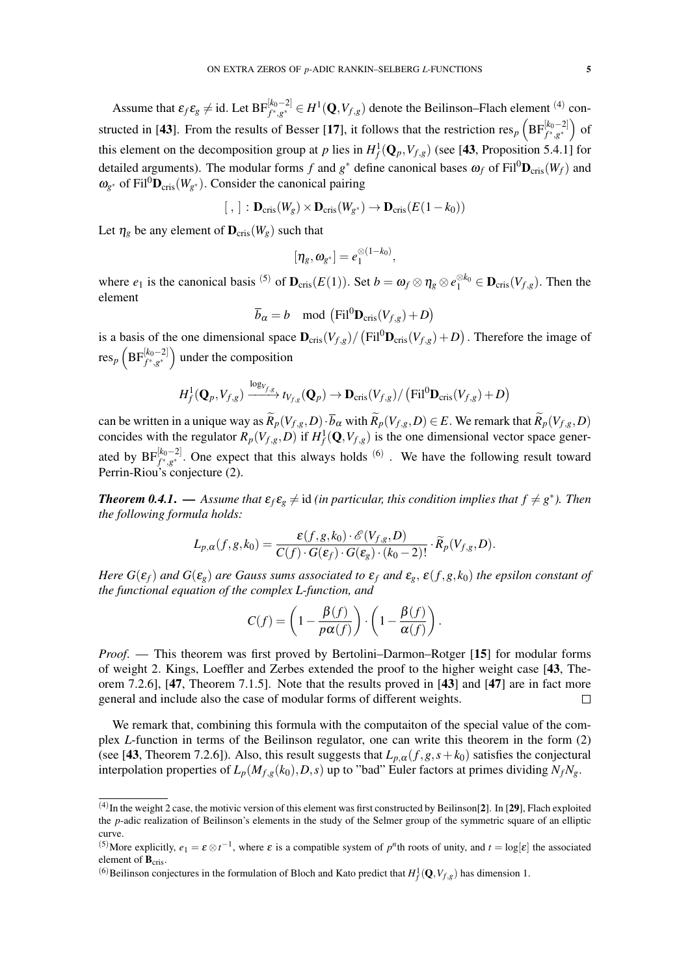Assume that  $\varepsilon_f \varepsilon_g \neq$  id. Let  $BF_{f^*,g^*}^{[k_0-2]} \in H^1(\mathbf{Q}, V_{f,g})$  denote the Beilinson–Flach element <sup>(4)</sup> constructed in [43]. From the results of Besser [17], it follows that the restriction  $res_p \left( BF_{f^*,g^*}^{[k_0-2]} \right)$  of this element on the decomposition group at *p* lies in  $H_f^1(\mathbf{Q}_p, V_{f,g})$  (see [43, Proposition 5.4.1] for detailed arguments). The modular forms *f* and  $g^*$  define canonical bases  $\omega_f$  of  $\text{Fil}^0\mathbf{D}_{\text{cris}}(W_f)$  and  $\omega_{g^*}$  of Fil<sup>0</sup>**D**<sub>cris</sub>( $W_{g^*}$ ). Consider the canonical pairing

$$
[ , ] : \mathbf{D}_{\mathrm{cris}}(W_g) \times \mathbf{D}_{\mathrm{cris}}(W_{g^*}) \to \mathbf{D}_{\mathrm{cris}}(E(1-k_0))
$$

Let  $\eta_g$  be any element of  $\mathbf{D}_{\text{cris}}(W_g)$  such that

$$
[\eta_g,\omega_{g^*}]=e_1^{\otimes (1-k_0)},
$$

where  $e_1$  is the canonical basis <sup>(5)</sup> of  $\mathbf{D}_{\text{cris}}(E(1))$ . Set  $b = \omega_f \otimes \eta_g \otimes e_1^{\otimes k_0} \in \mathbf{D}_{\text{cris}}(V_{f,g})$ . Then the element

$$
\overline{b}_{\alpha} = b \mod \left( \mathrm{Fil}^{0} \mathbf{D}_{\mathrm{cris}}(V_{f,g}) + D \right)
$$

is a basis of the one dimensional space  $\mathbf{D}_{\text{cris}}(V_{f,g})/(\text{Fil}^0\mathbf{D}_{\text{cris}}(V_{f,g})+D)$ . Therefore the image of  $res_p \left( \text{BF}_{f^*,g^*}^{[k_0-2]} \right)$  under the composition

$$
H_f^1(\mathbf{Q}_p, V_{f,g}) \xrightarrow{\log_{V_{f,g}}} t_{V_{f,g}}(\mathbf{Q}_p) \to \mathbf{D}_{\mathrm{cris}}(V_{f,g}) / (\mathrm{Fil}^0 \mathbf{D}_{\mathrm{cris}}(V_{f,g}) + D)
$$

can be written in a unique way as  $\widetilde{R}_p(V_{f,g}, D) \cdot \overline{b}_{\alpha}$  with  $\widetilde{R}_p(V_{f,g}, D) \in E$ . We remark that  $\widetilde{R}_p(V_{f,g}, D)$ concides with the regulator  $R_p(V_{f,g}, D)$  if  $H_f^1(\mathbf{Q}, V_{f,g})$  is the one dimensional vector space generated by  $BF_{f^*,g^*}^{[k_0-2]}$ . One expect that this always holds <sup>(6)</sup>. We have the following result toward Perrin-Riou's conjecture (2).

*Theorem 0.4.1.* — Assume that  $\varepsilon_f \varepsilon_g \neq$  id *(in particular, this condition implies that*  $f \neq g^*$ ). Then *the following formula holds:*

$$
L_{p,\alpha}(f,g,k_0)=\frac{\varepsilon(f,g,k_0)\cdot\mathscr{E}(V_{f,g},D)}{C(f)\cdot G(\varepsilon_f)\cdot G(\varepsilon_g)\cdot (k_0-2)!}\cdot\widetilde{R}_p(V_{f,g},D).
$$

*Here*  $G(\varepsilon_f)$  *and*  $G(\varepsilon_g)$  *are Gauss sums associated to*  $\varepsilon_f$  *and*  $\varepsilon_g$ ,  $\varepsilon(f, g, k_0)$  *the epsilon constant of the functional equation of the complex L-function, and*

$$
C(f) = \left(1 - \frac{\beta(f)}{p\alpha(f)}\right) \cdot \left(1 - \frac{\beta(f)}{\alpha(f)}\right).
$$

*Proof.* — This theorem was first proved by Bertolini–Darmon–Rotger [15] for modular forms of weight 2. Kings, Loeffler and Zerbes extended the proof to the higher weight case [43, Theorem 7.2.6], [47, Theorem 7.1.5]. Note that the results proved in [43] and [47] are in fact more general and include also the case of modular forms of different weights.  $\Box$ 

We remark that, combining this formula with the computaiton of the special value of the complex *L*-function in terms of the Beilinson regulator, one can write this theorem in the form (2) (see [43, Theorem 7.2.6]). Also, this result suggests that  $L_{p,\alpha}(f,g,s+k_0)$  satisfies the conjectural interpolation properties of  $L_p(M_{f,g}(k_0), D, s)$  up to "bad" Euler factors at primes dividing  $N_fN_g$ .

 $<sup>(4)</sup>$  In the weight 2 case, the motivic version of this element was first constructed by Beilinson[2]. In [29], Flach exploited</sup> the *p*-adic realization of Beilinson's elements in the study of the Selmer group of the symmetric square of an elliptic curve.

<sup>&</sup>lt;sup>(5)</sup>More explicitly,  $e_1 = \varepsilon \otimes t^{-1}$ , where  $\varepsilon$  is a compatible system of  $p^n$ th roots of unity, and  $t = \log[\varepsilon]$  the associated element of  $B_{\text{cris}}$ .

<sup>&</sup>lt;sup>(6)</sup>Beilinson conjectures in the formulation of Bloch and Kato predict that  $H_f^1(\mathbf{Q}, V_{f,g})$  has dimension 1.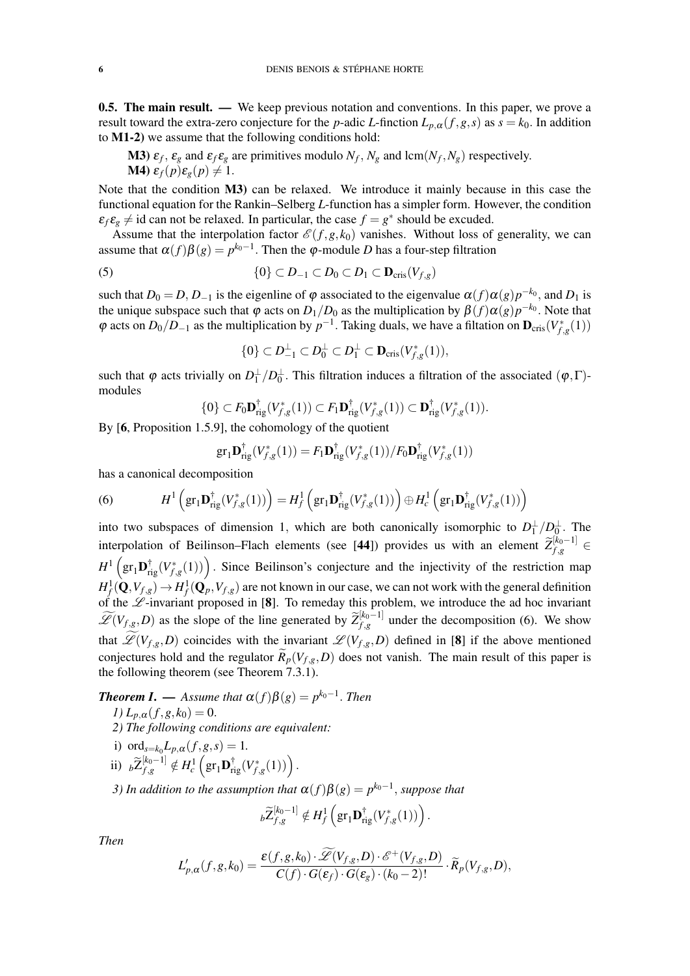**0.5. The main result.** — We keep previous notation and conventions. In this paper, we prove a result toward the extra-zero conjecture for the *p*-adic *L*-finction  $L_{p,\alpha}(f,g,s)$  as  $s = k_0$ . In addition to M1-2) we assume that the following conditions hold:

**M3**)  $\varepsilon_f$ ,  $\varepsilon_g$  and  $\varepsilon_f \varepsilon_g$  are primitives modulo  $N_f$ ,  $N_g$  and lcm( $N_f$ ,  $N_g$ ) respectively. **M4)**  $\varepsilon_f(p)\varepsilon_g(p) \neq 1$ .

Note that the condition M3) can be relaxed. We introduce it mainly because in this case the functional equation for the Rankin–Selberg *L*-function has a simpler form. However, the condition  $\varepsilon_f \varepsilon_g \neq$  id can not be relaxed. In particular, the case  $f = g^*$  should be excuded.

Assume that the interpolation factor  $\mathcal{E}(f,g,k_0)$  vanishes. Without loss of generality, we can assume that  $\alpha(f)\beta(g) = p^{k_0-1}$ . Then the  $\varphi$ -module *D* has a four-step filtration

$$
(5) \qquad \{0\} \subset D_{-1} \subset D_0 \subset D_1 \subset \mathbf{D}_{\mathrm{cris}}(V_{f,g})
$$

such that  $D_0 = D$ ,  $D_{-1}$  is the eigenline of  $\varphi$  associated to the eigenvalue  $\alpha(f)\alpha(g)p^{-k_0}$ , and  $D_1$  is the unique subspace such that  $\varphi$  acts on  $D_1/D_0$  as the multiplication by  $\beta(f)\alpha(g)p^{-k_0}$ . Note that  $\varphi$  acts on  $D_0/D_{-1}$  as the multiplication by  $p^{-1}$ . Taking duals, we have a filtation on  $\mathbf{D}_{\text{cris}}(V_{f,g}^*(1))$ 

$$
\{0\}\subset D_{-1}^\perp\subset D_0^\perp\subset D_1^\perp\subset \mathbf{D}_{\mathrm{cris}}(V_{f,g}^*(1)),
$$

such that  $\varphi$  acts trivially on  $D_1^{\perp}/D_0^{\perp}$ . This filtration induces a filtration of the associated  $(\varphi, \Gamma)$ modules

$$
\{0\} \subset F_0 \mathbf{D}_{\mathrm{rig}}^{\dagger}(V_{f,g}^*(1)) \subset F_1 \mathbf{D}_{\mathrm{rig}}^{\dagger}(V_{f,g}^*(1)) \subset \mathbf{D}_{\mathrm{rig}}^{\dagger}(V_{f,g}^*(1)).
$$

By [6, Proposition 1.5.9], the cohomology of the quotient

$$
\mathrm{gr}_1 \mathbf{D}_{\mathrm{rig}}^\dagger (V_{f,g}^*(1)) = F_1 \mathbf{D}_{\mathrm{rig}}^\dagger (V_{f,g}^*(1))/F_0 \mathbf{D}_{\mathrm{rig}}^\dagger (V_{f,g}^*(1))
$$

has a canonical decomposition

(6) 
$$
H^1\left(\mathrm{gr}_1\mathbf{D}_{\mathrm{rig}}^\dagger(V_{f,g}^*(1))\right) = H_f^1\left(\mathrm{gr}_1\mathbf{D}_{\mathrm{rig}}^\dagger(V_{f,g}^*(1))\right) \oplus H_c^1\left(\mathrm{gr}_1\mathbf{D}_{\mathrm{rig}}^\dagger(V_{f,g}^*(1))\right)
$$

into two subspaces of dimension 1, which are both canonically isomorphic to  $D_1^{\perp}/D_0^{\perp}$ . The interpolation of Beilinson–Flach elements (see [44]) provides us with an element  $\widetilde{Z}_{f,g}^{[k_0-1]} \in$  $H^1\left(\text{gr}_1\textbf{D}_{\text{rig}}^{\dagger}(V_{f,g}^*(1))\right)$ . Since Beilinson's conjecture and the injectivity of the restriction map  $H^1_f(\mathbf{Q}, V_{f,g}) \to H^1_f(\mathbf{Q}_p, V_{f,g})$  are not known in our case, we can not work with the general definition of the  $\mathscr L$ -invariant proposed in [8]. To remeday this problem, we introduce the ad hoc invariant  $\widetilde{\mathscr{L}}(V_{f,g}, D)$  as the slope of the line generated by  $\widetilde{Z}_{f,g}^{[k_0-1]}$  $f_{i,g}^{[k_0-1]}$  under the decomposition (6). We show that  $\widetilde{\mathscr{L}}(V_{f,g},D)$  coincides with the invariant  $\mathscr{L}(V_{f,g},D)$  defined in [8] if the above mentioned conjectures hold and the regulator  $\tilde{R}_p(V_{f,g}, D)$  does not vanish. The main result of this paper is the following theorem (see Theorem 7.3.1).

*Theorem I.* — Assume that  $\alpha(f)\beta(g) = p^{k_0-1}$ . Then *1)*  $L_{p,\alpha}(f,g,k_0) = 0$ .

- *2) The following conditions are equivalent:*
- i) ord<sub>s= $k_0 L_p, \alpha(f, g, s) = 1$ .</sub>
- ii)  $_b\widetilde{Z}_{f,g}^{[k_0-1]} \notin H_c^1\left(\text{gr}_1\mathbf{D}_{\text{rig}}^\dagger(V_{f,g}^*(1))\right).$

*3) In addition to the assumption that*  $\alpha(f)\beta(g) = p^{k_0-1}$ , *suppose that* 

$$
b\widetilde{Z}_{f,g}^{[k_0-1]} \notin H_f^1\left(\text{gr}_1\mathbf{D}_{\text{rig}}^\dagger(V_{f,g}^*(1))\right).
$$

*Then*

$$
L'_{p,\alpha}(f,g,k_0)=\frac{\varepsilon(f,g,k_0)\cdot\mathscr{L}(V_{f,g},D)\cdot\mathscr{E}^+(V_{f,g},D)}{C(f)\cdot G(\varepsilon_f)\cdot G(\varepsilon_g)\cdot (k_0-2)!}\cdot\widetilde{R}_p(V_{f,g},D),
$$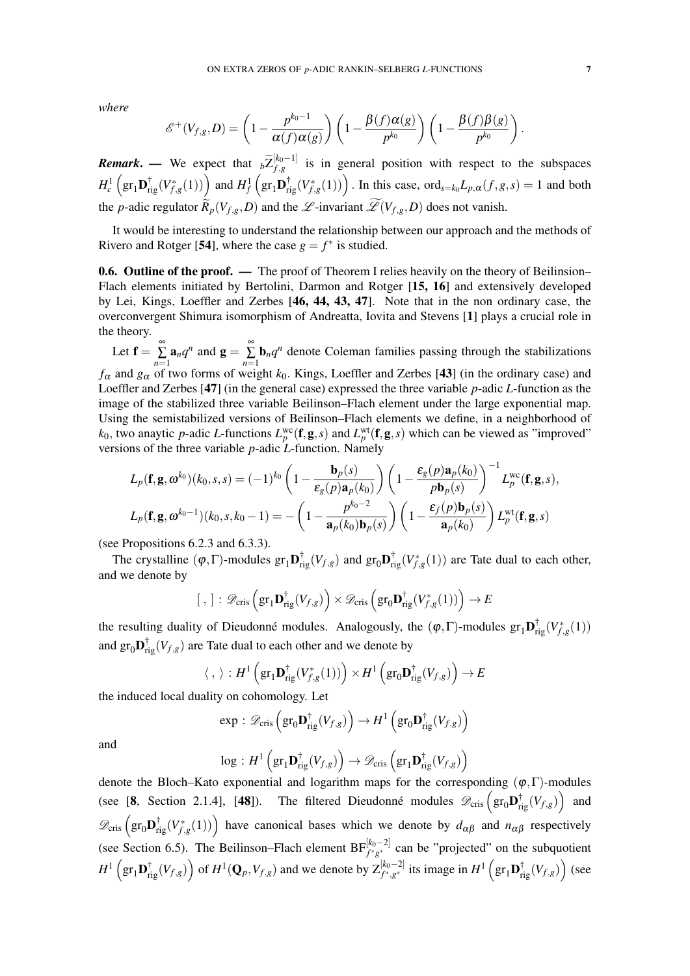*where*

$$
\mathscr{E}^+(V_{f,g},D)=\left(1-\frac{p^{k_0-1}}{\alpha(f)\alpha(g)}\right)\left(1-\frac{\beta(f)\alpha(g)}{p^{k_0}}\right)\left(1-\frac{\beta(f)\beta(g)}{p^{k_0}}\right).
$$

*Remark*. — We expect that  $\widetilde{\rho}_{f,g}^{\left[k_0-1\right]}$  $f_{f,g}^{(k_0-1)}$  is in general position with respect to the subspaces  $H_c^1\left(\text{gr}_1\mathbf{D}_{\text{rig}}^\dagger(V_{f,g}^*(1))\right)$  and  $H_f^1\left(\text{gr}_1\mathbf{D}_{\text{rig}}^\dagger(V_{f,g}^*(1))\right)$ . In this case, ord<sub>s=k<sub>0</sub>L<sub>p, $\alpha$ </sub>(f,g,s) = 1 and both</sub> the *p*-adic regulator  $\widetilde{R}_p(V_{f,g}, D)$  and the  $\mathscr{L}$ -invariant  $\widetilde{\mathscr{L}}(V_{f,g}, D)$  does not vanish.

It would be interesting to understand the relationship between our approach and the methods of Rivero and Rotger [54], where the case  $g = f^*$  is studied.

**0.6. Outline of the proof.** — The proof of Theorem I relies heavily on the theory of Beilinsion– Flach elements initiated by Bertolini, Darmon and Rotger [15, 16] and extensively developed by Lei, Kings, Loeffler and Zerbes [46, 44, 43, 47]. Note that in the non ordinary case, the overconvergent Shimura isomorphism of Andreatta, Iovita and Stevens [1] plays a crucial role in the theory.

Let  $\mathbf{f} = \sum_{n=1}^{\infty}$  $\sum_{n=1}^{\infty} \mathbf{a}_n q^n$  and  $\mathbf{g} = \sum_{n=1}^{\infty}$  $\sum_{n=1}$ **b**<sub>n</sub> $q^n$  denote Coleman families passing through the stabilizations *f*<sup>α</sup> and *g*<sup>α</sup> of two forms of weight *k*0. Kings, Loeffler and Zerbes [43] (in the ordinary case) and Loeffler and Zerbes [47] (in the general case) expressed the three variable *p*-adic *L*-function as the image of the stabilized three variable Beilinson–Flach element under the large exponential map. Using the semistabilized versions of Beilinson–Flach elements we define, in a neighborhood of  $k_0$ , two anaytic *p*-adic *L*-functions  $L_p^{\text{wc}}(\mathbf{f},\mathbf{g},s)$  and  $L_p^{\text{wt}}(\mathbf{f},\mathbf{g},s)$  which can be viewed as "improved" versions of the three variable *p*-adic *L*-function. Namely

$$
L_p(\mathbf{f}, \mathbf{g}, \omega^{k_0})(k_0, s, s) = (-1)^{k_0} \left(1 - \frac{\mathbf{b}_p(s)}{\varepsilon_g(p)\mathbf{a}_p(k_0)}\right) \left(1 - \frac{\varepsilon_g(p)\mathbf{a}_p(k_0)}{p\mathbf{b}_p(s)}\right)^{-1} L_p^{\text{wc}}(\mathbf{f}, \mathbf{g}, s),
$$
  

$$
L_p(\mathbf{f}, \mathbf{g}, \omega^{k_0-1})(k_0, s, k_0 - 1) = -\left(1 - \frac{p^{k_0-2}}{\mathbf{a}_p(k_0)\mathbf{b}_p(s)}\right) \left(1 - \frac{\varepsilon_f(p)\mathbf{b}_p(s)}{\mathbf{a}_p(k_0)}\right) L_p^{\text{wt}}(\mathbf{f}, \mathbf{g}, s)
$$

(see Propositions 6.2.3 and 6.3.3).

The crystalline  $(\varphi, \Gamma)$ -modules  $gr_1\mathbf{D}_{rig}^{\dagger}(V_{f,g})$  and  $gr_0\mathbf{D}_{rig}^{\dagger}(V_{f,g}^*(1))$  are Tate dual to each other, and we denote by

$$
[ , ] : \mathscr{D}_{\mathrm{cris}}\left(\mathrm{gr}_1\mathbf{D}_{\mathrm{rig}}^\dagger(V_{f,g})\right) \times \mathscr{D}_{\mathrm{cris}}\left(\mathrm{gr}_0\mathbf{D}_{\mathrm{rig}}^\dagger(V_{f,g}^*(1))\right) \to E
$$

the resulting duality of Dieudonné modules. Analogously, the  $(\varphi, \Gamma)$ -modules  $gr_1 \mathbf{D}^{\dagger}_{rig}(V_{f,g}^*(1))$ and  $gr_0\mathbf{D}_{rig}^{\dagger}(V_{f,g})$  are Tate dual to each other and we denote by

$$
\langle , \rangle : H^1 \left( \text{gr}_1 \mathbf{D}_{\text{rig}}^{\dagger}(V_{f,g}^*(1)) \right) \times H^1 \left( \text{gr}_0 \mathbf{D}_{\text{rig}}^{\dagger}(V_{f,g}) \right) \to E
$$

the induced local duality on cohomology. Let

$$
\exp : \mathscr{D}_{\mathrm{cris}}\left(\mathrm{gr}_0\mathbf{D}_{\mathrm{rig}}^\dagger(V_{f,g})\right) \to H^1\left(\mathrm{gr}_0\mathbf{D}_{\mathrm{rig}}^\dagger(V_{f,g})\right)
$$

and

$$
\log:H^1\left(\text{gr}_1\mathbf{D}^\dagger_{\text{rig}}(V_{f,g})\right)\to \mathscr{D}_{\text{cris}}\left(\text{gr}_1\mathbf{D}^\dagger_{\text{rig}}(V_{f,g})\right)
$$

denote the Bloch–Kato exponential and logarithm maps for the corresponding  $(\varphi, \Gamma)$ -modules (see [8, Section 2.1.4], [48]). The filtered Dieudonné modules  $\mathscr{D}_{\text{cris}}\left(\text{gr}_0\mathbf{D}_{\text{rig}}^{\dagger}(V_{f,g})\right)$  and  $\mathscr{D}_{\text{cris}}\left(\text{gr}_0\mathbf{D}_{\text{rig}}^{\dagger}(V_{f,g}^*(1))\right)$  have canonical bases which we denote by  $d_{\alpha\beta}$  and  $n_{\alpha\beta}$  respectively (see Section 6.5). The Beilinson–Flach element  $BF_{f^*g^*}^{[k_0-2]}$  can be "projected" on the subquotient  $H^1\left(\text{gr}_1\mathbf{D}_{\text{rig}}^\dagger(V_{f,g})\right)$  of  $H^1(\mathbf{Q}_p,V_{f,g})$  and we denote by  $\mathsf{Z}^{[k_0-2]}_{f^*,g^*}$  its image in  $H^1\left(\text{gr}_1\mathbf{D}_{\text{rig}}^\dagger(V_{f,g})\right)$  (see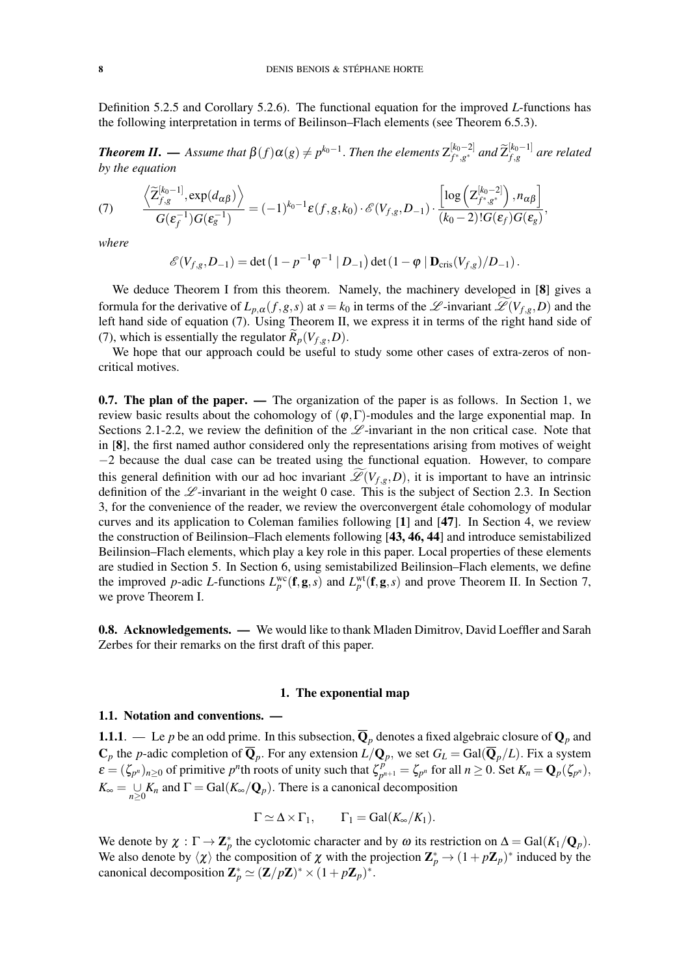Definition 5.2.5 and Corollary 5.2.6). The functional equation for the improved *L*-functions has the following interpretation in terms of Beilinson–Flach elements (see Theorem 6.5.3).

*Theorem II.* — Assume that  $\beta(f) \alpha(g) \neq p^{k_0-1}$ . Then the elements  $Z_{f^*,g^*}^{[k_0-2]}$  $\int_{f^*,g^*}^{[k_0-2]}$  and  $\widetilde{Z}_{f,g}^{[k_0-1]}$  $f_{,g}^{[k_0-1]}$  are related *by the equation*

$$
(7) \qquad \frac{\left\langle \widetilde{\mathbf{Z}}_{f,g}^{[k_{0}-1]}, \exp(d_{\alpha\beta}) \right\rangle}{G(\boldsymbol{\varepsilon}_{f}^{-1})G(\boldsymbol{\varepsilon}_{g}^{-1})} = (-1)^{k_{0}-1} \boldsymbol{\varepsilon}(f,g,k_{0}) \cdot \mathscr{E}(V_{f,g},D_{-1}) \cdot \frac{\left[ \log \left( \mathbf{Z}_{f^{*},g^{*}}^{[k_{0}-2]} \right), n_{\alpha\beta} \right]}{(k_{0}-2)!G(\boldsymbol{\varepsilon}_{f})G(\boldsymbol{\varepsilon}_{g})},
$$

*where*

$$
\mathscr{E}(V_{f,g}, D_{-1}) = \det \left(1 - p^{-1} \varphi^{-1} \mid D_{-1}\right) \det \left(1 - \varphi \mid \mathbf{D}_{\mathrm{cris}}(V_{f,g})/D_{-1}\right).
$$

We deduce Theorem I from this theorem. Namely, the machinery developed in [8] gives a formula for the derivative of  $L_{p,\alpha}(f,g,s)$  at  $s = k_0$  in terms of the  $\mathscr{L}$ -invariant  $\mathscr{L}(V_{f,g},D)$  and the left hand side of equation (7). Using Theorem II, we express it in terms of the right hand side of (7), which is essentially the regulator  $\widetilde{R}_p(V_{f,g}, D)$ .

We hope that our approach could be useful to study some other cases of extra-zeros of noncritical motives.

0.7. The plan of the paper. — The organization of the paper is as follows. In Section 1, we review basic results about the cohomology of  $(\varphi, \Gamma)$ -modules and the large exponential map. In Sections 2.1-2.2, we review the definition of the  $\mathscr L$ -invariant in the non critical case. Note that in [8], the first named author considered only the representations arising from motives of weight −2 because the dual case can be treated using the functional equation. However, to compare this general definition with our ad hoc invariant  $\mathscr{L}(V_{f,g},D)$ , it is important to have an intrinsic definition of the  $\mathscr L$ -invariant in the weight 0 case. This is the subject of Section 2.3. In Section 3, for the convenience of the reader, we review the overconvergent etale cohomology of modular ´ curves and its application to Coleman families following [1] and [47]. In Section 4, we review the construction of Beilinsion–Flach elements following [43, 46, 44] and introduce semistabilized Beilinsion–Flach elements, which play a key role in this paper. Local properties of these elements are studied in Section 5. In Section 6, using semistabilized Beilinsion–Flach elements, we define the improved *p*-adic *L*-functions  $L_p^{\text{wc}}(\mathbf{f}, \mathbf{g}, s)$  and  $L_p^{\text{wt}}(\mathbf{f}, \mathbf{g}, s)$  and prove Theorem II. In Section 7, we prove Theorem I.

**0.8. Acknowledgements.** — We would like to thank Mladen Dimitrov, David Loeffler and Sarah Zerbes for their remarks on the first draft of this paper.

### 1. The exponential map

#### 1.1. Notation and conventions. —

**1.1.1.** — Le *p* be an odd prime. In this subsection,  $\overline{Q}_p$  denotes a fixed algebraic closure of  $Q_p$  and  $\mathbf{C}_p$  the *p*-adic completion of  $\mathbf{Q}_p$ . For any extension  $L/\mathbf{Q}_p$ , we set  $G_L = \text{Gal}(\mathbf{Q}_p/L)$ . Fix a system  $\varepsilon = (\zeta_{p^n})_{n \geq 0}$  of primitive *p*<sup>*n*</sup>th roots of unity such that  $\zeta_{p^n}^p$  $p_{p^{n+1}}^p = \zeta_{p^n}$  for all  $n \ge 0$ . Set  $K_n = \mathbf{Q}_p(\zeta_{p^n}),$  $K_{\infty} = \bigcup_{n \geq 0} K_n$  and  $\Gamma = \text{Gal}(K_{\infty}/\mathbf{Q}_p)$ . There is a canonical decomposition

$$
\Gamma \simeq \Delta \times \Gamma_1, \qquad \Gamma_1 = \text{Gal}(K_\infty/K_1).
$$

We denote by  $\chi : \Gamma \to \mathbb{Z}_p^*$  the cyclotomic character and by  $\omega$  its restriction on  $\Delta = \text{Gal}(K_1/\mathbb{Q}_p)$ . We also denote by  $\langle \chi \rangle$  the composition of  $\chi$  with the projection  $\mathbb{Z}_p^* \to (1 + p\mathbb{Z}_p)^*$  induced by the canonical decomposition  $\mathbf{Z}_p^* \simeq (\mathbf{Z}/p\mathbf{Z})^* \times (1 + p\mathbf{Z}_p)^*$ .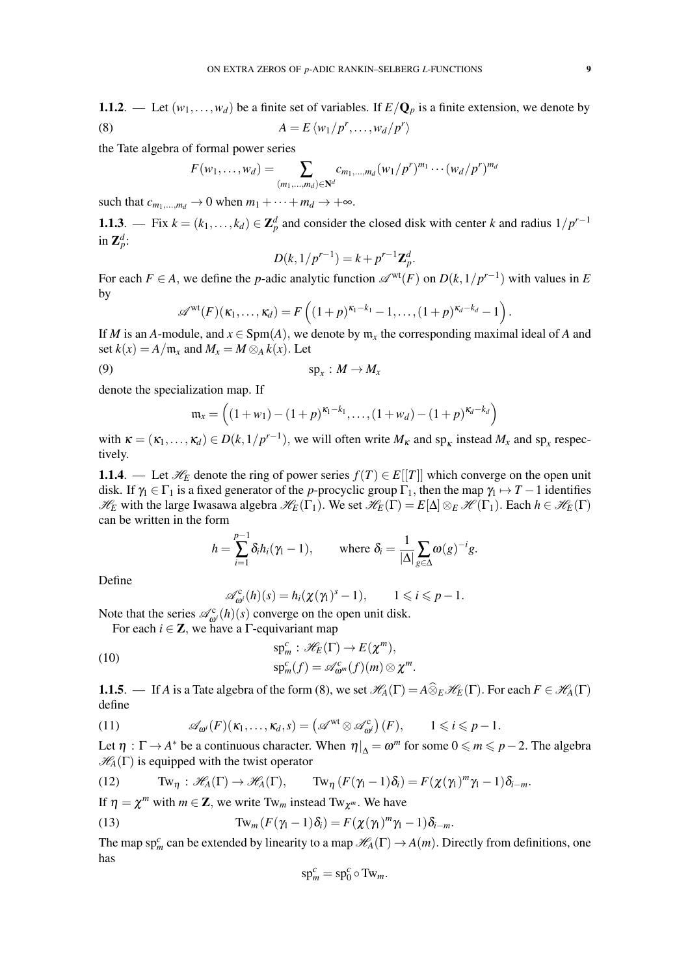1.1.2. — Let  $(w_1,...,w_d)$  be a finite set of variables. If  $E/Q_p$  is a finite extension, we denote by (8)  $A = E \langle w_1 / p^r, ..., w_d / p^r \rangle$ 

the Tate algebra of formal power series

$$
F(w_1,...,w_d) = \sum_{(m_1,...,m_d) \in \mathbb{N}^d} c_{m_1,...,m_d} (w_1/p^r)^{m_1} \cdots (w_d/p^r)^{m_d}
$$

such that  $c_{m_1,...,m_d} \to 0$  when  $m_1 + \cdots + m_d \to +\infty$ .

1.1.3. — Fix  $k = (k_1, \ldots, k_d) \in \mathbb{Z}_p^d$  and consider the closed disk with center *k* and radius  $1/p^{r-1}$ in  $\mathbf{Z}_p^d$ :

$$
D(k, 1/p^{r-1}) = k + p^{r-1} \mathbf{Z}_p^d.
$$

For each  $F \in A$ , we define the *p*-adic analytic function  $\mathscr{A}^{\text{wt}}(F)$  on  $D(k,1/p^{r-1})$  with values in *E* by

$$
\mathscr{A}^{\rm wt}(F)(\kappa_1,\ldots,\kappa_d)=F\left((1+p)^{\kappa_1-k_1}-1,\ldots,(1+p)^{\kappa_d-k_d}-1\right).
$$

If *M* is an *A*-module, and  $x \in \text{Spm}(A)$ , we denote by  $m_x$  the corresponding maximal ideal of *A* and set  $k(x) = A/m_x$  and  $M_x = M \otimes_A k(x)$ . Let

$$
(9) \t\t\t sp_x: M \to M_x
$$

denote the specialization map. If

$$
\mathfrak{m}_x = \left( (1 + w_1) - (1 + p)^{\kappa_1 - k_1}, \dots, (1 + w_d) - (1 + p)^{\kappa_d - k_d} \right)
$$

with  $\kappa = (\kappa_1, \ldots, \kappa_d) \in D(k, 1/p^{r-1})$ , we will often write  $M_k$  and sp<sub>k</sub> instead  $M_x$  and sp<sub>x</sub> respectively.

1.1.4. — Let  $\mathcal{H}_E$  denote the ring of power series  $f(T) \in E[[T]]$  which converge on the open unit disk. If  $\gamma_1 \in \Gamma_1$  is a fixed generator of the *p*-procyclic group  $\Gamma_1$ , then the map  $\gamma_1 \mapsto T-1$  identifies  $\mathcal{H}_E$  with the large Iwasawa algebra  $\mathcal{H}_E(\Gamma_1)$ . We set  $\mathcal{H}_E(\Gamma) = E[\Delta] \otimes_E \mathcal{H}(\Gamma_1)$ . Each  $h \in \mathcal{H}_E(\Gamma)$ can be written in the form

$$
h = \sum_{i=1}^{p-1} \delta_i h_i(\gamma_1 - 1), \quad \text{where } \delta_i = \frac{1}{|\Delta|} \sum_{g \in \Delta} \omega(g)^{-i} g.
$$

Define

$$
\mathscr{A}_{\omega}^{c}(h)(s) = h_{i}(\chi(\gamma_{1})^{s} - 1), \qquad 1 \leqslant i \leqslant p - 1.
$$

Note that the series  $\mathcal{A}^c_{\omega^i}(h)(s)$  converge on the open unit disk.

For each  $i \in \mathbb{Z}$ , we have a  $\Gamma$ -equivariant map

(10) 
$$
\mathrm{sp}_m^c: \mathscr{H}_E(\Gamma) \to E(\chi^m), \mathrm{sp}_m^c(f) = \mathscr{A}_{\omega^m}^c(f)(m) \otimes \chi^m.
$$

**1.1.5**. — If *A* is a Tate algebra of the form (8), we set  $\mathcal{H}_A(\Gamma) = A \widehat{\otimes}_E \mathcal{H}_E(\Gamma)$ . For each  $F \in \mathcal{H}_A(\Gamma)$ define

(11) 
$$
\mathscr{A}_{\boldsymbol{\omega}^i}(F)(\kappa_1,\ldots,\kappa_d,s) = \left(\mathscr{A}^{\mathrm{wt}}\otimes\mathscr{A}_{\boldsymbol{\omega}^i}^{\mathrm{c}}\right)(F), \qquad 1\leqslant i\leqslant p-1.
$$

Let  $\eta : \Gamma \to A^*$  be a continuous character. When  $\eta|_{\Delta} = \omega^m$  for some  $0 \leq m \leq p-2$ . The algebra  $\mathcal{H}_A(\Gamma)$  is equipped with the twist operator

(12) 
$$
\text{Tw}_{\eta}: \mathscr{H}_A(\Gamma) \to \mathscr{H}_A(\Gamma), \qquad \text{Tw}_{\eta}(F(\gamma_1-1)\delta_i) = F(\chi(\gamma_1)^m \gamma_1 - 1) \delta_{i-m}.
$$

If  $\eta = \chi^m$  with  $m \in \mathbb{Z}$ , we write Tw<sub>m</sub> instead Tw<sub> $\chi^m$ </sub>. We have

(13) 
$$
\text{Tw}_m(F(\gamma_1-1)\delta_i)=F(\chi(\gamma_1)^m\gamma_1-1)\delta_{i-m}.
$$

The map sp<sub>*m*</sub> can be extended by linearity to a map  $\mathcal{H}_A(\Gamma) \to A(m)$ . Directly from definitions, one has

$$
\mathrm{sp}_m^c = \mathrm{sp}_0^c \circ \mathrm{Tw}_m.
$$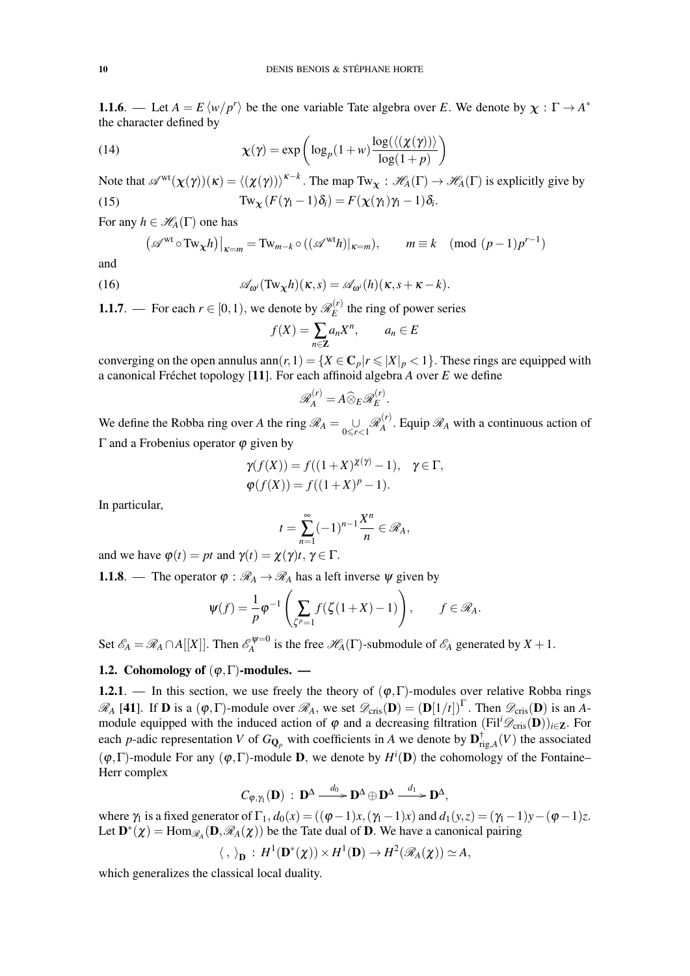**1.1.6**. — Let  $A = E \langle w/p^r \rangle$  be the one variable Tate algebra over *E*. We denote by  $\chi : \Gamma \to A^*$ the character defined by

(14) 
$$
\chi(\gamma) = \exp\left(\log_p(1+w)\frac{\log(\langle(\chi(\gamma))\rangle}{\log(1+p)}\right)
$$

Note that  $\mathscr{A}^{\text{wt}}(\chi(\gamma))(\kappa) = \langle (\chi(\gamma)) \rangle^{\kappa-k}$ . The map Tw<sub>x</sub> :  $\mathscr{H}_A(\Gamma) \to \mathscr{H}_A(\Gamma)$  is explicitly give by (15)  $\text{Tw}_{\chi}(F(\gamma_1-1)\delta_i) = F(\chi(\gamma_1)\gamma_1-1)\delta_i.$ 

For any  $h \in \mathcal{H}_A(\Gamma)$  one has

$$
(\mathscr{A}^{\mathrm{wt}} \circ \mathrm{Tw}_{\mathbf{X}} h)|_{\kappa=m} = \mathrm{Tw}_{m-k} \circ ((\mathscr{A}^{\mathrm{wt}} h)|_{\kappa=m}), \qquad m \equiv k \pmod{(p-1)p^{r-1}}
$$

and

(16) 
$$
\mathscr{A}_{\omega^i}(\text{Tw}_\chi h)(\kappa,s) = \mathscr{A}_{\omega^i}(h)(\kappa,s+\kappa-k).
$$

**1.1.7**. — For each  $r \in [0, 1)$ , we denote by  $\mathcal{R}_E^{(r)}$  $E^{(t)}$  the ring of power series

$$
f(X) = \sum_{n \in \mathbb{Z}} a_n X^n, \qquad a_n \in E
$$

converging on the open annulus ann $(r,1) = \{X \in \mathbb{C}_p | r \leq |X|_p < 1\}$ . These rings are equipped with a canonical Fréchet topology  $[11]$ . For each affinoid algebra *A* over *E* we define

$$
\mathscr{R}_A^{(r)} = A \widehat{\otimes}_E \mathscr{R}_E^{(r)}
$$

.

We define the Robba ring over *A* the ring  $\mathscr{R}_A = \bigcup_{0 \le r < 1} \mathscr{R}_A^{(r)}$  $A^{(r)}$ . Equip  $\mathcal{R}_A$  with a continuous action of Γ and a Frobenius operator  $\phi$  given by

$$
\gamma(f(X)) = f((1+X)^{\chi(\gamma)} - 1), \quad \gamma \in \Gamma,
$$
  

$$
\varphi(f(X)) = f((1+X)^p - 1).
$$

In particular,

$$
t=\sum_{n=1}^{\infty}(-1)^{n-1}\frac{X^n}{n}\in\mathscr{R}_A,
$$

and we have  $\varphi(t) = pt$  and  $\gamma(t) = \chi(\gamma)t, \gamma \in \Gamma$ .

**1.1.8**. — The operator  $\varphi : \mathcal{R}_A \to \mathcal{R}_A$  has a left inverse  $\psi$  given by

$$
\psi(f) = \frac{1}{p} \varphi^{-1} \left( \sum_{\zeta^p = 1} f(\zeta(1+X) - 1) \right), \qquad f \in \mathcal{R}_A.
$$

Set  $\mathscr{E}_A = \mathscr{R}_A \cap A[[X]]$ . Then  $\mathscr{E}_A^{\psi=0}$  $\mathcal{H}_A^{\rho=0}$  is the free  $\mathcal{H}_A(\Gamma)$ -submodule of  $\mathcal{E}_A$  generated by  $X + 1$ .

# 1.2. Cohomology of  $(\varphi, \Gamma)$ -modules. —

1.2.1. — In this section, we use freely the theory of  $(\varphi, \Gamma)$ -modules over relative Robba rings  $\mathscr{R}_A$  [41]. If **D** is a  $(\varphi, \Gamma)$ -module over  $\mathscr{R}_A$ , we set  $\mathscr{D}_{\text{cris}}(\mathbf{D}) = (\mathbf{D}[1/t])^{\Gamma}$ . Then  $\mathscr{D}_{\text{cris}}(\mathbf{D})$  is an Amodule equipped with the induced action of  $\varphi$  and a decreasing filtration (Fil<sup>*i*</sup> $\mathscr{D}_{\text{cris}}(\mathbf{D})$ )<sub>*i*∈Z</sub>. For each *p*-adic representation *V* of  $G_{\mathbf{Q}_p}$  with coefficients in *A* we denote by  $\mathbf{D}_r^{\dagger}$  $\int_{\text{rig},A}^{\text{T}}(V)$  the associated  $(\varphi, \Gamma)$ -module For any  $(\varphi, \Gamma)$ -module **D**, we denote by  $H^i(\mathbf{D})$  the cohomology of the Fontaine– Herr complex

$$
C_{\varphi,\gamma_1}(\mathbf{D}) \; : \; \mathbf{D}^{\Delta} \xrightarrow{d_0} \mathbf{D}^{\Delta} \oplus \mathbf{D}^{\Delta} \xrightarrow{d_1} \mathbf{D}^{\Delta},
$$

where  $\gamma_1$  is a fixed generator of  $\Gamma_1$ ,  $d_0(x) = ((\varphi - 1)x, (\gamma_1 - 1)x)$  and  $d_1(y, z) = (\gamma_1 - 1)y - (\varphi - 1)z$ . Let  $\mathbf{D}^*(\chi) = \text{Hom}_{\mathscr{R}_A}(\mathbf{D}, \mathscr{R}_A(\chi))$  be the Tate dual of **D**. We have a canonical pairing

$$
\langle , \rangle_{\mathbf{D}} : H^1(\mathbf{D}^*(\chi)) \times H^1(\mathbf{D}) \to H^2(\mathscr{R}_A(\chi)) \simeq A,
$$

which generalizes the classical local duality.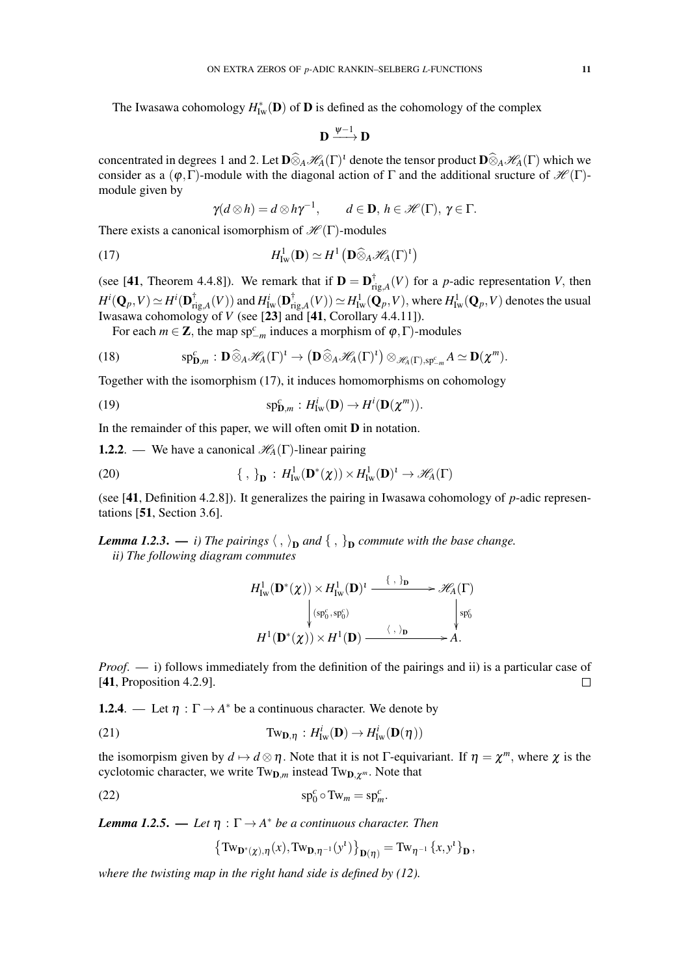The Iwasawa cohomology  $H^*_{\text{Iw}}(\mathbf{D})$  of  $\mathbf{D}$  is defined as the cohomology of the complex

$$
\mathbf{D}\xrightarrow{\psi-1}\mathbf{D}
$$

concentrated in degrees 1 and 2. Let  $\mathbf{D} \widehat{\otimes}_A \mathcal{H}_A(\Gamma)$ <sup>t</sup> denote the tensor product  $\mathbf{D} \widehat{\otimes}_A \mathcal{H}_A(\Gamma)$  which we consider as a  $(\varphi, \Gamma)$ -module with the diagonal action of  $\Gamma$  and the additional sructure of  $\mathcal{H}(\Gamma)$ module given by

$$
\gamma(d\otimes h)=d\otimes h\gamma^{-1},\qquad d\in\mathbf{D},\,h\in\mathscr{H}(\Gamma),\,\gamma\in\Gamma.
$$

There exists a canonical isomorphism of  $\mathcal{H}(\Gamma)$ -modules

(17) 
$$
H^1_{\mathrm{Iw}}(\mathbf{D}) \simeq H^1\left(\mathbf{D}\widehat{\otimes}_A \mathscr{H}_A(\Gamma)^t\right)
$$

(see [41, Theorem 4.4.8]). We remark that if  $\mathbf{D} = \mathbf{D}_{\text{r}}^{\dagger}$  $T_{\text{rig},A}^{\text{T}}(V)$  for a *p*-adic representation *V*, then  $H^i(\mathbf{Q}_p,V)\simeq H^i(\mathbf{D}_\mathrm{ri}^\dagger)$  $f^{\dagger}_{\mathrm{rig},A}(V))$  and  $H^{i}_{\mathrm{Iw}}(\mathbf{D}_{\mathrm{ri}}^{\dagger})$  $\lim_{\text{rig},A}^{\dagger}(V)) \simeq H^1_{\text{Iw}}(\mathbf{Q}_p,V),$  where  $H^1_{\text{Iw}}(\mathbf{Q}_p,V)$  denotes the usual Iwasawa cohomology of *V* (see [23] and [41, Corollary 4.4.11]).

For each  $m \in \mathbb{Z}$ , the map sp<sup>c</sup><sub>-*m*</sub> induces a morphism of  $\varphi$ , Γ)-modules

(18) 
$$
\mathrm{sp}_{\mathbf{D},m}^c: \mathbf{D} \widehat{\otimes}_A \mathscr{H}_A(\Gamma)^1 \to \left(\mathbf{D} \widehat{\otimes}_A \mathscr{H}_A(\Gamma)^1\right) \otimes_{\mathscr{H}_A(\Gamma),\mathrm{sp}^c_{-m}} A \simeq \mathbf{D}(\chi^m).
$$

Together with the isomorphism (17), it induces homomorphisms on cohomology

(19) 
$$
\mathrm{sp}_{\mathbf{D},m}^c: H^i_{\mathrm{Iw}}(\mathbf{D}) \to H^i(\mathbf{D}(\chi^m)).
$$

In the remainder of this paper, we will often omit  **in notation.** 

**1.2.2**. — We have a canonical  $\mathcal{H}_A(\Gamma)$ -linear pairing

(20) 
$$
\{\ ,\ \}_{\mathbf{D}} : H^1_{\mathrm{Iw}}(\mathbf{D}^*(\chi)) \times H^1_{\mathrm{Iw}}(\mathbf{D})^1 \to \mathscr{H}_A(\Gamma)
$$

(see [41, Definition 4.2.8]). It generalizes the pairing in Iwasawa cohomology of *p*-adic representations [51, Section 3.6].

**Lemma 1.2.3.** — i) The pairings  $\langle , \rangle_{\textbf{D}}$  and  $\{ , \}_{\textbf{D}}$  commute with the base change. *ii) The following diagram commutes*

$$
H^1_{\mathrm{Iw}}(\mathbf{D}^*(\chi)) \times H^1_{\mathrm{Iw}}(\mathbf{D})^{\iota} \xrightarrow{\{\ ,\ \mathbf{b}\}} \mathscr{H}_A(\Gamma)
$$
\n
$$
\downarrow (\mathrm{sp}_0^{\epsilon}, \mathrm{sp}_0^{\epsilon}) \qquad \qquad \downarrow \mathrm{sp}_0^{\epsilon}
$$
\n
$$
H^1(\mathbf{D}^*(\chi)) \times H^1(\mathbf{D}) \xrightarrow{\langle \ , \ \rangle_{\mathbf{D}}} A.
$$

*Proof.* — i) follows immediately from the definition of the pairings and ii) is a particular case of [41, Proposition 4.2.9].  $\Box$ 

**1.2.4**. — Let  $\eta : \Gamma \to A^*$  be a continuous character. We denote by

(21) 
$$
\text{Tw}_{\mathbf{D},\eta}: H^i_{\text{Iw}}(\mathbf{D}) \to H^i_{\text{Iw}}(\mathbf{D}(\eta))
$$

the isomorpism given by  $d \mapsto d \otimes \eta$ . Note that it is not Γ-equivariant. If  $\eta = \chi^m$ , where  $\chi$  is the cyclotomic character, we write  $Tw_{D,m}$  instead  $Tw_{D,\chi^m}$ . Note that

$$
\mathrm{sp}_0^c \circ \mathrm{Tw}_m = \mathrm{sp}_m^c.
$$

*Lemma 1.2.5.* — *Let*  $\eta : \Gamma \to A^*$  *be a continuous character. Then* 

$$
\left\{\mathrm{Tw}_{\mathbf{D}^*(\chi),\eta}(x),\mathrm{Tw}_{\mathbf{D},\eta^{-1}}(y^t)\right\}_{\mathbf{D}(\eta)}=\mathrm{Tw}_{\eta^{-1}}\left\{x,y^t\right\}_{\mathbf{D}},
$$

*where the twisting map in the right hand side is defined by (12).*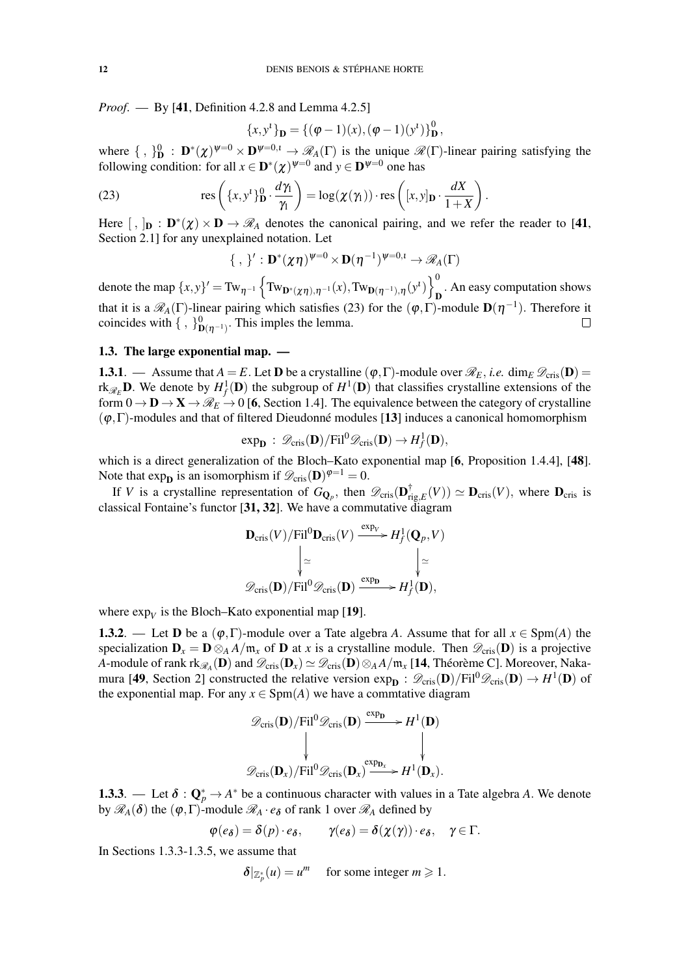*Proof*. — By [41, Definition 4.2.8 and Lemma 4.2.5]

$$
\{x, y^{t}\}_{\mathbf{D}} = \{(\varphi - 1)(x), (\varphi - 1)(y^{t})\}_{\mathbf{D}}^{0},
$$

where  $\{\, ,\, \}_{\mathbf{D}}^0$  :  $\mathbf{D}^*(\chi)^{\psi=0} \times \mathbf{D}^{\psi=0,1} \to \mathscr{R}_A(\Gamma)$  is the unique  $\mathscr{R}(\Gamma)$ -linear pairing satisfying the following condition: for all  $x \in D^*(\chi)^{\psi=0}$  and  $y \in D^{\psi=0}$  one has

(23) 
$$
\text{res}\left(\{x,y^t\}_{\mathbf{D}}^0\cdot\frac{d\gamma_1}{\gamma_1}\right) = \log(\chi(\gamma_1))\cdot\text{res}\left([x,y]_{\mathbf{D}}\cdot\frac{dX}{1+X}\right).
$$

Here  $[ , ]_{D} : D^*(\chi) \times D \to \mathcal{R}_A$  denotes the canonical pairing, and we refer the reader to [41, Section 2.1] for any unexplained notation. Let

$$
\{\, , \, \}': \mathbf{D}^*(\chi \eta)^{\psi=0} \times \mathbf{D}(\eta^{-1})^{\psi=0,\iota} \to \mathscr{R}_A(\Gamma)
$$

denote the map  $\{x, y\}' = Tw_{\eta^{-1}} \left\{ Tw_{\mathbf{D}^*(\chi\eta), \eta^{-1}}(x), Tw_{\mathbf{D}(\eta^{-1}), \eta}(y^t) \right\}_{\mathbf{r}}^0$  $\mathbf{D}$ . An easy computation shows that it is a  $\mathscr{R}_A(\Gamma)$ -linear pairing which satisfies (23) for the  $(\varphi, \Gamma)$ -module  $\mathbf{D}(\eta^{-1})$ . Therefore it coincides with  $\{\, ,\, \}_{\mathbf{D}(\eta^{-1})}^0$ . This imples the lemma.  $\Box$ 

# 1.3. The large exponential map. —

**1.3.1**. — Assume that  $A = E$ . Let **D** be a crystalline  $(\varphi, \Gamma)$ -module over  $\mathcal{R}_E$ , *i.e.* dim<sub>*E*</sub>  $\mathcal{D}_{cris}(\mathbf{D})$  = rk $_{\mathscr{R}_E}$ **D**. We denote by  $H^1_f(\mathbf{D})$  the subgroup of  $H^1(\mathbf{D})$  that classifies crystalline extensions of the form  $0 \to \mathbf{D} \to \mathbf{X} \to \mathscr{R}_E \to 0$  [6, Section 1.4]. The equivalence between the category of crystalline  $(\varphi, \Gamma)$ -modules and that of filtered Dieudonné modules [13] induces a canonical homomorphism

$$
\exp_{\mathbf{D}}\,:\,\mathscr{D}_{\mathrm{cris}}(\mathbf{D})/\mathrm{Fil}^0\mathscr{D}_{\mathrm{cris}}(\mathbf{D})\rightarrow H^1_f(\mathbf{D}),
$$

which is a direct generalization of the Bloch–Kato exponential map [6, Proposition 1.4.4], [48]. Note that  $\exp_{\mathbf{D}}$  is an isomorphism if  $\mathscr{D}_{\text{cris}}(\mathbf{D})^{\varphi=1} = 0$ .

If *V* is a crystalline representation of  $G_{\mathbf{Q}_p}$ , then  $\mathscr{D}_{\text{cris}}(\mathbf{D}_r^{\dagger})$  $T_{\text{rig},E}(\text{V}) \simeq \mathbf{D}_{\text{cris}}(\text{V})$ , where  $\mathbf{D}_{\text{cris}}$  is classical Fontaine's functor [31, 32]. We have a commutative diagram

$$
\begin{aligned} \mathbf{D}_{\mathrm{cris}}(V)/\mathrm{Fil}^{0}\mathbf{D}_{\mathrm{cris}}(V) & \xrightarrow{\exp_{V}} H_{f}^{1}(\mathbf{Q}_{p}, V) \\ & \downarrow{\simeq} & \downarrow{\simeq} \\ \mathscr{D}_{\mathrm{cris}}(\mathbf{D})/\mathrm{Fil}^{0}\mathscr{D}_{\mathrm{cris}}(\mathbf{D}) & \xrightarrow{\exp_{\mathbf{D}}} H_{f}^{1}(\mathbf{D}), \end{aligned}
$$

where  $\exp_V$  is the Bloch–Kato exponential map [19].

**1.3.2.** — Let **D** be a  $(\varphi, \Gamma)$ -module over a Tate algebra *A*. Assume that for all  $x \in \text{Spm}(A)$  the specialization  $\mathbf{D}_x = \mathbf{D} \otimes_A A/\mathfrak{m}_x$  of  $\mathbf{D}$  at *x* is a crystalline module. Then  $\mathscr{D}_{\text{cris}}(\mathbf{D})$  is a projective *A*-module of rank  $\text{rk}_{\mathscr{R}_A}(\mathbf{D})$  and  $\mathscr{D}_{\text{cris}}(\mathbf{D}_x)\simeq \mathscr{D}_{\text{cris}}(\mathbf{D})\otimes_AA/\mathfrak{m}_x$  [**14**, Théorème C]. Moreover, Nakamura [49, Section 2] constructed the relative version  $\exp_{D}$ :  $\mathscr{D}_{cris}(D)/Fil^0\mathscr{D}_{cris}(D) \to H^1(D)$  of the exponential map. For any  $x \in \text{Spm}(A)$  we have a commtative diagram

$$
\mathscr{D}_{\text{cris}}(\mathbf{D})/\text{Fil}^0 \mathscr{D}_{\text{cris}}(\mathbf{D}) \xrightarrow{\exp_{\mathbf{D}}} H^1(\mathbf{D})
$$
  

$$
\downarrow \qquad \qquad \downarrow
$$
  

$$
\mathscr{D}_{\text{cris}}(\mathbf{D}_x)/\text{Fil}^0 \mathscr{D}_{\text{cris}}(\mathbf{D}_x) \xrightarrow{\exp_{\mathbf{D}_x}} H^1(\mathbf{D}_x).
$$

**1.3.3**. — Let  $\delta: \mathbb{Q}_p^* \to A^*$  be a continuous character with values in a Tate algebra A. We denote by  $\mathcal{R}_A(\delta)$  the  $(\varphi, \Gamma)$ -module  $\mathcal{R}_A \cdot e_{\delta}$  of rank 1 over  $\mathcal{R}_A$  defined by

$$
\varphi(e_{\delta}) = \delta(p) \cdot e_{\delta}, \qquad \gamma(e_{\delta}) = \delta(\chi(\gamma)) \cdot e_{\delta}, \quad \gamma \in \Gamma.
$$

In Sections 1.3.3-1.3.5, we assume that

$$
\delta|_{\mathbb{Z}_p^*}(u) = u^m \quad \text{ for some integer } m \geq 1.
$$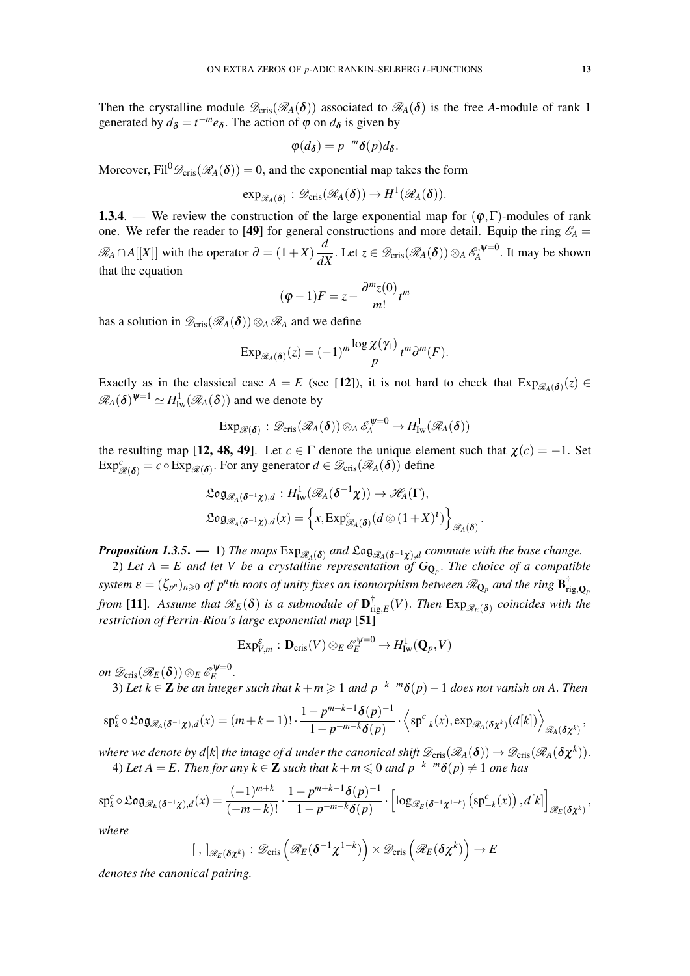Then the crystalline module  $\mathscr{D}_{\text{cris}}(\mathscr{R}_A(\delta))$  associated to  $\mathscr{R}_A(\delta)$  is the free *A*-module of rank 1 generated by  $d_{\delta} = t^{-m} e_{\delta}$ . The action of  $\varphi$  on  $d_{\delta}$  is given by

$$
\varphi(d_{\delta})=p^{-m}\delta(p)d_{\delta}.
$$

Moreover, Fil<sup>0</sup> $\mathscr{D}_{\text{cris}}(\mathscr{R}_A(\delta)) = 0$ , and the exponential map takes the form

$$
\exp_{\mathscr{R}_A({\boldsymbol{\delta}})}:\mathscr{D}_{\text{cris}}(\mathscr{R}_A({\boldsymbol{\delta}}))\to H^1(\mathscr{R}_A({\boldsymbol{\delta}})).
$$

**1.3.4.** — We review the construction of the large exponential map for  $(\varphi, \Gamma)$ -modules of rank one. We refer the reader to [49] for general constructions and more detail. Equip the ring  $\mathscr{E}_A$  =  $\mathcal{R}_A$  ∩ *A*[[X]] with the operator  $\partial = (1+X) \frac{d}{dX}$  $\frac{d}{dX}$ . Let  $z \in \mathscr{D}_{\mathrm{cris}}(\mathscr{R}_A(\boldsymbol{\delta})) \otimes_A \mathscr{E}_A^{\mathscr{N}=0}$  $A^{\triangleright,\psi=0}$ . It may be shown that the equation

$$
(\varphi - 1)F = z - \frac{\partial^m z(0)}{m!}t^m
$$

has a solution in  $\mathscr{D}_{\text{cris}}(\mathscr{R}_A(\delta))\otimes_A \mathscr{R}_A$  and we define

$$
\mathrm{Exp}_{\mathscr{R}_A(\boldsymbol{\delta})}(z) = (-1)^m \frac{\log \chi(\gamma_1)}{p} t^m \partial^m(F).
$$

Exactly as in the classical case  $A = E$  (see [12]), it is not hard to check that  $Exp_{\mathscr{R}_A(\delta)}(z) \in$  $\mathscr{R}_{A}(\boldsymbol{\delta})^{\psi=1} \simeq H^1_{\mathrm{Iw}}(\mathscr{R}_{A}(\boldsymbol{\delta}))$  and we denote by

$$
\mathrm{Exp}_{\mathscr{R}(\boldsymbol{\delta})}:\mathscr{D}_{\mathrm{cris}}(\mathscr{R}_{A}(\boldsymbol{\delta}))\otimes_{A}\mathscr{E}_{A}^{\psi=0}\to H^1_{\mathrm{Iw}}(\mathscr{R}_{A}(\boldsymbol{\delta}))
$$

the resulting map [12, 48, 49]. Let  $c \in \Gamma$  denote the unique element such that  $\chi(c) = -1$ . Set  $Exp_{\mathscr{R}(\boldsymbol{\delta})}^c = c \circ Exp_{\mathscr{R}(\boldsymbol{\delta})}$ . For any generator  $d \in \mathscr{D}_{\text{cris}}(\mathscr{R}_A(\boldsymbol{\delta}))$  define

$$
\mathfrak{Log}_{\mathscr{R}_A(\delta^{-1}\chi),d}: H^1_{\mathrm{Iw}}(\mathscr{R}_A(\delta^{-1}\chi)) \to \mathscr{H}_A(\Gamma),
$$
  

$$
\mathfrak{Log}_{\mathscr{R}_A(\delta^{-1}\chi),d}(x) = \left\{x, \mathrm{Exp}^c_{\mathscr{R}_A(\delta)}(d \otimes (1+X)^1) \right\}_{\mathscr{R}_A(\delta)}
$$

.

*Proposition 1.3.5.* — 1) The maps  $Exp_{\mathscr{R}_A(\delta)}$  and  $Log_{\mathscr{R}_A(\delta^{-1}\chi),d}$  commute with the base change.

2) Let  $A = E$  and let V be a crystalline representation of  $G_{\mathbf{Q}_p}$ . The choice of a compatible  $s$ ystem  $\bm{\varepsilon}=(\zeta_{p^n})_{n\geqslant 0}$  of  $p^n$ th roots of unity fixes an isomorphism between  $\mathscr{R}_{{\bf Q}_p}$  and the ring  ${\bf B}_{{\rm r}}^\dagger$ rig,Q*<sup>p</sup> from* [11]. Assume that  $\mathscr{R}_E(\delta)$  is a submodule of  $\mathbf{D}_r^{\dagger}$  $\lim_{\epsilon \to \infty} F(Y)$ . Then  $Exp_{\mathscr{R}_E(\delta)}$  coincides with the *restriction of Perrin-Riou's large exponential map* [51]

$$
\mathrm{Exp}^{\varepsilon}_{V,m} : \mathbf{D}_{\mathrm{cris}}(V) \otimes_E \mathscr{E}_E^{\psi=0} \to H^1_{\mathrm{Iw}}(\mathbf{Q}_p, V)
$$

*on*  $\mathscr{D}_{\mathrm{cris}}(\mathscr{R}_E(\boldsymbol{\delta}))\otimes_E\mathscr{E}_E^{\psi=0}$ .

3) *Let*  $k \in \mathbb{Z}$  *be an integer such that*  $k + m \ge 1$  *and*  $p^{-k-m}\delta(p) - 1$  *does not vanish on* A. *Then* 

$$
\mathrm{sp}_{k}^{c} \circ \mathfrak{Log}_{\mathscr{R}_{A}(\boldsymbol{\delta}^{-1}\chi),d}(x) = (m+k-1)! \cdot \frac{1-p^{m+k-1}\boldsymbol{\delta}(p)^{-1}}{1-p^{-m-k}\boldsymbol{\delta}(p)} \cdot \left\langle \mathrm{sp}_{-k}^{c}(x), \mathrm{exp}_{\mathscr{R}_{A}(\boldsymbol{\delta}\chi^{k})}(d[k]) \right\rangle_{\mathscr{R}_{A}(\boldsymbol{\delta}\chi^{k})},
$$

where we denote by  $d[k]$  the image of  $d$  under the canonical shift  $\mathscr{D}_{\mathrm{cris}}(\mathscr{R}_A(\bm{\delta}))\to \mathscr{D}_{\mathrm{cris}}(\mathscr{R}_A(\bm{\delta}\bm{\chi}^k)).$ 4) *Let*  $A = E$ . *Then for any*  $k \in \mathbb{Z}$  *such that*  $k + m \leq 0$  *and*  $p^{-k-m}\delta(p) \neq 1$  *one has* 

$$
\mathrm{sp}^c_k \circ \mathfrak{Log}_{\mathscr{R}_E(\delta^{-1}\chi),d}(x) = \frac{(-1)^{m+k}}{(-m-k)!} \cdot \frac{1-p^{m+k-1}\delta(p)^{-1}}{1-p^{-m-k}\delta(p)} \cdot \left[ \log_{\mathscr{R}_E(\delta^{-1}\chi^{1-k})} \left( \mathrm{sp}^c_{-k}(x) \right), d[k] \right]_{\mathscr{R}_E(\delta\chi^k)},
$$

*where*

$$
[ , ]_{\mathscr{R}_E(\boldsymbol{\delta} \chi^k)} : \mathscr{D}_{\text{cris}}\left(\mathscr{R}_E(\boldsymbol{\delta}^{-1} \chi^{1-k})\right) \times \mathscr{D}_{\text{cris}}\left(\mathscr{R}_E(\boldsymbol{\delta} \chi^k)\right) \to E
$$

*denotes the canonical pairing.*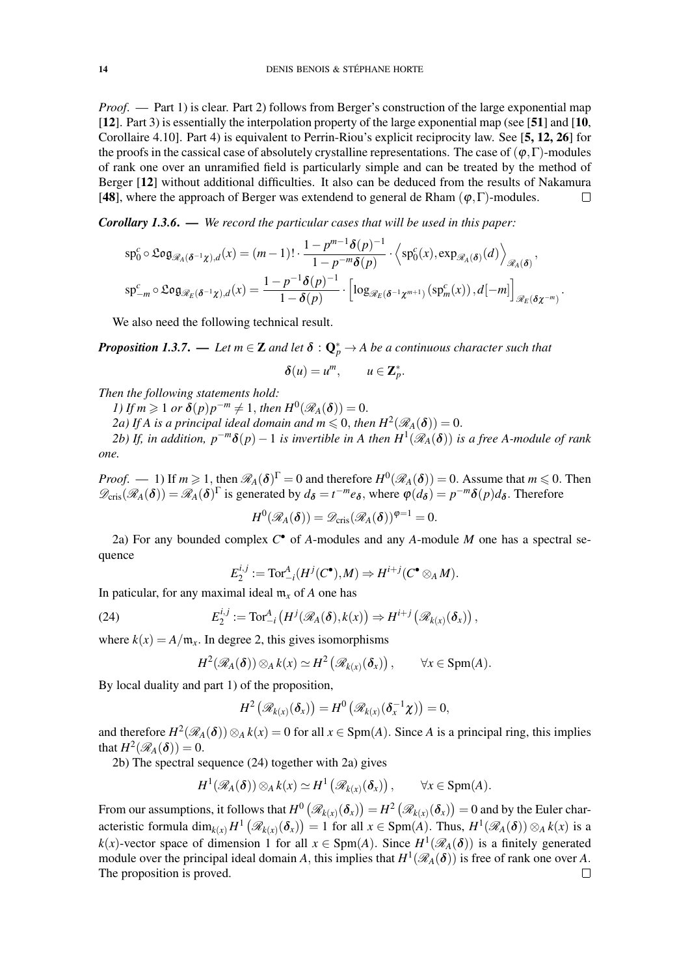*Proof.* — Part 1) is clear. Part 2) follows from Berger's construction of the large exponential map [12]. Part 3) is essentially the interpolation property of the large exponential map (see [51] and [10, Corollaire 4.10]. Part 4) is equivalent to Perrin-Riou's explicit reciprocity law. See [5, 12, 26] for the proofs in the cassical case of absolutely crystalline representations. The case of  $(\varphi, \Gamma)$ -modules of rank one over an unramified field is particularly simple and can be treated by the method of Berger [12] without additional difficulties. It also can be deduced from the results of Nakamura [48], where the approach of Berger was extendend to general de Rham ( $\varphi$ , Γ)-modules.  $\Box$ 

*Corollary 1.3.6*. — *We record the particular cases that will be used in this paper:*

$$
sp_0^c \circ \mathfrak{Log}_{\mathcal{R}_A(\delta^{-1}\chi),d}(x) = (m-1)! \cdot \frac{1-p^{m-1}\delta(p)^{-1}}{1-p^{-m}\delta(p)} \cdot \left\langle sp_0^c(x), \exp_{\mathcal{R}_A(\delta)}(d) \right\rangle_{\mathcal{R}_A(\delta)},
$$
  

$$
sp_{-m}^c \circ \mathfrak{Log}_{\mathcal{R}_E(\delta^{-1}\chi),d}(x) = \frac{1-p^{-1}\delta(p)^{-1}}{1-\delta(p)} \cdot \left[ \log_{\mathcal{R}_E(\delta^{-1}\chi^{m+1})}(sp_m^c(x)),d[-m] \right]_{\mathcal{R}_E(\delta\chi^{-m})}
$$

.

We also need the following technical result.

*Proposition 1.3.7.* — Let  $m \in \mathbf{Z}$  and let  $\boldsymbol{\delta} : \mathbf{Q}_p^* \to A$  be a continuous character such that  $\delta(u) = u^m$ ,  $u \in \mathbb{Z}_p^*$ .

*Then the following statements hold:*

*1)* If  $m \geq 1$  or  $\delta(p)p^{-m} \neq 1$ , then  $H^0(\mathcal{R}_A(\delta)) = 0$ .

2a) If A is a principal ideal domain and  $m \leqslant 0$ , then  $H^2(\mathscr{R}_A(\boldsymbol{\delta})) = 0$ .

2b) If, in addition,  $p^{-m}\delta(p) - 1$  is invertible in A then  $H^1(\mathscr{R}_A(\delta))$  is a free A-module of rank *one.*

*Proof.* — 1) If  $m \ge 1$ , then  $\mathcal{R}_A(\delta)^\Gamma = 0$  and therefore  $H^0(\mathcal{R}_A(\delta)) = 0$ . Assume that  $m \le 0$ . Then  $\mathscr{D}_{\text{cris}}(\mathscr{R}_A(\boldsymbol{\delta})) = \mathscr{R}_A(\boldsymbol{\delta})^{\Gamma}$  is generated by  $d_{\boldsymbol{\delta}} = t^{-m}e_{\boldsymbol{\delta}}$ , where  $\varphi(d_{\boldsymbol{\delta}}) = p^{-m}\delta(p)d_{\boldsymbol{\delta}}$ . Therefore

$$
H^0(\mathscr{R}_A(\boldsymbol{\delta})) = \mathscr{D}_{\mathrm{cris}}(\mathscr{R}_A(\boldsymbol{\delta}))^{\varphi=1} = 0.
$$

2a) For any bounded complex *C* • of *A*-modules and any *A*-module *M* one has a spectral sequence

$$
E_2^{i,j} := \operatorname{Tor}^A_{-i}(H^j(C^\bullet), M) \Rightarrow H^{i+j}(C^\bullet \otimes_A M).
$$

In paticular, for any maximal ideal  $m_r$  of *A* one has

(24) 
$$
E_2^{i,j} := \text{Tor}_{-i}^A \left( H^j(\mathscr{R}_A(\boldsymbol{\delta}), k(x)) \Rightarrow H^{i+j}(\mathscr{R}_{k(x)}(\boldsymbol{\delta}_x)) \right),
$$

where  $k(x) = A/m_x$ . In degree 2, this gives isomorphisms

$$
H^2(\mathscr{R}_A(\boldsymbol{\delta}))\otimes_A k(x) \simeq H^2(\mathscr{R}_{k(x)}(\boldsymbol{\delta}_x)), \qquad \forall x \in \text{Spm}(A).
$$

By local duality and part 1) of the proposition,

$$
H^2\left(\mathscr{R}_{k(x)}(\boldsymbol{\delta}_x)\right)=H^0\left(\mathscr{R}_{k(x)}(\boldsymbol{\delta}_x^{-1}\boldsymbol{\chi})\right)=0,
$$

and therefore  $H^2(\mathcal{R}_A(\delta)) \otimes_A k(x) = 0$  for all  $x \in \text{Spm}(A)$ . Since A is a principal ring, this implies that  $H^2(\mathscr{R}_A(\boldsymbol{\delta}))=0.$ 

2b) The spectral sequence (24) together with 2a) gives

$$
H^1(\mathscr{R}_A(\boldsymbol{\delta})) \otimes_A k(x) \simeq H^1(\mathscr{R}_{k(x)}(\boldsymbol{\delta}_x)), \qquad \forall x \in \text{Spm}(A).
$$

From our assumptions, it follows that  $H^0\left(\mathscr{R}_{k(x)}(\boldsymbol{\delta}_x)\right)=H^2\left(\mathscr{R}_{k(x)}(\boldsymbol{\delta}_x)\right)=0$  and by the Euler characteristic formula  $\dim_{k(x)} H^1(\mathscr{R}_{k(x)}(\delta_x)) = 1$  for all  $x \in \text{Spm}(A)$ . Thus,  $H^1(\mathscr{R}_A(\delta)) \otimes_A k(x)$  is a  $k(x)$ -vector space of dimension 1 for all  $x \in \text{Spm}(A)$ . Since  $H^1(\mathcal{R}_A(\delta))$  is a finitely generated module over the principal ideal domain *A*, this implies that  $H^1(\mathcal{R}_A(\delta))$  is free of rank one over *A*. The proposition is proved. $\Box$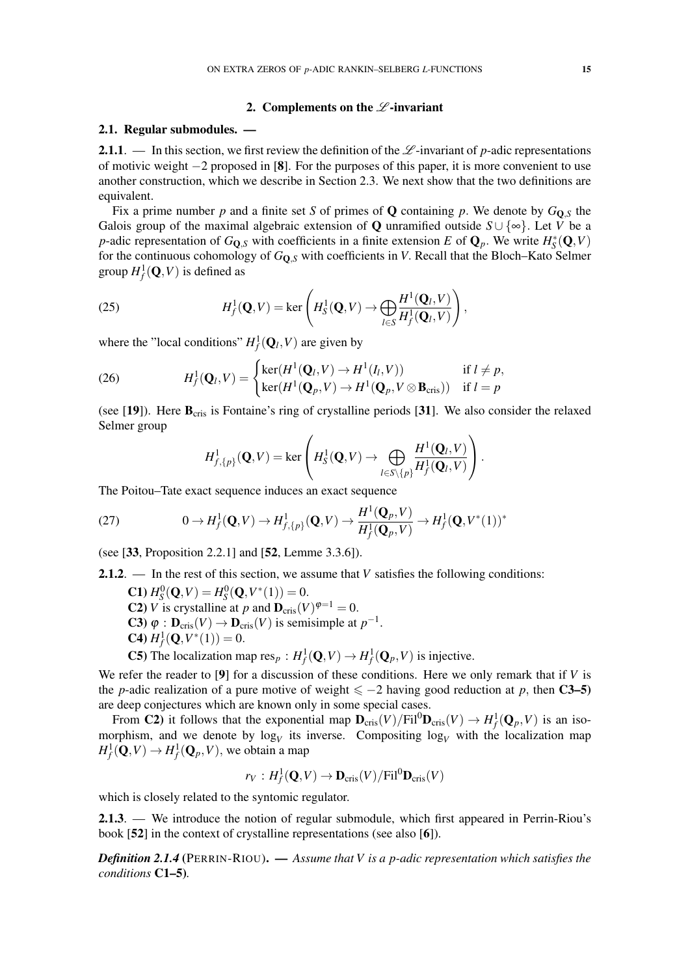### 2. Complements on the  $\mathscr L$ -invariant

#### 2.1. Regular submodules. —

2.1.1. — In this section, we first review the definition of the  $\mathscr{L}$ -invariant of *p*-adic representations of motivic weight −2 proposed in [8]. For the purposes of this paper, it is more convenient to use another construction, which we describe in Section 2.3. We next show that the two definitions are equivalent.

Fix a prime number p and a finite set S of primes of Q containing p. We denote by  $G_{\text{O},S}$  the Galois group of the maximal algebraic extension of **Q** unramified outside  $S \cup \{ \infty \}$ . Let *V* be a *p*-adic representation of  $G_{\mathbf{Q},S}$  with coefficients in a finite extension *E* of  $\mathbf{Q}_p$ . We write  $H_S^*(\mathbf{Q}, V)$ for the continuous cohomology of *G*Q,*<sup>S</sup>* with coefficients in *V*. Recall that the Bloch–Kato Selmer group  $H_f^1(\mathbf{Q}, V)$  is defined as

(25) 
$$
H_f^1(\mathbf{Q}, V) = \ker \left( H_s^1(\mathbf{Q}, V) \to \bigoplus_{l \in S} \frac{H^1(\mathbf{Q}_l, V)}{H_f^1(\mathbf{Q}_l, V)} \right),
$$

where the "local conditions"  $H_f^1(\mathbf{Q}_l, V)$  are given by

(26) 
$$
H_f^1(\mathbf{Q}_l, V) = \begin{cases} \ker(H^1(\mathbf{Q}_l, V) \to H^1(I_l, V)) & \text{if } l \neq p, \\ \ker(H^1(\mathbf{Q}_p, V) \to H^1(\mathbf{Q}_p, V \otimes \mathbf{B}_{\text{cris}})) & \text{if } l = p \end{cases}
$$

(see [19]). Here  $B_{\text{cris}}$  is Fontaine's ring of crystalline periods [31]. We also consider the relaxed Selmer group

$$
H^1_{f,\{p\}}(\mathbf{Q}, V) = \ker \left(H^1_S(\mathbf{Q}, V) \to \bigoplus_{l \in S \setminus \{p\}} \frac{H^1(\mathbf{Q}_l, V)}{H^1_f(\mathbf{Q}_l, V)}\right).
$$

The Poitou–Tate exact sequence induces an exact sequence

(27) 
$$
0 \to H_f^1(\mathbf{Q}, V) \to H_{f, \{p\}}^1(\mathbf{Q}, V) \to \frac{H^1(\mathbf{Q}_p, V)}{H_f^1(\mathbf{Q}_p, V)} \to H_f^1(\mathbf{Q}, V^*(1))^*
$$

(see [33, Proposition 2.2.1] and [52, Lemme 3.3.6]).

2.1.2. — In the rest of this section, we assume that *V* satisfies the following conditions:

**C1**)  $H_S^0(\mathbf{Q}, V) = H_S^0(\mathbf{Q}, V^*(1)) = 0.$ **C2**) *V* is crystalline at *p* and  $\mathbf{D}_{\text{cris}}(V)^{\varphi=1} = 0$ . **C3**)  $\varphi$  :  $\mathbf{D}_{\text{cris}}(V) \to \mathbf{D}_{\text{cris}}(V)$  is semisimple at  $p^{-1}$ . **C4**)  $H_f^1(\mathbf{Q}, V^*(1)) = 0.$ 

**C5**) The localization map res<sub>p</sub> :  $H_f^1(\mathbf{Q}, V) \to H_f^1(\mathbf{Q}_p, V)$  is injective.

We refer the reader to [9] for a discussion of these conditions. Here we only remark that if *V* is the *p*-adic realization of a pure motive of weight  $\leq -2$  having good reduction at *p*, then **C3–5**) are deep conjectures which are known only in some special cases.

From C2) it follows that the exponential map  $\mathbf{D}_{\text{cris}}(V)/\text{Fil}^0\mathbf{D}_{\text{cris}}(V) \to H^1_f(\mathbf{Q}_p, V)$  is an isomorphism, and we denote by  $log_V$  its inverse. Compositing  $log_V$  with the localization map  $H^1_f(\mathbf{Q}, V) \to H^1_f(\mathbf{Q}_p, V)$ , we obtain a map

$$
r_V: H_f^1(\mathbf{Q}, V) \to \mathbf{D}_{\mathrm{cris}}(V)/\mathrm{Fil}^0\mathbf{D}_{\mathrm{cris}}(V)
$$

which is closely related to the syntomic regulator.

2.1.3. — We introduce the notion of regular submodule, which first appeared in Perrin-Riou's book [52] in the context of crystalline representations (see also [6]).

*Definition 2.1.4* (PERRIN-RIOU). — *Assume that V is a p-adic representation which satisfies the conditions* C1–5)*.*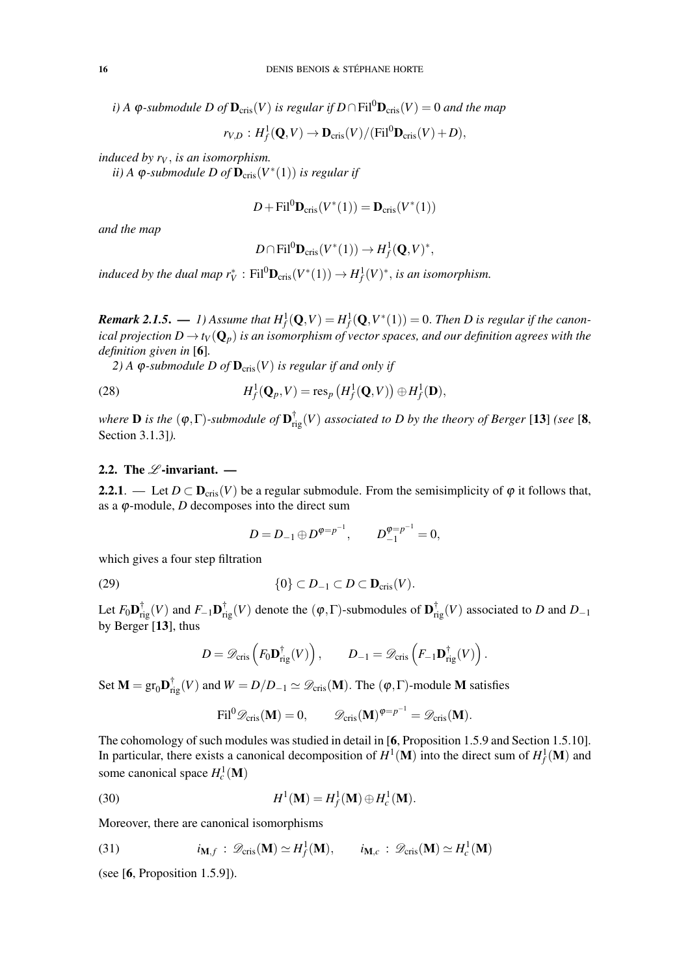*i*) *A*  $\varphi$ -submodule *D* of  $\mathbf{D}_{\text{cris}}(V)$  *is regular if*  $D \cap \text{Fil}^0 \mathbf{D}_{\text{cris}}(V) = 0$  *and the map* 

$$
r_{V,D}: H^1_f(\mathbf{Q}, V) \to \mathbf{D}_{\mathrm{cris}}(V) / (\mathrm{Fil}^0 \mathbf{D}_{\mathrm{cris}}(V) + D),
$$

*induced by r<sup>V</sup>* , *is an isomorphism.*

 $\tilde{u}$ ) A  $\varphi$ -submodule D of  $\mathbf{D}_{\text{cris}}(V^*(1))$  is regular if

$$
D + \mathrm{Fil}^0 \mathbf{D}_{\mathrm{cris}}(V^*(1)) = \mathbf{D}_{\mathrm{cris}}(V^*(1))
$$

*and the map*

$$
D \cap \text{Fil}^0 \mathbf{D}_{\text{cris}}(V^*(1)) \to H^1_f(\mathbf{Q}, V)^*,
$$

*induced by the dual map*  $r_V^*$  :  $\text{Fil}^0\mathbf{D}_{\text{cris}}(V^*(1)) \to H_f^1(V)^*$ , *is an isomorphism.* 

 $\bm{Remark\ 2.1.5.}\ \bm{\longrightarrow}\ \mathit{1)}$  Assume that  $H^1_f(\mathbf{Q},V)=H^1_f(\mathbf{Q},V^*(1))=0.$  Then  $D$  is regular if the canon*ical projection*  $D \to t_V(\mathbf{Q}_p)$  *is an isomorphism of vector spaces, and our definition agrees with the definition given in* [6]*.*

2) A  $\varphi$ -submodule D of  $\mathbf{D}_{\text{cris}}(V)$  *is regular if and only if* 

(28) 
$$
H_f^1(\mathbf{Q}_p,V)=\operatorname{res}_p\left(H_f^1(\mathbf{Q},V)\right)\oplus H_f^1(\mathbf{D}),
$$

*where*  $D$  *is the*  $(\phi, \Gamma)$ -submodule of  $D_{\text{rig}}^{\dagger}(V)$  associated to  $D$  by the theory of Berger [13] *(see* [8, Section 3.1.3]*).*

# 2.2. The  $\mathscr L$ -invariant. —

2.2.1. — Let  $D \subset \mathbf{D}_{\text{cris}}(V)$  be a regular submodule. From the semisimplicity of  $\varphi$  it follows that, as a  $\varphi$ -module, *D* decomposes into the direct sum

$$
D = D_{-1} \oplus D^{\varphi = p^{-1}}, \qquad D_{-1}^{\varphi = p^{-1}} = 0,
$$

which gives a four step filtration

(29) 
$$
\{0\} \subset D_{-1} \subset D \subset \mathbf{D}_{\mathrm{cris}}(V).
$$

Let  $F_0 \mathbf{D}_{\text{rig}}^{\dagger}(V)$  and  $F_{-1} \mathbf{D}_{\text{rig}}^{\dagger}(V)$  denote the  $(\varphi, \Gamma)$ -submodules of  $\mathbf{D}_{\text{rig}}^{\dagger}(V)$  associated to *D* and  $D_{-1}$ by Berger [13], thus

$$
D = \mathscr{D}_{\mathrm{cris}}\left(F_0\mathbf{D}_{\mathrm{rig}}^{\dagger}(V)\right), \qquad D_{-1} = \mathscr{D}_{\mathrm{cris}}\left(F_{-1}\mathbf{D}_{\mathrm{rig}}^{\dagger}(V)\right).
$$

Set  $M = \text{gr}_{0} \mathbf{D}_{\text{rig}}^{\dagger}(V)$  and  $W = D/D_{-1} \simeq \mathscr{D}_{\text{cris}}(\mathbf{M})$ . The  $(\varphi, \Gamma)$ -module  $\mathbf{M}$  satisfies

$$
\mathrm{Fil}^0 \mathscr{D}_{\mathrm{cris}}(\mathbf{M}) = 0, \qquad \mathscr{D}_{\mathrm{cris}}(\mathbf{M})^{\varphi = p^{-1}} = \mathscr{D}_{\mathrm{cris}}(\mathbf{M}).
$$

The cohomology of such modules was studied in detail in [6, Proposition 1.5.9 and Section 1.5.10]. In particular, there exists a canonical decomposition of  $H^1(\mathbf{M})$  into the direct sum of  $H^1_f(\mathbf{M})$  and some canonical space  $H_c^1(\mathbf{M})$ 

(30) 
$$
H^1(\mathbf{M}) = H_f^1(\mathbf{M}) \oplus H_c^1(\mathbf{M}).
$$

Moreover, there are canonical isomorphisms

(31) 
$$
i_{\mathbf{M},f}: \mathscr{D}_{\mathrm{cris}}(\mathbf{M}) \simeq H^1_f(\mathbf{M}), \qquad i_{\mathbf{M},c}: \mathscr{D}_{\mathrm{cris}}(\mathbf{M}) \simeq H^1_c(\mathbf{M})
$$

(see [6, Proposition 1.5.9]).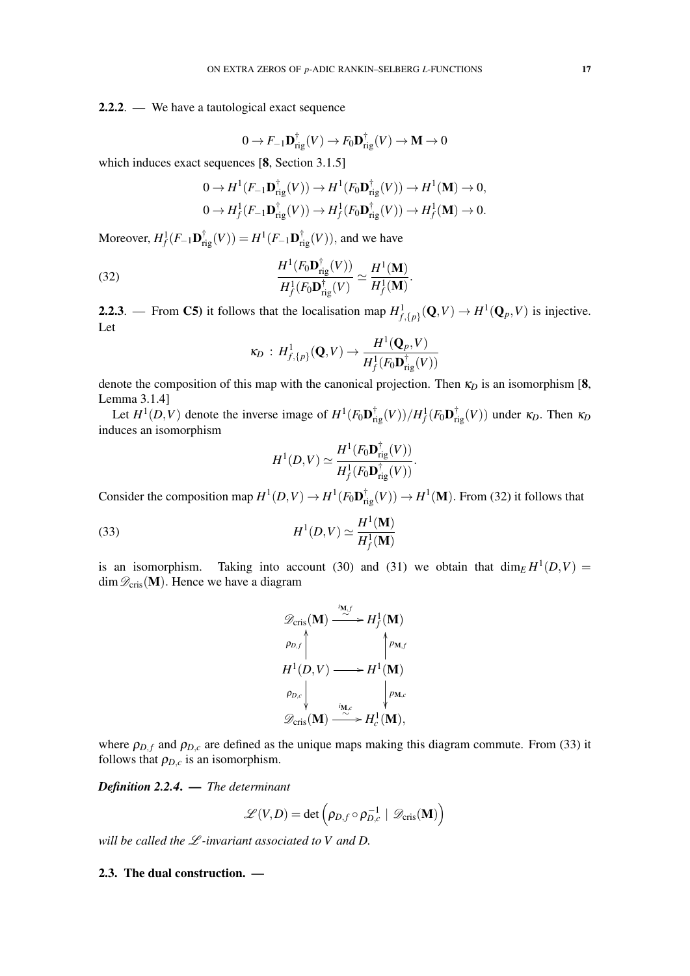2.2.2. — We have a tautological exact sequence

$$
0 \to F_{-1} \mathbf{D}_{\mathrm{rig}}^{\dagger}(V) \to F_0 \mathbf{D}_{\mathrm{rig}}^{\dagger}(V) \to \mathbf{M} \to 0
$$

which induces exact sequences [8, Section 3.1.5]

$$
0 \to H^1(F_{-1}\mathbf{D}_{\mathrm{rig}}^{\dagger}(V)) \to H^1(F_0\mathbf{D}_{\mathrm{rig}}^{\dagger}(V)) \to H^1(\mathbf{M}) \to 0,
$$
  

$$
0 \to H^1_f(F_{-1}\mathbf{D}_{\mathrm{rig}}^{\dagger}(V)) \to H^1_f(F_0\mathbf{D}_{\mathrm{rig}}^{\dagger}(V)) \to H^1_f(\mathbf{M}) \to 0.
$$

Moreover,  $H^1_f(F_{-1} \mathbf{D}_{\text{rig}}^{\dagger}(V)) = H^1(F_{-1} \mathbf{D}_{\text{rig}}^{\dagger}(V)),$  and we have

(32) 
$$
\frac{H^1(F_0 \mathbf{D}_{\mathrm{rig}}^{\dagger}(V))}{H_f^1(F_0 \mathbf{D}_{\mathrm{rig}}^{\dagger}(V))} \simeq \frac{H^1(\mathbf{M})}{H_f^1(\mathbf{M})}.
$$

**2.2.3**. — From C5) it follows that the localisation map  $H^1_{f,\{p\}}(\mathbf{Q}, V) \to H^1(\mathbf{Q}_p, V)$  is injective. Let

$$
\kappa_D: H^1_{f,\{p\}}(\mathbf{Q}, V) \to \frac{H^1(\mathbf{Q}_p, V)}{H^1_f(F_0 \mathbf{D}_{\mathrm{rig}}^\dagger(V))}
$$

denote the composition of this map with the canonical projection. Then  $\kappa_D$  is an isomorphism [8, Lemma 3.1.4]

Let  $H^1(D, V)$  denote the inverse image of  $H^1(F_0\mathbf{D}_{\text{rig}}^{\dagger}(V))/H_f^1(F_0\mathbf{D}_{\text{rig}}^{\dagger}(V))$  under  $\kappa_D$ . Then  $\kappa_D$ induces an isomorphism

$$
H^1(D,V) \simeq \frac{H^1(F_0 \mathbf{D}_{\mathrm{rig}}^\dagger(V))}{H^1_f(F_0 \mathbf{D}_{\mathrm{rig}}^\dagger(V))}.
$$

Consider the composition map  $H^1(D, V) \to H^1(F_0 \mathbf{D}_{\text{rig}}^{\dagger}(V)) \to H^1(\mathbf{M})$ . From (32) it follows that

(33) 
$$
H^{1}(D,V) \simeq \frac{H^{1}(\mathbf{M})}{H_{f}^{1}(\mathbf{M})}
$$

is an isomorphism. Taking into account (30) and (31) we obtain that  $\dim_E H^1(D, V) =$ dim  $\mathscr{D}_{\text{cris}}(\mathbf{M})$ . Hence we have a diagram

$$
\mathscr{D}_{\text{cris}}(\mathbf{M}) \xrightarrow{i_{\mathbf{M},f}} H_f^1(\mathbf{M})
$$
\n
$$
\rho_{D,f} \uparrow \qquad \uparrow p_{\mathbf{M},f}
$$
\n
$$
H^1(D,V) \longrightarrow H^1(\mathbf{M})
$$
\n
$$
\rho_{D,c} \downarrow \qquad \downarrow p_{\mathbf{M},c}
$$
\n
$$
\mathscr{D}_{\text{cris}}(\mathbf{M}) \xrightarrow{i_{\mathbf{M},c}} H_c^1(\mathbf{M}),
$$

where  $\rho_{D,f}$  and  $\rho_{D,c}$  are defined as the unique maps making this diagram commute. From (33) it follows that  $\rho_{D,c}$  is an isomorphism.

*Definition 2.2.4*. — *The determinant*

$$
\mathscr{L}(V,D) = \det \left( \rho_{D,f} \circ \rho_{D,c}^{-1} \mid \mathscr{D}_{\mathrm{cris}}(\mathbf{M}) \right)
$$

*will be called the* L *-invariant associated to V and D.*

# 2.3. The dual construction. —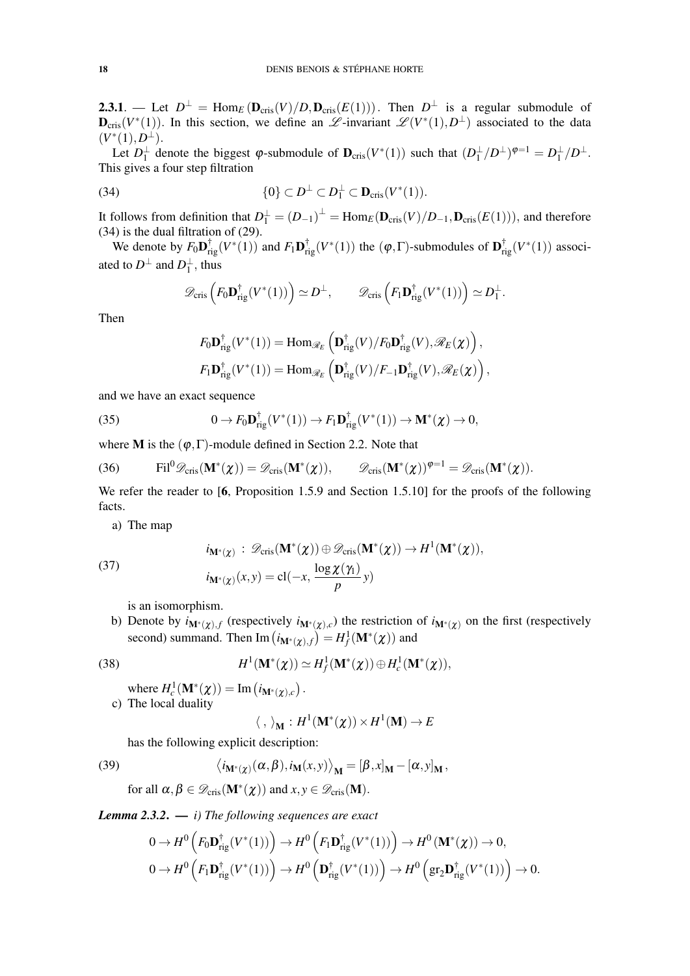**2.3.1**. — Let  $D^{\perp}$  = Hom<sub>*E*</sub> ( $\mathbf{D}_{\text{cris}}(V)/D$ ,  $\mathbf{D}_{\text{cris}}(E(1))$ ). Then  $D^{\perp}$  is a regular submodule of  $\mathbf{D}_{\text{cris}}(V^*(1))$ . In this section, we define an  $\mathscr{L}\text{-invariant } \mathscr{L}(V^*(1), D^{\perp})$  associated to the data  $(V^*(1), D^{\perp}).$ 

Let  $D_1^{\perp}$  denote the biggest  $\varphi$ -submodule of  $\mathbf{D}_{\text{cris}}(V^*(1))$  such that  $(D_1^{\perp}/D^{\perp})^{\varphi=1} = D_1^{\perp}/D^{\perp}$ . This gives a four step filtration

(34) 
$$
\{0\} \subset D^{\perp} \subset D_1^{\perp} \subset \mathbf{D}_{\mathrm{cris}}(V^*(1)).
$$

It follows from definition that  $D_1^{\perp} = (D_{-1})^{\perp} = \text{Hom}_E(D_{\text{cris}}(V)/D_{-1}, D_{\text{cris}}(E(1))),$  and therefore (34) is the dual filtration of (29).

We denote by  $F_0 \mathbf{D}_{\text{rig}}^{\dagger}(V^*(1))$  and  $F_1 \mathbf{D}_{\text{rig}}^{\dagger}(V^*(1))$  the  $(\varphi, \Gamma)$ -submodules of  $\mathbf{D}_{\text{rig}}^{\dagger}(V^*(1))$  associated to  $D^{\perp}$  and  $D_1^{\perp}$ , thus

$$
\mathscr{D}_{\mathrm{cris}}\left(F_0\mathbf{D}_{\mathrm{rig}}^\dagger(V^*(1))\right) \simeq D^\perp, \qquad \mathscr{D}_{\mathrm{cris}}\left(F_1\mathbf{D}_{\mathrm{rig}}^\dagger(V^*(1))\right) \simeq D_1^\perp.
$$

Then

$$
F_0 \mathbf{D}_{\mathrm{rig}}^{\dagger}(V^*(1)) = \mathrm{Hom}_{\mathscr{R}_E} \left( \mathbf{D}_{\mathrm{rig}}^{\dagger}(V) / F_0 \mathbf{D}_{\mathrm{rig}}^{\dagger}(V), \mathscr{R}_E(\chi) \right),
$$
  

$$
F_1 \mathbf{D}_{\mathrm{rig}}^{\dagger}(V^*(1)) = \mathrm{Hom}_{\mathscr{R}_E} \left( \mathbf{D}_{\mathrm{rig}}^{\dagger}(V) / F_{-1} \mathbf{D}_{\mathrm{rig}}^{\dagger}(V), \mathscr{R}_E(\chi) \right),
$$

and we have an exact sequence

(35) 
$$
0 \to F_0 \mathbf{D}_{\mathrm{rig}}^{\dagger}(V^*(1)) \to F_1 \mathbf{D}_{\mathrm{rig}}^{\dagger}(V^*(1)) \to \mathbf{M}^*(\chi) \to 0,
$$

where **M** is the  $(\varphi, \Gamma)$ -module defined in Section 2.2. Note that

(36) 
$$
\text{Fil}^0 \mathscr{D}_{\text{cris}}(\mathbf{M}^*(\chi)) = \mathscr{D}_{\text{cris}}(\mathbf{M}^*(\chi)), \qquad \mathscr{D}_{\text{cris}}(\mathbf{M}^*(\chi))^{\varphi=1} = \mathscr{D}_{\text{cris}}(\mathbf{M}^*(\chi)).
$$

We refer the reader to [6, Proposition 1.5.9 and Section 1.5.10] for the proofs of the following facts.

a) The map

$$
i_{\mathbf{M}^*(\chi)}: \mathscr{D}_{\mathrm{cris}}(\mathbf{M}^*(\chi)) \oplus \mathscr{D}_{\mathrm{cris}}(\mathbf{M}^*(\chi)) \to H^1(\mathbf{M}^*(\chi)),
$$
  

$$
i_{\mathbf{M}^*(\chi)}(x, y) = \mathrm{cl}(-x, \frac{\log \chi(\gamma_1)}{p}y)
$$

is an isomorphism.

b) Denote by  $i_{M^*(\chi),f}$  (respectively  $i_{M^*(\chi),c}$ ) the restriction of  $i_{M^*(\chi)}$  on the first (respectively second) summand. Then  $\text{Im}\left(i_{\mathbf{M}^*(\boldsymbol{\chi}),f}\right) = H^1_f(\mathbf{M}^*(\boldsymbol{\chi}))$  and

(38) *H*

(37)

$$
H^1(\mathbf{M}^*(\chi)) \simeq H^1_f(\mathbf{M}^*(\chi)) \oplus H^1_c(\mathbf{M}^*(\chi)),
$$

where  $H_c^1(\mathbf{M}^*(\chi)) = \text{Im} (i_{\mathbf{M}^*(\chi),c})$ .

c) The local duality

$$
\langle\;,\;\rangle_{{\mathbf M}}:H^1({\mathbf M}^*({\boldsymbol{\chi}}))\times H^1({\mathbf M})\to E
$$

has the following explicit description:

(39) 
$$
\langle i_{\mathbf{M}^*(\chi)}(\alpha,\beta), i_{\mathbf{M}}(x,y) \rangle_{\mathbf{M}} = [\beta,x]_{\mathbf{M}} - [\alpha,y]_{\mathbf{M}},
$$

for all 
$$
\alpha, \beta \in \mathcal{D}_{\text{cris}}(\mathbf{M}^*(\chi))
$$
 and  $x, y \in \mathcal{D}_{\text{cris}}(\mathbf{M})$ .

*Lemma 2.3.2*. — *i) The following sequences are exact*

$$
0 \to H^0\left(F_0 \mathbf{D}_{\mathrm{rig}}^{\dagger}(V^*(1))\right) \to H^0\left(F_1 \mathbf{D}_{\mathrm{rig}}^{\dagger}(V^*(1))\right) \to H^0\left(\mathbf{M}^*(\chi)\right) \to 0,
$$
  

$$
0 \to H^0\left(F_1 \mathbf{D}_{\mathrm{rig}}^{\dagger}(V^*(1))\right) \to H^0\left(\mathbf{D}_{\mathrm{rig}}^{\dagger}(V^*(1))\right) \to H^0\left(\mathrm{gr}_2 \mathbf{D}_{\mathrm{rig}}^{\dagger}(V^*(1))\right) \to 0.
$$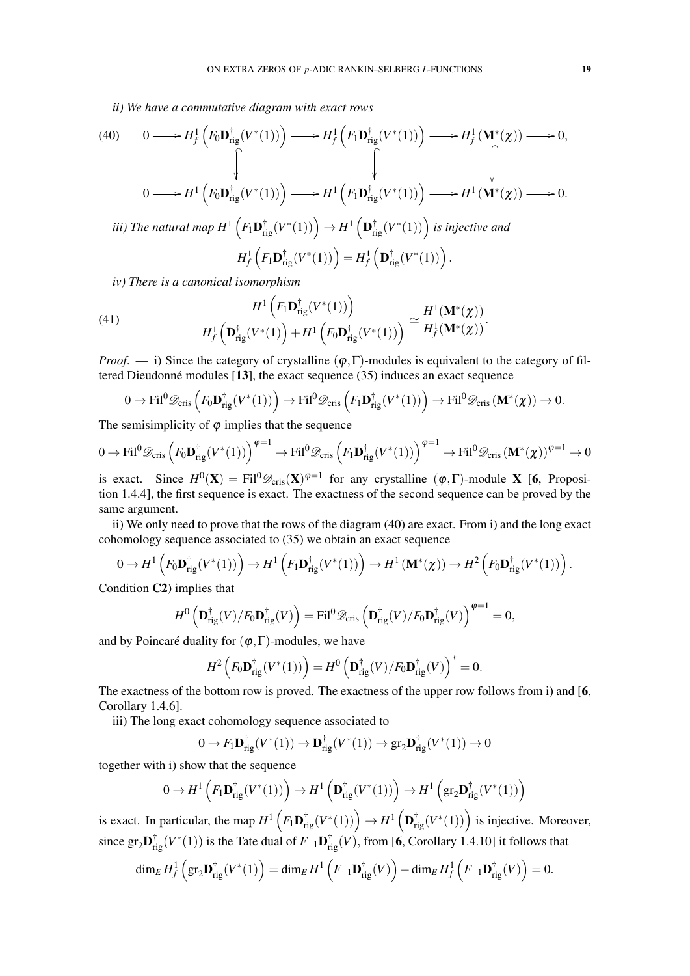*ii) We have a commutative diagram with exact rows*

(40) 
$$
0 \longrightarrow H_f^1\left(F_0 \mathbf{D}_{\mathrm{rig}}^{\dagger}(V^*(1))\right) \longrightarrow H_f^1\left(F_1 \mathbf{D}_{\mathrm{rig}}^{\dagger}(V^*(1))\right) \longrightarrow H_f^1\left(\mathbf{M}^*(\chi)\right) \longrightarrow 0,
$$
  
\n
$$
0 \longrightarrow H^1\left(F_0 \mathbf{D}_{\mathrm{rig}}^{\dagger}(V^*(1))\right) \longrightarrow H^1\left(F_1 \mathbf{D}_{\mathrm{rig}}^{\dagger}(V^*(1))\right) \longrightarrow H^1\left(\mathbf{M}^*(\chi)\right) \longrightarrow 0.
$$
  
\n*iii) The natural map*  $H^1\left(F_1 \mathbf{D}_{\mathrm{rig}}^{\dagger}(V^*(1))\right) \rightarrow H^1\left(\mathbf{D}_{\mathrm{rig}}^{\dagger}(V^*(1))\right)$  *is injective and*  
\n
$$
H_f^1\left(F_1 \mathbf{D}_{\mathrm{rig}}^{\dagger}(V^*(1))\right) = H_f^1\left(\mathbf{D}_{\mathrm{rig}}^{\dagger}(V^*(1))\right).
$$

*iv) There is a canonical isomorphism*

(41) 
$$
\frac{H^1\left(F_1\mathbf{D}_{\mathrm{rig}}^{\dagger}(V^*(1))\right)}{H_f^1\left(\mathbf{D}_{\mathrm{rig}}^{\dagger}(V^*(1))\right)+H^1\left(F_0\mathbf{D}_{\mathrm{rig}}^{\dagger}(V^*(1))\right)} \simeq \frac{H^1(\mathbf{M}^*(\chi))}{H_f^1(\mathbf{M}^*(\chi))}.
$$

*Proof.* — i) Since the category of crystalline  $(\varphi, \Gamma)$ -modules is equivalent to the category of filtered Dieudonné modules  $[13]$ , the exact sequence  $(35)$  induces an exact sequence

$$
0 \to \text{Fil}^0 \mathscr{D}_{\text{cris}} \left( F_0 \mathbf{D}_{\text{rig}}^{\dagger}(V^*(1)) \right) \to \text{Fil}^0 \mathscr{D}_{\text{cris}} \left( F_1 \mathbf{D}_{\text{rig}}^{\dagger}(V^*(1)) \right) \to \text{Fil}^0 \mathscr{D}_{\text{cris}} \left( \mathbf{M}^*(\chi) \right) \to 0.
$$

The semisimplicity of  $\varphi$  implies that the sequence

$$
0 \to \text{Fil}^0 \mathscr{D}_{\text{cris}} \left( F_0 \mathbf{D}_{\text{rig}}^\dagger (V^*(1)) \right)^{\varphi=1} \to \text{Fil}^0 \mathscr{D}_{\text{cris}} \left( F_1 \mathbf{D}_{\text{rig}}^\dagger (V^*(1)) \right)^{\varphi=1} \to \text{Fil}^0 \mathscr{D}_{\text{cris}} \left( \mathbf{M}^*(\chi) \right)^{\varphi=1} \to 0
$$

is exact. Since  $H^0(\mathbf{X}) = \text{Fil}^0 \mathscr{D}_{\text{cris}}(\mathbf{X})^{\varphi=1}$  for any crystalline  $(\varphi, \Gamma)$ -module **X** [6, Proposition 1.4.4], the first sequence is exact. The exactness of the second sequence can be proved by the same argument.

ii) We only need to prove that the rows of the diagram (40) are exact. From i) and the long exact cohomology sequence associated to (35) we obtain an exact sequence

$$
0 \to H^1\left(F_0 \mathbf{D}_{\mathrm{rig}}^{\dagger}(V^*(1))\right) \to H^1\left(F_1 \mathbf{D}_{\mathrm{rig}}^{\dagger}(V^*(1))\right) \to H^1\left(\mathbf{M}^*(\chi)\right) \to H^2\left(F_0 \mathbf{D}_{\mathrm{rig}}^{\dagger}(V^*(1))\right).
$$

Condition C2) implies that

$$
H^{0}\left(\mathbf{D}_{\mathrm{rig}}^{\dagger}(V)/F_{0}\mathbf{D}_{\mathrm{rig}}^{\dagger}(V)\right) = \mathrm{Fil}^{0}\mathscr{D}_{\mathrm{cris}}\left(\mathbf{D}_{\mathrm{rig}}^{\dagger}(V)/F_{0}\mathbf{D}_{\mathrm{rig}}^{\dagger}(V)\right)^{\varphi=1} = 0,
$$

and by Poincaré duality for  $(\varphi, \Gamma)$ -modules, we have

$$
H^2\left(F_0\mathbf{D}_{\mathrm{rig}}^\dagger(V^*(1))\right) = H^0\left(\mathbf{D}_{\mathrm{rig}}^\dagger(V)/F_0\mathbf{D}_{\mathrm{rig}}^\dagger(V)\right)^* = 0.
$$

The exactness of the bottom row is proved. The exactness of the upper row follows from i) and [6, Corollary 1.4.6].

iii) The long exact cohomology sequence associated to

$$
0 \to F_1 \mathbf{D}_{\mathrm{rig}}^{\dagger}(V^*(1)) \to \mathbf{D}_{\mathrm{rig}}^{\dagger}(V^*(1)) \to \mathrm{gr}_2 \mathbf{D}_{\mathrm{rig}}^{\dagger}(V^*(1)) \to 0
$$

together with i) show that the sequence

$$
0 \to H^1\left(F_1\mathbf{D}_{\mathrm{rig}}^\dagger(V^*(1))\right) \to H^1\left(\mathbf{D}_{\mathrm{rig}}^\dagger(V^*(1))\right) \to H^1\left(\mathrm{gr}_2\mathbf{D}_{\mathrm{rig}}^\dagger(V^*(1))\right)
$$

is exact. In particular, the map  $H^1\left(F_1\mathbf{D}_{\text{rig}}^{\dagger}(V^*(1))\right) \to H^1\left(\mathbf{D}_{\text{rig}}^{\dagger}(V^*(1))\right)$  is injective. Moreover, since  $gr_2\mathbf{D}_{rig}^{\dagger}(V^*(1))$  is the Tate dual of  $F_{-1}\mathbf{D}_{rig}^{\dagger}(V)$ , from [6, Corollary 1.4.10] it follows that

$$
\dim_E H_f^1\left(\mathrm{gr}_2\mathbf{D}_{\mathrm{rig}}^\dagger(V^*(1)\right) = \dim_E H^1\left(F_{-1}\mathbf{D}_{\mathrm{rig}}^\dagger(V)\right) - \dim_E H_f^1\left(F_{-1}\mathbf{D}_{\mathrm{rig}}^\dagger(V)\right) = 0.
$$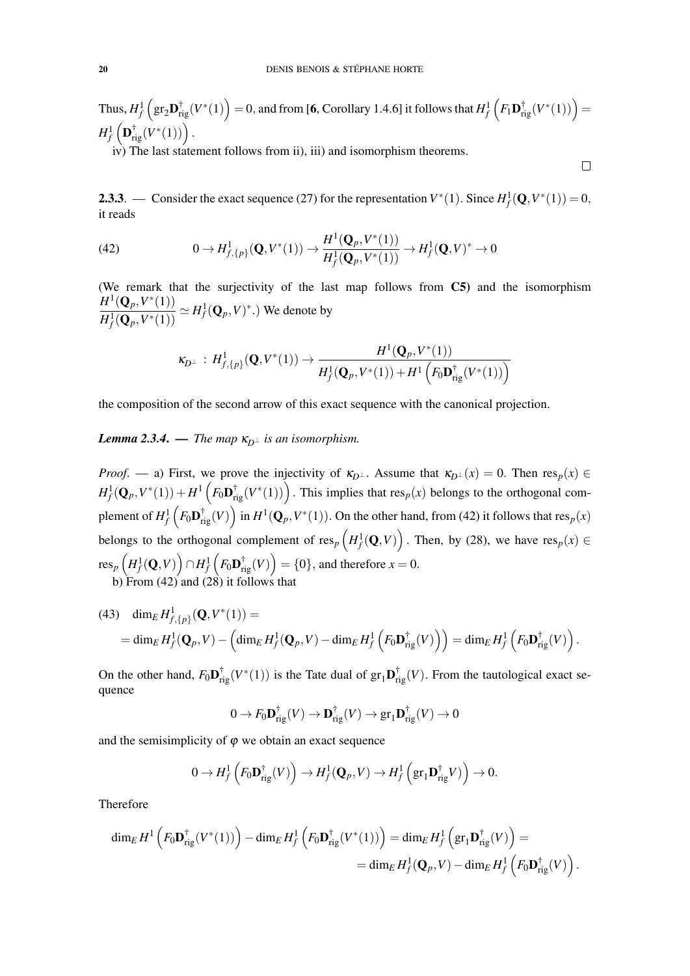Thus,  $H_f^1\left(\text{gr}_2\mathbf{D}_{\text{rig}}^{\dagger}(V^*(1)\right) = 0$ , and from [**6**, Corollary 1.4.6] it follows that  $H_f^1\left(F_1\mathbf{D}_{\text{rig}}^{\dagger}(V^*(1))\right) =$  $H^1_f\left({\bf D}_{\rm rig}^\dagger(V^*(1))\right).$ 

iv) The last statement follows from ii), iii) and isomorphism theorems.

**2.3.3**. — Consider the exact sequence (27) for the representation  $V^*(1)$ . Since  $H_f^1(\mathbf{Q}, V^*(1)) = 0$ , it reads

 $\Box$ 

(42) 
$$
0 \to H^1_{f,\{p\}}(\mathbf{Q}, V^*(1)) \to \frac{H^1(\mathbf{Q}_p, V^*(1))}{H^1_f(\mathbf{Q}_p, V^*(1))} \to H^1_f(\mathbf{Q}, V)^* \to 0
$$

(We remark that the surjectivity of the last map follows from C5) and the isomorphism  $H^1({\bf Q}_p,V^*(1))$  $\frac{H^1(Q_p, V^*(1))}{H^1_f(Q_p, V^*(1))} \simeq H^1_f(Q_p, V)^*$ .) We denote by

$$
\kappa_{D^\perp} : H^1_{f, \{p\}}(\mathbf{Q}, V^*(1)) \to \frac{H^1(\mathbf{Q}_p, V^*(1))}{H^1_f(\mathbf{Q}_p, V^*(1)) + H^1\left(F_0\mathbf{D}_{\mathrm{rig}}^\dagger(V^*(1))\right)}
$$

the composition of the second arrow of this exact sequence with the canonical projection.

## *Lemma 2.3.4.* — *The map*  $\kappa_{D^{\perp}}$  *is an isomorphism.*

*Proof.* — a) First, we prove the injectivity of  $\kappa_{D^{\perp}}$ . Assume that  $\kappa_{D^{\perp}}(x) = 0$ . Then  $\text{res}_p(x) \in$  $H^1_f(\mathbf{Q}_p, V^*(1)) + H^1\left(F_0\mathbf{D}_{\text{rig}}^\dagger(V^*(1))\right)$ . This implies that  $\text{res}_p(x)$  belongs to the orthogonal complement of  $H^1_f\left(F_0\mathbf{D}^\dagger_{\mathrm{rig}}(V)\right)$  in  $H^1(\mathbf{Q}_p,V^*(1)).$  On the other hand, from (42) it follows that  $\mathrm{res}_p(x)$ belongs to the orthogonal complement of  $\text{res}_p\left(H_f^1(\mathbf{Q}, V)\right)$ . Then, by (28), we have  $\text{res}_p(x) \in$  ${\rm res}_p\left(H^1_f(\mathbf{Q}, V)\right)\cap H^1_f\left(F_0\mathbf{D}_{\rm rig}^\dagger(V)\right)=\{0\},$  and therefore  $x=0.$ b) From (42) and (28) it follows that

(43) 
$$
\dim_E H^1_{f,\{p\}}(\mathbf{Q}, V^*(1)) =
$$
  
= 
$$
\dim_E H^1_f(\mathbf{Q}_p, V) - \left(\dim_E H^1_f(\mathbf{Q}_p, V) - \dim_E H^1_f\left(F_0 \mathbf{D}_{\mathrm{rig}}^\dagger(V)\right)\right) = \dim_E H^1_f\left(F_0 \mathbf{D}_{\mathrm{rig}}^\dagger(V)\right).
$$

On the other hand,  $F_0 \mathbf{D}_{\text{rig}}^{\dagger}(V^*(1))$  is the Tate dual of  $gr_1 \mathbf{D}_{\text{rig}}^{\dagger}(V)$ . From the tautological exact sequence

$$
0 \to F_0 \mathbf{D}_{\mathrm{rig}}^{\dagger}(V) \to \mathbf{D}_{\mathrm{rig}}^{\dagger}(V) \to \mathrm{gr}_1 \mathbf{D}_{\mathrm{rig}}^{\dagger}(V) \to 0
$$

and the semisimplicity of  $\varphi$  we obtain an exact sequence

$$
0 \to H_f^1\left(F_0 \mathbf{D}_{\mathrm{rig}}^\dagger(V)\right) \to H_f^1(\mathbf{Q}_p, V) \to H_f^1\left(\mathrm{gr}_1 \mathbf{D}_{\mathrm{rig}}^\dagger V)\right) \to 0.
$$

Therefore

$$
\dim_E H^1\left(F_0 \mathbf{D}_{\mathrm{rig}}^{\dagger}(V^*(1))\right) - \dim_E H_f^1\left(F_0 \mathbf{D}_{\mathrm{rig}}^{\dagger}(V^*(1))\right) = \dim_E H_f^1\left(\mathrm{gr}_1 \mathbf{D}_{\mathrm{rig}}^{\dagger}(V)\right) =
$$
  
= 
$$
\dim_E H_f^1(\mathbf{Q}_p, V) - \dim_E H_f^1\left(F_0 \mathbf{D}_{\mathrm{rig}}^{\dagger}(V)\right).
$$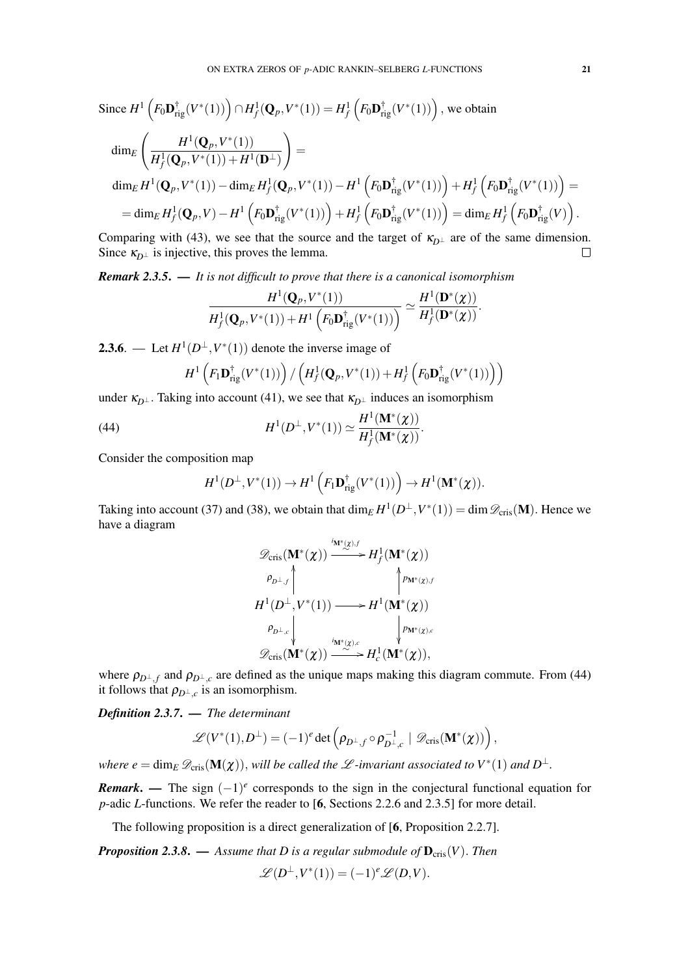Since 
$$
H^1 ig( F_0 \mathbf{D}_{\text{rig}}^{\dagger}(V^*(1)) \big) \cap H_f^1(\mathbf{Q}_p, V^*(1)) = H_f^1 ig( F_0 \mathbf{D}_{\text{rig}}^{\dagger}(V^*(1)) \big)
$$
, we obtain  
\n
$$
\dim_E \left( \frac{H^1(\mathbf{Q}_p, V^*(1))}{H_f^1(\mathbf{Q}_p, V^*(1)) + H^1(\mathbf{D}^\perp)} \right) =
$$
\n
$$
\dim_E H^1(\mathbf{Q}_p, V^*(1)) - \dim_E H_f^1(\mathbf{Q}_p, V^*(1)) - H^1 \big( F_0 \mathbf{D}_{\text{rig}}^{\dagger}(V^*(1)) \big) + H_f^1 \big( F_0 \mathbf{D}_{\text{rig}}^{\dagger}(V^*(1)) \big) =
$$
\n
$$
= \dim_E H_f^1(\mathbf{Q}_p, V) - H^1 \big( F_0 \mathbf{D}_{\text{rig}}^{\dagger}(V^*(1)) \big) + H_f^1 \big( F_0 \mathbf{D}_{\text{rig}}^{\dagger}(V^*(1)) \big) = \dim_E H_f^1 \big( F_0 \mathbf{D}_{\text{rig}}^{\dagger}(V) \big).
$$

Comparing with (43), we see that the source and the target of  $\kappa_{D^{\perp}}$  are of the same dimension. Since  $\kappa_{D^{\perp}}$  is injective, this proves the lemma.  $\Box$ 

*Remark 2.3.5*. — *It is not difficult to prove that there is a canonical isomorphism*

$$
\frac{H^1(\mathbf{Q}_p,V^*(1))}{H^1_f(\mathbf{Q}_p,V^*(1))+H^1\left(F_0\mathbf{D}_{\mathrm{rig}}^\dagger(V^*(1))\right)}\simeq\frac{H^1(\mathbf{D}^*(\chi))}{H^1_f(\mathbf{D}^*(\chi))}.
$$

**2.3.6**. — Let  $H^1(D^{\perp}, V^*(1))$  denote the inverse image of

$$
H^1\left(F_1\mathbf{D}_{\mathrm{rig}}^{\dagger}(V^*(1))\right)/\left(H_f^1(\mathbf{Q}_p,V^*(1))+H_f^1\left(F_0\mathbf{D}_{\mathrm{rig}}^{\dagger}(V^*(1))\right)\right)
$$

under  $\kappa_{D^{\perp}}$ . Taking into account (41), we see that  $\kappa_{D^{\perp}}$  induces an isomorphism

(44) 
$$
H^{1}(D^{\perp}, V^{*}(1)) \simeq \frac{H^{1}(\mathbf{M}^{*}(\chi))}{H^{1}_{f}(\mathbf{M}^{*}(\chi))}.
$$

Consider the composition map

$$
H^1(D^{\perp}, V^*(1)) \to H^1\left(F_1\mathbf{D}_{\mathrm{rig}}^{\dagger}(V^*(1))\right) \to H^1(\mathbf{M}^*(\chi)).
$$

Taking into account (37) and (38), we obtain that  $\dim_E H^1(D^\perp, V^*(1)) = \dim \mathscr{D}_{\text{cris}}(\mathbf{M})$ . Hence we have a diagram

$$
\mathscr{D}_{\text{cris}}(\mathbf{M}^*(\chi)) \xrightarrow{\text{in}^*(\chi),f} H^1_f(\mathbf{M}^*(\chi))
$$
\n
$$
\rho_{D^\perp,f} \qquad \qquad \downarrow \rho_{\mathbf{M}^*(\chi),f}
$$
\n
$$
H^1(D^\perp, V^*(1)) \longrightarrow H^1(\mathbf{M}^*(\chi))
$$
\n
$$
\rho_{D^\perp,c} \qquad \qquad \downarrow \rho_{\mathbf{M}^*(\chi),c}
$$
\n
$$
\mathscr{D}_{\text{cris}}(\mathbf{M}^*(\chi)) \xrightarrow{\text{in}^*(\chi),c} H^1_c(\mathbf{M}^*(\chi)),
$$

where  $\rho_{D^{\perp},f}$  and  $\rho_{D^{\perp},c}$  are defined as the unique maps making this diagram commute. From (44) it follows that  $\rho_{D^{\perp},c}$  is an isomorphism.

*Definition 2.3.7*. — *The determinant*

$$
\mathscr{L}(V^*(1), D^\perp) = (-1)^e \det \left( \rho_{D^\perp,f} \circ \rho_{D^\perp,c}^{-1} \mid \mathscr{D}_{\mathrm{cris}}(\mathbf{M}^*(\boldsymbol{\chi})) \right),
$$

*where e* = dim<sub>E</sub>  $\mathscr{D}_{\text{cris}}(\mathbf{M}(\boldsymbol{\chi})),$  *will be called the*  $\mathscr{L}$ *-invariant associated to*  $V^*(1)$  *and*  $D^{\perp}$ .

*Remark*. — The sign  $(-1)^e$  corresponds to the sign in the conjectural functional equation for *p*-adic *L*-functions. We refer the reader to [6, Sections 2.2.6 and 2.3.5] for more detail.

The following proposition is a direct generalization of [6, Proposition 2.2.7].

*Proposition 2.3.8.* — *Assume that D is a regular submodule of*  $\mathbf{D}_{\text{cris}}(V)$ *. Then* 

$$
\mathscr{L}(D^{\perp},V^*(1)) = (-1)^e \mathscr{L}(D,V).
$$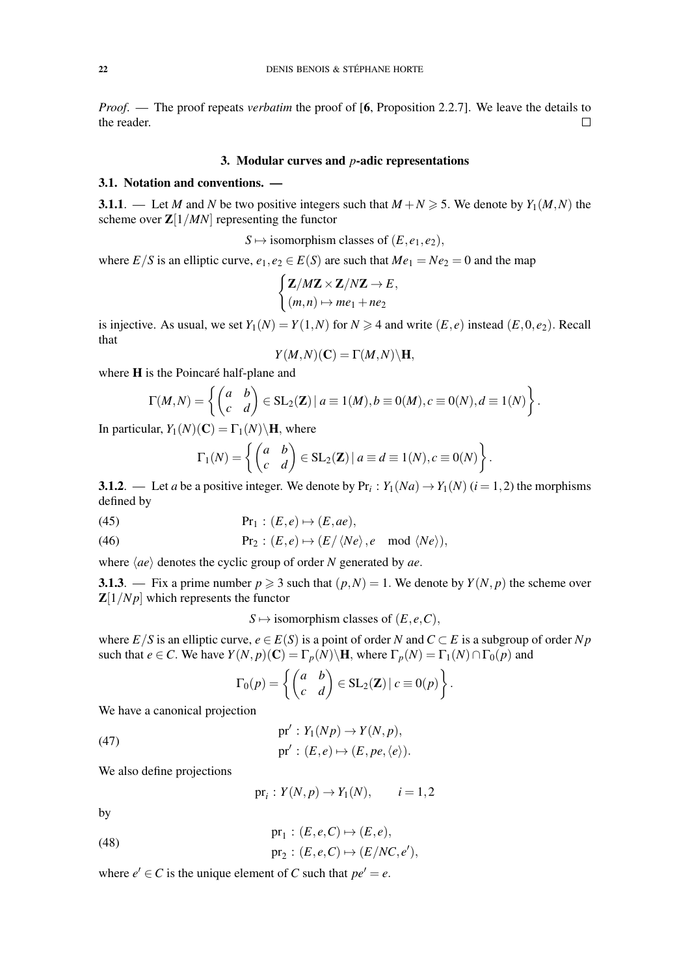*Proof*. — The proof repeats *verbatim* the proof of [6, Proposition 2.2.7]. We leave the details to the reader.  $\Box$ 

### 3. Modular curves and *p*-adic representations

# 3.1. Notation and conventions. —

**3.1.1**. — Let *M* and *N* be two positive integers such that  $M + N \ge 5$ . We denote by  $Y_1(M, N)$  the scheme over  $\mathbb{Z}[1/MN]$  representing the functor

$$
S \mapsto
$$
 isomorphism classes of  $(E, e_1, e_2)$ ,

where  $E/S$  is an elliptic curve,  $e_1, e_2 \in E(S)$  are such that  $Me_1 = Ne_2 = 0$  and the map

$$
\begin{cases}\n\mathbf{Z}/M\mathbf{Z} \times \mathbf{Z}/N\mathbf{Z} \to E, \\
(m,n) \mapsto me_1 + ne_2\n\end{cases}
$$

is injective. As usual, we set  $Y_1(N) = Y(1,N)$  for  $N \ge 4$  and write  $(E, e)$  instead  $(E, 0, e_2)$ . Recall that

$$
Y(M,N)(\mathbf{C})=\Gamma(M,N)\backslash\mathbf{H},
$$

where  $H$  is the Poincaré half-plane and

$$
\Gamma(M,N) = \left\{ \begin{pmatrix} a & b \\ c & d \end{pmatrix} \in SL_2(\mathbf{Z}) \mid a \equiv 1(M), b \equiv 0(M), c \equiv 0(N), d \equiv 1(N) \right\}.
$$

In particular,  $Y_1(N)(C) = \Gamma_1(N) \backslash H$ , where

$$
\Gamma_1(N) = \left\{ \begin{pmatrix} a & b \\ c & d \end{pmatrix} \in SL_2(\mathbf{Z}) \, | \, a \equiv d \equiv 1(N), c \equiv 0(N) \right\}.
$$

**3.1.2**. — Let *a* be a positive integer. We denote by  $Pr_i: Y_1(Na) \to Y_1(N)$  ( $i = 1, 2$ ) the morphisms defined by

(45) 
$$
Pr_1: (E, e) \mapsto (E, ae),
$$

(46) 
$$
\text{Pr}_2: (E,e) \mapsto (E/\langle Ne \rangle,e \mod \langle Ne \rangle),
$$

where  $\langle ae \rangle$  denotes the cyclic group of order *N* generated by *ae*.

3.1.3. — Fix a prime number  $p \ge 3$  such that  $(p, N) = 1$ . We denote by  $Y(N, p)$  the scheme over  $\mathbb{Z}[1/Np]$  which represents the functor

 $S \mapsto$  isomorphism classes of  $(E, e, C)$ ,

where  $E/S$  is an elliptic curve,  $e \in E(S)$  is a point of order *N* and  $C \subset E$  is a subgroup of order *N p* such that  $e \in C$ . We have  $Y(N, p)(C) = \Gamma_p(N) \backslash H$ , where  $\Gamma_p(N) = \Gamma_1(N) \cap \Gamma_0(p)$  and

$$
\Gamma_0(p) = \left\{ \begin{pmatrix} a & b \\ c & d \end{pmatrix} \in SL_2(\mathbf{Z}) \,|\, c \equiv 0(p) \right\}.
$$

We have a canonical projection

(47) 
$$
pr': Y_1(Np) \to Y(N,p),
$$

$$
pr': (E,e) \mapsto (E, pe, \langle e \rangle).
$$

We also define projections

$$
\operatorname{pr}_i: Y(N, p) \to Y_1(N), \qquad i = 1, 2
$$

by

(48) 
$$
pr_1 : (E, e, C) \mapsto (E, e),
$$

$$
pr_2 : (E, e, C) \mapsto (E/NC, e'),
$$

where  $e' \in C$  is the unique element of *C* such that  $pe' = e$ .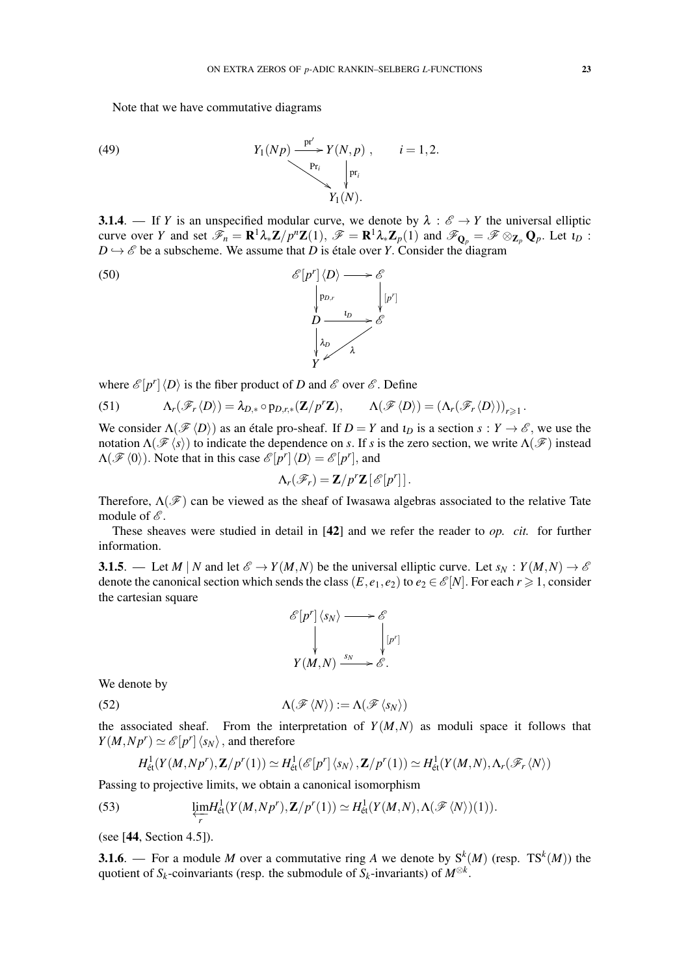Note that we have commutative diagrams

(49) 
$$
Y_1(Np) \xrightarrow{\text{pr}' \atop \text{Pr}_i} Y(N,p) , \qquad i=1,2.
$$

**3.1.4**. — If *Y* is an unspecified modular curve, we denote by  $\lambda : \mathcal{E} \to Y$  the universal elliptic curve over *Y* and set  $\mathscr{F}_n = \mathbf{R}^1 \lambda_* \mathbf{Z}/p^n \mathbf{Z}(1)$ ,  $\mathscr{F} = \mathbf{R}^1 \lambda_* \mathbf{Z}_p(1)$  and  $\mathscr{F}_{\mathbf{Q}_p} = \mathscr{F} \otimes_{\mathbf{Z}_p} \mathbf{Q}_p$ . Let  $\iota_D$ :  $D \hookrightarrow \mathscr{E}$  be a subscheme. We assume that *D* is étale over *Y*. Consider the diagram



where  $\mathscr{E}[p^r]\langle D \rangle$  is the fiber product of *D* and  $\mathscr{E}$  over  $\mathscr{E}$ . Define

(51) 
$$
\Lambda_r(\mathscr{F}_r\langle D\rangle) = \lambda_{D,*} \circ p_{D,r,*}(\mathbf{Z}/p^r\mathbf{Z}), \qquad \Lambda(\mathscr{F}\langle D\rangle) = (\Lambda_r(\mathscr{F}_r\langle D\rangle))_{r\geq 1}.
$$

We consider  $\Lambda(\mathcal{F}\langle D \rangle)$  as an étale pro-sheaf. If  $D = Y$  and  $\iota_D$  is a section  $s : Y \to \mathcal{E}$ , we use the notation  $\Lambda(\mathscr{F}\langle s\rangle)$  to indicate the dependence on *s*. If *s* is the zero section, we write  $\Lambda(\mathscr{F})$  instead  $\Lambda(\mathscr{F}\langle 0 \rangle)$ . Note that in this case  $\mathscr{E}[p^r] \langle D \rangle = \mathscr{E}[p^r]$ , and

$$
\Lambda_r(\mathscr{F}_r) = \mathbf{Z}/p^r\mathbf{Z}\left[\mathscr{E}[p^r]\right].
$$

Therefore,  $\Lambda(\mathscr{F})$  can be viewed as the sheaf of Iwasawa algebras associated to the relative Tate module of  $\mathcal{E}$ .

These sheaves were studied in detail in [42] and we refer the reader to *op. cit.* for further information.

3.1.5. — Let *M* | *N* and let  $\mathscr{E} \to Y(M,N)$  be the universal elliptic curve. Let  $s_N : Y(M,N) \to \mathscr{E}$ denote the canonical section which sends the class  $(E, e_1, e_2)$  to  $e_2 \in \mathcal{E}[N]$ . For each  $r \ge 1$ , consider the cartesian square

$$
\begin{aligned}\n\mathcal{E}[p^r] \langle s_N \rangle &\longrightarrow \mathcal{E} \\
&\downarrow \qquad \qquad \downarrow \qquad \qquad \downarrow \qquad \downarrow \qquad \downarrow \qquad \downarrow \qquad \downarrow \qquad \downarrow \qquad \downarrow \qquad \downarrow \qquad \downarrow \qquad \downarrow \qquad \downarrow \qquad \downarrow \qquad \downarrow \qquad \downarrow \qquad \downarrow \qquad \downarrow \qquad \downarrow \qquad \downarrow \qquad \downarrow \qquad \downarrow \qquad \downarrow \qquad \downarrow \qquad \downarrow \qquad \downarrow \qquad \downarrow \qquad \downarrow \qquad \downarrow \qquad \downarrow \qquad \downarrow \qquad \downarrow \qquad \downarrow \qquad \downarrow \qquad \downarrow \qquad \downarrow \qquad \downarrow \qquad \downarrow \qquad \downarrow \qquad \downarrow \qquad \downarrow \qquad \downarrow \qquad \downarrow \qquad \downarrow \qquad \downarrow \qquad \downarrow \qquad \downarrow \qquad \downarrow \qquad \downarrow \qquad \downarrow \qquad \downarrow \qquad \downarrow \qquad \downarrow \qquad \downarrow \qquad \downarrow \qquad \downarrow \qquad \downarrow \qquad \downarrow \qquad \downarrow \qquad \downarrow \qquad \downarrow \qquad \downarrow \qquad \downarrow \qquad \downarrow \qquad \downarrow \qquad \downarrow \qquad \downarrow \qquad \downarrow \qquad \downarrow \qquad \downarrow \qquad \downarrow \qquad \downarrow \qquad \downarrow \qquad \downarrow \qquad \downarrow \qquad \downarrow \qquad \downarrow \qquad \downarrow \qquad \downarrow \qquad \downarrow \qquad \downarrow \qquad \downarrow \qquad \downarrow \qquad \downarrow \qquad \downarrow \qquad \downarrow \qquad \downarrow \qquad \downarrow \qquad \downarrow \qquad \downarrow \qquad \downarrow \qquad \downarrow \qquad \downarrow \qquad \downarrow \qquad \downarrow \qquad \downarrow \qquad \downarrow \qquad \downarrow \qquad \downarrow \qquad \downarrow \qquad \downarrow \qquad \downarrow \qquad \downarrow \qquad \downarrow \qquad \downarrow \qquad \downarrow \qquad \downarrow \qquad \downarrow \qquad \downarrow \qquad \downarrow \qquad \downarrow \qquad \downarrow \qquad \downarrow \qquad \downarrow \qquad \downarrow \qquad \downarrow \qquad \downarrow \qquad \downarrow \qquad \downarrow \qquad \downarrow \qquad \
$$

We denote by

(52) 
$$
\Lambda(\mathscr{F}\langle N\rangle):=\Lambda(\mathscr{F}\langle s_N\rangle)
$$

the associated sheaf. From the interpretation of  $Y(M,N)$  as moduli space it follows that  $Y(M, Np^r) \simeq \mathcal{E}[p^r] \langle s_N \rangle$ , and therefore

$$
H^1_{\text{\'et}}(Y(M, Np^r), \mathbf{Z}/p^r(1)) \simeq H^1_{\text{\'et}}(\mathscr{E}[p^r]\langle s_N \rangle, \mathbf{Z}/p^r(1)) \simeq H^1_{\text{\'et}}(Y(M, N), \Lambda_r(\mathscr{F}_r\langle N \rangle))
$$

Passing to projective limits, we obtain a canonical isomorphism

(53) 
$$
\underleftarrow{\lim}_{r} H_{\text{\'et}}^1(Y(M, Np^r), \mathbf{Z}/p^r(1)) \simeq H_{\text{\'et}}^1(Y(M, N), \Lambda(\mathscr{F}\langle N \rangle)(1)).
$$

(see [44, Section 4.5]).

**3.1.6**. — For a module *M* over a commutative ring *A* we denote by  $S^k(M)$  (resp. T $S^k(M)$ ) the quotient of  $S_k$ -coinvariants (resp. the submodule of  $S_k$ -invariants) of  $M^{\otimes k}$ .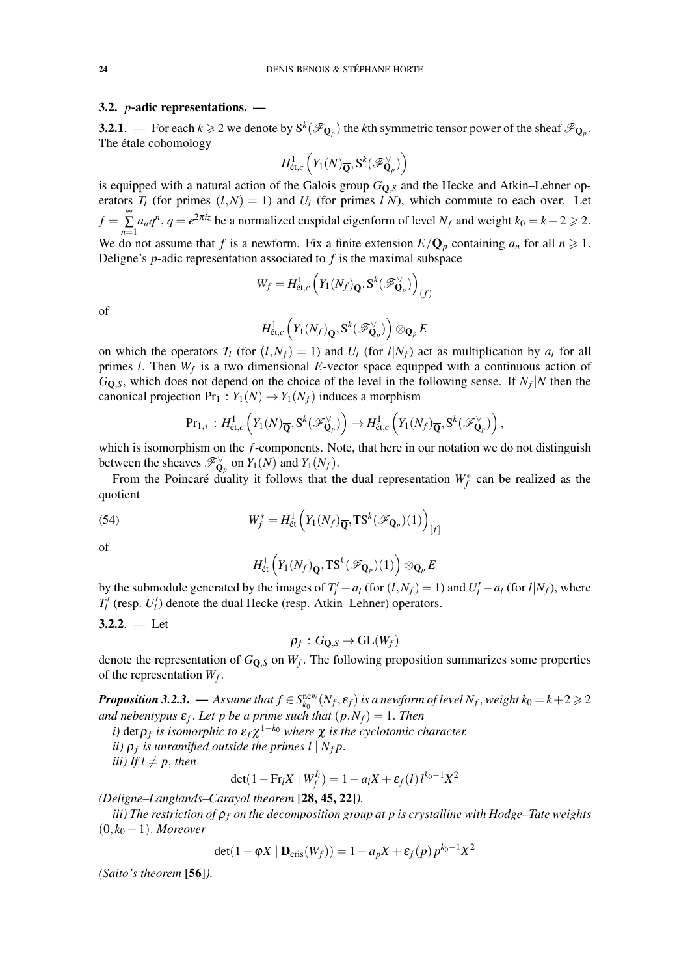## 3.2. *p*-adic representations. —

**3.2.1**. — For each  $k \geq 2$  we denote by  $S^k(\mathcal{F}_{\mathbf{Q}_p})$  the *k*th symmetric tensor power of the sheaf  $\mathcal{F}_{\mathbf{Q}_p}$ . The étale cohomology

$$
H^1_{\text{\'et},c}\left(Y_1(N)_{\overline{\mathbf{Q}}},\mathbf{S}^k(\mathscr{F}^\vee_{\mathbf{Q}_p})\right)
$$

is equipped with a natural action of the Galois group  $G_{\text{O},S}$  and the Hecke and Atkin–Lehner operators  $T_l$  (for primes  $(l, N) = 1$ ) and  $U_l$  (for primes  $l|N$ ), which commute to each over. Let  $f = \sum_{i=1}^{\infty}$  $\sum_{n=1}^{\infty} a_n q^n$ ,  $q = e^{2\pi i z}$  be a normalized cuspidal eigenform of level  $N_f$  and weight  $k_0 = k + 2 \ge 2$ . We do not assume that *f* is a newform. Fix a finite extension  $E/Q_p$  containing  $a_n$  for all  $n \ge 1$ . Deligne's *p*-adic representation associated to *f* is the maximal subspace

$$
W_f = H^1_{\text{\'et},c} \left( Y_1(N_f)_{\overline{\mathbf{Q}}}, \mathbf{S}^k(\mathscr{F}^{\vee}_{\mathbf{Q}_p}) \right)_{(f)}
$$

of

$$
H^1_{\text{\'et},c}\left(Y_1(N_f)_{\overline{\mathbf{Q}}}, \mathbf{S}^k(\mathscr{F}^\vee_{\mathbf{Q}_p})\right) \otimes_{\mathbf{Q}_p} E
$$

on which the operators  $T_l$  (for  $(l, N_f) = 1$ ) and  $U_l$  (for  $l|N_f$ ) act as multiplication by  $a_l$  for all primes *l*. Then *W<sup>f</sup>* is a two dimensional *E*-vector space equipped with a continuous action of  $G_{\mathbf{Q},S}$ , which does not depend on the choice of the level in the following sense. If  $N_f|N$  then the canonical projection  $Pr_1$  :  $Y_1(N) \rightarrow Y_1(N_f)$  induces a morphism

$$
\mathrm{Pr}_{1,*}: H^1_{\text{\'et},c}\left(Y_1(N)_{\overline{\mathbf{Q}}},S^k(\mathscr{F}^{\vee}_{\mathbf{Q}_p})\right) \to H^1_{\text{\'et},c}\left(Y_1(N_f)_{\overline{\mathbf{Q}}},S^k(\mathscr{F}^{\vee}_{\mathbf{Q}_p})\right),
$$

which is isomorphism on the *f*-components. Note, that here in our notation we do not distinguish between the sheaves  $\mathscr{F}_{\mathbf{Q}_p}^{\vee}$  on  $Y_1(N)$  and  $Y_1(N_f)$ .

From the Poincaré duality it follows that the dual representation  $W_f^*$  can be realized as the quotient

(54) 
$$
W_f^* = H_{\text{\'et}}^1\left(Y_1(N_f)_{\overline{\mathbf{Q}}}, \text{TS}^k(\mathscr{F}_{\mathbf{Q}_p})(1)\right)_{[f]}
$$

of

$$
H^1_{\mathrm{\acute{e}t}}\left(Y_1(N_f)_{\overline{\mathbf{Q}}}, \mathrm{TS}^k(\mathscr{F}_{\mathbf{Q}_p})(1)\right) \otimes_{\mathbf{Q}_p} E
$$

by the submodule generated by the images of  $T_l' - a_l$  (for  $(l, N_f) = 1$ ) and  $U_l' - a_l$  (for  $l|N_f$ ), where  $T_l'$  (resp. *U*<sup> $l$ </sup>) denote the dual Hecke (resp. Atkin–Lehner) operators.

3.2.2. 
$$
-
$$
 Let

 $\rho_f: G_{{\mathbf{Q}},S} \to \mathrm{GL}(W_f)$ 

denote the representation of *G*Q,*<sup>S</sup>* on *W<sup>f</sup>* . The following proposition summarizes some properties of the representation  $W_f$ .

 $Proposition 3.2.3.$  — Assume that  $f \in S^{\text{new}}_{k_0}(N_f, \mathcal{E}_f)$  is a newform of level  $N_f$ , weight  $k_0$   $=$   $k+2$   $\geqslant$   $2$ *and nebentypus*  $\varepsilon_f$ . Let p be a prime such that  $(p, N_f) = 1$ . Then

*i)* det $\rho_f$  is isomorphic to  $\varepsilon_f \chi^{1-k_0}$  where  $\chi$  is the cyclotomic character.

*ii*)  $\rho_f$  is unramified outside the primes  $l \mid N_f p$ .

*iii*) If  $l \neq p$ , then

$$
\det(1 - \mathrm{Fr}_l X \mid W_f^{I_l}) = 1 - a_l X + \varepsilon_f(l) l^{k_0 - 1} X^2
$$

*(Deligne–Langlands–Carayol theorem* [28, 45, 22]*).*

*iii) The restriction of* ρ*<sup>f</sup> on the decomposition group at p is crystalline with Hodge–Tate weights*  $(0, k<sub>0</sub> - 1)$ . *Moreover* 

$$
\det(1 - \varphi X \mid \mathbf{D}_{\mathrm{cris}}(W_f)) = 1 - a_p X + \varepsilon_f(p) p^{k_0 - 1} X^2
$$

*(Saito's theorem* [56]*).*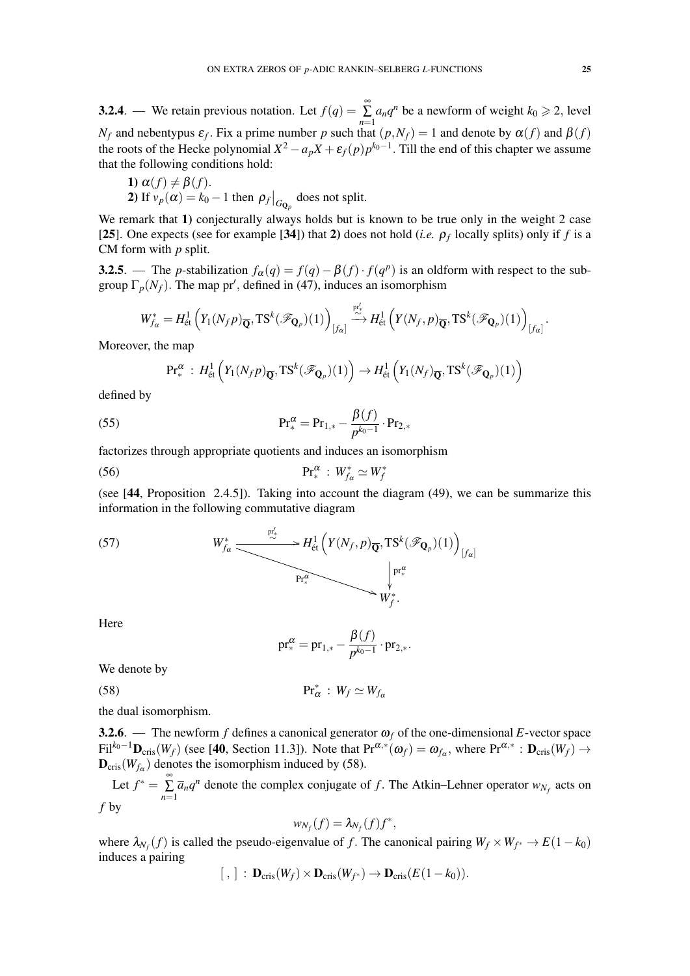**3.2.4**. — We retain previous notation. Let  $f(q) = \sum_{n=1}^{\infty}$  $\sum_{n=1}^{\infty} a_n q^n$  be a newform of weight  $k_0 \ge 2$ , level *N<sub>f</sub>* and nebentypus  $\varepsilon_f$ . Fix a prime number *p* such that  $(p, N_f) = 1$  and denote by  $\alpha(f)$  and  $\beta(f)$ the roots of the Hecke polynomial  $X^2 - a_p X + \varepsilon_f(p) p^{k_0 - 1}$ . Till the end of this chapter we assume that the following conditions hold:

1)  $\alpha(f) \neq \beta(f)$ . 2) If  $v_p(\alpha) = k_0 - 1$  then  $\rho_f \big|_{G_{\mathbf{Q}_p}}$  does not split.

We remark that 1) conjecturally always holds but is known to be true only in the weight 2 case [25]. One expects (see for example [34]) that 2) does not hold (*i.e.*  $\rho_f$  locally splits) only if *f* is a CM form with *p* split.

3.2.5. — The *p*-stabilization  $f_{\alpha}(q) = f(q) - \beta(f) \cdot f(q^p)$  is an oldform with respect to the subgroup  $\Gamma_p(N_f)$ . The map pr', defined in (47), induces an isomorphism

$$
W^*_{f_\alpha}=H^1_{\text{\'et}}\left(Y_1(N_f p)_{\overline{\mathbf{Q}}}, \operatorname{TS}^k(\mathscr{F}_{\mathbf{Q}_p})(1)\right)_{[f_\alpha]}\stackrel{p^*_{\gamma}}{\longrightarrow} H^1_{\text{\'et}}\left(Y(N_f,p)_{\overline{\mathbf{Q}}}, \operatorname{TS}^k(\mathscr{F}_{\mathbf{Q}_p})(1)\right)_{[f_\alpha]}.
$$

Moreover, the map

$$
\mathrm{Pr}^{\alpha}_*: H^1_{\text{\'et}}\left(Y_1(N_f p)_{\overline{\mathbf{Q}}}, \mathrm{TS}^k(\mathscr{F}_{\mathbf{Q}_p})(1)\right) \to H^1_{\text{\'et}}\left(Y_1(N_f)_{\overline{\mathbf{Q}}}, \mathrm{TS}^k(\mathscr{F}_{\mathbf{Q}_p})(1)\right)
$$

defined by

(55) 
$$
\Pr^{\alpha}_{*} = \Pr_{1,*} - \frac{\beta(f)}{p^{k_0 - 1}} \cdot \Pr_{2,*}
$$

factorizes through appropriate quotients and induces an isomorphism

$$
\text{Pr}_{*}^{\alpha} : W_{f_{\alpha}}^{*} \simeq W_{f}^{*}
$$

(see [44, Proposition 2.4.5]). Taking into account the diagram (49), we can be summarize this information in the following commutative diagram

(57) 
$$
W_{f_{\alpha}}^* \xrightarrow{\mathbb{P}_{\text{\'et}}^l} H_{\text{\'et}}^1 \left( Y(N_f, p)_{\overline{\mathbf{Q}}}, \text{TS}^k(\mathscr{F}_{\mathbf{Q}_p})(1) \right)_{[f_{\alpha}]}
$$

Here

$$
\text{pr}_*^{\alpha} = \text{pr}_{1,*} - \frac{\beta(f)}{p^{k_0 - 1}} \cdot \text{pr}_{2,*}.
$$

We denote by

$$
\mathrm{Pr}_{\alpha}^* \,:\, W_f \simeq W_{f_{\alpha}}
$$

the dual isomorphism.

3.2.6. — The newform *f* defines a canonical generator  $\omega_f$  of the one-dimensional *E*-vector space  $Fil^{k_0-1}\mathbf{D}_{\mathrm{cris}}(W_f)$  (see [40, Section 11.3]). Note that  $\mathrm{Pr}^{\alpha,*}(\omega_f) = \omega_{f_\alpha}$ , where  $\mathrm{Pr}^{\alpha,*} : \mathbf{D}_{\mathrm{cris}}(W_f) \to$  $\mathbf{D}_{\mathrm{cris}}(W_{f_\alpha})$  denotes the isomorphism induced by (58).

Let  $f^* = \sum_{n=1}^{\infty}$  $\sum_{n=1}$   $\overline{a}_n q^n$  denote the complex conjugate of *f*. The Atkin–Lehner operator  $w_{N_f}$  acts on *f* by

$$
w_{N_f}(f) = \lambda_{N_f}(f) f^*,
$$

where  $\lambda_{N_f}(f)$  is called the pseudo-eigenvalue of *f*. The canonical pairing  $W_f \times W_{f^*} \to E(1-k_0)$ induces a pairing

$$
[ , ] : \mathbf{D}_{\mathrm{cris}}(W_f) \times \mathbf{D}_{\mathrm{cris}}(W_{f^*}) \to \mathbf{D}_{\mathrm{cris}}(E(1-k_0)).
$$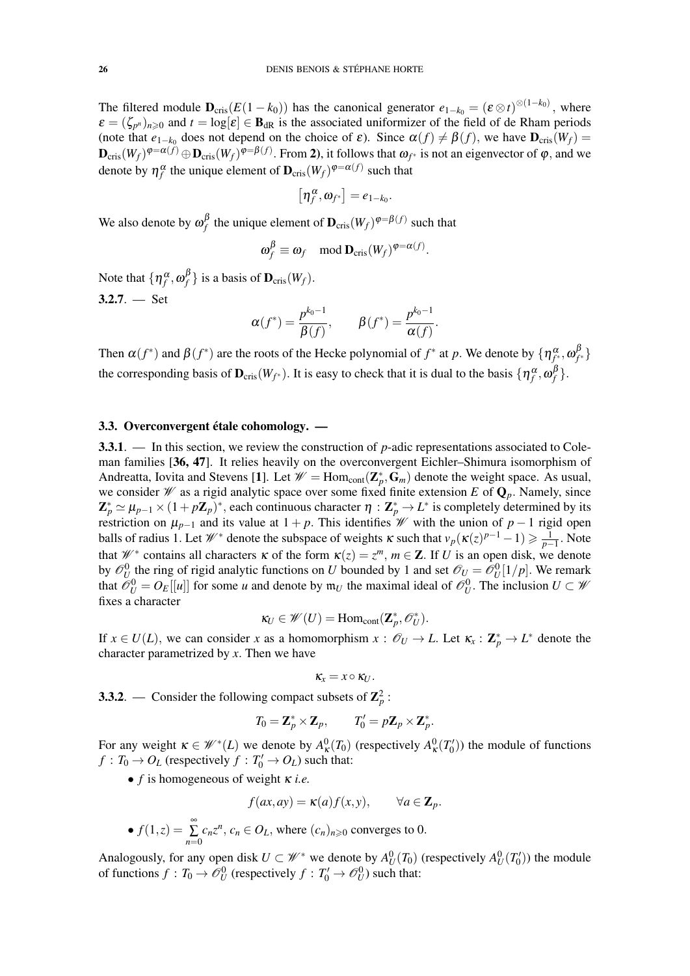The filtered module  $\mathbf{D}_{\text{cris}}(E(1-k_0))$  has the canonical generator  $e_{1-k_0} = (\varepsilon \otimes t)^{\otimes (1-k_0)}$ , where  $\varepsilon = (\zeta_{p^n})_{n \geq 0}$  and  $t = \log[\varepsilon] \in \mathbf{B}_{dR}$  is the associated uniformizer of the field of de Rham periods (note that  $e_{1-k_0}$  does not depend on the choice of  $\varepsilon$ ). Since  $\alpha(f) \neq \beta(f)$ , we have  $\mathbf{D}_{\text{cris}}(W_f)$  =  ${\bf D}_{\rm cris}(W_f)^{\varphi=\alpha(f)}\oplus {\bf D}_{\rm cris}(W_f)^{\varphi=\beta(f)}.$  From 2), it follows that  $\omega_{f^*}$  is not an eigenvector of  $\varphi,$  and we denote by  $\eta_f^{\alpha}$  the unique element of  $\mathbf{D}_{\mathrm{cris}}(W_f)^{\varphi=\alpha(f)}$  such that

$$
\left[\eta^\alpha_f,\pmb{\omega}_{f^*}\right] = e_{1-k_0}.
$$

We also denote by  $\omega_f^{\beta}$  $\int_{f}^{\beta}$  the unique element of  $\mathbf{D}_{\mathrm{cris}}(W_f)^{\varphi=\beta(f)}$  such that

$$
\omega_f^{\beta} \equiv \omega_f \mod \mathbf{D}_{\mathrm{cris}}(W_f)^{\varphi = \alpha(f)}.
$$

Note that  $\{\eta_f^{\alpha}, \omega_f^{\beta}\}$  $f_f^P$ } is a basis of  $\mathbf{D}_{\text{cris}}(W_f)$ .

 $3.2.7. - Set$ 

$$
\alpha(f^*) = \frac{p^{k_0-1}}{\beta(f)}, \qquad \beta(f^*) = \frac{p^{k_0-1}}{\alpha(f)}.
$$

Then  $\alpha(f^*)$  and  $\beta(f^*)$  are the roots of the Hecke polynomial of  $f^*$  at  $p$ . We denote by  $\{\eta^\alpha_{f^*},\omega^\beta_f\}$ *f* ∗ } the corresponding basis of  $\mathbf{D}_{\text{cris}}(W_{f^*})$ . It is easy to check that it is dual to the basis  $\{\eta^\alpha_f, \omega^\beta_f\}$ *f* }.

# 3.3. Overconvergent étale cohomology. —

3.3.1. — In this section, we review the construction of *p*-adic representations associated to Coleman families [36, 47]. It relies heavily on the overconvergent Eichler–Shimura isomorphism of Andreatta, Iovita and Stevens [1]. Let  $\mathcal{W} = \text{Hom}_{cont}(\mathbf{Z}_p^*, \mathbf{G}_m)$  denote the weight space. As usual, we consider  $\mathcal W$  as a rigid analytic space over some fixed finite extension *E* of  $\mathbf Q_p$ . Namely, since  $\mathbf{Z}_p^* \simeq \mu_{p-1} \times (1 + p\mathbf{Z}_p)^*$ , each continuous character  $\eta : \mathbf{Z}_p^* \to L^*$  is completely determined by its restriction on  $\mu_{p-1}$  and its value at  $1 + p$ . This identifies *W* with the union of  $p - 1$  rigid open balls of radius 1. Let  $W^*$  denote the subspace of weights  $\kappa$  such that  $v_p(\kappa(z)^{p-1}-1) \geq \frac{1}{p-1}$ . Note that  $W^*$  contains all characters  $\kappa$  of the form  $\kappa(z) = z^m$ ,  $m \in \mathbb{Z}$ . If *U* is an open disk, we denote by  $\mathcal{O}_U^0$  the ring of rigid analytic functions on *U* bounded by 1 and set  $\mathcal{O}_U = \mathcal{O}_U^0[1/p]$ . We remark that  $\mathcal{O}_U^0 = O_E[[u]]$  for some *u* and denote by  $\mathfrak{m}_U$  the maximal ideal of  $\mathcal{O}_U^0$ . The inclusion  $U \subset \mathcal{W}$ fixes a character

$$
\kappa_U \in \mathscr{W}(U) = \mathrm{Hom}_{\mathrm{cont}}(\mathbf{Z}_p^*, \mathscr{O}_U^*).
$$

If  $x \in U(L)$ , we can consider *x* as a homomorphism  $x : \mathcal{O}_U \to L$ . Let  $\kappa_x : \mathbb{Z}_p^* \to L^*$  denote the character parametrized by *x*. Then we have

$$
\kappa_x = x \circ \kappa_U.
$$

**3.3.2**. — Consider the following compact subsets of  $\mathbb{Z}_p^2$ :

$$
T_0 = \mathbf{Z}_p^* \times \mathbf{Z}_p, \qquad T_0' = p\mathbf{Z}_p \times \mathbf{Z}_p^*.
$$

For any weight  $\kappa \in \mathcal{W}^*(L)$  we denote by  $A^0_{\kappa}(T_0)$  (respectively  $A^0_{\kappa}(T_0')$ ) the module of functions  $f: T_0 \to O_L$  (respectively  $f: T'_0 \to O_L$ ) such that:

• *f* is homogeneous of weight κ *i.e.*

$$
f(ax,ay) = \kappa(a)f(x,y), \qquad \forall a \in \mathbf{Z}_p.
$$

• 
$$
f(1, z) = \sum_{n=0}^{\infty} c_n z^n
$$
,  $c_n \in O_L$ , where  $(c_n)_{n \geq 0}$  converges to 0.

Analogously, for any open disk  $U \subset \mathcal{W}^*$  we denote by  $A_U^0(T_0)$  (respectively  $A_U^0(T_0')$ ) the module of functions  $f: T_0 \to \mathcal{O}_U^0$  (respectively  $f: T'_0 \to \mathcal{O}_U^0$ ) such that: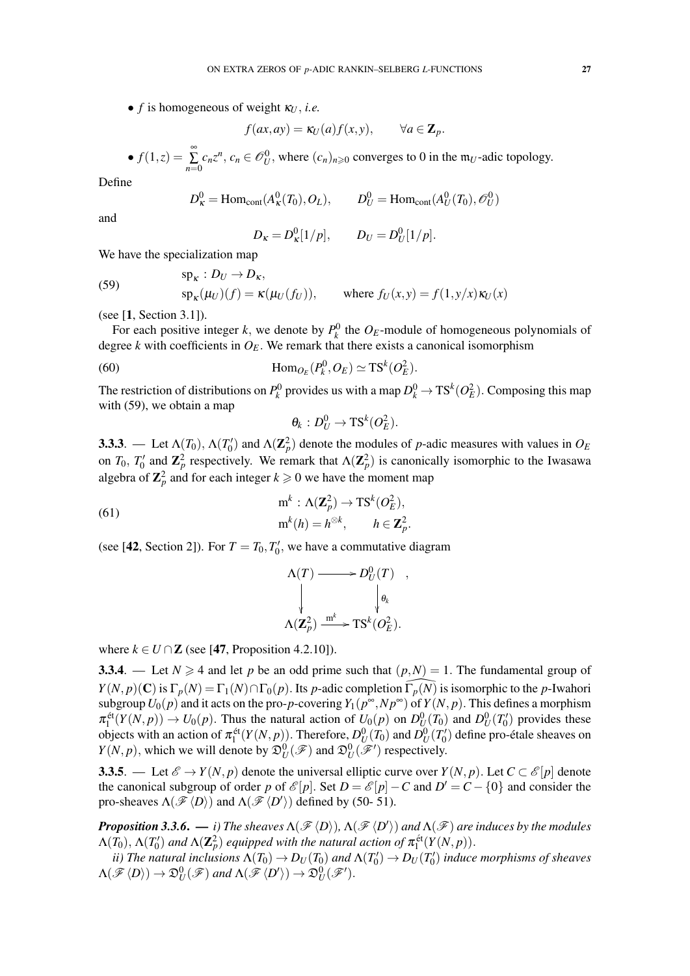•  $f$  is homogeneous of weight  $\kappa_U$ , *i.e.* 

$$
f(ax,ay) = \kappa_U(a)f(x,y), \qquad \forall a \in \mathbf{Z}_p.
$$

•  $f(1,z) = \sum_{i=1}^{\infty}$  $\sum_{n=0} c_n z^n$ ,  $c_n \in \mathcal{O}_U^0$ , where  $(c_n)_{n \geq 0}$  converges to 0 in the m<sub>*U*</sub>-adic topology.

Define

$$
D_{\kappa}^{0} = \text{Hom}_{\text{cont}}(A_{\kappa}^{0}(T_0), O_L), \qquad D_{U}^{0} = \text{Hom}_{\text{cont}}(A_{U}^{0}(T_0), \mathcal{O}_{U}^{0})
$$

and

$$
D_{\kappa} = D_{\kappa}^{0}[1/p], \qquad D_{U} = D_{U}^{0}[1/p].
$$

We have the specialization map

(59) 
$$
\text{sp}_{\kappa}: D_U \to D_{\kappa},
$$

$$
\text{sp}_{\kappa}(\mu_U)(f) = \kappa(\mu_U(f_U)), \qquad \text{where } f_U(x, y) = f(1, y/x) \kappa_U(x)
$$

(see [1, Section 3.1]).

For each positive integer *k*, we denote by  $P_k^0$  the  $O_E$ -module of homogeneous polynomials of degree  $k$  with coefficients in  $O_E$ . We remark that there exists a canonical isomorphism

(60) 
$$
\text{Hom}_{O_E}(P_k^0, O_E) \simeq \text{TS}^k(O_E^2).
$$

The restriction of distributions on  $P_k^0$  provides us with a map  $D_k^0 \to \mathrm{TS}^k(O_E^2)$ . Composing this map with (59), we obtain a map

$$
\theta_k : D_U^0 \to \mathrm{TS}^k(O_E^2).
$$

**3.3.3.** — Let  $\Lambda(T_0)$ ,  $\Lambda(T'_0)$  and  $\Lambda(\mathbb{Z}_p^2)$  denote the modules of *p*-adic measures with values in  $O_E$ on *T*<sub>0</sub>, *T*<sup>'</sup><sub>0</sub> and **Z**<sup>2</sup><sub>*p*</sub> respectively. We remark that  $\Lambda(\mathbb{Z}_p^2)$  is canonically isomorphic to the Iwasawa algebra of  $\mathbb{Z}_p^2$  and for each integer  $k \geqslant 0$  we have the moment map

(61)  
\n
$$
\begin{aligned}\n & m^k : \Lambda(\mathbf{Z}_p^2) \to \text{TS}^k(O_E^2), \\
 & m^k(h) = h^{\otimes k}, \qquad h \in \mathbf{Z}_p^2.\n \end{aligned}
$$

(see [42, Section 2]). For  $T = T_0, T'_0$ , we have a commutative diagram

$$
\Lambda(T) \longrightarrow D_U^0(T) ,
$$
  
\n
$$
\downarrow \qquad \qquad \downarrow \theta_k
$$
  
\n
$$
\Lambda(\mathbf{Z}_p^2) \xrightarrow{\mathrm{m}^k} \mathrm{TS}^k(O_E^2).
$$

where  $k \in U \cap \mathbb{Z}$  (see [47, Proposition 4.2.10]).

3.3.4. — Let  $N \ge 4$  and let p be an odd prime such that  $(p, N) = 1$ . The fundamental group of  $Y(N, p)(\mathbf{C})$  is  $\Gamma_p(N) = \Gamma_1(N) \cap \Gamma_0(p)$ . Its *p*-adic completion  $\Gamma_p(N)$  is isomorphic to the *p*-Iwahori subgroup  $U_0(p)$  and it acts on the pro-*p*-covering  $Y_1(p^\infty, Np^\infty)$  of  $Y(N, p)$ . This defines a morphism  $\pi_1^{\text{\'et}}(Y(N,p)) \to U_0(p)$ . Thus the natural action of  $U_0(p)$  on  $D_U^0(T_0)$  and  $D_U^0(T_0')$  provides these objects with an action of  $\pi_1^{\text{\'et}}(Y(N, p))$ . Therefore,  $D_U^0(T_0)$  and  $D_U^0(T_0')$  define pro-étale sheaves on  $Y(N, p)$ , which we will denote by  $\mathfrak{D}_{U}^{0}(\mathscr{F})$  and  $\mathfrak{D}_{U}^{0}(\mathscr{F}')$  respectively.

**3.3.5.** — Let  $\mathcal{E} \to Y(N, p)$  denote the universal elliptic curve over  $Y(N, p)$ . Let  $C \subset \mathcal{E}[p]$  denote the canonical subgroup of order *p* of  $\mathcal{E}[p]$ . Set  $D = \mathcal{E}[p] - C$  and  $D' = C - \{0\}$  and consider the pro-sheaves  $\Lambda(\mathscr{F}\langle D \rangle)$  and  $\Lambda(\mathscr{F}\langle D' \rangle)$  defined by (50- 51).

 $\bm{Proposition 3.3.6.} \longrightarrow i)$  The sheaves  $\Lambda(\mathscr{F}\langle D \rangle)$ ,  $\Lambda(\mathscr{F}\langle D' \rangle)$  and  $\Lambda(\mathscr{F})$  are induces by the modules  $\Lambda(T_0), \Lambda(T'_0)$  and  $\Lambda(\mathbf{Z}_p^2)$  equipped with the natural action of  $\pi_1^{\text{\'et}}(Y(N,p)).$ 

*ii)* The natural inclusions  $\Lambda(T_0) \to D_U(T_0)$  and  $\Lambda(T'_0) \to D_U(T'_0)$  induce morphisms of sheaves  $\Lambda(\mathscr{F}\langle D\rangle)\to\mathfrak{D}_U^0(\mathscr{F})$  and  $\Lambda(\mathscr{F}\langle D'\rangle)\to\mathfrak{D}_U^0(\mathscr{F}').$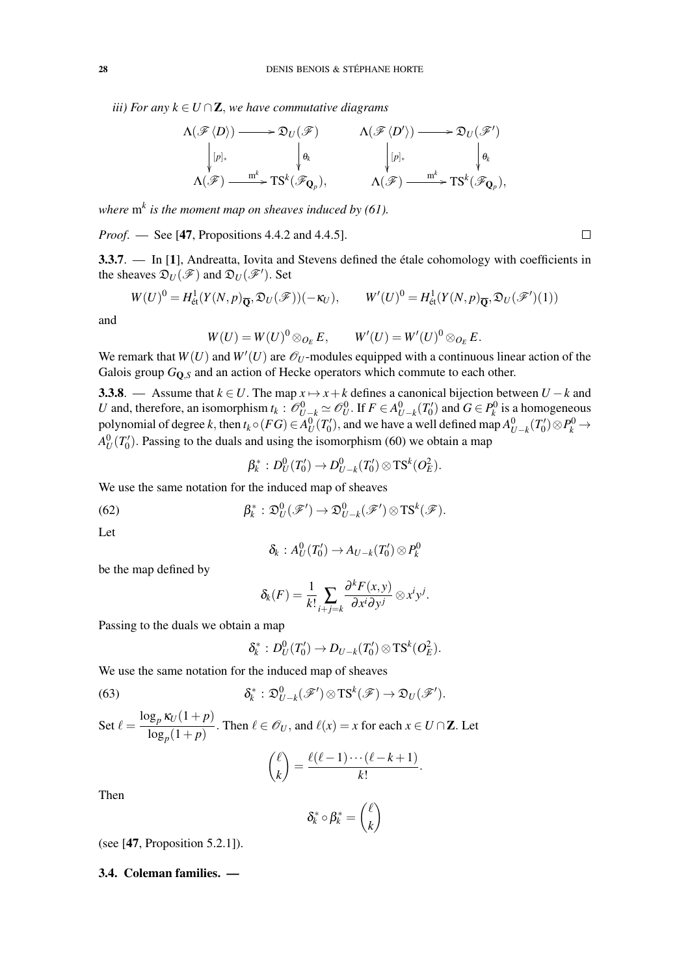*iii) For any*  $k \in U \cap \mathbb{Z}$ , *we have commutative diagrams* 

$$
\Lambda(\mathscr{F}\langle D\rangle) \longrightarrow \mathfrak{D}_U(\mathscr{F}) \qquad \qquad \Lambda(\mathscr{F}\langle D'\rangle) \longrightarrow \mathfrak{D}_U(\mathscr{F}')
$$
\n
$$
\downarrow [p]_* \qquad \qquad \downarrow \theta_k \qquad \qquad \downarrow [p]_* \qquad \qquad \downarrow \theta_k
$$
\n
$$
\Lambda(\mathscr{F}) \xrightarrow{m^k} \text{TS}^k(\mathscr{F}_{\mathbf{Q}_p}), \qquad \qquad \Lambda(\mathscr{F}) \xrightarrow{m^k} \text{TS}^k(\mathscr{F}_{\mathbf{Q}_p}),
$$

*where* m*<sup>k</sup> is the moment map on sheaves induced by (61).*

*Proof.* — See [47, Propositions 4.4.2 and 4.4.5].

3.3.7. — In [1], Andreatta, Iovita and Stevens defined the étale cohomology with coefficients in the sheaves  $\mathfrak{D}_U(\mathscr{F})$  and  $\mathfrak{D}_U(\mathscr{F}')$ . Set

 $\Box$ 

$$
W(U)^0 = H^1_{\text{\'et}}(Y(N,p)_{\overline{\mathbf{Q}}}, \mathfrak{D}_U(\mathscr{F}))(-\kappa_U), \qquad W'(U)^0 = H^1_{\text{\'et}}(Y(N,p)_{\overline{\mathbf{Q}}}, \mathfrak{D}_U(\mathscr{F}')(1))
$$

and

$$
W(U) = W(U)^{0} \otimes_{O_{E}} E, \qquad W'(U) = W'(U)^{0} \otimes_{O_{E}} E.
$$

We remark that  $W(U)$  and  $W'(U)$  are  $\mathcal{O}_U$ -modules equipped with a continuous linear action of the Galois group  $G_{\mathbf{Q},S}$  and an action of Hecke operators which commute to each other.

3.3.8. — Assume that  $k \in U$ . The map  $x \mapsto x + k$  defines a canonical bijection between  $U - k$  and *U* and, therefore, an isomorphism  $t_k$ :  $\mathcal{O}_{U-k}^0 \simeq \mathcal{O}_U^0$ . If  $F \in A_{U-k}^0(T'_0)$  and  $G \in P_k^0$  is a homogeneous polynomial of degree *k*, then  $t_k \circ (FG) \in A_U^0(T_0')$ , and we have a well defined map  $A_{U-k}^0(T_0') \otimes P_k^0 \to$  $A_U^0(T'_0)$ . Passing to the duals and using the isomorphism (60) we obtain a map

$$
\beta_k^*: D^0_U(T'_0) \to D^0_{U-k}(T'_0) \otimes \mathrm{TS}^k(O_E^2).
$$

We use the same notation for the induced map of sheaves

(62) 
$$
\beta_k^* : \mathfrak{D}_U^0(\mathscr{F}') \to \mathfrak{D}_{U-k}^0(\mathscr{F}') \otimes \mathrm{TS}^k(\mathscr{F}).
$$

Let

$$
\delta_k: A^0_U(T'_0) \to A_{U-k}(T'_0) \otimes P_k^0
$$

be the map defined by

$$
\delta_k(F) = \frac{1}{k!} \sum_{i+j=k} \frac{\partial^k F(x,y)}{\partial x^i \partial y^j} \otimes x^i y^j.
$$

Passing to the duals we obtain a map

$$
\delta_k^*:D^0_U(T'_0)\to D_{U-k}(T'_0)\otimes \mathrm{TS}^k(O_E^2).
$$

We use the same notation for the induced map of sheaves

(63) 
$$
\delta_k^* : \mathfrak{D}_{U-k}^0(\mathscr{F}') \otimes \mathrm{TS}^k(\mathscr{F}) \to \mathfrak{D}_U(\mathscr{F}').
$$

Set  $\ell = \frac{\log_p \kappa_U(1+p)}{1-p}$  $\frac{\partial p}{\partial s}(1+p)$ . Then  $\ell \in \mathscr{O}_U$ , and  $\ell(x) = x$  for each  $x \in U \cap \mathbb{Z}$ . Let

$$
\binom{\ell}{k} = \frac{\ell(\ell-1)\cdots(\ell-k+1)}{k!}.
$$

Then

$$
\delta_k^* \circ \beta_k^* = \binom{\ell}{k}
$$

(see [47, Proposition 5.2.1]).

# 3.4. Coleman families. —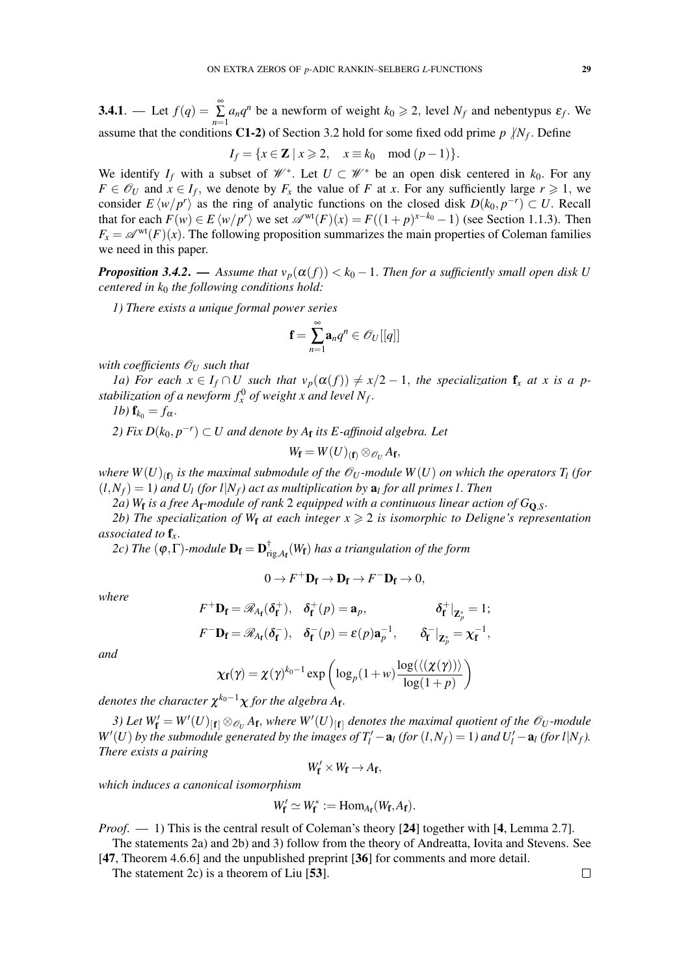**3.4.1**. — Let  $f(q) = \sum_{n=1}^{\infty}$  $\sum_{n=1}^{\infty} a_n q^n$  be a newform of weight  $k_0 \ge 2$ , level  $N_f$  and nebentypus  $\varepsilon_f$ . We assume that the conditions C1-2) of Section 3.2 hold for some fixed odd prime  $p / N_f$ . Define

$$
I_f = \{x \in \mathbb{Z} \mid x \geqslant 2, \quad x \equiv k_0 \mod (p-1)\}.
$$

We identify  $I_f$  with a subset of  $\mathscr{W}^*$ . Let  $U \subset \mathscr{W}^*$  be an open disk centered in  $k_0$ . For any  $F \in \mathcal{O}_U$  and  $\dot{x} \in I_f$ , we denote by  $F_x$  the value of *F* at *x*. For any sufficiently large  $r \geq 1$ , we consider  $E \langle w/p^r \rangle$  as the ring of analytic functions on the closed disk  $D(k_0, p^{-r}) \subset U$ . Recall that for each  $F(w) \in E \langle w/p^r \rangle$  we set  $\mathscr{A}^{\text{wt}}(F)(x) = F((1+p)^{x-k_0} - 1)$  (see Section 1.1.3). Then  $F_x = \mathscr{A}^{\text{wt}}(F)(x)$ . The following proposition summarizes the main properties of Coleman families we need in this paper.

*Proposition 3.4.2.* — *Assume that*  $v_p(\alpha(f)) < k_0 - 1$ . *Then for a sufficiently small open disk U centered in k*<sup>0</sup> *the following conditions hold:*

*1) There exists a unique formal power series*

$$
\mathbf{f}=\sum_{n=1}^\infty \mathbf{a}_n q^n \in \mathscr{O}_U[[q]]
$$

*with coefficients*  $\mathcal{O}_U$  *such that* 

*1a)* For each  $x \in I_f \cap U$  such that  $v_p(\alpha(f)) \neq x/2 - 1$ , the specialization  $f_x$  *at x is a p*stabilization of a newform  $f_x^0$  of weight x and level  $N_f$ .

*1b*)  $\mathbf{f}_{k_0} = f_\alpha$ .

*2) Fix*  $D(k_0, p^{-r})$  ⊂ *U* and denote by  $A$ <sub>**f**</sub> its *E*-affinoid algebra. Let

$$
W_{\mathbf{f}}=W(U)_{(\mathbf{f})}\otimes_{\mathscr{O}_U}A_{\mathbf{f}},
$$

where  $W(U)_{(\mathbf{f})}$  is the maximal submodule of the  $\mathscr{O}_U$  -module  $W(U)$  on which the operators  $T_l$  (for  $(L, N_f) = 1$  *and*  $U_l$  *(for l*| $N_f$ ) act as multiplication by  $\mathbf{a}_l$  for all primes l. Then

*2a) W*<sup>f</sup> *is a free A*f*-module of rank* 2 *equipped with a continuous linear action of G*Q,*S*.

*2b)* The specialization of W<sub>f</sub> at each integer  $x \ge 2$  is isomorphic to Deligne's representation *associated to* f*x*.

2*c*) The (φ,Γ)-module  $D_f = D_f^{\dagger}$ rig,*A*<sup>f</sup> (*W*f) *has a triangulation of the form*

$$
0 \to F^+ \mathbf{D_f} \to \mathbf{D_f} \to F^- \mathbf{D_f} \to 0,
$$

*where*

$$
F^+D_f = \mathscr{R}_{A_f}(\delta_f^+), \quad \delta_f^+(p) = \mathbf{a}_p, \qquad \delta_f^+|_{\mathbf{Z}_p^*} = 1;
$$
  

$$
F^-D_f = \mathscr{R}_{A_f}(\delta_f^-), \quad \delta_f^-(p) = \varepsilon(p)\mathbf{a}_p^{-1}, \qquad \delta_f^-|_{\mathbf{Z}_p^*} = \chi_f^{-1},
$$

*and*

$$
\chi_{\mathbf{f}}(\gamma) = \chi(\gamma)^{k_0 - 1} \exp\left(\log_p(1 + w) \frac{\log(\langle(\chi(\gamma))\rangle}{\log(1 + p)}\right)
$$

denotes the character  $\chi^{k_0-1}\chi$  for the algebra A<sub>f</sub>.

*3)* Let  $W'_f = W'(U)_{[f]} \otimes_{\mathcal{O}_U} A_f$ , where  $W'(U)_{[f]}$  denotes the maximal quotient of the  $\mathcal{O}_U$ -module *W*<sup> $\prime$ </sup>(*U*) *by the submodule generated by the images of*  $T_l' - a_l$  *(for*  $(l, N_f) = 1$ *) and*  $U_l' - a_l$  *(for*  $l|N_f$ *). There exists a pairing*

$$
W_{\mathbf{f}}'\times W_{\mathbf{f}}\to A_{\mathbf{f}},
$$

*which induces a canonical isomorphism*

$$
W'_{\mathbf{f}} \simeq W^*_{\mathbf{f}} := \text{Hom}_{A_{\mathbf{f}}}(W_{\mathbf{f}}, A_{\mathbf{f}}).
$$

*Proof.* — 1) This is the central result of Coleman's theory [24] together with [4, Lemma 2.7].

The statements 2a) and 2b) and 3) follow from the theory of Andreatta, Iovita and Stevens. See [47, Theorem 4.6.6] and the unpublished preprint [36] for comments and more detail.

The statement 2c) is a theorem of Liu [53].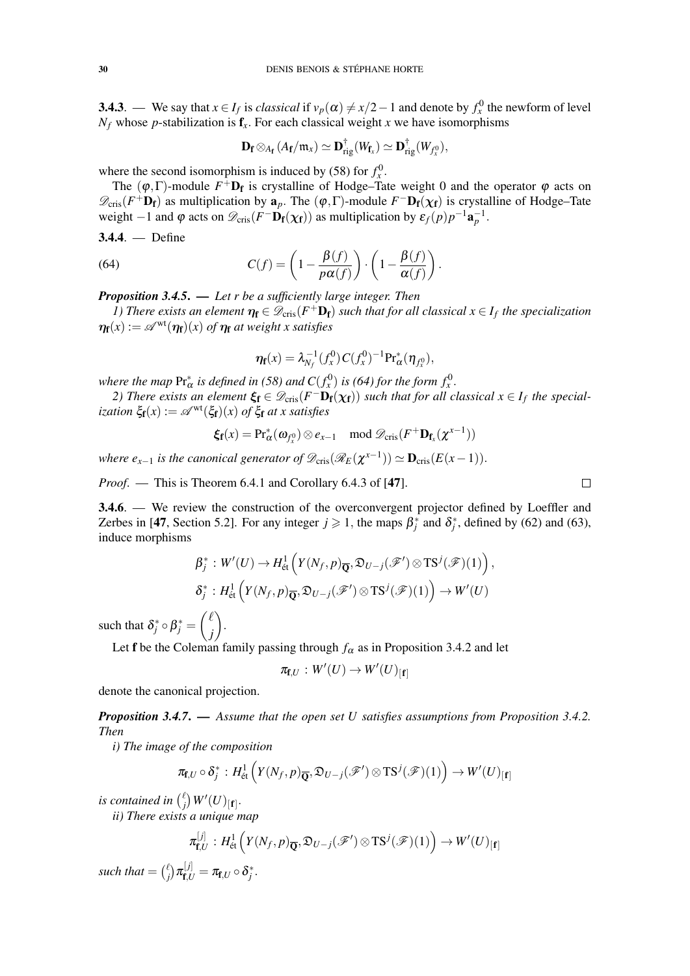**3.4.3**. — We say that  $x \in I_f$  is *classical* if  $v_p(\alpha) \neq x/2-1$  and denote by  $f_x^0$  the newform of level  $N_f$  whose *p*-stabilization is  $f_x$ . For each classical weight *x* we have isomorphisms

$$
\mathbf{D}_{\mathbf{f}} \otimes_{A_{\mathbf{f}}} (A_{\mathbf{f}}/m_x) \simeq \mathbf{D}_{\mathrm{rig}}^{\dagger}(W_{\mathbf{f}_x}) \simeq \mathbf{D}_{\mathrm{rig}}^{\dagger}(W_{f_x^0}),
$$

where the second isomorphism is induced by (58) for  $f_x^0$ .

The  $(\varphi, \Gamma)$ -module  $F^+D_f$  is crystalline of Hodge–Tate weight 0 and the operator  $\varphi$  acts on  $\mathscr{D}_{\text{cris}}(F^+\mathbf{D}_f)$  as multiplication by  $\mathbf{a}_p$ . The  $(\varphi, \Gamma)$ -module  $F^-\mathbf{D}_f(\chi_f)$  is crystalline of Hodge–Tate weight −1 and  $\varphi$  acts on  $\mathscr{D}_{\text{cris}}(F^-\mathbf{D}_{\mathbf{f}}(\chi_{\mathbf{f}}))$  as multiplication by  $\varepsilon_f(p)p^{-1}\mathbf{a}_p^{-1}$ .

$$
3.4.4. \ - \ \text{Define}
$$

(64) 
$$
C(f) = \left(1 - \frac{\beta(f)}{p\alpha(f)}\right) \cdot \left(1 - \frac{\beta(f)}{\alpha(f)}\right).
$$

*Proposition 3.4.5*. — *Let r be a sufficiently large integer. Then*

*1)* There exists an element  $\eta_f \in \mathscr{D}_{\text{cris}}(F^+\mathbf{D}_f)$  such that for all classical  $x \in I_f$  the specialization  $\eta_{\mathbf{f}}(x) := \mathscr{A}^{\text{wt}}(\eta_{\mathbf{f}})(x)$  *of*  $\eta_{\mathbf{f}}$  *at weight x satisfies* 

$$
\eta_{\mathbf{f}}(x) = \lambda_{N_f}^{-1}(f_x^0) C(f_x^0)^{-1} \Pr_{\alpha}^*(\eta_{f_x^0}),
$$

*where the map*  $\Pr_{\alpha}^*$  *is defined in* (58) *and*  $C(f_x^0)$  *is* (64) for the form  $f_x^0$ .

*2)* There exists an element  $\xi_f \in \mathcal{D}_{cris}(F^-\mathbf{D}_f(\chi_f))$  such that for all classical  $x \in I_f$  the special*ization*  $\xi_{\mathbf{f}}(x) := \mathcal{A}^{\text{wt}}(\xi_{\mathbf{f}})(x)$  *of*  $\xi_{\mathbf{f}}$  *at x satisfies* 

$$
\xi_{\mathbf{f}}(x) = \Pr_{\alpha}^*(\omega_{f_x^0}) \otimes e_{x-1} \mod \mathscr{D}_{\mathrm{cris}}(F^+ \mathbf{D}_{\mathbf{f}_x}(\chi^{x-1}))
$$

*where e<sub>x-1</sub> is the canonical generator of*  $\mathscr{D}_{\text{cris}}(\mathscr{R}_E(\chi^{x-1})) \simeq \mathbf{D}_{\text{cris}}(E(x-1))$ *.* 

*Proof.* — This is Theorem 6.4.1 and Corollary 6.4.3 of [47].

3.4.6. — We review the construction of the overconvergent projector defined by Loeffler and Zerbes in [47, Section 5.2]. For any integer  $j \ge 1$ , the maps  $\beta_j^*$  and  $\delta_j^*$ , defined by (62) and (63), induce morphisms

$$
\beta_j^*: W'(U) \to H^1_{\text{\'et}}\left(Y(N_f, p)_{\overline{\mathbb{Q}}}, \mathfrak{D}_{U-j}(\mathscr{F}') \otimes \text{TS}^j(\mathscr{F})(1)\right),\delta_j^*: H^1_{\text{\'et}}\left(Y(N_f, p)_{\overline{\mathbb{Q}}}, \mathfrak{D}_{U-j}(\mathscr{F}') \otimes \text{TS}^j(\mathscr{F})(1)\right) \to W'(U)
$$

such that  $\delta_j^* \circ \beta_j^* = \begin{pmatrix} \ell \\ i \end{pmatrix}$ *j* .

Let f be the Coleman family passing through  $f_\alpha$  as in Proposition 3.4.2 and let

$$
\pi_{\mathbf{f},U}:W'(U)\to W'(U)_{[\mathbf{f}]}
$$

denote the canonical projection.

*Proposition 3.4.7*. — *Assume that the open set U satisfies assumptions from Proposition 3.4.2. Then*

*i) The image of the composition*

$$
\pi_{\mathbf{f},U} \circ \delta_j^* : H^1_{\text{\'et}}\left(Y(N_f,p)_{\overline{\mathbf{Q}}}, \mathfrak{D}_{U-j}(\mathscr{F}') \otimes \mathrm{TS}^j(\mathscr{F})(1)\right) \to W'(U)_{[\mathbf{f}]}
$$

*is contained in*  $\binom{\ell}{i}$  $_{j}^{\ell }\big)\,W^{\prime }(U)_{[\mathbf{f}]} .$ 

*ii) There exists a unique map*

 $\overline{1}$ 

$$
\mathbf{r}_{\mathbf{f},U}^{[j]} \, : H^1_{\mathrm{\acute{e}t}} \left( Y(N_f,p)_{\overline{\mathbf{Q}}}, \mathfrak{D}_{U-j}(\mathscr{F}') \otimes \mathrm{TS}^j(\mathscr{F})(1) \right) \to W'(U)_{[\mathbf{f}]}.
$$

*such that* =  $\binom{\ell}{i}$  $f^{\ell}_{\mathbf{f}}\big) \pi_{\mathbf{f},U}^{[j]} = \pi_{\mathbf{f},U} \circ \delta_j^*.$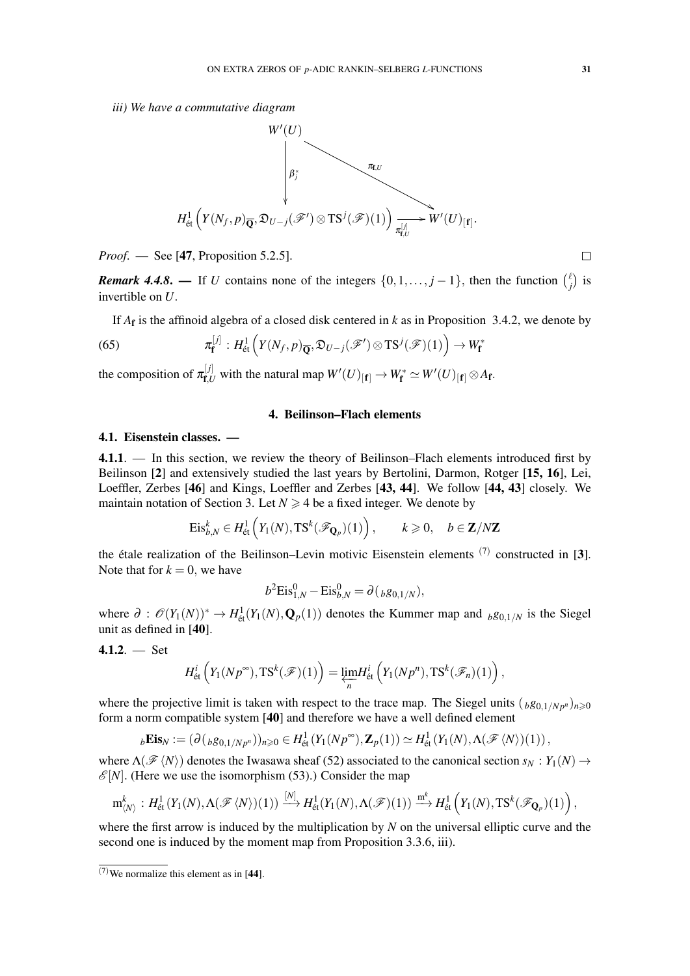*iii) We have a commutative diagram*



*Proof.* — See [47, Proposition 5.2.5].

*Remark 4.4.8.* — If *U* contains none of the integers  $\{0, 1, \ldots, j - 1\}$ , then the function  $\binom{k}{j}$  $\binom{l}{j}$  is invertible on *U*.

If *A*<sup>f</sup> is the affinoid algebra of a closed disk centered in *k* as in Proposition 3.4.2, we denote by

(65) 
$$
\pi_{\mathbf{f}}^{[j]} : H^1_{\text{\'et}}(Y(N_f, p)_{\overline{\mathbf{Q}}}, \mathfrak{D}_{U-j}(\mathscr{F}') \otimes \mathrm{TS}^j(\mathscr{F})(1)) \to W_{\mathbf{f}}^*
$$

the composition of  $\pi_{\mathbf{f},U}^{[j]}$  with the natural map  $W'(U)_{[\mathbf{f}]} \to W_{\mathbf{f}}^* \simeq W'(U)_{[\mathbf{f}]} \otimes A_{\mathbf{f}}$ .

### 4. Beilinson–Flach elements

#### 4.1. Eisenstein classes. —

4.1.1. — In this section, we review the theory of Beilinson–Flach elements introduced first by Beilinson [2] and extensively studied the last years by Bertolini, Darmon, Rotger [15, 16], Lei, Loeffler, Zerbes [46] and Kings, Loeffler and Zerbes [43, 44]. We follow [44, 43] closely. We maintain notation of Section 3. Let  $N \geq 4$  be a fixed integer. We denote by

$$
\mathrm{Eis}_{b,N}^k \in H^1_{\text{\'et}}\left(Y_1(N), \mathrm{TS}^k(\mathscr{F}_{\mathbf{Q}_p})(1)\right), \qquad k \geqslant 0, \quad b \in \mathbf{Z}/N\mathbf{Z}
$$

the étale realization of the Beilinson–Levin motivic Eisenstein elements  $(7)$  constructed in [3]. Note that for  $k = 0$ , we have

$$
b^2 \text{Eis}_{1,N}^0 - \text{Eis}_{b,N}^0 = \partial ({}_{b}g_{0,1/N}),
$$

where  $\partial$  :  $\mathcal{O}(Y_1(N))^* \to H^1_{\text{\'et}}(Y_1(N), \mathbf{Q}_p(1))$  denotes the Kummer map and  $b g_{0,1/N}$  is the Siegel unit as defined in [40].

4.1.2. 
$$
-
$$
 Set

$$
H^i_{\text{\'et}}\left(Y_1(Np^{\infty}), \text{TS}^k(\mathscr{F})(1)\right) = \varprojlim_n H^i_{\text{\'et}}\left(Y_1(Np^n), \text{TS}^k(\mathscr{F}_n)(1)\right),
$$

where the projective limit is taken with respect to the trace map. The Siegel units  $\binom{b}{b}$   $\binom{q}{b}$   $\binom{p}{b}$ form a norm compatible system [40] and therefore we have a well defined element

$$
{}_{b}\mathbf{Eis}_N := (\partial({}_{b}g_{0,1/Np^n}))_{n\geqslant 0} \in H^1_{\text{\'et}}(Y_1(Np^\infty),\mathbf{Z}_p(1)) \simeq H^1_{\text{\'et}}(Y_1(N),\Lambda(\mathscr{F}\langle N\rangle)(1)),
$$

where  $\Lambda(\mathscr{F}\langle N\rangle)$  denotes the Iwasawa sheaf (52) associated to the canonical section  $s_N: Y_1(N) \to Y_2(N)$  $\mathscr{E}[N]$ . (Here we use the isomorphism (53).) Consider the map

$$
\mathrm{m}_{\langle N\rangle}^k:H^1_{\text{\'et}}(Y_1(N),\Lambda(\mathscr{F}\langle N\rangle)(1))\stackrel{[N]}{\longrightarrow}H^1_{\text{\'et}}(Y_1(N),\Lambda(\mathscr{F})(1))\stackrel{\mathrm{m}^k}{\longrightarrow}H^1_{\text{\'et}}\left(Y_1(N),\mathrm{TS}^k(\mathscr{F}_{\mathbf{Q}_p})(1)\right),
$$

where the first arrow is induced by the multiplication by *N* on the universal elliptic curve and the second one is induced by the moment map from Proposition 3.3.6, iii).

 $(7)$ We normalize this element as in [44].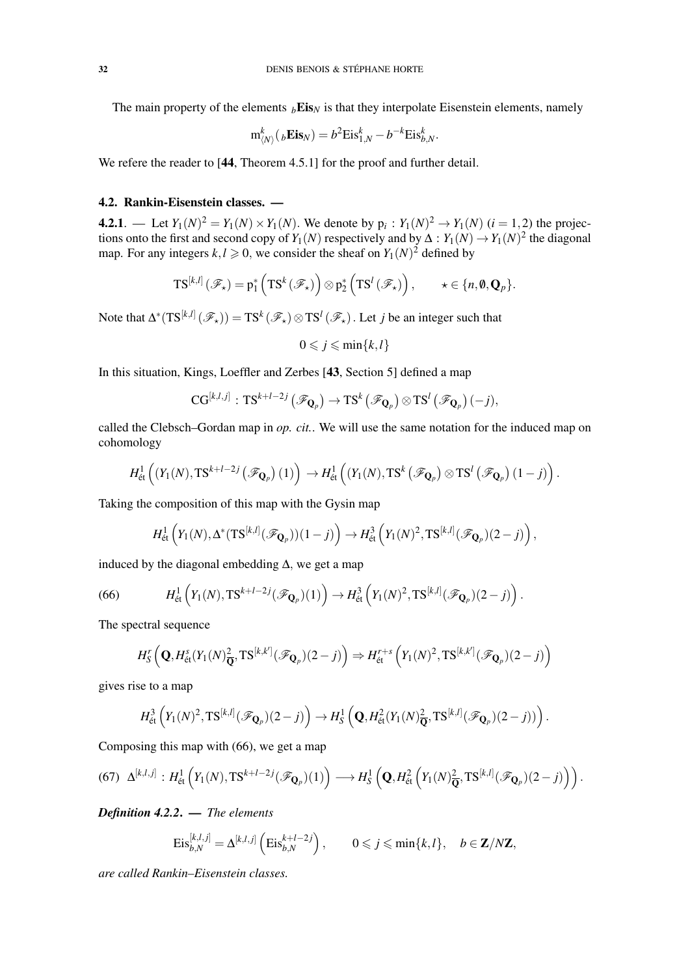The main property of the elements  $_b \text{Eis}_N$  is that they interpolate Eisenstein elements, namely

$$
\mathbf{m}_{\langle N\rangle}^k(_b\mathbf{Eis}_N) = b^2 \text{Eis}_{1,N}^k - b^{-k} \text{Eis}_{b,N}^k.
$$

We refere the reader to [44, Theorem 4.5.1] for the proof and further detail.

# 4.2. Rankin-Eisenstein classes. —

**4.2.1**. — Let  $Y_1(N)^2 = Y_1(N) \times Y_1(N)$ . We denote by  $p_i: Y_1(N)^2 \to Y_1(N)$   $(i = 1, 2)$  the projections onto the first and second copy of *Y*<sub>1</sub>(*N*) respectively and by  $\Delta: Y_1(N) \to Y_1(N)^2$  the diagonal map. For any integers  $k, l \geq 0$ , we consider the sheaf on  $Y_1(N)^2$  defined by

$$
\mathrm{TS}^{[k,l]}(\mathscr{F}_\star)=p_1^*\left(\mathrm{TS}^k(\mathscr{F}_\star)\right)\otimes p_2^*\left(\mathrm{TS}^l(\mathscr{F}_\star)\right),\qquad \star\in\{n,\mathbf{0},\mathbf{Q}_p\}.
$$

Note that  $\Delta^*(\mathrm{TS}^{[k,l]}(\mathscr{F}_\star)) = \mathrm{TS}^k(\mathscr{F}_\star) \otimes \mathrm{TS}^l(\mathscr{F}_\star)$ . Let *j* be an integer such that

$$
0 \leqslant j \leqslant \min\{k, l\}
$$

In this situation, Kings, Loeffler and Zerbes [43, Section 5] defined a map

$$
\text{CG}^{[k,l,j]}:\text{TS}^{k+l-2j}\left(\mathscr{F}_{\mathbf{Q}_p}\right)\rightarrow \text{TS}^k\left(\mathscr{F}_{\mathbf{Q}_p}\right)\otimes \text{TS}^l\left(\mathscr{F}_{\mathbf{Q}_p}\right)(-j),
$$

called the Clebsch–Gordan map in *op. cit.*. We will use the same notation for the induced map on cohomology

$$
H^1_{\text{\'et}}\left( (Y_1(N), \mathrm{TS}^{k+l-2j}\left(\mathscr{F}_{\mathbf{Q}_p}\right)(1) \right) \to H^1_{\text{\'et}}\left( (Y_1(N), \mathrm{TS}^k\left(\mathscr{F}_{\mathbf{Q}_p}\right) \otimes \mathrm{TS}^l\left(\mathscr{F}_{\mathbf{Q}_p}\right)(1-j) \right).
$$

Taking the composition of this map with the Gysin map

$$
H^1_{\text{\'et}}\left(Y_1(N),\Delta^*(\mathrm{TS}^{[k,l]}(\mathscr{F}_{\mathbf{Q}_p}))(1-j)\right)\to H^3_{\text{\'et}}\left(Y_1(N)^2,\mathrm{TS}^{[k,l]}(\mathscr{F}_{\mathbf{Q}_p})(2-j)\right),
$$

induced by the diagonal embedding  $\Delta$ , we get a map

(66) 
$$
H^1_{\text{\'et}}\left(Y_1(N),\text{TS}^{k+l-2j}(\mathscr{F}_{\mathbf{Q}_p})(1)\right)\to H^3_{\text{\'et}}\left(Y_1(N)^2,\text{TS}^{[k,l]}(\mathscr{F}_{\mathbf{Q}_p})(2-j)\right).
$$

The spectral sequence

$$
H_{\mathcal{S}}^{r}\left(\mathbf{Q},H_{\mathrm{\acute{e}t}}^{s}(Y_{1}(N)_{\overline{\mathbf{Q}}}^{2},\mathbf{T}\mathbf{S}^{[k,k']}(\mathscr{F}_{\mathbf{Q}_{p}})(2-j)\right)\Rightarrow H_{\mathrm{\acute{e}t}}^{r+s}\left(Y_{1}(N)^{2},\mathbf{T}\mathbf{S}^{[k,k']}(\mathscr{F}_{\mathbf{Q}_{p}})(2-j)\right)
$$

gives rise to a map

$$
H^3_{\text{\'et}}\left(Y_1(N)^2,\mathrm{TS}^{[k,l]}(\mathscr{F}_{\mathbf{Q}_p})(2-j)\right)\to H^1_S\left(\mathbf{Q},H^2_{\text{\'et}}(Y_1(N)^2_{\overline{\mathbf{Q}}},\mathrm{TS}^{[k,l]}(\mathscr{F}_{\mathbf{Q}_p})(2-j))\right).
$$

Composing this map with (66), we get a map

$$
(67)\quad \Delta^{[k,l,j]} : H^1_{\text{\'et}}\left(Y_1(N), \text{TS}^{k+l-2j}(\mathscr{F}_{\mathbf{Q}_p})(1)\right) \longrightarrow H^1_S\left(\mathbf{Q}, H^2_{\text{\'et}}\left(Y_1(N)_{\overline{\mathbf{Q}}}^2, \text{TS}^{[k,l]}(\mathscr{F}_{\mathbf{Q}_p})(2-j)\right)\right).
$$

*Definition 4.2.2*. — *The elements*

$$
\mathrm{Eis}_{b,N}^{[k,l,j]} = \Delta^{[k,l,j]} \left( \mathrm{Eis}_{b,N}^{k+l-2j} \right), \qquad 0 \leqslant j \leqslant \min\{k,l\}, \quad b \in \mathbf{Z}/N\mathbf{Z},
$$

*are called Rankin–Eisenstein classes.*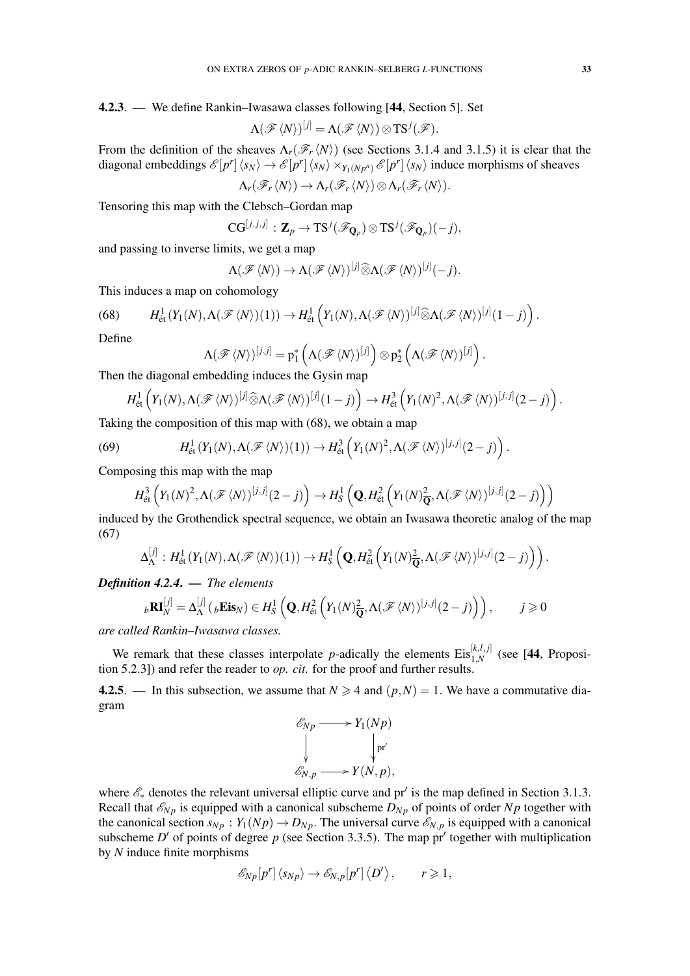# 4.2.3. — We define Rankin–Iwasawa classes following [44, Section 5]. Set

$$
\Lambda(\mathscr{F}\langle N\rangle)^{[j]}=\Lambda(\mathscr{F}\langle N\rangle)\otimes \mathrm{TS}^j(\mathscr{F}).
$$

From the definition of the sheaves  $\Lambda_r(\mathscr{F}_r\langle N\rangle)$  (see Sections 3.1.4 and 3.1.5) it is clear that the diagonal embeddings  $\mathcal{E}[p^r] \langle s_N \rangle \to \mathcal{E}[p^r] \langle s_N \rangle \times_{Y_1(Np^n)} \mathcal{E}[p^r] \langle s_N \rangle$  induce morphisms of sheaves  $\Lambda_r(\mathscr{F}_r\langle N\rangle)\to \Lambda_r(\mathscr{F}_r\langle N\rangle)\otimes\Lambda_r(\mathscr{F}_r\langle N\rangle).$ 

Tensoring this map with the Clebsch–Gordan map

$$
CG^{[j,j,j]}: \mathbf{Z}_p \to TS^j(\mathscr{F}_{\mathbf{Q}_p}) \otimes TS^j(\mathscr{F}_{\mathbf{Q}_p})(-j),
$$

and passing to inverse limits, we get a map

$$
\Lambda(\mathscr{F}\langle N\rangle)\to\Lambda(\mathscr{F}\langle N\rangle)^{[j]}\widehat{\otimes}\Lambda(\mathscr{F}\langle N\rangle)^{[j]}(-j).
$$

This induces a map on cohomology

(68) 
$$
H^1_{\text{\'et}}(Y_1(N), \Lambda(\mathscr{F}\langle N\rangle)(1))\to H^1_{\text{\'et}}(Y_1(N), \Lambda(\mathscr{F}\langle N\rangle)^{[j]}\widehat{\otimes}\Lambda(\mathscr{F}\langle N\rangle)^{[j]}(1-j)).
$$

Define

$$
\Lambda(\mathscr{F}\langle N\rangle)^{[j,j]} = p_1^*\left(\Lambda(\mathscr{F}\langle N\rangle)^{[j]}\right) \otimes p_2^*\left(\Lambda(\mathscr{F}\langle N\rangle)^{[j]}\right).
$$

Then the diagonal embedding induces the Gysin map

$$
H^1_{\text{\'et}}\left(Y_1(N), \Lambda(\mathscr{F}\langle N\rangle)^{[j]} \widehat{\otimes} \Lambda(\mathscr{F}\langle N\rangle)^{[j]}(1-j)\right) \to H^3_{\text{\'et}}\left(Y_1(N)^2, \Lambda(\mathscr{F}\langle N\rangle)^{[j,j]}(2-j)\right).
$$

Taking the composition of this map with (68), we obtain a map

(69) 
$$
H^1_{\text{\'et}}(Y_1(N), \Lambda(\mathscr{F}\langle N\rangle)(1))\to H^3_{\text{\'et}}(Y_1(N)^2, \Lambda(\mathscr{F}\langle N\rangle)^{[j,j]}(2-j)).
$$

Composing this map with the map

$$
H^3_{\text{\'et}}\left(Y_1(N)^2,\Lambda(\mathscr{F}\langle N\rangle)^{[j,j]}(2-j)\right) \to H^1_S\left(\mathbf{Q},H^2_{\text{\'et}}\left(Y_1(N)_{\overline{\mathbf{Q}}}^2,\Lambda(\mathscr{F}\langle N\rangle)^{[j,j]}(2-j)\right)\right)
$$

induced by the Grothendick spectral sequence, we obtain an Iwasawa theoretic analog of the map (67)

$$
\Delta_{\Lambda}^{[j]}: H^1_{\text{\'et}}(Y_1(N), \Lambda(\mathscr{F}\langle N \rangle)(1)) \to H^1_S\left(\mathbf{Q}, H^2_{\text{\'et}}\left(Y_1(N)_{\overline{\mathbf{Q}}}^2, \Lambda(\mathscr{F}\langle N \rangle)^{[j,j]}(2-j)\right)\right).
$$

*Definition 4.2.4*. — *The elements*

$$
{}_{b}\mathbf{R}\mathbf{I}_{N}^{[j]} = \Delta_{\Lambda}^{[j]}({}_{b}\mathbf{Eis}_{N}) \in H_{S}^{1}\left(\mathbf{Q}, H_{\text{\'et}}^{2}\left(Y_{1}(N)_{\overline{\mathbf{Q}}}^{2}, \Lambda(\mathscr{F}\langle N\rangle)^{[j,j]}(2-j)\right)\right), \qquad j \geqslant 0
$$

*are called Rankin–Iwasawa classes.*

We remark that these classes interpolate *p*-adically the elements  $Eis_{1,N}^{[k,l,j]}$  (see [44, Proposition 5.2.3]) and refer the reader to *op. cit.* for the proof and further results.

4.2.5. — In this subsection, we assume that  $N \ge 4$  and  $(p, N) = 1$ . We have a commutative diagram

$$
\begin{aligned}\n\mathcal{E}_{Np} &\longrightarrow Y_1(Np) \\
\downarrow \qquad \qquad \downarrow \text{pr'} \\
\mathcal{E}_{N,p} &\longrightarrow Y(N,p),\n\end{aligned}
$$

where  $\mathscr{E}_*$  denotes the relevant universal elliptic curve and pr' is the map defined in Section 3.1.3. Recall that  $\mathcal{E}_{N_p}$  is equipped with a canonical subscheme  $D_{N_p}$  of points of order  $N_p$  together with the canonical section  $s_{Np}$ :  $Y_1(Np) \to D_{Np}$ . The universal curve  $\mathscr{E}_{N,p}$  is equipped with a canonical subscheme *D'* of points of degree *p* (see Section 3.3.5). The map  $\pi'$  together with multiplication by *N* induce finite morphisms

$$
\mathscr{E}_{Np}[p']\langle s_{Np}\rangle \to \mathscr{E}_{N,p}[p']\langle D'\rangle, \qquad r\geqslant 1,
$$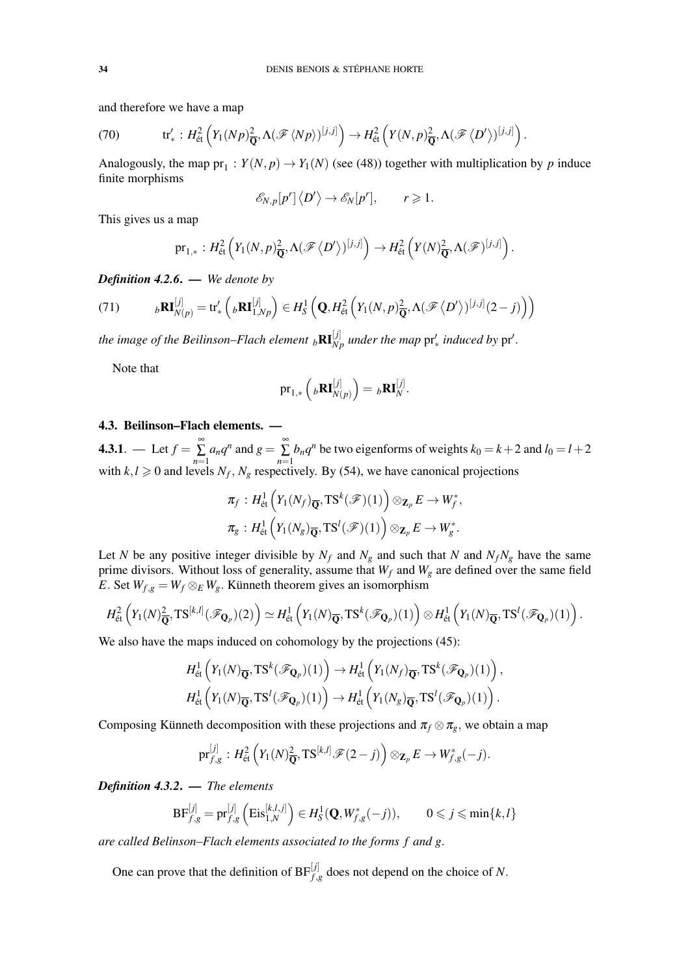and therefore we have a map

(70) 
$$
\text{tr}'_* : H^2_{\text{\'et}}\left(Y_1(Np)\frac{2}{\mathbf{Q}}, \Lambda(\mathscr{F}\langle Np \rangle)^{[j,j]}\right) \to H^2_{\text{\'et}}\left(Y(N,p)\frac{2}{\mathbf{Q}}, \Lambda(\mathscr{F}\langle D' \rangle)^{[j,j]}\right).
$$

Analogously, the map  $pr_1: Y(N, p) \to Y_1(N)$  (see (48)) together with multiplication by *p* induce finite morphisms

$$
\mathscr{E}_{N,p}[p^r]\langle D'\rangle \to \mathscr{E}_N[p^r], \qquad r \geq 1.
$$

This gives us a map

$$
\mathrm{pr}_{1,*}: H^2_{\text{\'et}}\left(Y_1(N,p)_{\overline{\mathbf{Q}}}^2, \Lambda(\mathscr{F}\left\langle D'\right\rangle)^{[j,j]}\right) \to H^2_{\text{\'et}}\left(Y(N)_{\overline{\mathbf{Q}}}^2, \Lambda(\mathscr{F})^{[j,j]}\right).
$$

*Definition 4.2.6*. — *We denote by*

(71) 
$$
{}_{b}\mathbf{R}\mathbf{I}_{N(p)}^{[j]} = \mathrm{tr}'_*\left({}_{b}\mathbf{R}\mathbf{I}_{1,Np}^{[j]}\right) \in H_S^1\left(\mathbf{Q}, H_{\text{\'et}}^2\left(Y_1(N,p)_{\overline{\mathbf{Q}}}^2, \Lambda(\mathscr{F}\langle D'\rangle)^{[j,j]}(2-j)\right)\right)
$$

*the image of the Beilinson–Flach element*  $_b\mathbf{RI}_{Np}^{[j]}$  under the map  $\mathrm{pr}'_*$  induced by  $\mathrm{pr}'$ .

Note that

$$
\mathrm{pr}_{1,*}\left({}_b\mathbf{RI}_{N(p)}^{[j]}\right)={}_b\mathbf{RI}_{N}^{[j]}.
$$

### 4.3. Beilinson–Flach elements. —

**4.3.1**. — Let  $f = \sum_{n=1}^{\infty}$  $\sum_{n=1}^{\infty} a_n q^n$  and  $g = \sum_{n=1}^{\infty} a_n$  $\sum_{n=1}$  *b*<sub>n</sub> $q^n$ </sub> be two eigenforms of weights  $k_0 = k + 2$  and  $l_0 = l + 2$ with  $k, l \ge 0$  and levels  $N_f, N_g$  respectively. By (54), we have canonical projections

$$
\pi_f: H^1_{\text{\'et}}\left(Y_1(N_f)_{\overline{\mathbf{Q}}}, \text{TS}^k(\mathscr{F})(1)\right) \otimes_{\mathbf{Z}_p} E \to W_f^*,
$$
  

$$
\pi_g: H^1_{\text{\'et}}\left(Y_1(N_g)_{\overline{\mathbf{Q}}}, \text{TS}^l(\mathscr{F})(1)\right) \otimes_{\mathbf{Z}_p} E \to W_g^*.
$$

Let *N* be any positive integer divisible by  $N_f$  and  $N_g$  and such that *N* and  $N_fN_g$  have the same prime divisors. Without loss of generality, assume that *W<sup>f</sup>* and *W<sup>g</sup>* are defined over the same field *E*. Set  $W_{f,g} = W_f \otimes_E W_g$ . Künneth theorem gives an isomorphism

$$
H^2_{\text{\'et}}\left(Y_1(N)_{\overline{\mathbf{Q}}}^2, \text{TS}^{[k,l]}(\mathscr{F}_{\mathbf{Q}_p})(2)\right) \simeq H^1_{\text{\'et}}\left(Y_1(N)_{\overline{\mathbf{Q}}}, \text{TS}^k(\mathscr{F}_{\mathbf{Q}_p})(1)\right) \otimes H^1_{\text{\'et}}\left(Y_1(N)_{\overline{\mathbf{Q}}}, \text{TS}^l(\mathscr{F}_{\mathbf{Q}_p})(1)\right).
$$

We also have the maps induced on cohomology by the projections  $(45)$ :

$$
H^1_{\text{\'et}}\left(Y_1(N)_{\overline{\mathbf{Q}}}, \text{TS}^k(\mathscr{F}_{\mathbf{Q}_p})(1)\right) \to H^1_{\text{\'et}}\left(Y_1(N_f)_{\overline{\mathbf{Q}}}, \text{TS}^k(\mathscr{F}_{\mathbf{Q}_p})(1)\right),
$$
  

$$
H^1_{\text{\'et}}\left(Y_1(N)_{\overline{\mathbf{Q}}}, \text{TS}^l(\mathscr{F}_{\mathbf{Q}_p})(1)\right) \to H^1_{\text{\'et}}\left(Y_1(N_g)_{\overline{\mathbf{Q}}}, \text{TS}^l(\mathscr{F}_{\mathbf{Q}_p})(1)\right).
$$

Composing Künneth decomposition with these projections and  $\pi_f \otimes \pi_g$ , we obtain a map

$$
\mathrm{pr}^{[j]}_{f,g}: H^2_{\text{\'et}}\left(Y_1(N)_{\overline{\mathbf{Q}}}^2, \mathrm{TS}^{[k,l]}\mathscr{F}(2-j)\right) \otimes_{\mathbf{Z}_p} E \to W^*_{f,g}(-j).
$$

*Definition 4.3.2*. — *The elements*

$$
\text{BF}_{f,g}^{[j]} = \text{pr}_{f,g}^{[j]} \left( \text{Eis}_{1,N}^{[k,l,j]} \right) \in H_S^1(\mathbf{Q}, W_{f,g}^*(-j)), \qquad 0 \leq j \leq \min\{k, l\}
$$

*are called Belinson–Flach elements associated to the forms f and g*.

One can prove that the definition of  $BF_{f,g}^{[j]}$  does not depend on the choice of *N*.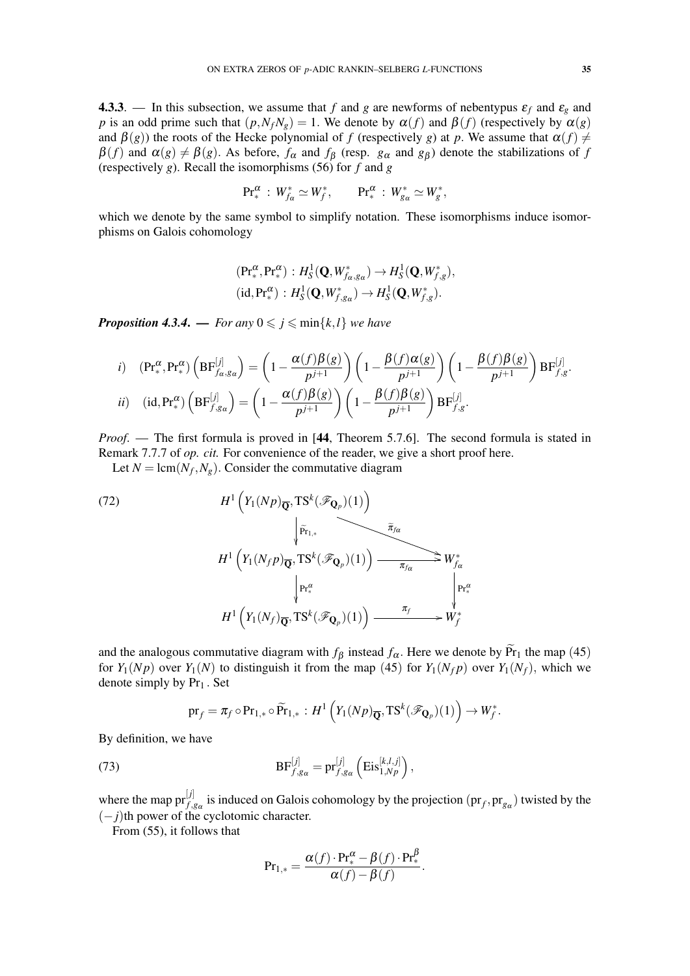4.3.3. — In this subsection, we assume that *f* and *g* are newforms of nebentypus  $\varepsilon_f$  and  $\varepsilon_g$  and *p* is an odd prime such that  $(p, N_fN_g) = 1$ . We denote by  $\alpha(f)$  and  $\beta(f)$  (respectively by  $\alpha(g)$ ) and  $\beta(g)$ ) the roots of the Hecke polynomial of *f* (respectively *g*) at *p*. We assume that  $\alpha(f) \neq$  $\beta(f)$  and  $\alpha(g) \neq \beta(g)$ . As before,  $f_{\alpha}$  and  $f_{\beta}$  (resp.  $g_{\alpha}$  and  $g_{\beta}$ ) denote the stabilizations of f (respectively *g*). Recall the isomorphisms (56) for *f* and *g*

$$
\text{Pr}^{\alpha}_* \, : \, W^*_{f_{\alpha}} \simeq W^*_f, \qquad \text{Pr}^{\alpha}_* \, : \, W^*_{g_{\alpha}} \simeq W^*_g,
$$

which we denote by the same symbol to simplify notation. These isomorphisms induce isomorphisms on Galois cohomology

$$
(\text{Pr}^{\alpha}_*, \text{Pr}^{\alpha}_*) : H^1_S(\mathbf{Q}, W^*_{f\alpha, g\alpha}) \to H^1_S(\mathbf{Q}, W^*_{f,g}),
$$
  
(id,  $\text{Pr}^{\alpha}_*) : H^1_S(\mathbf{Q}, W^*_{f,g\alpha}) \to H^1_S(\mathbf{Q}, W^*_{f,g}).$ 

*Proposition 4.3.4.* — *For any*  $0 \leq j \leq \min\{k, l\}$  *we have* 

*i*) 
$$
(\text{Pr}_*^{\alpha}, \text{Pr}_*^{\alpha}) \left( \text{BF}_{f_{\alpha},g_{\alpha}}^{[j]} \right) = \left( 1 - \frac{\alpha(f)\beta(g)}{p^{j+1}} \right) \left( 1 - \frac{\beta(f)\alpha(g)}{p^{j+1}} \right) \left( 1 - \frac{\beta(f)\beta(g)}{p^{j+1}} \right) \text{BF}_{f,g}^{[j]}.
$$
  
\n*ii*)  $(id, \text{Pr}_*^{\alpha}) \left( \text{BF}_{f,g_{\alpha}}^{[j]} \right) = \left( 1 - \frac{\alpha(f)\beta(g)}{p^{j+1}} \right) \left( 1 - \frac{\beta(f)\beta(g)}{p^{j+1}} \right) \text{BF}_{f,g}^{[j]}.$ 

*Proof.* — The first formula is proved in [44, Theorem 5.7.6]. The second formula is stated in Remark 7.7.7 of *op. cit.* For convenience of the reader, we give a short proof here.

Let  $N = \text{lcm}(N_f, N_g)$ . Consider the commutative diagram

(72)  
\n
$$
H^{1}\left(Y_{1}(Np)_{\overline{\mathbf{Q}}}, \mathbf{TS}^{k}(\mathscr{F}_{\mathbf{Q}_{p}})(1)\right)
$$
\n
$$
\downarrow \widetilde{r}_{1,*}
$$
\n
$$
H^{1}\left(Y_{1}(N_{f}p)_{\overline{\mathbf{Q}}}, \mathbf{TS}^{k}(\mathscr{F}_{\mathbf{Q}_{p}})(1)\right) \xrightarrow{\tilde{\pi}_{f\alpha}} W_{f\alpha}^{*}
$$
\n
$$
\downarrow \mathbf{Pr}_{*}^{\alpha}
$$
\n
$$
H^{1}\left(Y_{1}(N_{f})_{\overline{\mathbf{Q}}}, \mathbf{TS}^{k}(\mathscr{F}_{\mathbf{Q}_{p}})(1)\right) \xrightarrow{\pi_{f}} W_{f}^{*}
$$
\n
$$
W_{f}^{*}
$$

and the analogous commutative diagram with  $f_\beta$  instead  $f_\alpha$ . Here we denote by  $\widetilde{Pr}_1$  the map (45) for  $Y_1(Np)$  over  $Y_1(N)$  to distinguish it from the map (45) for  $Y_1(N_f p)$  over  $Y_1(N_f)$ , which we denote simply by  $Pr_1$ . Set

$$
\mathrm{pr}_f = \pi_f \circ \mathrm{Pr}_{1,*} \circ \widetilde{\mathrm{Pr}}_{1,*} : H^1\left(Y_1(Np)_{\overline{\mathbf{Q}}}, \mathrm{TS}^k(\mathscr{F}_{\mathbf{Q}_p})(1)\right) \to W_f^*.
$$

By definition, we have

(73) 
$$
BF_{f,g_\alpha}^{[j]} = pr_{f,g_\alpha}^{[j]} \left( Eis_{1,Np}^{[k,l,j]} \right),
$$

where the map  $pr_{f,g_\alpha}^{[j]}$  is induced on Galois cohomology by the projection  $(pr_f,pr_{g_\alpha})$  twisted by the (−*j*)th power of the cyclotomic character.

From (55), it follows that

$$
\mathrm{Pr}_{1,*} = \frac{\alpha(f) \cdot \mathrm{Pr}^{\alpha}_* - \beta(f) \cdot \mathrm{Pr}^{\beta}_*}{\alpha(f) - \beta(f)}.
$$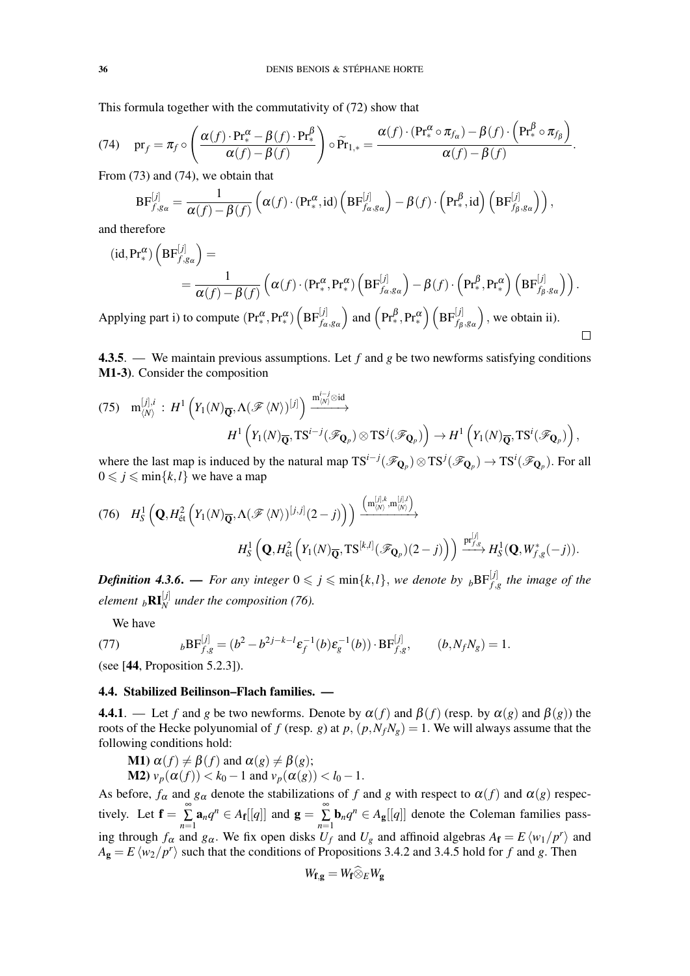This formula together with the commutativity of (72) show that

(74) 
$$
\text{pr}_f = \pi_f \circ \left( \frac{\alpha(f) \cdot \text{Pr}_*^{\alpha} - \beta(f) \cdot \text{Pr}_*^{\beta}}{\alpha(f) - \beta(f)} \right) \circ \widetilde{\text{Pr}}_{1,*} = \frac{\alpha(f) \cdot (\text{Pr}_*^{\alpha} \circ \pi_{f_{\alpha}}) - \beta(f) \cdot \left( \text{Pr}_*^{\beta} \circ \pi_{f_{\beta}} \right)}{\alpha(f) - \beta(f)}.
$$

From (73) and (74), we obtain that

$$
\text{BF}_{f,g_{\alpha}}^{[j]} = \frac{1}{\alpha(f) - \beta(f)} \left( \alpha(f) \cdot (\text{Pr}_{*}^{\alpha}, \text{id}) \left( \text{BF}_{f_{\alpha},g_{\alpha}}^{[j]} \right) - \beta(f) \cdot \left( \text{Pr}_{*}^{\beta}, \text{id} \right) \left( \text{BF}_{f_{\beta},g_{\alpha}}^{[j]} \right) \right),
$$

and therefore

$$
(\mathrm{id}, \mathrm{Pr}^{\alpha}_{*}) \left( \mathrm{BF}^{[j]}_{f, g_{\alpha}} \right) =
$$
  
= 
$$
\frac{1}{\alpha(f) - \beta(f)} \left( \alpha(f) \cdot (\mathrm{Pr}^{\alpha}_{*}, \mathrm{Pr}^{\alpha}_{*}) \left( \mathrm{BF}^{[j]}_{f_{\alpha}, g_{\alpha}} \right) - \beta(f) \cdot \left( \mathrm{Pr}^{\beta}_{*}, \mathrm{Pr}^{\alpha}_{*} \right) \left( \mathrm{BF}^{[j]}_{f_{\beta}, g_{\alpha}} \right) \right).
$$

Applying part i) to compute  $(\text{Pr}^{\alpha}_{*}, \text{Pr}^{\alpha}_{*}) \left( \text{BF}_{f_{\alpha}, g_{\alpha}}^{[j]} \right)$  $\binom{\mathbf{Pr}^{\beta}_*,\mathbf{Pr}^{\alpha}_*}{\mathbf{F}^{\beta}_{f_\beta,g_\alpha}}$ ), we obtain ii).

4.3.5. — We maintain previous assumptions. Let *f* and *g* be two newforms satisfying conditions M1-3). Consider the composition

 $\Box$ 

$$
(75) \t m_{\langle N\rangle}^{[j],i} : H^1\left(Y_1(N)_{\overline{\mathbf{Q}}}, \Lambda(\mathscr{F}\langle N\rangle)^{[j]}\right) \xrightarrow{m_{\langle N\rangle}^{i-j} \otimes id} H^1\left(Y_1(N)_{\overline{\mathbf{Q}}}, \mathbf{T}\mathbf{S}^{i-j}(\mathscr{F}_{\mathbf{Q}_p})\otimes \mathbf{T}\mathbf{S}^j(\mathscr{F}_{\mathbf{Q}_p})\right) \to H^1\left(Y_1(N)_{\overline{\mathbf{Q}}}, \mathbf{T}\mathbf{S}^i(\mathscr{F}_{\mathbf{Q}_p})\right),
$$

where the last map is induced by the natural map  $TS^{i-j}(\mathcal{F}_{\mathbf{Q}_p}) \otimes TS^{j}(\mathcal{F}_{\mathbf{Q}_p}) \to TS^{i}(\mathcal{F}_{\mathbf{Q}_p})$ . For all  $0 \leq j \leq \min\{k, l\}$  we have a map

$$
(76) \quad H_S^1\left(\mathbf{Q}, H_{\text{\'et}}^2\left(Y_1(N)_{\overline{\mathbf{Q}}}, \Lambda(\mathscr{F}\langle N\rangle)^{[j,j]}(2-j)\right)\right) \xrightarrow{\left(\mathbf{m}_{\langle N\rangle}^{[j],k}, \mathbf{m}_{\langle N\rangle}^{[j],l}\right)} H_S^1\left(\mathbf{Q}, H_{\text{\'et}}^2\left(Y_1(N)_{\overline{\mathbf{Q}}}, \mathbf{T}\mathbf{S}^{[k,l]}(\mathscr{F}_{\mathbf{Q}_p})(2-j)\right)\right) \xrightarrow{\mathbf{pr}_{f,g}^{[j]}} H_S^1(\mathbf{Q}, W_{f,g}^*(-j)).
$$

*Definition 4.3.6.* — *For any integer*  $0 \leqslant j \leqslant \min\{k,l\}$ , we denote by  $\mathrm{bBF}_{f,g}^{[j]}$  the image of the *element*  $_b$ **RI** $_N^{[j]}$  under the composition (76).

We have

(77) 
$$
{}_b\text{BF}_{f,g}^{[j]} = (b^2 - b^{2j-k-l}\varepsilon_f^{-1}(b)\varepsilon_g^{-1}(b)) \cdot \text{BF}_{f,g}^{[j]}, \qquad (b, N_f N_g) = 1.
$$

(see [44, Proposition 5.2.3]).

# 4.4. Stabilized Beilinson–Flach families. —

**4.4.1**. — Let *f* and *g* be two newforms. Denote by  $\alpha(f)$  and  $\beta(f)$  (resp. by  $\alpha(g)$  and  $\beta(g)$ ) the roots of the Hecke polyunomial of *f* (resp. *g*) at *p*,  $(p, N_fN_g) = 1$ . We will always assume that the following conditions hold:

**M1)** 
$$
\alpha(f) \neq \beta(f)
$$
 and  $\alpha(g) \neq \beta(g)$ ;  
**M2)**  $v_p(\alpha(f)) < k_0 - 1$  and  $v_p(\alpha(g)) < l_0 - 1$ .

As before,  $f_\alpha$  and  $g_\alpha$  denote the stabilizations of f and g with respect to  $\alpha(f)$  and  $\alpha(g)$  respectively. Let  $\mathbf{f} = \sum_{n=1}^{\infty}$  $\sum_{n=1}^{\infty} \mathbf{a}_n q^n \in A_{\mathbf{f}}[[q]]$  and  $\mathbf{g} = \sum_{n=1}^{\infty}$  $\sum_{n=1}^{\infty}$ **b**<sub>n</sub> $q^n \in A_g[[q]]$  denote the Coleman families passing through  $f_{\alpha}$  and  $g_{\alpha}$ . We fix open disks  $U_f$  and  $U_g$  and affinoid algebras  $A_f = E \langle w_1/p^r \rangle$  and  $A_g = E \langle w_2 / p^r \rangle$  such that the conditions of Propositions 3.4.2 and 3.4.5 hold for *f* and *g*. Then

$$
W_{\mathbf{f},\mathbf{g}}=W_{\mathbf{f}}\widehat{\otimes}_E W_{\mathbf{g}}
$$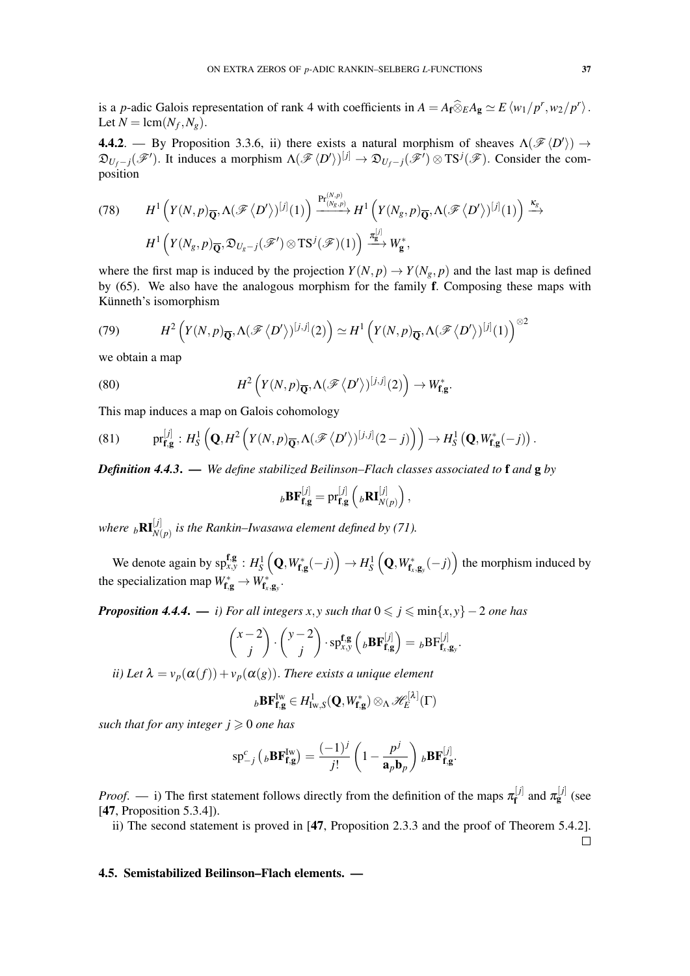is a *p*-adic Galois representation of rank 4 with coefficients in  $A = A_f \widehat{\otimes}_E A_g \simeq E \langle w_1/p^r, w_2/p^r \rangle$ . Let  $N = \text{lcm}(N_f, N_g)$ .

**4.4.2**. — By Proposition 3.3.6, ii) there exists a natural morphism of sheaves  $\Lambda(\mathcal{F}\langle D' \rangle) \rightarrow$  $\mathfrak{D}_{U_f-j}(\mathscr{F}')$ . It induces a morphism  $\Lambda(\mathscr{F}\langle D'\rangle)^{[j]} \to \mathfrak{D}_{U_f-j}(\mathscr{F}')\otimes \mathrm{TS}^j(\mathscr{F})$ . Consider the composition

$$
(78) \qquad H^{1}\left(Y(N,p)_{\overline{\mathbf{Q}}},\Lambda(\mathscr{F}\langle D'\rangle)^{[j]}(1)\right) \xrightarrow{\Pr_{(N_g,p)}^{(N,p)}} H^{1}\left(Y(N_g,p)_{\overline{\mathbf{Q}}},\Lambda(\mathscr{F}\langle D'\rangle)^{[j]}(1)\right) \xrightarrow{\kappa_g} H^{1}\left(Y(N_g,p)_{\overline{\mathbf{Q}}},\mathfrak{D}_{U_g-j}(\mathscr{F}')\otimes TS^{j}(\mathscr{F})(1)\right) \xrightarrow{\pi_g^{[j]}} W_g^*,
$$

where the first map is induced by the projection  $Y(N, p) \to Y(N_g, p)$  and the last map is defined by (65). We also have the analogous morphism for the family f. Composing these maps with Künneth's isomorphism

(79) 
$$
H^2\left(Y(N,p)_{\overline{\mathbf{Q}}},\Lambda(\mathscr{F}\langle D'\rangle)^{[j,j]}(2)\right)\simeq H^1\left(Y(N,p)_{\overline{\mathbf{Q}}},\Lambda(\mathscr{F}\langle D'\rangle)^{[j]}(1)\right)^{\otimes 2}
$$

we obtain a map

(80) 
$$
H^2\left(Y(N,p)_{\overline{\mathbf{Q}}}, \Lambda(\mathscr{F}\langle D'\rangle)^{[j,j]}(2)\right) \to W_{\mathbf{f},\mathbf{g}}^*.
$$

This map induces a map on Galois cohomology

(81) 
$$
\text{pr}_{\mathbf{f},\mathbf{g}}^{[j]}: H_S^1\left(\mathbf{Q}, H^2\left(Y(N,p)_{\overline{\mathbf{Q}}}, \Lambda(\mathscr{F}\langle D'\rangle)^{[j,j]}(2-j)\right)\right) \to H_S^1\left(\mathbf{Q}, W_{\mathbf{f},\mathbf{g}}^*(-j)\right).
$$

*Definition 4.4.3*. — *We define stabilized Beilinson–Flach classes associated to* f *and* g *by*

$$
{}_{b}\mathbf{BF}_{\mathbf{f},\mathbf{g}}^{[j]} = \mathrm{pr}_{\mathbf{f},\mathbf{g}}^{[j]} \left( {}_{b}\mathbf{R}\mathbf{I}_{N(p)}^{[j]} \right),
$$

where  ${}_{b}\mathbf{R}\mathbf{I}_{N(p)}^{[j]}$  is the Rankin–Iwasawa element defined by (71).

We denote again by  $\mathrm{sp}^{\mathbf{f},\mathbf{g}}_{x,y} : H_S^1\left(\mathbf{Q}, W^*_{\mathbf{f},\mathbf{g}}(-j)\right) \to H_S^1\left(\mathbf{Q}, W^*_{\mathbf{f},\mathbf{g}_y}(-j)\right)$  the morphism induced by the specialization map  $W_{\mathbf{f},\mathbf{g}}^* \to W_{\mathbf{f}_x,\mathbf{g}_y}^*$ .

*Proposition 4.4.4.* — *i)* For all integers  $x, y$  such that  $0 \leq j \leq \min\{x, y\} - 2$  one has

$$
\binom{x-2}{j} \cdot \binom{y-2}{j} \cdot \mathrm{spf}_{x,y}^{\mathbf{f},\mathbf{g}}\left({}_{b}\mathbf{BF}_{\mathbf{f},\mathbf{g}}^{[j]}\right) = {}_{b}\mathbf{BF}_{\mathbf{f}_x,\mathbf{g}_y}^{[j]}.
$$

*ii*) Let  $\lambda = v_p(\alpha(f)) + v_p(\alpha(g))$ . There exists a unique element

$$
{}_{b}\mathbf{BF}_{\mathbf{f},\mathbf{g}}^{\mathrm{Iw}}\in H_{\mathrm{Iw},S}^{1}(\mathbf{Q},W_{\mathbf{f},\mathbf{g}}^{*})\otimes_{\Lambda}\mathscr{H}_{E}^{[\lambda]}(\Gamma)
$$

*such that for any integer*  $j \geq 0$  *one has* 

$$
\mathrm{sp}_{-j}^{c}\left({}_{b}\mathbf{B}\mathbf{F}_{\mathbf{f},\mathbf{g}}^{\mathrm{Iw}}\right)=\frac{(-1)^{j}}{j!}\left(1-\frac{p^{j}}{\mathbf{a}_{p}\mathbf{b}_{p}}\right){}_{b}\mathbf{B}\mathbf{F}_{\mathbf{f},\mathbf{g}}^{[j]}.
$$

*Proof.* — i) The first statement follows directly from the definition of the maps  $\pi_f^{[j]}$  $\pi_{\mathbf{f}}^{[j]}$  and  $\pi_{\mathbf{g}}^{[j]}$  (see [47, Proposition 5.3.4]).

ii) The second statement is proved in [47, Proposition 2.3.3 and the proof of Theorem 5.4.2].

### 4.5. Semistabilized Beilinson–Flach elements. —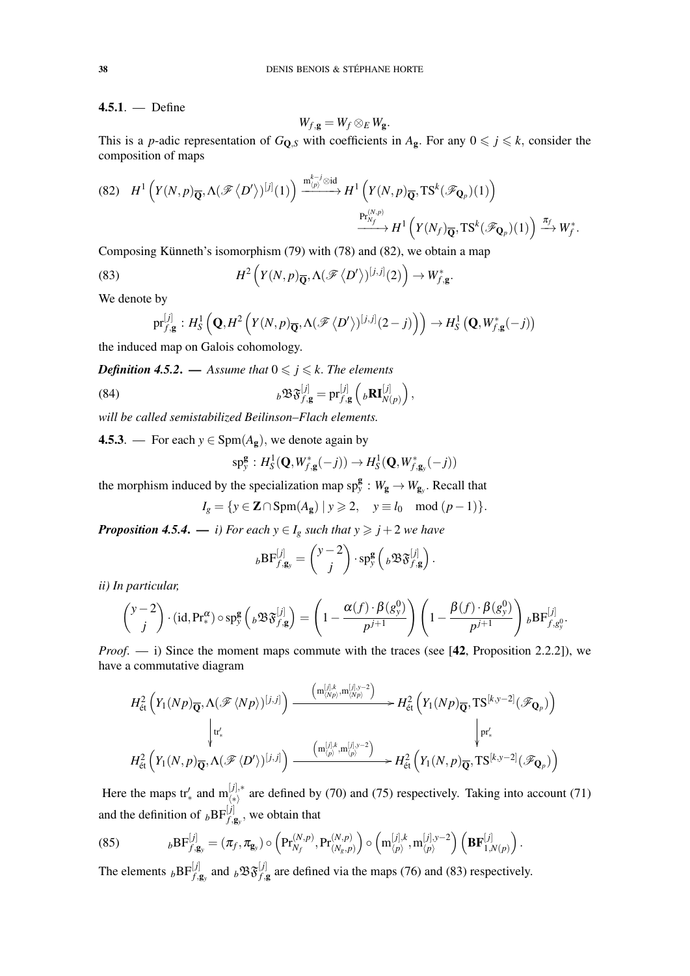4.5.1. — Define

$$
W_{f,\mathbf{g}}=W_f\otimes_E W_{\mathbf{g}}.
$$

This is a *p*-adic representation of  $G_{\mathbf{0},S}$  with coefficients in  $A_{\mathbf{g}}$ . For any  $0 \leq j \leq k$ , consider the composition of maps

$$
(82) \quad H^{1}\left(Y(N,p)_{\overline{\mathbf{Q}}},\Lambda(\mathscr{F}\langle D'\rangle)^{[j]}(1)\right) \xrightarrow{\mathfrak{m}_{(p)}^{k-j}\otimes id} H^{1}\left(Y(N,p)_{\overline{\mathbf{Q}}},\mathrm{TS}^{k}(\mathscr{F}_{\mathbf{Q}_{p}})(1)\right) \xrightarrow{\mathfrak{p}_{\Gamma_{N_{f}}^{(N,p)}}} H^{1}\left(Y(N_{f})_{\overline{\mathbf{Q}}},\mathrm{TS}^{k}(\mathscr{F}_{\mathbf{Q}_{p}})(1)\right) \xrightarrow{\pi_{f}} W_{f}^{*}.
$$

Composing Künneth's isomorphism  $(79)$  with  $(78)$  and  $(82)$ , we obtain a map

(83) 
$$
H^2\left(Y(N,p)_{\overline{\mathbf{Q}}}, \Lambda(\mathscr{F}\langle D'\rangle)^{[j,j]}(2)\right) \to W_{f,\mathbf{g}}^*
$$

We denote by

$$
\mathrm{pr}_{f,\mathbf{g}}^{[j]}: H_S^1\left(\mathbf{Q}, H^2\left(Y(N, p)_{\overline{\mathbf{Q}}}, \Lambda(\mathscr{F}\langle D'\rangle)^{[j,j]}(2-j)\right)\right) \to H_S^1\left(\mathbf{Q}, W_{f,\mathbf{g}}^*(-j)\right)
$$

.

the induced map on Galois cohomology.

*Definition 4.5.2.* — *Assume that*  $0 \le j \le k$ . *The elements* 

(84) 
$$
{}_{b}\mathfrak{B}\mathfrak{F}^{[j]}_{f,\mathbf{g}} = \mathrm{pr}^{[j]}_{f,\mathbf{g}}\left({}_{b}\mathbf{R}\mathbf{I}^{[j]}_{N(p)}\right),
$$

*will be called semistabilized Beilinson–Flach elements.*

4.5.3. — For each  $y \in \text{Spm}(A_g)$ , we denote again by

$$
\mathrm{sp}^{\mathbf{g}}_y: H^1_S(\mathbf{Q}, W^*_{f, \mathbf{g}}(-j)) \to H^1_S(\mathbf{Q}, W^*_{f, \mathbf{g}_y}(-j))
$$

the morphism induced by the specialization map  $sp_y^g : W_g \to W_{g_y}$ . Recall that

$$
I_g = \{ y \in \mathbf{Z} \cap \text{Spm}(A_{\mathbf{g}}) \mid y \geqslant 2, \quad y \equiv l_0 \mod (p-1) \}.
$$

*Proposition 4.5.4.* — *i) For each*  $y \in I_g$  *such that*  $y \geq j + 2$  *we have* 

$$
~_{b}\text{BF}_{f,\mathbf{g}_y}^{[j]} = \binom{y-2}{j} \cdot \text{sp}_y^{\mathbf{g}} \left( {}_{b}\mathfrak{B} \mathfrak{F}_{f,\mathbf{g}}^{[j]} \right).
$$

*ii) In particular,*

$$
\binom{y-2}{j} \cdot (\mathrm{id}, \mathrm{Pr}^{\alpha}_{*}) \circ \mathrm{sp}^{\mathbf{g}}_{y} \left( {}_{b} \mathfrak{B} \mathfrak{F}^{[j]}_{f, \mathbf{g}} \right) = \left( 1 - \frac{\alpha(f) \cdot \beta(g^{0}_{y})}{p^{j+1}} \right) \left( 1 - \frac{\beta(f) \cdot \beta(g^{0}_{y})}{p^{j+1}} \right) {}_{b} \mathrm{BF}^{[j]}_{f, g^{0}_{y}}.
$$

*Proof.* — i) Since the moment maps commute with the traces (see [42, Proposition 2.2.2]), we have a commutative diagram

$$
H^2_{\text{\'et}}\left(Y_1(Np)_{\overline{\mathbf{Q}}},\Lambda(\mathscr{F}\langle Np\rangle)^{[j,j]}\right) \xrightarrow{\left(\mathbf{m}_{\langle Np\rangle}^{[j],k},\mathbf{m}_{\langle Np\rangle}^{[j],y-2}\right)} H^2_{\text{\'et}}\left(Y_1(Np)_{\overline{\mathbf{Q}}},\mathbf{T}\mathbf{S}^{[k,y-2]}(\mathscr{F}_{\mathbf{Q}_p})\right) \xrightarrow{\left(\mathbf{m}_{\langle Np\rangle}^{[j],k},\mathbf{m}_{\langle Np\rangle}^{[j],y-2}\right)} H^2_{\text{\'et}}\left(Y_1(N,p)_{\overline{\mathbf{Q}}},\mathbf{T}\mathbf{S}^{[k,y-2]}(\mathscr{F}_{\mathbf{Q}_p})\right)
$$

Here the maps  $tr'_{*}$  and  $m_{(*)}^{[j],*}$  are defined by (70) and (75) respectively. Taking into account (71) and the definition of  $_bBF^{[j]}_{f, \mathbf{g}_y}$ , we obtain that

(85) 
$$
{}_b\text{BF}_{f,\mathbf{g}_y}^{[j]} = (\pi_f, \pi_{\mathbf{g}_y}) \circ \left(\text{Pr}_{N_f}^{(N,p)}, \text{Pr}_{(N_g,p)}^{(N,p)}\right) \circ \left(\text{m}_{\langle p \rangle}^{[j],k}, \text{m}_{\langle p \rangle}^{[j],y-2}\right) \left(\text{BF}_{1,N(p)}^{[j]}\right).
$$

The elements  $_bBF^{[j]}_{f,g_y}$  and  $_b\mathfrak{B}^{[j]}_{f,g}$  are defined via the maps (76) and (83) respectively.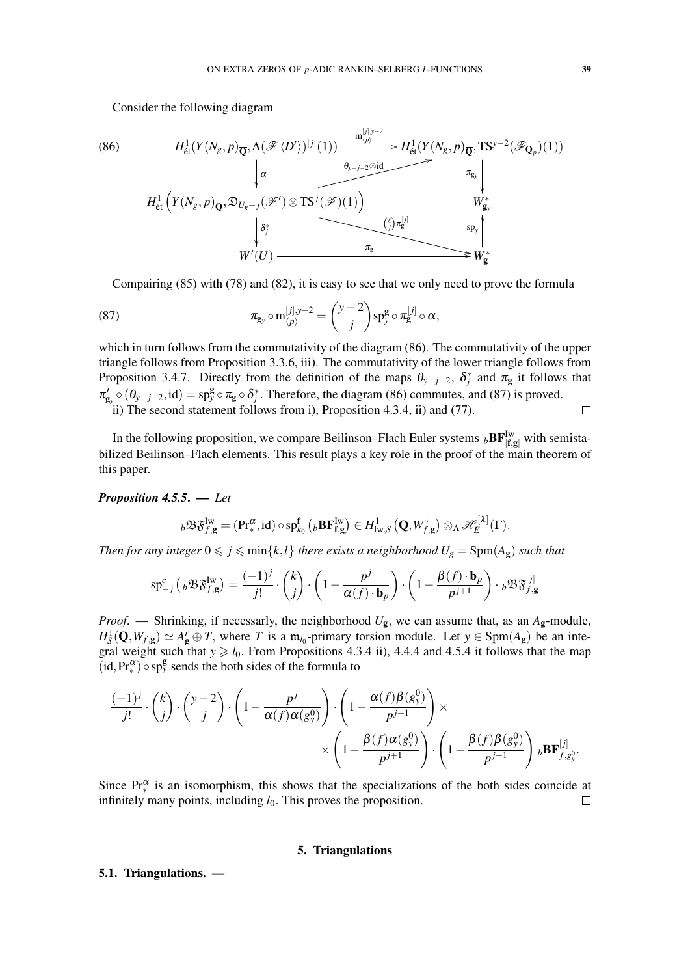Consider the following diagram

(86) 
$$
H_{\text{\'et}}^1(Y(N_g, p)_{\overline{Q}}, \Lambda(\mathscr{F}\langle D'\rangle)^{[j]}(1)) \xrightarrow{\mathfrak{m}_{(p)}^{[j],y-2}} H_{\text{\'et}}^1(Y(N_g, p)_{\overline{Q}}, \text{TS}^{y-2}(\mathscr{F}_{\mathbf{Q}_p})(1))
$$
\n
$$
\downarrow \alpha \qquad \qquad \downarrow \qquad \qquad \downarrow \qquad \qquad \downarrow \qquad \qquad \downarrow \qquad \qquad \downarrow \qquad \qquad \downarrow \qquad \qquad \downarrow \qquad \downarrow \qquad \downarrow \qquad \downarrow \qquad \downarrow \qquad \downarrow \qquad \downarrow \qquad \downarrow \qquad \downarrow \qquad \downarrow \qquad \downarrow \qquad \downarrow \qquad \downarrow \qquad \downarrow \qquad \downarrow \qquad \downarrow \qquad \downarrow \qquad \downarrow \qquad \downarrow \qquad \downarrow \qquad \downarrow \qquad \downarrow \qquad \downarrow \qquad \downarrow \qquad \downarrow \qquad \downarrow \qquad \downarrow \qquad \downarrow \qquad \downarrow \qquad \downarrow \qquad \downarrow \qquad \downarrow \qquad \downarrow \qquad \downarrow \qquad \downarrow \qquad \downarrow \qquad \downarrow \qquad \downarrow \qquad \downarrow \qquad \downarrow \qquad \downarrow \qquad \downarrow \qquad \downarrow \qquad \downarrow \qquad \downarrow \qquad \downarrow \qquad \downarrow \qquad \downarrow \qquad \downarrow \qquad \downarrow \qquad \downarrow \qquad \downarrow \qquad \downarrow \qquad \downarrow \qquad \downarrow \qquad \downarrow \qquad \downarrow \qquad \downarrow \qquad \downarrow \qquad \downarrow \qquad \downarrow \qquad \downarrow \qquad \downarrow \qquad \downarrow \qquad \downarrow \qquad \downarrow \qquad \downarrow \qquad \downarrow \qquad \downarrow \qquad \downarrow \qquad \downarrow \qquad \downarrow \qquad \downarrow \qquad \downarrow \qquad \downarrow \qquad \downarrow \qquad \downarrow \qquad \downarrow \qquad \downarrow \qquad \downarrow \qquad \downarrow \qquad \downarrow \qquad \downarrow \qquad \downarrow \qquad \downarrow \qquad \downarrow \qquad \downarrow \qquad \downarrow \qquad \downarrow \qquad \downarrow \qquad \downarrow \qquad \downarrow \qquad \downarrow \qquad \downarrow \qquad \downarrow \
$$

Compairing (85) with (78) and (82), it is easy to see that we only need to prove the formula

(87) 
$$
\pi_{\mathbf{g}_y} \circ \mathbf{m}_{\langle p \rangle}^{[j],y-2} = \binom{y-2}{j} \mathrm{sp}_y^{\mathbf{g}} \circ \pi_{\mathbf{g}}^{[j]} \circ \alpha,
$$

which in turn follows from the commutativity of the diagram (86). The commutativity of the upper triangle follows from Proposition 3.3.6, iii). The commutativity of the lower triangle follows from Proposition 3.4.7. Directly from the definition of the maps  $\theta_{y-j-2}$ ,  $\delta_j^*$  and  $\pi_{g}$  it follows that  $\pi'_{g_y} \circ (\theta_{y-j-2}, id) = sp_y^g \circ \pi_g \circ \delta_j^*$ . Therefore, the diagram (86) commutes, and (87) is proved. ii) The second statement follows from i), Proposition 4.3.4, ii) and (77).  $\Box$ 

In the following proposition, we compare Beilinson–Flach Euler systems  $_b$ **BF** $\frac{I_w}{[f,g]}$  with semistabilized Beilinson–Flach elements. This result plays a key role in the proof of the main theorem of this paper.

*Proposition 4.5.5*. — *Let*

$$
{}_{b}\mathfrak{B} \mathfrak{F}^{\text{Iw}}_{f,g} = (\text{Pr}^{\alpha}_{*},\text{id}) \circ \text{sp}^{\mathbf{f}}_{k_{0}}\left({}_{b}\mathbf{B}\mathbf{F}^{\text{Iw}}_{f,g}\right) \in H^{1}_{\text{Iw},S}\left(\mathbf{Q},W_{f,g}^{*}\right) \otimes_{\Lambda} \mathscr{H}_{E}^{[\lambda]}(\Gamma).
$$

*Then for any integer*  $0 \leq j \leq \min\{k, l\}$  *there exists a neighborhood*  $U_g = \text{Spm}(A_g)$  *such that* 

$$
\mathrm{sp}_{-j}^{c} \left( {}_{b} \mathfrak{B} \mathfrak{F}^{\mathrm{Iw}}_{f, \mathbf{g}} \right) = \frac{(-1)^{j}}{j!} \cdot {k \choose j} \cdot \left( 1 - \frac{p^{j}}{\alpha(f) \cdot \mathbf{b}_{p}} \right) \cdot \left( 1 - \frac{\beta(f) \cdot \mathbf{b}_{p}}{p^{j+1}} \right) \cdot {}_{b} \mathfrak{B} \mathfrak{F}^{[j]}_{f, \mathbf{g}}
$$

*Proof*. — Shrinking, if necessarly, the neighborhood *U*g, we can assume that, as an *A*g-module,  $H_S^1(\mathbf{Q}, W_{f,g}) \simeq A_{\mathbf{g}}^r \oplus T$ , where *T* is a m<sub>*l*0</sub>-primary torsion module. Let  $y \in \text{Spm}(A_{\mathbf{g}})$  be an integral weight such that  $y \ge l_0$ . From Propositions 4.3.4 ii), 4.4.4 and 4.5.4 it follows that the map  $(id, Pr_{\ast}^{\alpha}) \circ sp_{y}^{\mathbf{g}}$  sends the both sides of the formula to

$$
\frac{(-1)^j}{j!} \cdot \binom{k}{j} \cdot \binom{y-2}{j} \cdot \left(1 - \frac{p^j}{\alpha(f)\alpha(g_y^0)}\right) \cdot \left(1 - \frac{\alpha(f)\beta(g_y^0)}{p^{j+1}}\right) \times \\ \times \left(1 - \frac{\beta(f)\alpha(g_y^0)}{p^{j+1}}\right) \cdot \left(1 - \frac{\beta(f)\beta(g_y^0)}{p^{j+1}}\right) \cdot \text{BF}_{f,g_y^0}^{[j]}.
$$

Since  $Pr_{*}^{\alpha}$  is an isomorphism, this shows that the specializations of the both sides coincide at infinitely many points, including  $l_0$ . This proves the proposition.  $\Box$ 

# 5. Triangulations

# 5.1. Triangulations. —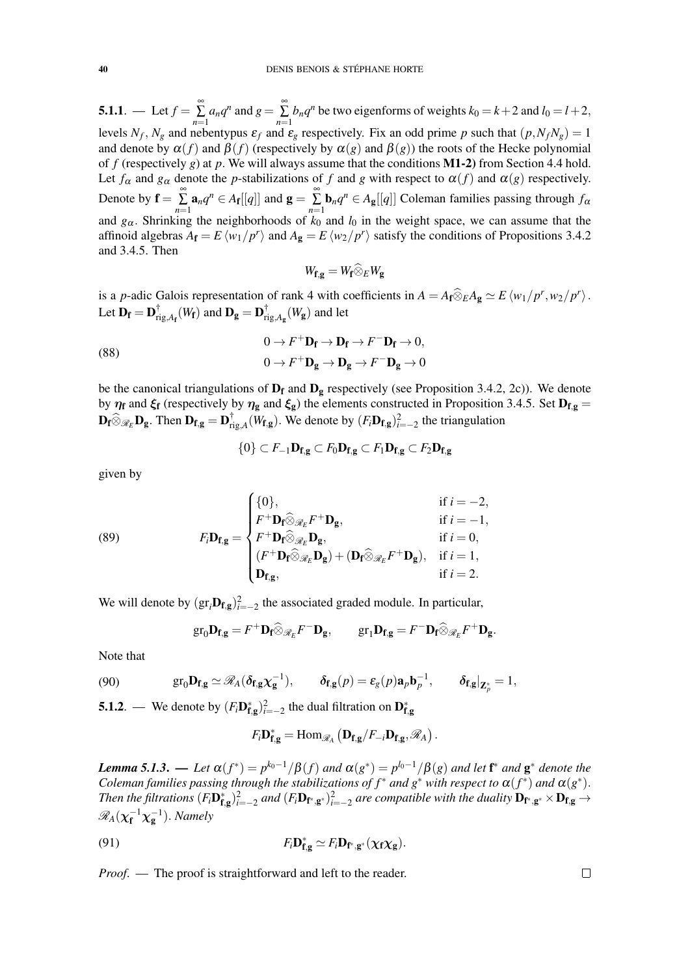**5.1.1**. — Let  $f = \sum_{n=1}^{\infty}$  $\sum_{n=1}^{\infty} a_n q^n$  and  $g = \sum_{n=1}^{\infty} a_n$  $\sum_{n=1}$  *b*<sub>n</sub> $q^n$ </sub> be two eigenforms of weights  $k_0 = k+2$  and  $l_0 = l+2$ , levels  $N_f$ ,  $N_g$  and nebentypus  $\varepsilon_f$  and  $\varepsilon_g$  respectively. Fix an odd prime *p* such that  $(p, N_f N_g) = 1$ and denote by  $\alpha(f)$  and  $\beta(f)$  (respectively by  $\alpha(g)$  and  $\beta(g)$ ) the roots of the Hecke polynomial of *f* (respectively *g*) at *p*. We will always assume that the conditions M1-2) from Section 4.4 hold. Let  $f_\alpha$  and  $g_\alpha$  denote the *p*-stabilizations of *f* and *g* with respect to  $\alpha(f)$  and  $\alpha(g)$  respectively. Denote by  $\mathbf{f} = \sum_{n=1}^{\infty}$  $\sum_{n=1}^{\infty} \mathbf{a}_n q^n \in A_{\mathbf{f}}[[q]]$  and  $\mathbf{g} = \sum_{n=1}^{\infty}$  $\sum_{n=1}^{\infty}$ **b**<sub>n</sub> $q^n \in A_g[[q]]$  Coleman families passing through  $f_\alpha$ and  $g_\alpha$ . Shrinking the neighborhoods of  $k_0$  and  $l_0$  in the weight space, we can assume that the affinoid algebras  $A_f = E \langle w_1/p^r \rangle$  and  $A_g = E \langle w_2/p^r \rangle$  satisfy the conditions of Propositions 3.4.2 and 3.4.5. Then

$$
W_{\mathbf{f},\mathbf{g}}=W_{\mathbf{f}}\widehat{\otimes}_E W_{\mathbf{g}}
$$

is a *p*-adic Galois representation of rank 4 with coefficients in  $A = A_f \widehat{\otimes}_E A_g \simeq E \langle w_1/p^r, w_2/p^r \rangle$ . Let  $D_f = D_{ri}^{\dagger}$  $\mathbf{r}_{\text{rig},A_{\mathbf{f}}}^{\dagger}(W_{\mathbf{f}})$  and  $\mathbf{D}_{\mathbf{g}} = \mathbf{D}_{\text{ri}}^{\dagger}$  $\int_{\mathrm{rig},A_\mathbf{g}}^{\top}(W_\mathbf{g})$  and let

(88) 
$$
0 \to F^+ \mathbf{D_f} \to \mathbf{D_f} \to F^- \mathbf{D_f} \to 0,
$$

$$
0 \to F^+ \mathbf{D_g} \to \mathbf{D_g} \to F^- \mathbf{D_g} \to 0
$$

be the canonical triangulations of  $D_f$  and  $D_g$  respectively (see Proposition 3.4.2, 2c)). We denote by  $\eta_f$  and  $\xi_f$  (respectively by  $\eta_g$  and  $\xi_g$ ) the elements constructed in Proposition 3.4.5. Set  $D_{f,g}$  =  $\mathbf{D_f} \widehat{\otimes}_{\mathscr{R}_E} \mathbf{D_g}$ . Then  $\mathbf{D_{f,g}} = \mathbf{D_{ri}^{\dagger}}$  $\int_{\text{rig},A}^{\uparrow} (W_{\text{f,g}})$ . We denote by  $(F_i \mathbf{D}_{\text{f,g}})_{i=-2}^2$  the triangulation

$$
\{0\} \subset F_{-1} \mathbf{D}_{\mathbf{f},\mathbf{g}} \subset F_0 \mathbf{D}_{\mathbf{f},\mathbf{g}} \subset F_1 \mathbf{D}_{\mathbf{f},\mathbf{g}} \subset F_2 \mathbf{D}_{\mathbf{f},\mathbf{g}}
$$

given by

(89) 
$$
F_i \mathbf{D}_{\mathbf{f}, \mathbf{g}} = \begin{cases} \{0\}, & \text{if } i = -2, \\ F^+ \mathbf{D}_{\mathbf{f}} \widehat{\otimes}_{\mathscr{R}_E} F^+ \mathbf{D}_{\mathbf{g}}, & \text{if } i = -1, \\ F^+ \mathbf{D}_{\mathbf{f}} \widehat{\otimes}_{\mathscr{R}_E} \mathbf{D}_{\mathbf{g}}, & \text{if } i = 0, \\ (F^+ \mathbf{D}_{\mathbf{f}} \widehat{\otimes}_{\mathscr{R}_E} \mathbf{D}_{\mathbf{g}}) + (\mathbf{D}_{\mathbf{f}} \widehat{\otimes}_{\mathscr{R}_E} F^+ \mathbf{D}_{\mathbf{g}}), & \text{if } i = 1, \\ \mathbf{D}_{\mathbf{f}, \mathbf{g}}, & \text{if } i = 2. \end{cases}
$$

We will denote by  $(\text{gr}_i \mathbf{D}_{f,g})_{i=-2}^2$  the associated graded module. In particular,

$$
\mathrm{gr}_0 \mathbf{D}_{\mathbf{f},\mathbf{g}} = F^+ \mathbf{D}_{\mathbf{f}} \widehat{\otimes}_{\mathscr{R}_E} F^- \mathbf{D}_{\mathbf{g}}, \qquad \mathrm{gr}_1 \mathbf{D}_{\mathbf{f},\mathbf{g}} = F^- \mathbf{D}_{\mathbf{f}} \widehat{\otimes}_{\mathscr{R}_E} F^+ \mathbf{D}_{\mathbf{g}}.
$$

Note that

(90) 
$$
\operatorname{gr}_0 \mathbf{D}_{\mathbf{f},\mathbf{g}} \simeq \mathscr{R}_A(\delta_{\mathbf{f},\mathbf{g}} \chi_{\mathbf{g}}^{-1}), \qquad \delta_{\mathbf{f},\mathbf{g}}(p) = \varepsilon_g(p) \mathbf{a}_p \mathbf{b}_p^{-1}, \qquad \delta_{\mathbf{f},\mathbf{g}}|_{\mathbf{Z}_p^*} = 1,
$$

**5.1.2**. — We denote by  $(F_i \mathbf{D}_{\mathbf{f},g}^*)_{i=-2}^2$  the dual filtration on  $\mathbf{D}_{\mathbf{f},g}^*$ 

$$
F_i \mathbf{D}_{\mathbf{f},\mathbf{g}}^* = \mathrm{Hom}_{\mathscr{R}_A} \left( \mathbf{D}_{\mathbf{f},\mathbf{g}} / F_{-i} \mathbf{D}_{\mathbf{f},\mathbf{g}}, \mathscr{R}_A \right).
$$

*Lemma 5.1.3.* — Let  $\alpha(f^*) = p^{k_0-1}/\beta(f)$  and  $\alpha(g^*) = p^{l_0-1}/\beta(g)$  and let  $f^*$  and  $g^*$  denote the *Coleman families passing through the stabilizations of*  $f^*$  *and*  $g^*$  *with respect to*  $\alpha(f^*)$  *and*  $\alpha(g^*)$ *. Then the filtrations*  $(F_iD_{f,g}^*)_{i=-2}^2$  and  $(F_iD_{f^*,g^*})_{i=-2}^2$  are compatible with the duality  $D_{f^*,g^*} \times D_{f,g} \to$  $\mathscr{R}_A(\chi_\mathbf{f}^{-1}\chi_\mathbf{g}^{-1})$ . *Namely* 

(91) 
$$
F_i \mathbf{D}_{\mathbf{f},\mathbf{g}}^* \simeq F_i \mathbf{D}_{\mathbf{f}^*,\mathbf{g}^*}(\chi_{\mathbf{f}} \chi_{\mathbf{g}}).
$$

*Proof.* — The proof is straightforward and left to the reader.

$$
\qquad \qquad \Box
$$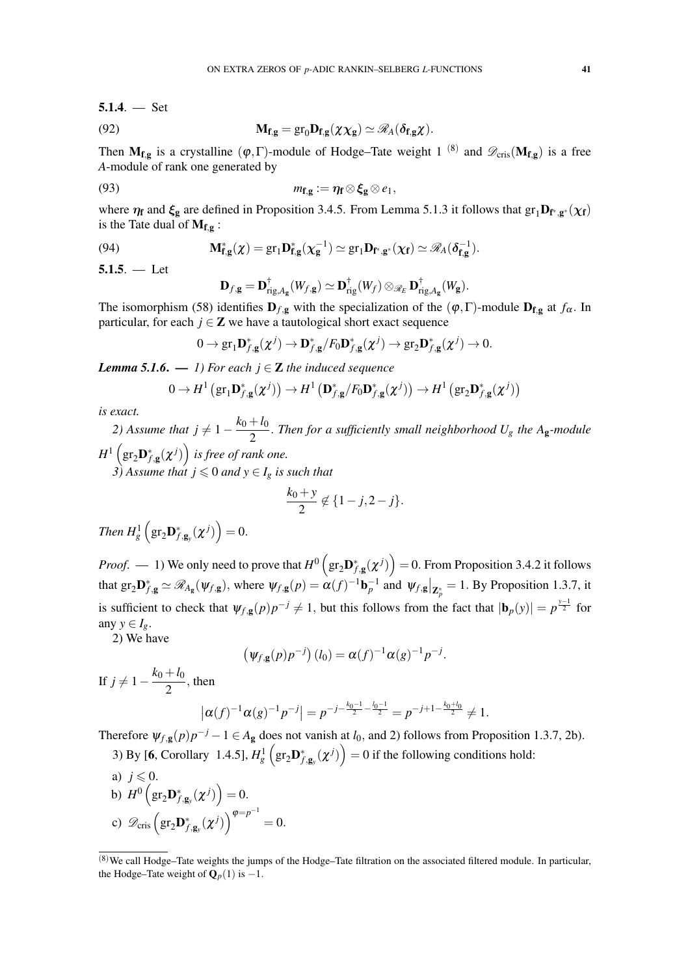$$
5.1.4. - Set
$$

(92) 
$$
\mathbf{M}_{\mathbf{f},\mathbf{g}} = \text{gr}_0 \mathbf{D}_{\mathbf{f},\mathbf{g}}(\chi \chi_{\mathbf{g}}) \simeq \mathscr{R}_A(\delta_{\mathbf{f},\mathbf{g}} \chi).
$$

Then  $M_{f,g}$  is a crystalline  $(\varphi, \Gamma)$ -module of Hodge–Tate weight 1  $^{(8)}$  and  $\mathscr{D}_{cris}(M_{f,g})$  is a free *A*-module of rank one generated by

(93) 
$$
m_{\mathbf{f},\mathbf{g}} := \eta_{\mathbf{f}} \otimes \xi_{\mathbf{g}} \otimes e_1,
$$

where  $\eta_f$  and  $\xi_g$  are defined in Proposition 3.4.5. From Lemma 5.1.3 it follows that  $gr_1D_{f^*,g^*}(\chi_f)$ is the Tate dual of  $M_{f,g}$ :

(94) 
$$
\mathbf{M}_{\mathbf{f},\mathbf{g}}^*(\chi) = \mathrm{gr}_1 \mathbf{D}_{\mathbf{f},\mathbf{g}}^*(\chi_{\mathbf{g}}^{-1}) \simeq \mathrm{gr}_1 \mathbf{D}_{\mathbf{f}^*,\mathbf{g}^*}(\chi_{\mathbf{f}}) \simeq \mathscr{R}_A(\delta_{\mathbf{f},\mathbf{g}}^{-1}).
$$

 $5.1.5. -$  Let

$$
\mathbf{D}_{f,\mathbf{g}}=\mathbf{D}_{\mathrm{rig},A_{\mathbf{g}}}^{\dagger}(W_{f,\mathbf{g}})\simeq \mathbf{D}_{\mathrm{rig}}^{\dagger}(W_{f})\otimes_{\mathscr{R}_{E}}\mathbf{D}_{\mathrm{rig},A_{\mathbf{g}}}^{\dagger}(W_{\mathbf{g}}).
$$

The isomorphism (58) identifies  $D_{f,g}$  with the specialization of the  $(\varphi, \Gamma)$ -module  $D_{f,g}$  at  $f_{\alpha}$ . In particular, for each  $j \in \mathbb{Z}$  we have a tautological short exact sequence

$$
0 \to \mathrm{gr}_1 \mathbf{D}_{f,\mathbf{g}}^*(\chi^j) \to \mathbf{D}_{f,\mathbf{g}}^*/F_0\mathbf{D}_{f,\mathbf{g}}^*(\chi^j) \to \mathrm{gr}_2\mathbf{D}_{f,\mathbf{g}}^*(\chi^j) \to 0.
$$

*Lemma 5.1.6.* — 1) For each  $j \in \mathbb{Z}$  the induced sequence

$$
0 \to H^1\left(\mathrm{gr}_1\mathbf{D}_{f,\mathbf{g}}^*(\chi^j)\right) \to H^1\left(\mathbf{D}_{f,\mathbf{g}}^*/F_0\mathbf{D}_{f,\mathbf{g}}^*(\chi^j)\right) \to H^1\left(\mathrm{gr}_2\mathbf{D}_{f,\mathbf{g}}^*(\chi^j)\right)
$$

*is exact.*

*2)* Assume that  $j \neq 1 - \frac{k_0 + l_0}{2}$  $\frac{1}{2}$ . Then for a sufficiently small neighborhood  $U_g$  the A<sub>g</sub>-module  $H^1\left(\text{gr}_2\textbf{D}_{f,\textbf{g}}^*(\boldsymbol{\chi}^j)\right)$  is free of rank one.

*3*) Assume that  $j \leq 0$  and  $y \in I_g$  is such that

$$
\frac{k_0 + y}{2} \notin \{1 - j, 2 - j\}.
$$

Then 
$$
H_g^1\left(\text{gr}_2\mathbf{D}_{f,\mathbf{g}_y}^*(\chi^j)\right) = 0.
$$

*Proof.* — 1) We only need to prove that  $H^0\left(\text{gr}_2\mathbf{D}^*_{f,g}(\chi^j)\right) = 0$ . From Proposition 3.4.2 it follows that  $gr_2\mathbf{D}_{f,g}^* \simeq \mathcal{R}_{A_g}(\psi_{f,g})$ , where  $\psi_{f,g}(p) = \alpha(f)^{-1}\mathbf{b}_p^{-1}$  and  $\psi_{f,g}|_{\mathbf{Z}_p^*} = 1$ . By Proposition 1.3.7, it is sufficient to check that  $\psi_{f,g}(p)p^{-j} \neq 1$ , but this follows from the fact that  $|\mathbf{b}_p(y)| = p^{\frac{y-1}{2}}$  for any  $y \in I_g$ .

2) We have

$$
(\psi_{f,g}(p)p^{-j})(l_0) = \alpha(f)^{-1}\alpha(g)^{-1}p^{-j}.
$$

If  $j ≠ 1 - \frac{k_0 + l_0}{2}$  $\frac{1}{2}$ , then

$$
|\alpha(f)^{-1}\alpha(g)^{-1}p^{-j}| = p^{-j-\frac{k_0-1}{2}-\frac{l_0-1}{2}} = p^{-j+1-\frac{k_0+l_0}{2}} \neq 1.
$$

Therefore  $\psi_{f,g}(p)p^{-j} - 1 \in A_g$  does not vanish at *l*<sub>0</sub>, and 2) follows from Proposition 1.3.7, 2b). 3) By [6, Corollary 1.4.5],  $H_g^1 ig( \text{gr}_2 \mathbf{D}_{f, \mathbf{g}_y}^*(\chi^j) \big) = 0$  if the following conditions hold:

a)  $j \leqslant 0$ .

b) 
$$
H^0\left(\mathrm{gr}_2\mathbf{D}_{f,\mathbf{g}_y}^*(\chi^j)\right)=0.
$$

c)  $\mathscr{D}_{\text{cris}}\left(\text{gr}_2\mathbf{D}^*_{f,\mathbf{g}_y}(\boldsymbol{\chi}^j)\right)^{\boldsymbol{\varphi}=p^{-1}}$  $= 0.$ 

<sup>(</sup>8)We call Hodge–Tate weights the jumps of the Hodge–Tate filtration on the associated filtered module. In particular, the Hodge–Tate weight of  $\mathbf{Q}_p(1)$  is  $-1$ .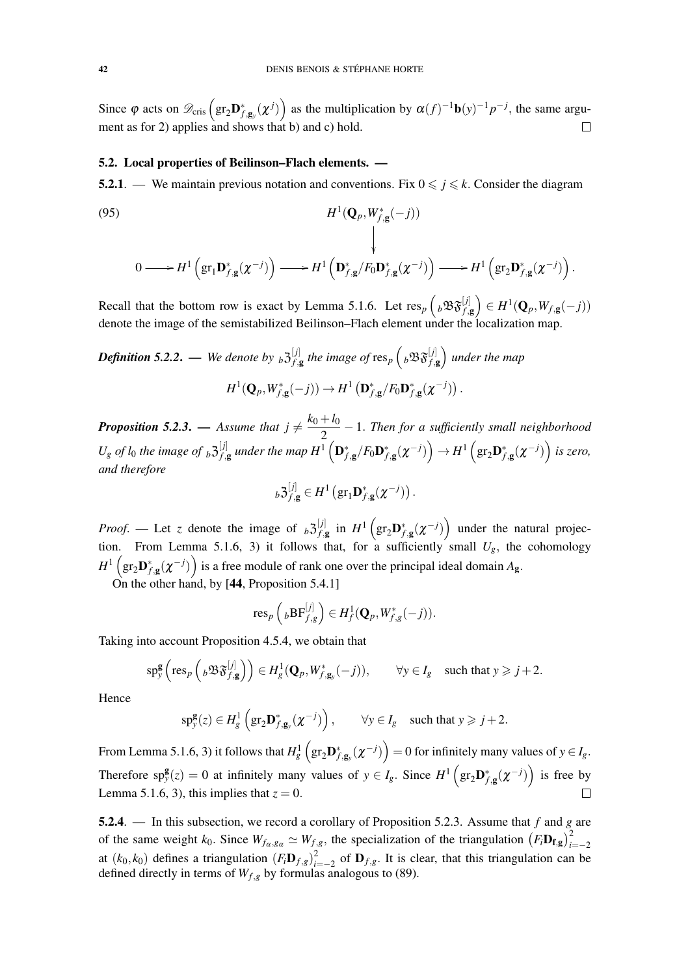Since  $\varphi$  acts on  $\mathscr{D}_{\text{cris}}\left(\text{gr}_2\mathbf{D}^*_{f,\mathbf{g}_y}(\boldsymbol{\chi}^j)\right)$  as the multiplication by  $\alpha(f)^{-1}\mathbf{b}(y)^{-1}p^{-j}$ , the same argument as for 2) applies and shows that b) and c) hold.  $\Box$ 

# 5.2. Local properties of Beilinson–Flach elements. —

5.2.1. — We maintain previous notation and conventions. Fix  $0 \leq j \leq k$ . Consider the diagram

(95)  
\n
$$
H^{1}(\mathbf{Q}_{p}, W_{f,\mathbf{g}}^{*}(-j))
$$
\n
$$
\downarrow
$$
\n
$$
0 \longrightarrow H^{1}(\text{gr}_{1}\mathbf{D}_{f,\mathbf{g}}^{*}(\chi^{-j})) \longrightarrow H^{1}(\mathbf{D}_{f,\mathbf{g}}^{*}/F_{0}\mathbf{D}_{f,\mathbf{g}}^{*}(\chi^{-j})) \longrightarrow H^{1}(\text{gr}_{2}\mathbf{D}_{f,\mathbf{g}}^{*}(\chi^{-j})) .
$$

Recall that the bottom row is exact by Lemma 5.1.6. Let  $res_p\left({}_b\mathfrak{B}_{f,g}^{\{\jmath\}}\right) \in H^1(\mathbf{Q}_p, W_{f,g}(-j))$ denote the image of the semistabilized Beilinson–Flach element under the localization map.

*Definition 5.2.2.* — We denote by  $_b 3_f^{[j]}$  $f^{\left[j\right]}_{f,\mathbf{g}}$  the image of  $\operatorname{res}_p\left({}_b\mathfrak{B} \mathfrak{F}^{\left[j\right]}_{f,\mathbf{g}}\right)$  under the map  $H^1(\mathbf{Q}_p, W^*_{f, \mathbf{g}}(-j)) \to H^1(\mathbf{D}^*_{f, \mathbf{g}} / F_0 \mathbf{D}^*_{f, \mathbf{g}} (\chi^{-j}))$ .

*Proposition 5.2.3.* — *Assume that*  $j \neq \frac{k_0 + l_0}{2}$  $\frac{1}{2}$  – 1. Then for a sufficiently small neighborhood  $U_g$  *of l<sub>0</sub> the image of*  $_b 3^{[j]}_{f,g}$  $\frac{[j]}{f,g}$  under the map  $H^1\left(\mathbf{D}^*_{f,\mathbf{g}}/F_0\mathbf{D}^*_{f,\mathbf{g}}(\boldsymbol{\chi}^{-j})\right) \to H^1\left(\text{gr}_2\mathbf{D}^*_{f,\mathbf{g}}(\boldsymbol{\chi}^{-j})\right)$  is zero, *and therefore*

$$
{}_b\mathfrak{Z}^{[j]}_{f,\mathbf{g}}\in H^1\left(\text{gr}_1\mathbf{D}^*_{f,\mathbf{g}}(\chi^{-j})\right).
$$

*Proof.* — Let *z* denote the image of  $b^{\mathfrak{Z}}_{f,d}^{[j]}$  $f^{\left[j\right]}_{f,\mathbf{g}}$  in  $H^1\left(\text{gr}_2\mathbf{D}^*_{f,\mathbf{g}}(\boldsymbol{\chi}^{-j})\right)$  under the natural projection. From Lemma 5.1.6, 3) it follows that, for a sufficiently small  $U_g$ , the cohomology  $H^1\left(\text{gr}_2\textbf{D}_{f,\textbf{g}}^*(\chi^{-j})\right)$  is a free module of rank one over the principal ideal domain  $A_{\textbf{g}}$ .

On the other hand, by [44, Proposition 5.4.1]

$$
\operatorname{res}_p\left({}_b\mathrm{BF}_{f,g}^{[j]}\right)\in H_f^1(\mathbf{Q}_p,W^*_{f,g}(-j)).
$$

Taking into account Proposition 4.5.4, we obtain that

$$
\mathrm{sp}_{\mathrm{y}}^{\mathbf{g}}\left(\mathrm{res}_{p}\left({}_{b}\mathfrak{B}\mathfrak{F}_{f,\mathbf{g}}^{[j]}\right)\right)\in H_{g}^{1}(\mathbf{Q}_{p},W_{f,\mathbf{g}_{\mathrm{y}}}^{*}(-j)),\qquad\forall\mathrm{y}\in I_{g}\quad\text{such that }\mathrm{y}\geqslant j+2.
$$

Hence

$$
\mathrm{sp}_{\mathrm{y}}^{\mathbf{g}}(z) \in H_{g}^{1}\left(\mathrm{gr}_{2}\mathbf{D}_{f,\mathbf{g}_{\mathrm{y}}}^{*}(\chi^{-j})\right), \qquad \forall \mathrm{y} \in I_{g} \quad \text{such that } \mathrm{y} \geqslant j+2.
$$

From Lemma 5.1.6, 3) it follows that  $H_g^1\left(\text{gr}_2\mathbf{D}^*_{f,\mathbf{g}_y}(\boldsymbol{\chi}^{-j})\right) = 0$  for infinitely many values of  $y \in I_g$ . Therefore  $sp_y^g(z) = 0$  at infinitely many values of  $y \in I_g$ . Since  $H^1(gr_2\mathbf{D}_{f,g}^*(\chi^{-j}))$  is free by Lemma 5.1.6, 3), this implies that  $z = 0$ .

5.2.4. — In this subsection, we record a corollary of Proposition 5.2.3. Assume that *f* and *g* are of the same weight  $k_0$ . Since  $W_{f\alpha, g\alpha} \simeq W_{f,g}$ , the specialization of the triangulation  $(F_i \mathbf{D_{f,g}})_{i=-2}^2$ at  $(k_0, k_0)$  defines a triangulation  $(F_i \mathbf{D}_{f,g})^2$  $\sum_{i=-2}^{2}$  of  $\mathbf{D}_{f,g}$ . It is clear, that this triangulation can be defined directly in terms of  $W_{f,g}$  by formulas analogous to (89).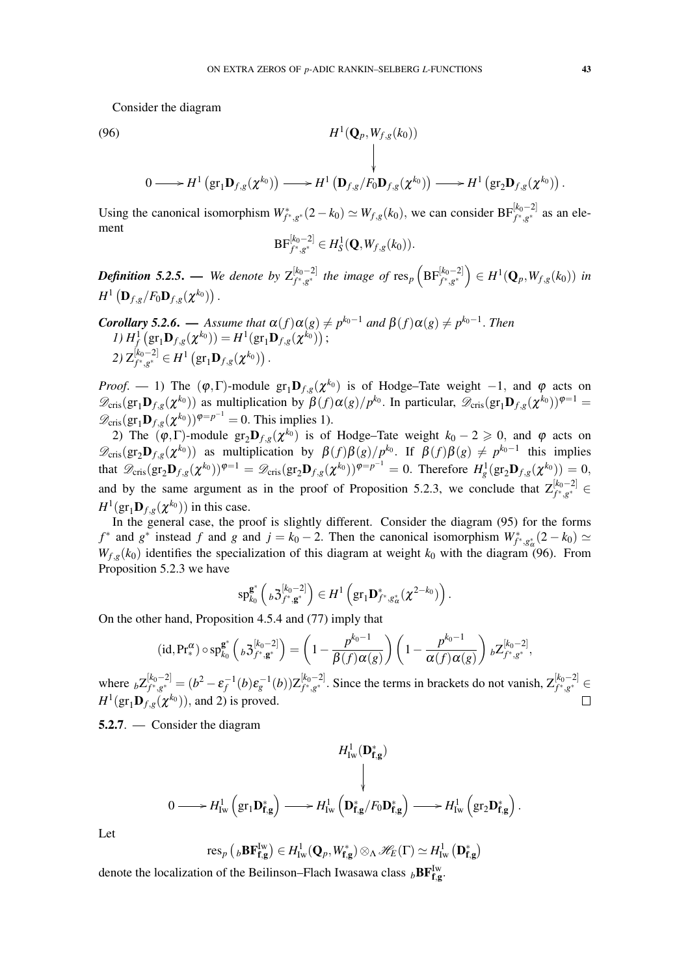Consider the diagram

(96) *H*

$$
\downarrow
$$
\n
$$
0 \longrightarrow H^1(\text{gr}_1\mathbf{D}_{f,g}(\chi^{k_0})) \longrightarrow H^1(\mathbf{D}_{f,g}/F_0\mathbf{D}_{f,g}(\chi^{k_0})) \longrightarrow H^1(\text{gr}_2\mathbf{D}_{f,g}(\chi^{k_0})).
$$

 $^{1}(\mathbf{Q}_{p},W_{f,g}(k_{0}))$ 

Using the canonical isomorphism  $W^*_{f^*,g^*}(2-k_0) \simeq W_{f,g}(k_0)$ , we can consider  $BF^{[k_0-2]}_{f^*,g^*}$  as an element

$$
\textup{BF}_{f^*,g^*}^{[k_0-2]} \in H_S^1(\mathbf{Q}, W_{f,g}(k_0)).
$$

*Definition 5.2.5.* — We denote by  $Z_{f^* \ s^*}^{[k_0-2]}$  $f_{f^*,g^*}^{[k_0-2]}$  the image of  ${\rm res}_p\left({\rm BF}_{f^*,g^*}^{[k_0-2]}\right) \in H^1({\bf Q}_p,W_{f,g}(k_0))$  in  $H^1\left(\mathbf{D}_{f,g}/F_0\mathbf{D}_{f,g}(\boldsymbol{\chi}^{k_0})\right).$ 

**Corollary 5.2.6.** — Assume that 
$$
\alpha(f)\alpha(g) \neq p^{k_0-1}
$$
 and  $\beta(f)\alpha(g) \neq p^{k_0-1}$ . Then  
\n1)  $H_f^1(\text{gr}_1\mathbf{D}_{f,g}(\chi^{k_0})) = H^1(\text{gr}_1\mathbf{D}_{f,g}(\chi^{k_0}))$ ;  
\n2)  $Z_{f^*,g^*}^{[k_0-2]} \in H^1(\text{gr}_1\mathbf{D}_{f,g}(\chi^{k_0}))$ .

*Proof.* — 1) The  $(\varphi, \Gamma)$ -module  $gr_1D_{f,g}(\chi^{k_0})$  is of Hodge–Tate weight −1, and  $\varphi$  acts on  $\mathscr{D}_{\text{cris}}(\text{gr}_1 \mathbf{D}_{f,g}(\boldsymbol{\chi}^{k_0}))$  as multiplication by  $\beta(f) \alpha(g)/p^{k_0}$ . In particular,  $\mathscr{D}_{\text{cris}}(\text{gr}_1 \mathbf{D}_{f,g}(\boldsymbol{\chi}^{k_0}))^{\varphi=1}$  $\mathscr{D}_{\text{cris}}(\text{gr}_1 \mathbf{D}_{f,g}(\boldsymbol{\chi}^{k_0}))^{\varphi=p^{-1}} = 0$ . This implies 1).

2) The  $(\varphi, \Gamma)$ -module  $gr_2D_{f,g}(\chi^{k_0})$  is of Hodge–Tate weight  $k_0 - 2 \geq 0$ , and  $\varphi$  acts on  $\mathscr{D}_{\text{cris}}(\text{gr}_2\mathbf{D}_{f,g}(\boldsymbol{\chi}^{k_0}))$  as multiplication by  $\beta(f)\beta(g)/p^{k_0}$ . If  $\beta(f)\beta(g) \neq p^{k_0-1}$  this implies that  $\mathscr{D}_{\mathrm{cris}}(\mathrm{gr}_2 \mathbf{D}_{f,g}(\chi^{k_0}))^{\varphi=1} = \mathscr{D}_{\mathrm{cris}}(\mathrm{gr}_2 \mathbf{D}_{f,g}(\chi^{k_0}))^{\varphi=p^{-1}} = 0$ . Therefore  $H^1_g(\mathrm{gr}_2 \mathbf{D}_{f,g}(\chi^{k_0})) = 0$ , and by the same argument as in the proof of Proposition 5.2.3, we conclude that  $Z_{f^*,g^*}^{[k_0-2]} \in$  $H^1(\mathrm{gr}_1 \mathbf{D}_{f,g}(\boldsymbol{\chi}^{k_0}))$  in this case.

In the general case, the proof is slightly different. Consider the diagram (95) for the forms  $f^*$  and  $g^*$  instead  $f$  and  $g$  and  $j = k_0 - 2$ . Then the canonical isomorphism  $W^*_{f^*,g^*_\alpha}(2 - k_0) \simeq$  $W_{f,g}(k_0)$  identifies the specialization of this diagram at weight  $k_0$  with the diagram (96). From Proposition 5.2.3 we have

$$
\mathrm{sp}_{k_0}^{\mathbf{g}^*}\left({}_{b}\mathfrak{Z}_{f^*,\mathbf{g}^*}^{[k_0-2]}\right)\in H^1\left(\mathrm{gr}_1\mathbf{D}_{f^*,g^*_{\alpha}}^*(\chi^{2-k_0})\right).
$$

On the other hand, Proposition 4.5.4 and (77) imply that

$$
(\mathrm{id}, \mathrm{Pr}^{\alpha}_{*}) \circ \mathrm{sp}^{\mathbf{g}^{*}}_{k_{0}}\left({}_{b}\mathfrak{Z}^{[k_{0}-2]}_{f^{*}, \mathbf{g}^{*}}\right) = \left(1 - \frac{p^{k_{0}-1}}{\beta(f)\alpha(g)}\right)\left(1 - \frac{p^{k_{0}-1}}{\alpha(f)\alpha(g)}\right) {}_{b}\mathsf{Z}^{[k_{0}-2]}_{f^{*}, g^{*}},
$$

where  $bZ_{f^*,g^*}^{[k_0-2]}$  $f_{f^*,g^*}^{[k_0-2]} = (b^2 - \pmb{\varepsilon}_f^{-1}(b)\pmb{\varepsilon}_g^{-1}(b)) \mathsf{Z}_{f^*,g^*}^{[k_0-2]}$ *f*<sup>*k*<sub>0</sub>−2</sub><sup>*l*</sup>. Since the terms in brackets do not vanish, Z<sup>[*k*<sub>0</sub>−2]</sup> ∈</sup>  $H^1(\text{gr}_1\mathbf{D}_{f,g}(\boldsymbol{\chi}^{k_0})),$  and 2) is proved.

5.2.7. — Consider the diagram

$$
H^1_{\mathrm{Iw}}(\mathbf{D}_{\mathbf{f},\mathbf{g}}^*)
$$
\n
$$
0 \longrightarrow H^1_{\mathrm{Iw}}\left(\mathrm{gr}_1\mathbf{D}_{\mathbf{f},\mathbf{g}}^*\right) \longrightarrow H^1_{\mathrm{Iw}}\left(\mathbf{D}_{\mathbf{f},\mathbf{g}}^*/F_0\mathbf{D}_{\mathbf{f},\mathbf{g}}^*\right) \longrightarrow H^1_{\mathrm{Iw}}\left(\mathrm{gr}_2\mathbf{D}_{\mathbf{f},\mathbf{g}}^*\right).
$$

Let

$$
\mathrm{res}_p\left({}_b\mathbf{B}\mathbf{F}_{\mathbf{f},\mathbf{g}}^{\mathrm{Iw}}\right) \in H^1_{\mathrm{Iw}}(\mathbf{Q}_p,W_{\mathbf{f},\mathbf{g}}^*) \otimes_\Lambda \mathscr{H}_E(\Gamma) \simeq H^1_{\mathrm{Iw}}\left(\mathbf{D}_{\mathbf{f},\mathbf{g}}^*\right)
$$

denote the localization of the Beilinson–Flach Iwasawa class  $_bBF_{f,g}^{Iw}$ .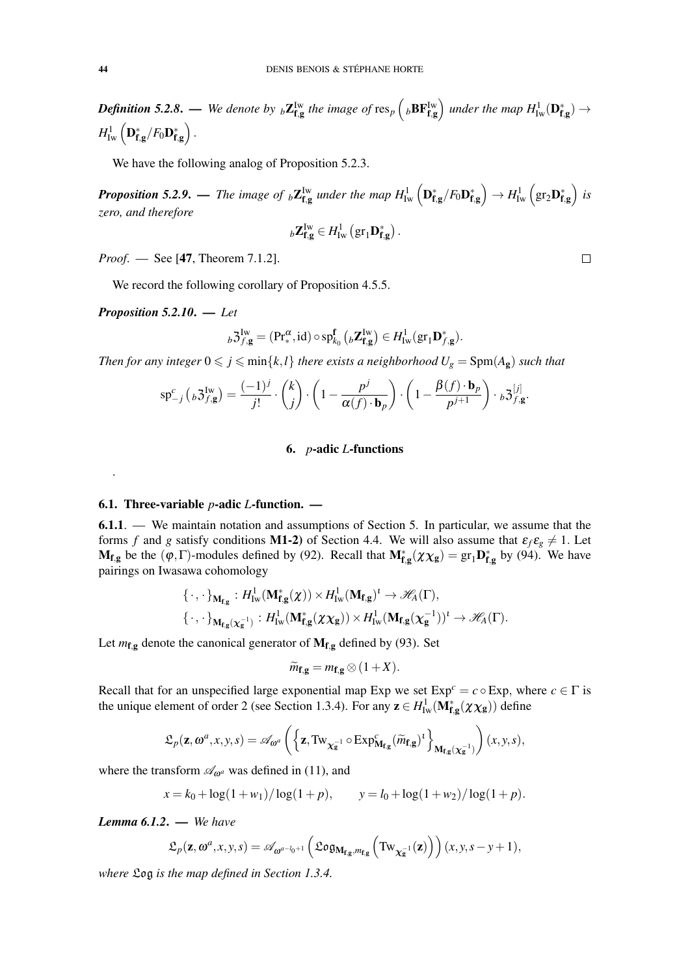Definition 5.2.8. — We denote by  ${}_b\mathbf{Z}_{\mathbf{f} ,\mathbf{g}}^{\mathrm{Iw}}$  the image of  $\mathrm{res}_p\left({}_b\mathbf{BF}_{\mathbf{f} ,\mathbf{g}}^{\mathrm{Iw}}\right)$  under the map  $H^1_{\mathrm{Iw}}(\mathbf{D}^*_{\mathbf{f} ,\mathbf{g}}) \to$  $H^1_{\mathrm{Iw}}\left(\mathbf{D^*_{f,g}}/F_0\mathbf{D^*_{f,g}}\right)$  .

We have the following analog of Proposition 5.2.3.

**Proposition 5.2.9.** — The image of <sub>b</sub>**Z**<sub>Isg</sub> under the map  $H^1_{\text{Iw}}\left(\mathbf{D}^*_{\text{f,g}}/F_0\mathbf{D}^*_{\text{f,g}}\right) \rightarrow H^1_{\text{Iw}}\left(\text{gr}_2\mathbf{D}^*_{\text{f,g}}\right)$  is *zero, and therefore*

$$
{}_{b}\mathbf{Z}_{\mathbf{f},\mathbf{g}}^{\mathrm{Iw}}\in H_{\mathrm{Iw}}^{1}\left(\mathrm{gr}_{1}\mathbf{D}_{\mathbf{f},\mathbf{g}}^{*}\right).
$$

*Proof*. — See [47, Theorem 7.1.2].

We record the following corollary of Proposition 4.5.5.

$$
Proposition 5.2.10. - Let
$$

.

$$
{}_b\mathfrak{Z}^{\mathrm{Iw}}_{f,\mathbf{g}}=(\mathrm{Pr}^{\alpha}_\ast,\mathrm{id})\circ\mathrm{sp}^{\mathbf{f}}_{k_0}\left({}_b\mathbf{Z}_{\mathbf{f} ,\mathbf{g}}^{\mathrm{Iw}}\right)\in H^1_{\mathrm{Iw}}(\mathrm{gr}_1\mathbf{D}_{f,\mathbf{g}}^\ast).
$$

*Then for any integer*  $0 \leq j \leq \min\{k, l\}$  *there exists a neighborhood*  $U_g = \text{Spm}(A_g)$  *such that* 

$$
\mathrm{sp}_{-j}^{c}\left({}_{b}\mathfrak{Z}_{f,\mathbf{g}}^{\mathrm{Iw}}\right)=\frac{(-1)^{j}}{j!}\cdot\binom{k}{j}\cdot\left(1-\frac{p^{j}}{\alpha(f)\cdot\mathbf{b}_{p}}\right)\cdot\left(1-\frac{\beta(f)\cdot\mathbf{b}_{p}}{p^{j+1}}\right)\cdot{}_{b}\mathfrak{Z}_{f,\mathbf{g}}^{[j]}.
$$

### 6. *p*-adic *L*-functions

#### 6.1. Three-variable *p*-adic *L*-function. —

6.1.1. — We maintain notation and assumptions of Section 5. In particular, we assume that the forms *f* and *g* satisfy conditions **M1-2**) of Section 4.4. We will also assume that  $\varepsilon_f \varepsilon_g \neq 1$ . Let  $M_{f,g}$  be the  $(\varphi, \Gamma)$ -modules defined by (92). Recall that  $M_{f,g}^*(\chi \chi_g) = \text{gr}_1 D_{f,g}^*$  by (94). We have pairings on Iwasawa cohomology

$$
\begin{aligned} &\{\,\cdot\,,\,\cdot\,\}_{\mathbf{M_{f,g}}}:H^1_{\mathrm{Iw}}(\mathbf{M_{f,g}^*}(\chi))\times H^1_{\mathrm{Iw}}(\mathbf{M_{f,g}})^{\iota}\rightarrow \mathscr{H}_{A}(\Gamma),\\ &\{\,\cdot\,,\,\cdot\,\}_{\mathbf{M_{f,g}}(\chi_{\mathbf{g}}^{-1})}:H^1_{\mathrm{Iw}}(\mathbf{M_{f,g}^*}(\chi\chi_{\mathbf{g}}))\times H^1_{\mathrm{Iw}}(\mathbf{M_{f,g}}(\chi_{\mathbf{g}}^{-1}))^{\iota}\rightarrow \mathscr{H}_{A}(\Gamma).\end{aligned}
$$

Let  $m_{f,g}$  denote the canonical generator of  $M_{f,g}$  defined by (93). Set

$$
\widetilde{m}_{\mathbf{f},\mathbf{g}} = m_{\mathbf{f},\mathbf{g}} \otimes (1+X).
$$

Recall that for an unspecified large exponential map Exp we set  $Exp^c = c \circ Exp$ , where  $c \in \Gamma$  is the unique element of order 2 (see Section 1.3.4). For any  $z \in H^1_{\text{Iw}}(\mathbf{M}_{\mathbf{f},\mathbf{g}}^*(\chi\chi_{\mathbf{g}}))$  define

$$
\mathfrak{L}_p(\mathbf{z},\boldsymbol{\omega}^a,x,y,s)=\mathscr{A}_{\boldsymbol{\omega}^a}\left(\left\{\mathbf{z},\textup{Tw}_{\chi_{\mathbf{g}}^{-1}}\circ\textup{Exp}^c_{\mathbf{M}_{\mathbf{f},\mathbf{g}}}(\widetilde{m}_{\mathbf{f},\mathbf{g}})^t\right\}_{\mathbf{M}_{\mathbf{f},\mathbf{g}}(\chi_{\mathbf{g}}^{-1})}\right)(x,y,s),
$$

where the transform  $\mathscr{A}_{\omega}$ <sup>*a*</sup> was defined in (11), and

$$
x = k_0 + \log(1 + w_1) / \log(1 + p), \qquad y = l_0 + \log(1 + w_2) / \log(1 + p).
$$

*Lemma 6.1.2*. — *We have*

$$
\mathfrak{L}_p(\mathbf{z}, \omega^a, x, y, s) = \mathscr{A}_{\omega^{a-l_0+1}}\left(\mathfrak{Log}_{\mathbf{M}_{\mathbf{f}, \mathbf{g}}, m_{\mathbf{f}, \mathbf{g}}}\left(\mathrm{Tw}_{\chi_{\mathbf{g}}^{-1}}(\mathbf{z})\right)\right)(x, y, s-y+1),
$$

*where* Log *is the map defined in Section 1.3.4.*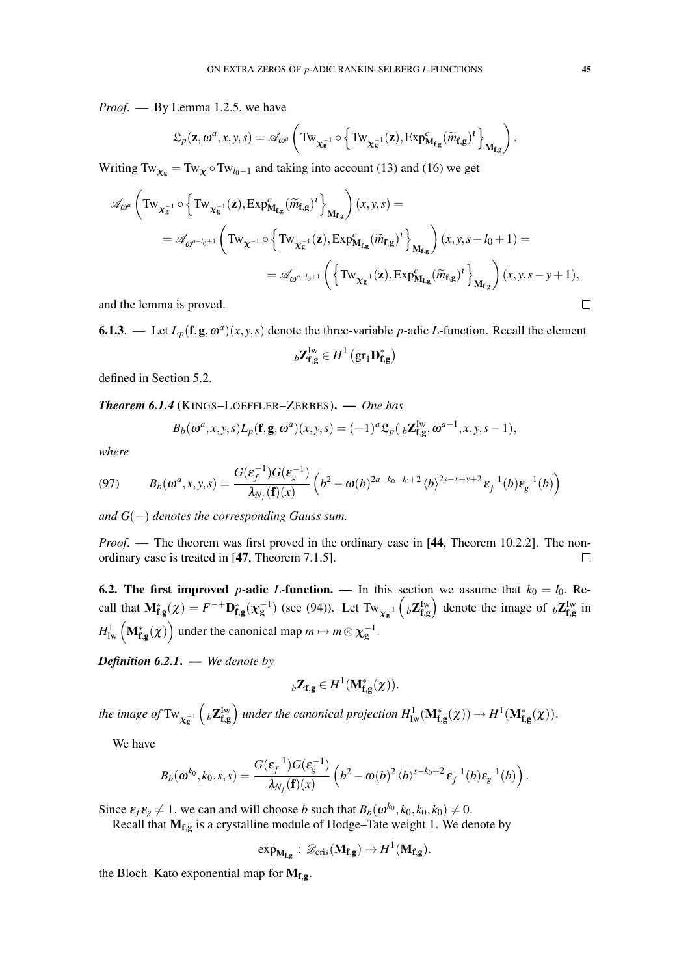*Proof*. — By Lemma 1.2.5, we have

$$
\mathfrak{L}_p(\mathbf{z},\omega^a,x,y,s)=\mathscr{A}_{\omega^a}\left(\mathrm{Tw}_{\chi_{\mathbf{g}}^{-1}}\circ\left\{\mathrm{Tw}_{\chi_{\mathbf{g}}^{-1}}(\mathbf{z}),\mathrm{Exp}_{\mathbf{M}_{\mathbf{f},\mathbf{g}}}^c(\widetilde{m}_{\mathbf{f},\mathbf{g}})^t\right\}_{\mathbf{M}_{\mathbf{f},\mathbf{g}}}\right).
$$

Writing Tw<sub> $\chi_{\rm g}$ </sub> = Tw<sub> $\chi$ </sub>  $\sigma$  Tw<sub>*l*0</sub>−1 and taking into account (13) and (16) we get

$$
\mathscr{A}_{\omega^a} \left( \text{Tw}_{\chi_{g}^{-1}} \circ \left\{ \text{Tw}_{\chi_{g}^{-1}}(\mathbf{z}), \text{Exp}_{\mathbf{M}_{f,g}}^c(\widetilde{m}_{f,g})^t \right\}_{\mathbf{M}_{f,g}} \right) (x, y, s) =
$$
\n
$$
= \mathscr{A}_{\omega^{a-l_0+1}} \left( \text{Tw}_{\chi^{-1}} \circ \left\{ \text{Tw}_{\chi_{g}^{-1}}(\mathbf{z}), \text{Exp}_{\mathbf{M}_{f,g}}^c(\widetilde{m}_{f,g})^t \right\}_{\mathbf{M}_{f,g}} \right) (x, y, s-l_0+1) =
$$
\n
$$
= \mathscr{A}_{\omega^{a-l_0+1}} \left( \left\{ \text{Tw}_{\chi_{g}^{-1}}(\mathbf{z}), \text{Exp}_{\mathbf{M}_{f,g}}^c(\widetilde{m}_{f,g})^t \right\}_{\mathbf{M}_{f,g}} \right) (x, y, s-y+1),
$$
\nd the lemma is proved.

and the lemma is proved.

**6.1.3**. — Let  $L_p(\mathbf{f}, \mathbf{g}, \omega^a)(x, y, s)$  denote the three-variable *p*-adic *L*-function. Recall the element

$$
{}_{b}\mathbf{Z}_{\mathbf{f},\mathbf{g}}^{\mathrm{Iw}}\in H^{1}\left(\mathrm{gr}_{1}\mathbf{D}_{\mathbf{f},\mathbf{g}}^{*}\right)
$$

defined in Section 5.2.

*Theorem 6.1.4* (KINGS–LOEFFLER–ZERBES). — *One has*

$$
B_b(\boldsymbol{\omega}^a, x, y, s)L_p(\mathbf{f}, \mathbf{g}, \boldsymbol{\omega}^a)(x, y, s) = (-1)^a \mathfrak{L}_p(\ _b\mathbf{Z}_{\mathbf{f}, \mathbf{g}}^{\mathrm{Iw}}, \boldsymbol{\omega}^{a-1}, x, y, s-1),
$$

*where*

(97) 
$$
B_b(\omega^a, x, y, s) = \frac{G(\varepsilon_f^{-1})G(\varepsilon_g^{-1})}{\lambda_{N_f}(\mathbf{f})(x)} \left(b^2 - \omega(b)^{2a - k_0 - l_0 + 2} \langle b \rangle^{2s - x - y + 2} \varepsilon_f^{-1}(b) \varepsilon_g^{-1}(b)\right)
$$

*and G*(−) *denotes the corresponding Gauss sum.*

*Proof.* — The theorem was first proved in the ordinary case in [44, Theorem 10.2.2]. The nonordinary case is treated in [47, Theorem 7.1.5].  $\Box$ 

6.2. The first improved *p*-adic *L*-function. — In this section we assume that  $k_0 = l_0$ . Recall that  $M_{f,g}^*(\chi) = F^{-+}D_{f,g}^*(\chi_g^{-1})$  (see (94)). Let  $Tw_{\chi_g^{-1}}$  $\left(bZ_{\mathbf{f},\mathbf{g}}^{\text{Iw}}\right)$  denote the image of  $bZ_{\mathbf{f},\mathbf{g}}^{\text{Iw}}$  in  $H^1_{\mathrm{Iw}}\left(\mathbf{M}_{\mathbf{f},\mathbf{g}}^*(\chi)\right)$  under the canonical map  $m\mapsto m\mathop{\otimes} \chi_{\mathbf{g}}^{-1}.$ 

*Definition 6.2.1*. — *We denote by*

$$
{}_{b}\mathbf{Z}_{\mathbf{f},\mathbf{g}} \in H^{1}(\mathbf{M}_{\mathbf{f},\mathbf{g}}^{*}(\chi)).
$$

the image of  $\text{Tw}_{\chi_{\text{g}}^{-1}}$  $\left({}_b \mathbf{Z}_{\mathbf{f},\mathbf{g}}^{\mathbf{Iw}}\right)$  under the canonical projection  $H^1_{\mathrm{Iw}}(\mathbf{M}^*_{\mathbf{f},\mathbf{g}}(\chi)) \to H^1(\mathbf{M}^*_{\mathbf{f},\mathbf{g}}(\chi)).$ 

We have

$$
B_b(\boldsymbol{\omega}^{k_0},k_0,s,s)=\frac{G(\boldsymbol{\varepsilon}_f^{-1})G(\boldsymbol{\varepsilon}_g^{-1})}{\lambda_{N_f}(\mathbf{f})(x)}\left(b^2-\boldsymbol{\omega}(b)^2\left
$$

Since  $\varepsilon_f \varepsilon_g \neq 1$ , we can and will choose *b* such that  $B_b(\omega^{k_0}, k_0, k_0, k_0) \neq 0$ .

Recall that  $M_{f,g}$  is a crystalline module of Hodge–Tate weight 1. We denote by

$$
\exp_{\mathbf{M_{f,g}}}: \mathscr{D}_{\text{cris}}(\mathbf{M_{f,g}}) \to H^1(\mathbf{M_{f,g}}).
$$

the Bloch–Kato exponential map for  $M_{f,g}$ .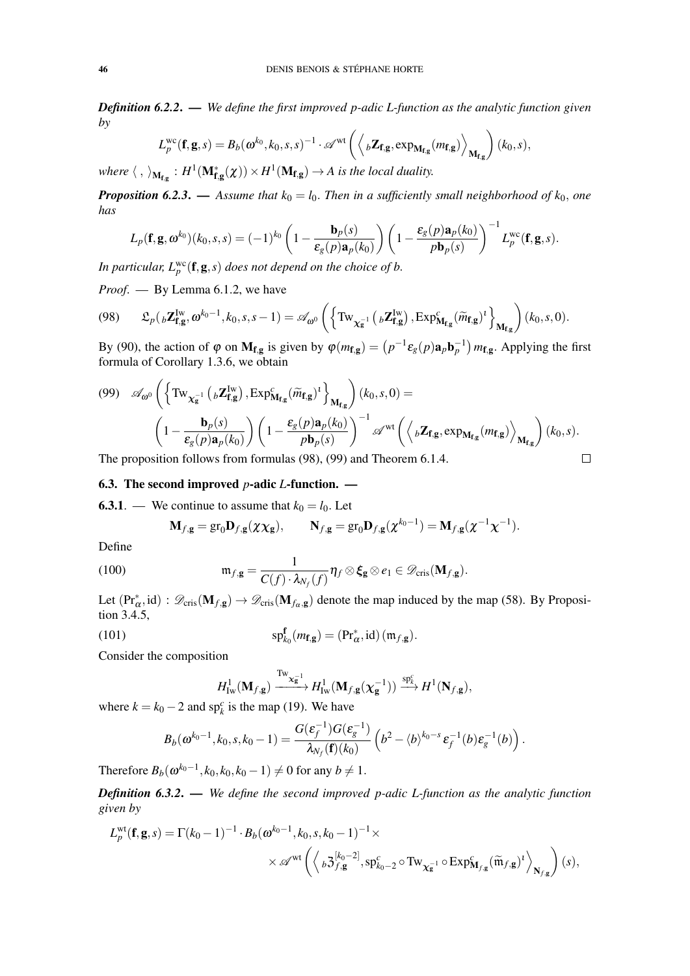*Definition 6.2.2*. — *We define the first improved p-adic L-function as the analytic function given by*

$$
L_p^{\text{wc}}(\mathbf{f}, \mathbf{g}, s) = B_b(\boldsymbol{\omega}^{k_0}, k_0, s, s)^{-1} \cdot \mathscr{A}^{\text{wt}}\left( \left\langle {}_b\mathbf{Z}_{\mathbf{f}, \mathbf{g}}, \exp_{\mathbf{M}_{\mathbf{f}, \mathbf{g}}}(m_{\mathbf{f}, \mathbf{g}}) \right\rangle_{\mathbf{M}_{\mathbf{f}, \mathbf{g}}} \right) (k_0, s),
$$

where  $\langle , \rangle_{M_{f,g}} : H^1(M^*_{f,g}(\chi)) \times H^1(M_{f,g}) \to A$  is the local duality.

*Proposition 6.2.3.* — *Assume that*  $k_0 = l_0$ *. Then in a sufficiently small neighborhood of*  $k_0$ *, one has*

$$
L_p(\mathbf{f}, \mathbf{g}, \omega^{k_0})(k_0, s, s) = (-1)^{k_0} \left(1 - \frac{\mathbf{b}_p(s)}{\varepsilon_g(p)\mathbf{a}_p(k_0)}\right) \left(1 - \frac{\varepsilon_g(p)\mathbf{a}_p(k_0)}{p\mathbf{b}_p(s)}\right)^{-1} L_p^{\text{wc}}(\mathbf{f}, \mathbf{g}, s).
$$

In particular,  $L_p^{\text{wc}}(\mathbf{f},\mathbf{g},s)$  does not depend on the choice of b.

*Proof*. — By Lemma 6.1.2, we have

$$
(98) \qquad \mathfrak{L}_p({}_b\mathbf{Z}_{\mathbf{f},\mathbf{g}}^{\mathrm{Iw}},\boldsymbol{\omega}^{k_0-1},k_0,s,s-1) = \mathscr{A}_{\boldsymbol{\omega}^0}\left(\left\{\mathrm{Tw}_{\chi_{\mathbf{g}}^{-1}}\left({}_b\mathbf{Z}_{\mathbf{f},\mathbf{g}}^{\mathrm{Iw}}\right),\mathrm{Exp}_{\mathbf{M}_{\mathbf{f},\mathbf{g}}}^c(\widetilde{m}_{\mathbf{f},\mathbf{g}})^t\right\}_{\mathbf{M}_{\mathbf{f},\mathbf{g}}}\right)(k_0,s,0).
$$

By (90), the action of  $\varphi$  on  $M_{f,g}$  is given by  $\varphi(m_{f,g}) = (p^{-1} \varepsilon_g(p) a_p b_p^{-1}) m_{f,g}$ . Applying the first formula of Corollary 1.3.6, we obtain

(99) 
$$
\mathscr{A}_{\omega^0} \left( \left\{ \mathrm{Tw}_{\chi_{\mathbf{g}}^{-1}} \left( {}_{b} \mathbf{Z}_{\mathbf{f},\mathbf{g}}^{Iw} \right), \mathrm{Exp}_{\mathbf{M}_{\mathbf{f},\mathbf{g}}}^c (\widetilde{m}_{\mathbf{f},\mathbf{g}})^t \right\}_{\mathbf{M}_{\mathbf{f},\mathbf{g}}} \right) (k_0, s, 0) =
$$
\n
$$
\left( 1 - \frac{\mathbf{b}_p(s)}{\varepsilon_g(p) \mathbf{a}_p(k_0)} \right) \left( 1 - \frac{\varepsilon_g(p) \mathbf{a}_p(k_0)}{pb_p(s)} \right)^{-1} \mathscr{A}^{\text{wt}} \left( \left\langle {}_{b} \mathbf{Z}_{\mathbf{f},\mathbf{g}}, \mathrm{exp}_{\mathbf{M}_{\mathbf{f},\mathbf{g}}} (m_{\mathbf{f},\mathbf{g}}) \right\rangle_{\mathbf{M}_{\mathbf{f},\mathbf{g}}} \right) (k_0, s).
$$
\nThe proposition follows from formulas (98), (99) and Theorem 6.1.4.

The proposition follows from formulas (98), (99) and Theorem 6.1.4.

6.3. The second improved 
$$
p
$$
-adic  $L$ -function.

**6.3.1**. — We continue to assume that  $k_0 = l_0$ . Let

$$
\mathbf{M}_{f,g} = \text{gr}_0 \mathbf{D}_{f,g}(\chi \chi_g), \qquad \mathbf{N}_{f,g} = \text{gr}_0 \mathbf{D}_{f,g}(\chi^{k_0-1}) = \mathbf{M}_{f,g}(\chi^{-1}\chi^{-1}).
$$

Define

(100) 
$$
\mathfrak{m}_{f,\mathbf{g}} = \frac{1}{C(f) \cdot \lambda_{N_f}(f)} \eta_f \otimes \xi_{\mathbf{g}} \otimes e_1 \in \mathscr{D}_{\mathrm{cris}}(\mathbf{M}_{f,\mathbf{g}}).
$$

Let  $(\Pr_{\alpha}^*$ , id) :  $\mathscr{D}_{\text{cris}}(\mathbf{M}_{f,g}) \to \mathscr{D}_{\text{cris}}(\mathbf{M}_{f_\alpha,g})$  denote the map induced by the map (58). By Proposition 3.4.5,

(101) 
$$
\mathrm{sp}_{k_0}^{\mathbf{f}}(m_{\mathbf{f},\mathbf{g}}) = (\mathrm{Pr}_{\alpha}^*, \mathrm{id}) \, (\mathfrak{m}_{f,\mathbf{g}}).
$$

Consider the composition

$$
H^1_{\mathrm{Iw}}(\mathbf{M}_{f,g}) \xrightarrow{\mathrm{Tw}_{\mathbf{X}^{-1}_{\mathbf{g}}}} H^1_{\mathrm{Iw}}(\mathbf{M}_{f,g}(\mathbf{\chi}_{\mathbf{g}}^{-1})) \xrightarrow{\mathrm{sp}_{k}^c} H^1(\mathbf{N}_{f,g}),
$$

where  $k = k_0 - 2$  and  $sp_k^c$  is the map (19). We have

$$
B_b(\omega^{k_0-1}, k_0, s, k_0-1) = \frac{G(\varepsilon_f^{-1})G(\varepsilon_g^{-1})}{\lambda_{N_f}(\mathbf{f})(k_0)} \left(b^2 - \langle b \rangle^{k_0-s} \varepsilon_f^{-1}(b) \varepsilon_g^{-1}(b)\right).
$$

Therefore  $B_b(\omega^{k_0-1}, k_0, k_0, k_0-1) \neq 0$  for any  $b \neq 1$ .

*Definition 6.3.2*. — *We define the second improved p-adic L-function as the analytic function given by*

$$
L_p^{\text{wt}}(\mathbf{f}, \mathbf{g}, s) = \Gamma(k_0 - 1)^{-1} \cdot B_b(\boldsymbol{\omega}^{k_0 - 1}, k_0, s, k_0 - 1)^{-1} \times \\ \times \mathscr{A}^{\text{wt}}\left(\left\langle {}_b \mathfrak{Z}^{[k_0 - 2]}_{f, \mathbf{g}}, \mathrm{sp}^c_{k_0 - 2} \circ \mathrm{Tw}_{\chi_{\mathbf{g}}^{-1}} \circ \mathrm{Exp}^c_{\mathbf{M}_{f, \mathbf{g}}}(\widetilde{\mathfrak{m}}_{f, \mathbf{g}})^t \right\rangle_{\mathbf{N}_{f, \mathbf{g}}}\right)(s),
$$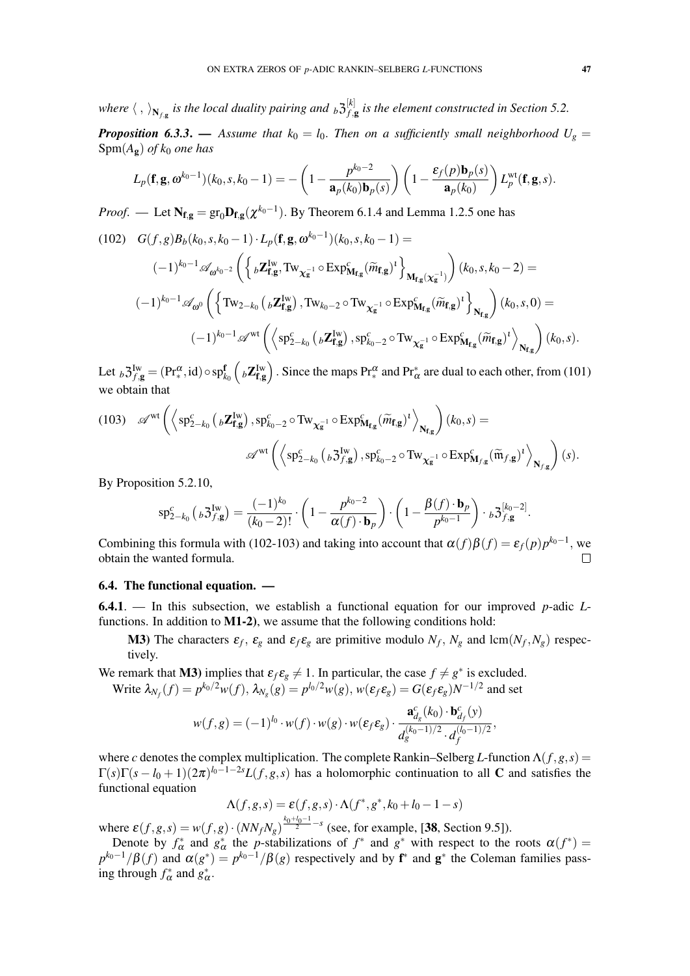where  $\langle , \rangle_{\mathbf{N}_{f, \mathbf{g}}}$  is the local duality pairing and  $_b$   $\mathfrak{Z}^{[k]}_{f, \mathbf{g}}$ *f*,g *is the element constructed in Section 5.2.*

*Proposition 6.3.3.* — *Assume that*  $k_0 = l_0$ . *Then on a sufficiently small neighborhood*  $U_g$  =  $Spm(A_{\mathbf{g}})$  *of k*<sub>0</sub> *one has* 

$$
L_p(\mathbf{f}, \mathbf{g}, \omega^{k_0-1})(k_0, s, k_0-1) = -\left(1 - \frac{p^{k_0-2}}{\mathbf{a}_p(k_0)\mathbf{b}_p(s)}\right)\left(1 - \frac{\varepsilon_f(p)\mathbf{b}_p(s)}{\mathbf{a}_p(k_0)}\right)L_p^{\text{wt}}(\mathbf{f}, \mathbf{g}, s).
$$

*Proof.* — Let  $N_{f,g} = gr_0 D_{f,g}(\chi^{k_0-1})$ . By Theorem 6.1.4 and Lemma 1.2.5 one has

(102) 
$$
G(f,g)B_{b}(k_{0}, s, k_{0}-1) \cdot L_{p}(\mathbf{f}, \mathbf{g}, \omega^{k_{0}-1})(k_{0}, s, k_{0}-1) =
$$

$$
(-1)^{k_{0}-1} \mathscr{A}_{\omega^{k_{0}-2}} \left( \left\{ {}_{b}Z_{\mathbf{f}, \mathbf{g}}^{Iw}, \text{Tw}_{\chi_{g}^{-1}} \circ \text{Exp}_{\mathbf{M}_{\mathbf{f}, g}}^{c}(\widetilde{m}_{\mathbf{f}, \mathbf{g}})^{t} \right\}_{\mathbf{M}_{\mathbf{f}, g}(\chi_{g}^{-1})} \right) (k_{0}, s, k_{0}-2) =
$$

$$
(-1)^{k_{0}-1} \mathscr{A}_{\omega^{0}} \left( \left\{ \text{Tw}_{2-k_{0}} \left( {}_{b}Z_{\mathbf{f}, g}^{Iw} \right), \text{Tw}_{k_{0}-2} \circ \text{Tw}_{\chi_{g}^{-1}} \circ \text{Exp}_{\mathbf{M}_{\mathbf{f}, g}}^{c}(\widetilde{m}_{\mathbf{f}, g})^{t} \right\}_{\mathbf{N}_{\mathbf{f}, g}} \right) (k_{0}, s, 0) =
$$

$$
(-1)^{k_{0}-1} \mathscr{A}^{\text{wt}} \left( \left\langle \text{sp}_{2-k_{0}}^{c} \left( {}_{b}Z_{\mathbf{f}, g}^{Iw} \right), \text{sp}_{k_{0}-2}^{c} \circ \text{Tw}_{\chi_{g}^{-1}} \circ \text{Exp}_{\mathbf{M}_{\mathbf{f}, g}}^{c}(\widetilde{m}_{\mathbf{f}, g})^{t} \right\rangle_{\mathbf{N}_{\mathbf{f}, g}} \right) (k_{0}, s).
$$

Let  ${}_{b}3_{f,g}^{Iw} = (\text{Pr}^{\alpha}_{*}, \text{id}) \circ \text{sp}^{\mathbf{f}}_{k_{0}}\left({}_{b} \mathbf{Z}_{\mathbf{f},g}^{Iw}\right)$ . Since the maps  $\text{Pr}^{\alpha}_{*}$  and  $\text{Pr}^{\ast}_{\alpha}$  are dual to each other, from (101) we obtain that

(103) 
$$
\mathscr{A}^{\text{wt}}\left(\left\langle\text{sp}_{2-k_{0}}^{c}\left(\right.\delta\mathbf{Z}_{\mathbf{f},\mathbf{g}}^{\text{Iw}}\right),\text{sp}_{k_{0}-2}^{c}\circ\text{Tw}_{\chi_{\mathbf{g}}^{-1}}\circ\text{Exp}_{\mathbf{M}_{\mathbf{f},\mathbf{g}}}^{c}(\widetilde{m}_{\mathbf{f},\mathbf{g}})^{t}\right\rangle_{\mathbf{N}_{\mathbf{f},\mathbf{g}}}\right)(k_{0},s)=
$$

$$
\mathscr{A}^{\text{wt}}\left(\left\langle\text{sp}_{2-k_{0}}^{c}\left(\right.\delta\mathbf{J}_{f,\mathbf{g}}^{\text{Iw}}\right),\text{sp}_{k_{0}-2}^{c}\circ\text{Tw}_{\chi_{\mathbf{g}}^{-1}}\circ\text{Exp}_{\mathbf{M}_{f,\mathbf{g}}}^{c}(\widetilde{\mathfrak{m}}_{f,\mathbf{g}})^{t}\right\rangle_{\mathbf{N}_{f,\mathbf{g}}}\right)(s).
$$

By Proposition 5.2.10,

$$
\mathrm{sp}_{2-k_0}^c\left({}_b 3^{Iw}_{f,g}\right) = \frac{(-1)^{k_0}}{(k_0-2)!} \cdot \left(1 - \frac{p^{k_0-2}}{\alpha(f) \cdot \mathbf{b}_p}\right) \cdot \left(1 - \frac{\beta(f) \cdot \mathbf{b}_p}{p^{k_0-1}}\right) \cdot {}_b 3^{[k_0-2]}_{f,g}.
$$

Combining this formula with (102-103) and taking into account that  $\alpha(f)\beta(f) = \varepsilon_f(p)p^{k_0-1}$ , we obtain the wanted formula.

## 6.4. The functional equation. —

6.4.1. — In this subsection, we establish a functional equation for our improved *p*-adic *L*functions. In addition to  $M1-2$ ), we assume that the following conditions hold:

**M3**) The characters  $\varepsilon_f$ ,  $\varepsilon_g$  and  $\varepsilon_f \varepsilon_g$  are primitive modulo  $N_f$ ,  $N_g$  and lcm( $N_f$ ,  $N_g$ ) respectively.

We remark that M3) implies that  $\varepsilon_f \varepsilon_g \neq 1$ . In particular, the case  $f \neq g^*$  is excluded. Write  $\lambda_{N_f}(f) = p^{k_0/2} w(f), \lambda_{N_g}(g) = p^{l_0/2} w(g), w(\varepsilon_f \varepsilon_g) = G(\varepsilon_f \varepsilon_g) N^{-1/2}$  and set

$$
w(f,g) = (-1)^{l_0} \cdot w(f) \cdot w(g) \cdot w(\varepsilon_f \varepsilon_g) \cdot \frac{\mathbf{a}_{d_g}^c(k_0) \cdot \mathbf{b}_{d_f}^c(y)}{d_g^{(k_0-1)/2} \cdot d_f^{(l_0-1)/2}},
$$

where *c* denotes the complex multiplication. The complete Rankin–Selberg *L*-function Λ(*f*,*g*,*s*) =  $\Gamma(s)\Gamma(s-l_0+1)(2\pi)^{l_0-1-2s}L(f,g,s)$  has a holomorphic continuation to all C and satisfies the functional equation

$$
\Lambda(f,g,s) = \varepsilon(f,g,s) \cdot \Lambda(f^*,g^*,k_0+l_0-1-s)
$$

where  $\varepsilon(f, g, s) = w(f, g) \cdot (NN_f N_g)^{\frac{k_0 + l_0 - 1}{2} - s}$  (see, for example, [38, Section 9.5]).

Denote by  $f^*_{\alpha}$  and  $g^*_{\alpha}$  the *p*-stabilizations of  $f^*$  and  $g^*$  with respect to the roots  $\alpha(f^*)$  $p^{k_0-1}/\beta(f)$  and  $\alpha(g^*) = p^{k_0-1}/\beta(g)$  respectively and by  $f^*$  and  $g^*$  the Coleman families passing through  $f^*_{\alpha}$  and  $g^*_{\alpha}$ .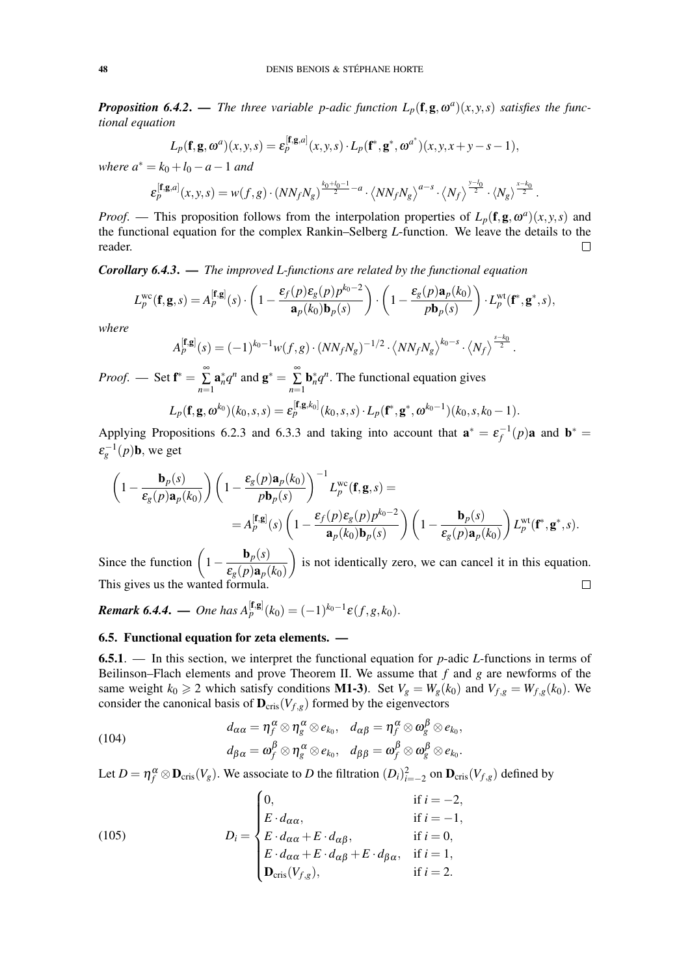*Proposition 6.4.2.* — *The three variable p-adic function*  $L_p(\mathbf{f}, \mathbf{g}, \omega^a)(x, y, s)$  *satisfies the functional equation*

$$
L_p(\mathbf{f}, \mathbf{g}, \omega^a)(x, y, s) = \varepsilon_p^{[\mathbf{f}, \mathbf{g}, a]}(x, y, s) \cdot L_p(\mathbf{f}^*, \mathbf{g}^*, \omega^{a^*})(x, y, x+y-s-1),
$$

*where*  $a^* = k_0 + l_0 - a - 1$  *and* 

$$
\varepsilon_p^{[\mathbf{f},\mathbf{g},a]}(x,y,s)=w(f,g)\cdot (NN_fN_g)^{\frac{k_0+l_0-1}{2}-a}\cdot \left\langle NN_fN_g\right\rangle^{a-s}\cdot \left\langle N_f\right\rangle^{\frac{y-l_0}{2}}\cdot \left\langle N_g\right\rangle^{\frac{x-k_0}{2}}.
$$

*Proof.* — This proposition follows from the interpolation properties of  $L_p(\mathbf{f}, \mathbf{g}, \omega^a)(x, y, s)$  and the functional equation for the complex Rankin–Selberg *L*-function. We leave the details to the reader.  $\Box$ 

*Corollary 6.4.3*. — *The improved L-functions are related by the functional equation*

$$
L_p^{\text{wc}}(\mathbf{f}, \mathbf{g}, s) = A_p^{[\mathbf{f}, \mathbf{g}]}(s) \cdot \left(1 - \frac{\varepsilon_f(p)\varepsilon_g(p)p^{k_0 - 2}}{\mathbf{a}_p(k_0)\mathbf{b}_p(s)}\right) \cdot \left(1 - \frac{\varepsilon_g(p)\mathbf{a}_p(k_0)}{p\mathbf{b}_p(s)}\right) \cdot L_p^{\text{wt}}(\mathbf{f}^*, \mathbf{g}^*, s),
$$

*where*

$$
A_p^{[\mathbf{f},\mathbf{g}]}(s) = (-1)^{k_0-1} w(f,g) \cdot (N N_f N_g)^{-1/2} \cdot \langle N N_f N_g \rangle^{k_0-s} \cdot \langle N_f \rangle^{\frac{s-k_0}{2}}.
$$

*Proof.* — Set  $f^* = \sum_{r=1}^{\infty}$ ∑ *n*=1  $\mathbf{a}_n^* q^n$  and  $\mathbf{g}^* = \sum_{n=1}^\infty$ ∑ *n*=1  $\mathbf{b}_n^* q^n$ . The functional equation gives

$$
L_p(\mathbf{f}, \mathbf{g}, \omega^{k_0})(k_0, s, s) = \varepsilon_p^{[\mathbf{f}, \mathbf{g}, k_0]}(k_0, s, s) \cdot L_p(\mathbf{f}^*, \mathbf{g}^*, \omega^{k_0 - 1})(k_0, s, k_0 - 1).
$$

Applying Propositions 6.2.3 and 6.3.3 and taking into account that  $\mathbf{a}^* = \varepsilon_f^{-1}(p)\mathbf{a}$  and  $\mathbf{b}^* =$  $\varepsilon_g^{-1}(p)$ **b**, we get

$$
\left(1 - \frac{\mathbf{b}_p(s)}{\varepsilon_g(p)\mathbf{a}_p(k_0)}\right) \left(1 - \frac{\varepsilon_g(p)\mathbf{a}_p(k_0)}{p\mathbf{b}_p(s)}\right)^{-1} L_p^{\text{wc}}(\mathbf{f}, \mathbf{g}, s) =
$$
  
=  $A_p^{[\mathbf{f}, \mathbf{g}]}(s) \left(1 - \frac{\varepsilon_f(p)\varepsilon_g(p)p^{k_0 - 2}}{\mathbf{a}_p(k_0)\mathbf{b}_p(s)}\right) \left(1 - \frac{\mathbf{b}_p(s)}{\varepsilon_g(p)\mathbf{a}_p(k_0)}\right) L_p^{\text{wt}}(\mathbf{f}^*, \mathbf{g}^*, s).$ 

Since the function  $\left(1 - \frac{\mathbf{b}_p(s)}{2\pi\sigma^2}\right)$  is not identically zero, we can cancel it in this equation.  $\varepsilon_g(p)$ **a**<sub>*p*</sub>( $k_0$ ) This gives us the wanted formula.  $\Box$ 

*Remark 6.4.4.* — *One has*  $A_p^{[\mathbf{f},\mathbf{g}]}(k_0) = (-1)^{k_0-1} \varepsilon(f,g,k_0)$ .

### 6.5. Functional equation for zeta elements. —

6.5.1. — In this section, we interpret the functional equation for *p*-adic *L*-functions in terms of Beilinson–Flach elements and prove Theorem II. We assume that *f* and *g* are newforms of the same weight  $k_0 \ge 2$  which satisfy conditions **M1-3**). Set  $V_g = W_g(k_0)$  and  $V_{f,g} = W_{f,g}(k_0)$ . We consider the canonical basis of  $\mathbf{D}_{\text{cris}}(V_{f,g})$  formed by the eigenvectors

(104) 
$$
d_{\alpha\alpha} = \eta_f^{\alpha} \otimes \eta_g^{\alpha} \otimes e_{k_0}, \quad d_{\alpha\beta} = \eta_f^{\alpha} \otimes \omega_g^{\beta} \otimes e_{k_0}, d_{\beta\alpha} = \omega_f^{\beta} \otimes \eta_g^{\alpha} \otimes e_{k_0}, \quad d_{\beta\beta} = \omega_f^{\beta} \otimes \omega_g^{\beta} \otimes e_{k_0}.
$$

Let  $D = \eta_f^{\alpha} \otimes \mathbf{D}_{\text{cris}}(V_g)$ . We associate to *D* the filtration  $(D_i)_{i=-2}^2$  on  $\mathbf{D}_{\text{cris}}(V_{f,g})$  defined by

(105) 
$$
D_{i} = \begin{cases} 0, & \text{if } i = -2, \\ E \cdot d_{\alpha\alpha}, & \text{if } i = -1, \\ E \cdot d_{\alpha\alpha} + E \cdot d_{\alpha\beta}, & \text{if } i = 0, \\ E \cdot d_{\alpha\alpha} + E \cdot d_{\alpha\beta} + E \cdot d_{\beta\alpha}, & \text{if } i = 1, \\ \mathbf{D}_{\text{cris}}(V_{f,g}), & \text{if } i = 2. \end{cases}
$$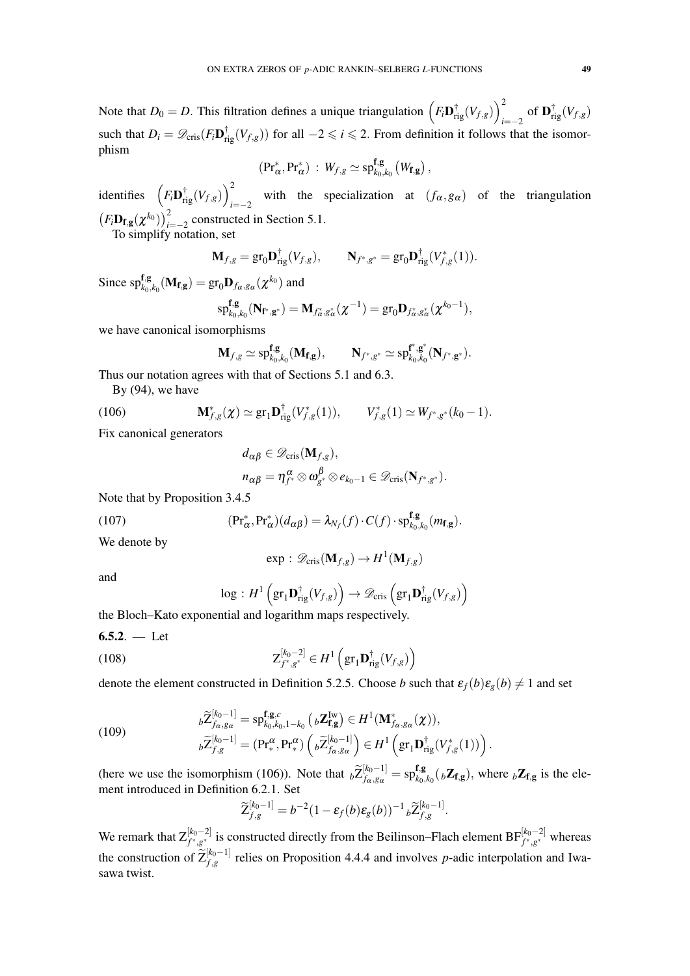Note that  $D_0 = D$ . This filtration defines a unique triangulation  $(F_i \mathbf{D}_{\text{rig}}^{\dagger}(V_{f,g}))$  $\sum_{i=-2}^{2}$  of  $\mathbf{D}_{\mathrm{rig}}^{\dagger}(V_{f,g})$ such that  $D_i = \mathscr{D}_{\text{cris}}(F_i \mathbf{D}_{\text{rig}}^{\dagger}(V_{f,g}))$  for all  $-2 \leq i \leq 2$ . From definition it follows that the isomorphism

$$
(\mathrm{Pr}^*_{\alpha}, \mathrm{Pr}^*_{\alpha}) \, : \, W_{f,g} \simeq \mathrm{sp}^{\mathbf{f},\mathbf{g}}_{k_0,k_0} (W_{\mathbf{f},\mathbf{g}}),
$$

identifies  $\left(F_i \mathbf{D}_{\text{rig}}^{\dagger}(V_{f,g})\right)^2$ *i*=−2 with the specialization at  $(f_\alpha, g_\alpha)$  of the triangulation  $(F_i \mathbf{D}_{\mathbf{f},\mathbf{g}}(\boldsymbol{\chi}^{k_0}))_{i=-2}^2$  constructed in Section 5.1.

To simplify notation, set

$$
\mathbf{M}_{f,g} = \text{gr}_0 \mathbf{D}_{\text{rig}}^{\dagger}(V_{f,g}), \qquad \mathbf{N}_{f^*,g^*} = \text{gr}_0 \mathbf{D}_{\text{rig}}^{\dagger}(V_{f,g}^*(1)).
$$

Since  $\mathrm{sp}^{\mathbf{f},\mathbf{g}}_{k_0,k_0}(\mathbf{M}_{\mathbf{f},\mathbf{g}}) = \mathrm{gr}_0 \mathbf{D}_{f_\alpha,g_\alpha}(\boldsymbol{\chi}^{k_0})$  and

$$
\mathrm{sp}^{\mathbf{f},\mathbf{g}}_{k_0,k_0}(\mathbf{N}_{\mathbf{f}^*,\mathbf{g}^*})=\mathbf{M}_{f^*_\alpha,g^*_\alpha}(\chi^{-1})=\mathrm{gr}_0\mathbf{D}_{f^*_\alpha,g^*_\alpha}(\chi^{k_0-1}),
$$

we have canonical isomorphisms

$$
\mathbf{M}_{f,g}\simeq \mathrm{sp}^{\mathbf{f},\mathbf{g}}_{k_0,k_0}(\mathbf{M}_{\mathbf{f},\mathbf{g}}),\qquad \mathbf{N}_{f^*,g^*}\simeq \mathrm{sp}^{\mathbf{f}^*,\mathbf{g}^*}_{k_0,k_0}(\mathbf{N}_{f^*,\mathbf{g}^*}).
$$

Thus our notation agrees with that of Sections 5.1 and 6.3.

By (94), we have

(106) 
$$
\mathbf{M}_{f,g}^*(\chi) \simeq \text{gr}_1 \mathbf{D}_{\text{rig}}^\dagger (V_{f,g}^*(1)), \qquad V_{f,g}^*(1) \simeq W_{f^*,g^*}(k_0-1).
$$

Fix canonical generators

$$
d_{\alpha\beta} \in \mathscr{D}_{\mathrm{cris}}(\mathbf{M}_{f,g}),
$$
  
\n
$$
n_{\alpha\beta} = \eta_{f^*}^{\alpha} \otimes \omega_{g^*}^{\beta} \otimes e_{k_0-1} \in \mathscr{D}_{\mathrm{cris}}(\mathbf{N}_{f^*,g^*}).
$$

Note that by Proposition 3.4.5

(107) 
$$
(\mathrm{Pr}^*_{\alpha}, \mathrm{Pr}^*_{\alpha})(d_{\alpha\beta}) = \lambda_{N_f}(f) \cdot C(f) \cdot \mathrm{sp}^{\mathbf{f},\mathbf{g}}_{k_0,k_0}(m_{\mathbf{f},\mathbf{g}}).
$$

We denote by

$$
\exp: \mathscr{D}_{\mathrm{cris}}(\mathbf{M}_{f,g}) \to H^1(\mathbf{M}_{f,g})
$$

and

$$
\log : H^1\left(\text{gr}_1\mathbf{D}_{\text{rig}}^\dagger(V_{f,g})\right) \to \mathscr{D}_{\text{cris}}\left(\text{gr}_1\mathbf{D}_{\text{rig}}^\dagger(V_{f,g})\right)
$$

the Bloch–Kato exponential and logarithm maps respectively.

$$
6.5.2. - \text{Let}
$$

(108) 
$$
Z_{f^*,g^*}^{[k_0-2]} \in H^1\left(\text{gr}_1\mathbf{D}_{\text{rig}}^\dagger(V_{f,g})\right)
$$

denote the element constructed in Definition 5.2.5. Choose *b* such that  $\varepsilon_f(b)\varepsilon_g(b) \neq 1$  and set

(109) 
$$
b\widetilde{Z}_{f_\alpha,g_\alpha}^{[k_0-1]} = \mathrm{sp}_{k_0,k_0,1-k_0}^{\mathbf{f},\mathbf{g},c} \left( {}_b\mathbf{Z}_{\mathbf{f},\mathbf{g}}^{I\mathbf{w}} \right) \in H^1(\mathbf{M}_{f_\alpha,g_\alpha}^*(\chi)),
$$

$$
b\widetilde{Z}_{f,g}^{[k_0-1]} = (\mathbf{Pr}_{*}^{\alpha}, \mathbf{Pr}_{*}^{\alpha}) \left( {}_b\widetilde{Z}_{f_\alpha,g_\alpha}^{[k_0-1]} \right) \in H^1\left(\mathrm{gr}_1\mathbf{D}_{\mathrm{rig}}^{\dagger}(V_{f,g}^*(1))\right)
$$

(here we use the isomorphism (106)). Note that  $b\widetilde{Z}_{f_\alpha,g_\alpha}^{[k_0-1]}$  $\frac{[k_0-1]}{f_{\alpha},g_{\alpha}} = \mathrm{sp}_{k_0,\,}^{\mathbf{f},\mathbf{g}}$  $\mathbf{Z}_{k_0,k_0}$  ( $_b$ **Z**<sub>f,g</sub>), where  $_b$ **Z**<sub>f,g</sub> is the element introduced in Definition 6.2.1. Set

.

$$
\widetilde{Z}_{f,g}^{[k_0-1]}=b^{-2}(1-\varepsilon_f(b)\varepsilon_g(b))^{-1} \,{}_b\widetilde{Z}_{f,g}^{[k_0-1]}.
$$

We remark that  $Z_{f^*,g^*}^{[k_0-2]}$  is constructed directly from the Beilinson–Flach element  $BF_{f^*,g^*}^{[k_0-2]}$  whereas the construction of  $\widetilde{Z}_{f,g}^{[k_0-1]}$  $f_{f,g}^{(k_0-1)}$  relies on Proposition 4.4.4 and involves *p*-adic interpolation and Iwasawa twist.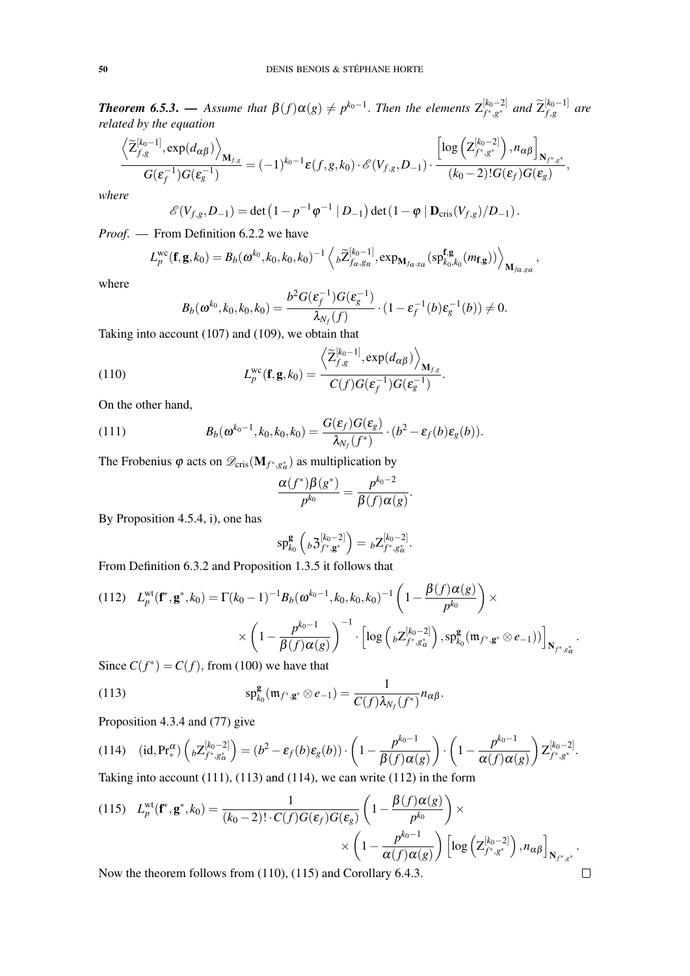*Theorem 6.5.3.* — *Assume that*  $\beta(f) \alpha(g) \neq p^{k_0-1}$ . *Then the elements*  $Z_{f^*,g^*}^{[k_0-2]}$  $\left[ \begin{smallmatrix} k_0-2 \ f^*, g^* \end{smallmatrix} \right]$  and  $\widetilde{\mathsf{Z}}_{f,g}^{[k_0-1]}$  $f_{,g}^{[\kappa_0-1]}$  are *related by the equation*

$$
\frac{\left\langle \widetilde{\mathbf{Z}}_{f,g}^{[k_0-1]}, \exp(d_{\alpha\beta}) \right\rangle_{\mathbf{M}_{f,g}}}{G(\varepsilon_f^{-1})G(\varepsilon_g^{-1})} = (-1)^{k_0-1} \varepsilon(f,g,k_0) \cdot \mathscr{E}(V_{f,g}, D_{-1}) \cdot \frac{\left[ \log \left( \mathbf{Z}_{f^*,g^*}^{[k_0-2]} \right), n_{\alpha\beta} \right]_{\mathbf{N}_{f^*,g^*}}}{(k_0-2)! G(\varepsilon_f) G(\varepsilon_g)},
$$

*where*

$$
\mathscr{E}(V_{f,g}, D_{-1}) = \det \left(1 - p^{-1} \varphi^{-1} \mid D_{-1}\right) \det \left(1 - \varphi \mid \mathbf{D}_{\mathrm{cris}}(V_{f,g}) / D_{-1}\right).
$$

*Proof*. — From Definition 6.2.2 we have

$$
L_p^{\text{wc}}(\mathbf{f}, \mathbf{g}, k_0) = B_b(\boldsymbol{\omega}^{k_0}, k_0, k_0, k_0)^{-1} \left\langle b \widetilde{Z}_{f_\alpha, g_\alpha}^{[k_0-1]}, \exp_{\mathbf{M}_{f_\alpha, g_\alpha}}(\text{spf}_{k_0, k_0}^{\mathbf{f}, \mathbf{g}}(m_{\mathbf{f}, \mathbf{g}})) \right\rangle_{\mathbf{M}_{f_\alpha, g_\alpha}},
$$

where

$$
B_b(\boldsymbol{\omega}^{k_0}, k_0, k_0, k_0) = \frac{b^2 G(\boldsymbol{\varepsilon}_f^{-1}) G(\boldsymbol{\varepsilon}_g^{-1})}{\lambda_{N_f}(f)} \cdot (1 - \boldsymbol{\varepsilon}_f^{-1}(b) \boldsymbol{\varepsilon}_g^{-1}(b)) \neq 0.
$$

.

.

Taking into account (107) and (109), we obtain that

(110) 
$$
L_p^{\text{wc}}(\mathbf{f}, \mathbf{g}, k_0) = \frac{\left\langle \widetilde{\mathbf{Z}}_{f,g}^{[k_0-1]}, \exp(d_{\alpha\beta}) \right\rangle_{\mathbf{M}_{f,g}}}{C(f)G(\varepsilon_f^{-1})G(\varepsilon_g^{-1})}
$$

On the other hand,

(111) 
$$
B_b(\boldsymbol{\omega}^{k_0-1},k_0,k_0,k_0)=\frac{G(\boldsymbol{\varepsilon}_f)G(\boldsymbol{\varepsilon}_g)}{\lambda_{N_f}(f^*)}\cdot (b^2-\boldsymbol{\varepsilon}_f(b)\boldsymbol{\varepsilon}_g(b)).
$$

The Frobenius  $\varphi$  acts on  $\mathscr{D}_{\text{cris}}(\mathbf{M}_{f^*,g^*_\alpha})$  as multiplication by

$$
\frac{\alpha(f^*)\beta(g^*)}{p^{k_0}} = \frac{p^{k_0-2}}{\beta(f)\alpha(g)}
$$

By Proposition 4.5.4, i), one has

$$
\mathrm{sp}^{\mathbf{g}}_{k_0}\left({}_b 3^{[k_0-2]}_{f^*, \mathbf{g}^*}\right) = {}_b Z^{[k_0-2]}_{f^*, g^*_{\alpha}}.
$$

From Definition 6.3.2 and Proposition 1.3.5 it follows that

$$
(112) \quad L_p^{\text{wt}}(\mathbf{f}^*, \mathbf{g}^*, k_0) = \Gamma(k_0 - 1)^{-1} B_b(\omega^{k_0 - 1}, k_0, k_0, k_0)^{-1} \left( 1 - \frac{\beta(f)\alpha(g)}{p^{k_0}} \right) \times \\ \times \left( 1 - \frac{p^{k_0 - 1}}{\beta(f)\alpha(g)} \right)^{-1} \cdot \left[ \log \left( \, _b Z^{[k_0 - 2]}_{f^*, g^*_{\alpha}} \right), \, _p\mathbf{g}_0(\mathfrak{m}_{f^*, \mathbf{g}^*} \otimes e_{-1}) \right) \right]_{\mathbf{N}_{f^*, g^*_{\alpha}}}.
$$
\n
$$
\text{Since } C(f^*) = C(f) \text{ from (100) we have that}
$$

Since  $C(f^*) = C(f)$ , from (100) we have that

(113) 
$$
\mathrm{sp}_{k_0}^{\mathbf{g}}(\mathfrak{m}_{f^*, \mathbf{g}^*} \otimes e_{-1}) = \frac{1}{C(f)\lambda_{N_f}(f^*)}n_{\alpha\beta}.
$$

Proposition 4.3.4 and (77) give

(114) 
$$
(id, Pr^{\alpha}_{*}) \left( {}_{b}Z^{[k_{0}-2]}_{f^{*},g^{*}_{\alpha}} \right) = (b^{2} - \varepsilon_{f}(b)\varepsilon_{g}(b)) \cdot \left( 1 - \frac{p^{k_{0}-1}}{\beta(f)\alpha(g)} \right) \cdot \left( 1 - \frac{p^{k_{0}-1}}{\alpha(f)\alpha(g)} \right) Z^{[k_{0}-2]}_{f^{*},g^{*}}.
$$
  

Taking into account  $(111)$ ,  $(113)$  and  $(114)$ , we can write  $(112)$  in the form

(115) 
$$
L_p^{\text{wt}}(\mathbf{f}^*, \mathbf{g}^*, k_0) = \frac{1}{(k_0 - 2)! \cdot C(f)G(\varepsilon_f)G(\varepsilon_g)} \left(1 - \frac{\beta(f)\alpha(g)}{p^{k_0}}\right) \times \\ \times \left(1 - \frac{p^{k_0 - 1}}{\alpha(f)\alpha(g)}\right) \left[\log\left(\mathbf{Z}_{f^*, g^*}^{[k_0 - 2]}\right), n_{\alpha\beta}\right]_{\mathbf{N}_{f^*, g^*}}.
$$
Now the theorem follows from (110), (115) and Corollary 6.4.3.

Now the theorem follows from (110), (115) and Corollary 6.4.3.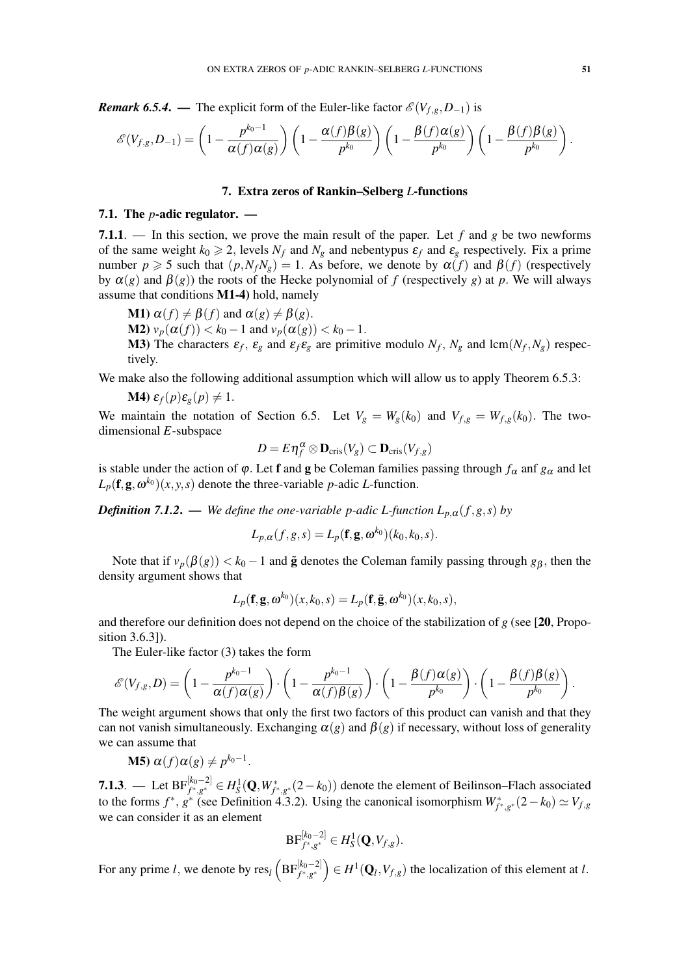*Remark 6.5.4.* — The explicit form of the Euler-like factor  $\mathcal{E}(V_{f,g}, D_{-1})$  is

$$
\mathscr{E}(V_{f,g}, D_{-1}) = \left(1 - \frac{p^{k_0 - 1}}{\alpha(f)\alpha(g)}\right) \left(1 - \frac{\alpha(f)\beta(g)}{p^{k_0}}\right) \left(1 - \frac{\beta(f)\alpha(g)}{p^{k_0}}\right) \left(1 - \frac{\beta(f)\beta(g)}{p^{k_0}}\right).
$$

#### 7. Extra zeros of Rankin–Selberg *L*-functions

### 7.1. The *p*-adic regulator. —

7.1.1. — In this section, we prove the main result of the paper. Let *f* and *g* be two newforms of the same weight  $k_0 \ge 2$ , levels  $N_f$  and  $N_g$  and nebentypus  $\varepsilon_f$  and  $\varepsilon_g$  respectively. Fix a prime number  $p \ge 5$  such that  $(p, N_f N_g) = 1$ . As before, we denote by  $\alpha(f)$  and  $\beta(f)$  (respectively by  $\alpha(g)$  and  $\beta(g)$ ) the roots of the Hecke polynomial of *f* (respectively *g*) at *p*. We will always assume that conditions M1-4) hold, namely

**M1**)  $\alpha(f) \neq \beta(f)$  and  $\alpha(g) \neq \beta(g)$ . **M2**)  $v_p(\alpha(f)) < k_0 - 1$  and  $v_p(\alpha(g)) < k_0 - 1$ . **M3**) The characters  $\varepsilon_f$ ,  $\varepsilon_g$  and  $\varepsilon_f \varepsilon_g$  are primitive modulo  $N_f$ ,  $N_g$  and lcm( $N_f$ ,  $N_g$ ) respectively.

We make also the following additional assumption which will allow us to apply Theorem 6.5.3:

$$
M4) \varepsilon_f(p)\varepsilon_g(p) \neq 1.
$$

We maintain the notation of Section 6.5. Let  $V_g = W_g(k_0)$  and  $V_{f,g} = W_{f,g}(k_0)$ . The twodimensional *E*-subspace

$$
D = E \eta_f^{\alpha} \otimes \mathbf{D}_{\mathrm{cris}}(V_g) \subset \mathbf{D}_{\mathrm{cris}}(V_{f,g})
$$

is stable under the action of  $\varphi$ . Let **f** and **g** be Coleman families passing through  $f_\alpha$  and  $g_\alpha$  and let  $L_p(\mathbf{f}, \mathbf{g}, \omega^{k_0})(x, y, s)$  denote the three-variable *p*-adic *L*-function.

*Definition 7.1.2.* — *We define the one-variable p-adic L-function*  $L_{p,\alpha}(f,g,s)$  *by* 

$$
L_{p,\alpha}(f,g,s) = L_p(\mathbf{f}, \mathbf{g}, \omega^{k_0})(k_0, k_0, s).
$$

Note that if  $v_p(\beta(g)) < k_0 - 1$  and  $\tilde{g}$  denotes the Coleman family passing through  $g_\beta$ , then the density argument shows that

$$
L_p(\mathbf{f}, \mathbf{g}, \omega^{k_0})(x, k_0, s) = L_p(\mathbf{f}, \tilde{\mathbf{g}}, \omega^{k_0})(x, k_0, s),
$$

and therefore our definition does not depend on the choice of the stabilization of *g* (see [20, Proposition 3.6.3]).

The Euler-like factor (3) takes the form

$$
\mathscr{E}(V_{f,g},D) = \left(1 - \frac{p^{k_0 - 1}}{\alpha(f)\alpha(g)}\right) \cdot \left(1 - \frac{p^{k_0 - 1}}{\alpha(f)\beta(g)}\right) \cdot \left(1 - \frac{\beta(f)\alpha(g)}{p^{k_0}}\right) \cdot \left(1 - \frac{\beta(f)\beta(g)}{p^{k_0}}\right).
$$

The weight argument shows that only the first two factors of this product can vanish and that they can not vanish simultaneously. Exchanging  $\alpha(g)$  and  $\beta(g)$  if necessary, without loss of generality we can assume that

**M5)** 
$$
\alpha(f)\alpha(g) \neq p^{k_0-1}
$$
.

**7.1.3**. — Let  $BF_{f^*,g^*}^{[k_0-2]}$  ∈  $H_S^1(\mathbf{Q}, W_{f^*,g^*}^*(2-k_0))$  denote the element of Beilinson–Flach associated to the forms  $f^*$ ,  $g^*$  (see Definition 4.3.2). Using the canonical isomorphism  $W^*_{f^*,g^*}(2-k_0) \simeq V_{f,g}$ we can consider it as an element

$$
\textup{BF}_{f^*,g^*}^{[k_0-2]} \in H_S^1(\mathbf{Q}, V_{f,g}).
$$

For any prime *l*, we denote by res<sub>*l*</sub>  $\left( \text{BF}_{f^*,g^*}^{[k_0-2]} \right) \in H^1(\mathbf{Q}_l,V_{f,g})$  the localization of this element at *l*.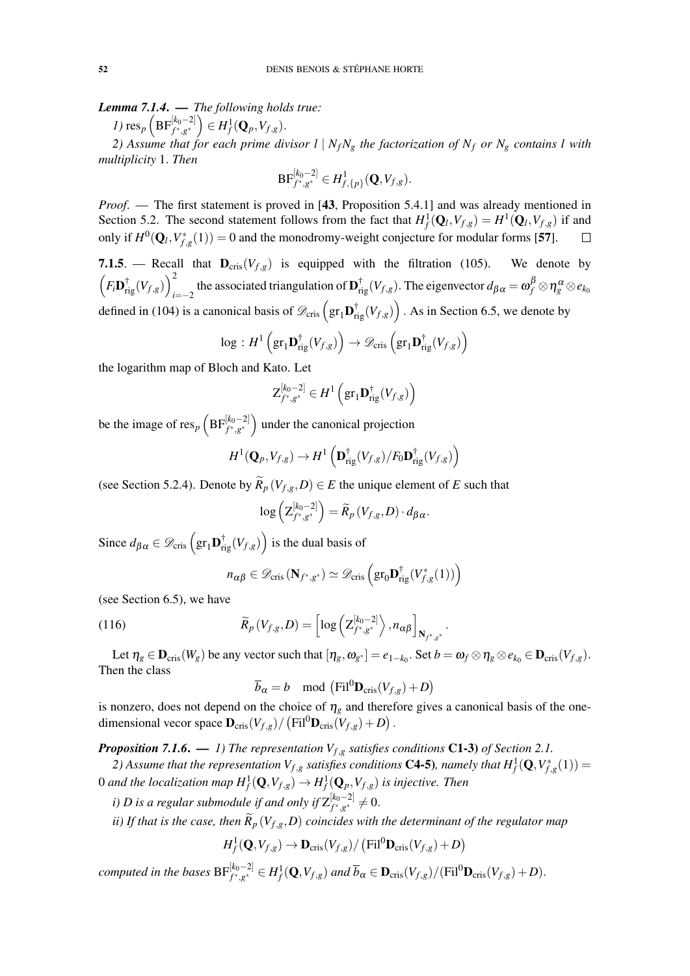*Lemma 7.1.4*. — *The following holds true:*

*I*)  $res_p \left( \text{BF}_{f^*, g^*}^{[k_0-2]} \right) \in H_f^1(\mathbf{Q}_p, V_{f,g}).$ 

*2) Assume that for each prime divisor*  $l \mid N_f N_g$  *the factorization of*  $N_f$  *or*  $N_g$  *contains l with multiplicity* 1. *Then*

$$
\textup{BF}_{f^*,g^*}^{[k_0-2]} \in H^1_{f,\{p\}}(\mathbf{Q},V_{f,g}).
$$

*Proof*. — The first statement is proved in [43, Proposition 5.4.1] and was already mentioned in Section 5.2. The second statement follows from the fact that  $H_f^1(\mathbf{Q}_l, V_{f,g}) = H^1(\mathbf{Q}_l, V_{f,g})$  if and only if  $H^0(\mathbf{Q}_l, V_{f,g}^*(1)) = 0$  and the monodromy-weight conjecture for modular forms [57].

7.1.5. — Recall that  $D_{\text{cris}}(V_{f,g})$  is equipped with the filtration (105). We denote by  $\left(F_i\mathbf{D}_{\mathrm{rig}}^{\dagger}(V_{f,g})\right)^2$  $\int_{t=-2}^{2}$  the associated triangulation of  $\mathbf{D}_{\mathrm{rig}}^{\dagger}(V_{f,g})$ . The eigenvector  $d_{\beta\alpha} = \omega_f^{\beta} \otimes \eta_g^{\alpha} \otimes e_{k_0}$ defined in (104) is a canonical basis of  $\mathscr{D}_{\text{cris}}\left(\text{gr}_1\mathbf{D}_{\text{rig}}^{\dagger}(V_{f,g})\right)$ . As in Section 6.5, we denote by

$$
\log : H^1 \left( \mathrm{gr}_1 \mathbf{D}_{\mathrm{rig}}^{\dagger}(V_{f,g}) \right) \to \mathscr{D}_{\mathrm{cris}} \left( \mathrm{gr}_1 \mathbf{D}_{\mathrm{rig}}^{\dagger}(V_{f,g}) \right)
$$

the logarithm map of Bloch and Kato. Let

$$
Z_{f^*,g^*}^{[k_0-2]} \in H^1\left(\mathrm{gr}_1\mathbf{D}_{\mathrm{rig}}^\dagger(V_{f,g})\right)
$$

be the image of res<sub>*p*</sub>  $\left( BF_{f^*,g^*}^{[k_0-2]} \right)$  under the canonical projection

$$
H^1(\mathbf{Q}_p, V_{f,g}) \to H^1\left(\mathbf{D}_{\mathrm{rig}}^\dagger(V_{f,g})/F_0\mathbf{D}_{\mathrm{rig}}^\dagger(V_{f,g})\right)
$$

(see Section 5.2.4). Denote by  $\widetilde{R}_p(V_{f,g}, D) \in E$  the unique element of *E* such that

$$
\log\left(Z_{f^*,g^*}^{[k_0-2]}\right)=\widetilde{R}_p\left(V_{f,g},D\right)\cdot d_{\beta\alpha}.
$$

Since  $d_{\beta\alpha} \in \mathscr{D}_{\text{cris}}\left(\text{gr}_1\mathbf{D}_{\text{rig}}^{\dagger}(V_{f,g})\right)$  is the dual basis of

$$
n_{\alpha\beta} \in \mathscr{D}_{\mathrm{cris}}\left(\mathbf{N}_{f^*,g^*}\right) \simeq \mathscr{D}_{\mathrm{cris}}\left(\mathrm{gr}_0\mathbf{D}_{\mathrm{rig}}^{\dagger}(V_{f,g}^*(1))\right)
$$

(see Section 6.5), we have

(116) 
$$
\widetilde{R}_p(V_{f,g}, D) = \left[ \log \left( Z_{f^*,g^*}^{[k_0-2]} \right), n_{\alpha\beta} \right]_{\mathbf{N}_{f^*,g^*}}
$$

Let  $\eta_g \in \mathbf{D}_{\mathrm{cris}}(W_g)$  be any vector such that  $[\eta_g, \omega_{g^*}]=e_{1-k_0}.$  Set  $b=\omega_f \otimes \eta_g \otimes e_{k_0} \in \mathbf{D}_{\mathrm{cris}}(V_{f,g}).$ Then the class

.

$$
\overline{b}_{\alpha} = b \mod (\mathrm{Fil}^0 \mathbf{D}_{\mathrm{cris}}(V_{f,g}) + D)
$$

is nonzero, does not depend on the choice of  $\eta_g$  and therefore gives a canonical basis of the onedimensional vecor space  $\mathbf{D}_{\mathrm{cris}}(V_{f,g}) / (\mathrm{Fil}^0 \mathbf{D}_{\mathrm{cris}}(V_{f,g}) + D)$ .

*Proposition 7.1.6.* — 1) The representation  $V_{f,g}$  satisfies conditions C1-3) of Section 2.1.

2) Assume that the representation  $V_{f,g}$  satisfies conditions **C4-5**), namely that  $H^1_f(\mathbf{Q},V^*_{f,g}(1))$  =  $0$  and the localization map  $H^1_f(\mathbf{Q}, V_{f,g}) \to H^1_f(\mathbf{Q}_p, V_{f,g})$  is injective. Then

*i*) D is a regular submodule if and only if  $Z_{f^* \ s^*}^{[k_0-2]}$  $a_{f^*,g^*}^{[\kappa_0-2]}\neq 0.$ 

*ii) If that is the case, then*  $\widetilde{R}_p(V_{f,g},D)$  *coincides with the determinant of the regulator map* 

$$
H_f^1(\mathbf{Q}, V_{f,g}) \to \mathbf{D}_{\mathrm{cris}}(V_{f,g}) / (\mathrm{Fil}^0 \mathbf{D}_{\mathrm{cris}}(V_{f,g}) + D)
$$

computed in the bases  $\text{BF}_{f^*,g^*}^{[k_0-2]} \in H^1_f(\mathbf{Q},V_{f,g})$  and  $\overline{b}_\alpha \in \mathbf{D}_{\text{cris}}(V_{f,g})/(\text{Fil}^0\mathbf{D}_{\text{cris}}(V_{f,g})+D)$ .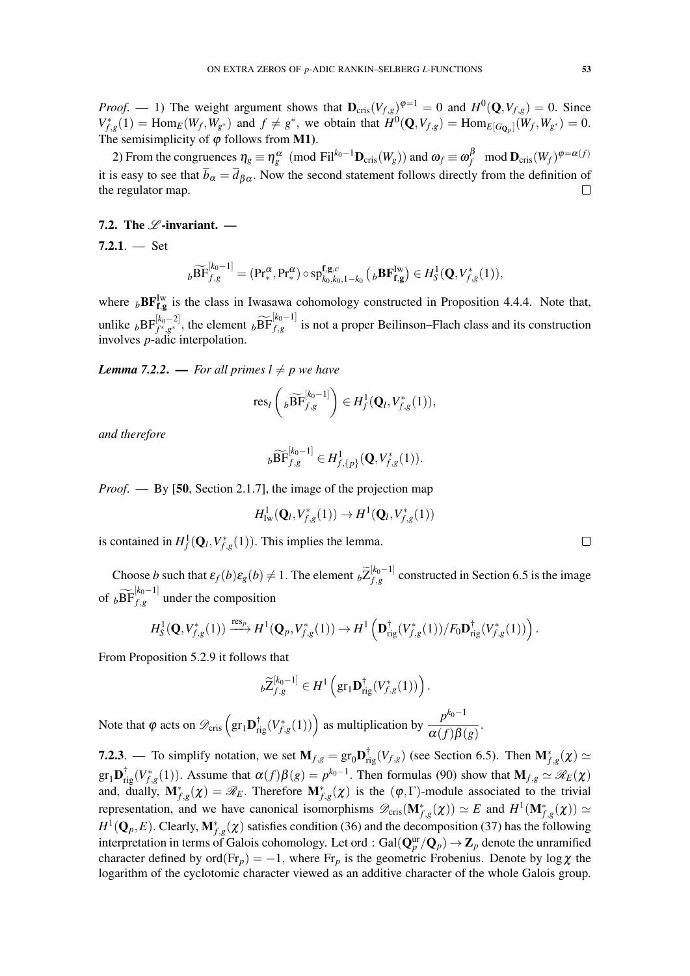*Proof.* — 1) The weight argument shows that  $\mathbf{D}_{\text{cris}}(V_{f,g})^{\varphi=1} = 0$  and  $H^0(\mathbf{Q}, V_{f,g}) = 0$ . Since  $V_{f,g}^*(1) = \text{Hom}_E(W_f, W_{g^*})$  and  $f \neq g^*$ , we obtain that  $H^0(\mathbf{Q}, V_{f,g}) = \text{Hom}_{E[G_{\mathbf{Q}_p}]}(W_f, W_{g^*}) = 0$ . The semisimplicity of  $\varphi$  follows from **M1**).

2) From the congruences  $\eta_g \equiv \eta_g^{\alpha} \pmod{\text{Fil}^{k_0-1}\mathbf{D}_{\text{cris}}(W_g)}$  and  $\omega_f \equiv \omega_f^{\beta} \mod \mathbf{D}_{\text{cris}}(W_f)^{\phi = \alpha(f)}$ it is easy to see that  $\overline{b}_{\alpha} = \overline{d}_{\beta \alpha}$ . Now the second statement follows directly from the definition of the regulator map.  $\Box$ 

# 7.2. The  $\mathscr L$ -invariant. —

 $7.2.1.$  - Set

$$
{}_{b}\widetilde{\text{BF}}^{[k_0-1]}_{f,g} = (\text{Pr}^{\alpha}_{*}, \text{Pr}^{\alpha}_{*}) \circ \text{sp}^{\mathbf{f},\mathbf{g},c}_{k_0,k_0,1-k_0} \left( {}_{b}\text{BF}^{\text{Iw}}_{\mathbf{f},\mathbf{g}} \right) \in H_{S}^{1}(\mathbf{Q}, V_{f,g}^{*}(1)),
$$

where  $_b$ **BF**<sup>Iw</sup> is the class in Iwasawa cohomology constructed in Proposition 4.4.4. Note that, unlike  ${}_{b}BF_{f^*,g^*}^{[k_0-2]}$ , the element  ${}_{b}\widetilde{BF}_{f,g}^{[k_0-1]}$  is not a proper Beilinson–Flach class and its construction involves *p*-adic interpolation.

*Lemma 7.2.2.* — *For all primes*  $l \neq p$  *we have* 

$$
\operatorname{res}_l\left({}_b\widetilde{\operatorname{BF}}_{f,g}^{[k_0-1]}\right)\in H_f^1(\mathbf{Q}_l,V_{f,g}^*(1)),
$$

*and therefore*

$$
{}_{b}\widetilde{\text{BF}}^{[k_0-1]}_{f,g}\in H^1_{f,\{p\}}(\mathbf{Q},V_{f,g}^*(1)).
$$

*Proof*. — By [50, Section 2.1.7], the image of the projection map

$$
H^1_{\mathrm{Iw}}(\mathbf{Q}_l,V_{f,g}^*(1)) \to H^1(\mathbf{Q}_l,V_{f,g}^*(1))
$$

is contained in  $H_f^1(\mathbf{Q}_l, V_{f,g}^*(1))$ . This implies the lemma.

Choose *b* such that  $\varepsilon_f(b)\varepsilon_g(b) \neq 1$ . The element  ${}_b\widetilde{Z}_{f,g}^{[k_0-1]}$  $f_{1,g}^{[k_0-1]}$  constructed in Section 6.5 is the image of  $_b\widetilde{\text{BF}}_{f,g}^{[k_0-1]}$  under the composition

$$
H_S^1(\mathbf{Q}, V_{f,g}^*(1)) \xrightarrow{\text{res}_p} H^1(\mathbf{Q}_p, V_{f,g}^*(1)) \to H^1\left(\mathbf{D}_{\text{rig}}^{\dagger}(V_{f,g}^*(1))/F_0\mathbf{D}_{\text{rig}}^{\dagger}(V_{f,g}^*(1))\right).
$$

From Proposition 5.2.9 it follows that

$$
b\widetilde{Z}_{f,g}^{[k_0-1]} \in H^1\left(\mathrm{gr}_1\mathbf{D}_{\mathrm{rig}}^{\dagger}(V_{f,g}^*(1))\right).
$$

Note that  $\varphi$  acts on  $\mathscr{D}_{\text{cris}}\left(\text{gr}_1\mathbf{D}_{\text{rig}}^{\dagger}(V_{f,g}^*(1))\right)$  as multiplication by  $\frac{p^{k_0-1}}{\alpha(f)B(f)}$  $\frac{P}{\alpha(f)\beta(g)}$ .

**7.2.3**. — To simplify notation, we set  $M_{f,g} = \text{gr}_0 \mathbf{D}_{\text{rig}}^{\dagger}(V_{f,g})$  (see Section 6.5). Then  $\mathbf{M}_{f,g}^*(\chi) \simeq$  $gr_1\mathbf{D}^{\dagger}_{\text{rig}}(V_{f,g}^*(1))$ . Assume that  $\alpha(f)\beta(g) = p^{k_0-1}$ . Then formulas (90) show that  $\mathbf{M}_{f,g} \simeq \mathscr{R}_E(\chi)$ and, dually,  $M_{f,g}^*(\chi) = \mathscr{R}_E$ . Therefore  $M_{f,g}^*(\chi)$  is the  $(\varphi, \Gamma)$ -module associated to the trivial representation, and we have canonical isomorphisms  $\mathscr{D}_{\text{cris}}(\mathbf{M}_{f,g}^*(\chi)) \simeq E$  and  $H^1(\mathbf{M}_{f,g}^*(\chi)) \simeq E$  $H^1(\mathbf{Q}_p, E)$ . Clearly,  $\mathbf{M}_{f,g}^*(\chi)$  satisfies condition (36) and the decomposition (37) has the following interpretation in terms of Galois cohomology. Let ord : Gal $({\bf Q}_p^{\rm ur}/ {\bf Q}_p)\to {\bf Z}_p$  denote the unramified character defined by ord( $Fr_p$ ) = -1, where  $Fr_p$  is the geometric Frobenius. Denote by log  $\chi$  the logarithm of the cyclotomic character viewed as an additive character of the whole Galois group.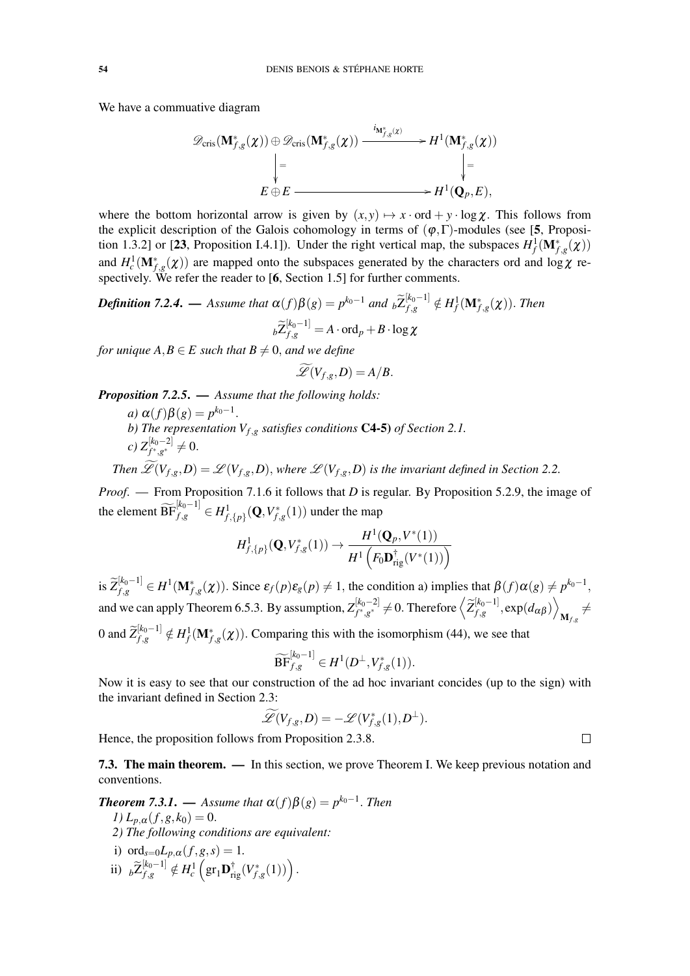We have a commuative diagram

$$
\mathscr{D}_{\text{cris}}(\mathbf{M}_{f,g}^*(\chi)) \oplus \mathscr{D}_{\text{cris}}(\mathbf{M}_{f,g}^*(\chi)) \xrightarrow{i_{\mathbf{M}_{f,g}^*(\chi)}} H^1(\mathbf{M}_{f,g}^*(\chi))
$$
\n
$$
\downarrow = \qquad \qquad \downarrow =
$$
\n
$$
E \oplus E \xrightarrow{\qquad \qquad i_{\mathbf{M}_{f,g}^*(\chi)}} H^1(\mathbf{Q}_p, E),
$$

where the bottom horizontal arrow is given by  $(x, y) \mapsto x \cdot \text{ord} + y \cdot \log \chi$ . This follows from the explicit description of the Galois cohomology in terms of  $(\varphi, \Gamma)$ -modules (see [5, Proposition 1.3.2] or [23, Proposition I.4.1]). Under the right vertical map, the subspaces  $H^1_f(\mathbf{M}_{f,g}^*(\chi))$ and  $H_c^1(\mathbf{M}_{f,g}^*(\chi))$  are mapped onto the subspaces generated by the characters ord and log  $\chi$  respectively. We refer the reader to [6, Section 1.5] for further comments.

*Definition 7.2.4.* — Assume that  $\alpha(f)\beta(g) = p^{k_0-1}$  and  ${}_b\widetilde{Z}_{f,g}^{[k_0-1]} \notin H_f^1(\mathbf{M}_{f,g}^*(\chi))$ . Then  $b\widetilde{Z}_{f,g}^{[k_0-1]} = A \cdot \operatorname{ord}_p + B \cdot \log \chi$ 

*for unique*  $A, B \in E$  *such that*  $B \neq 0$ *, and we define* 

$$
\widetilde{\mathscr{L}}(V_{f,g},D)=A/B.
$$

*Proposition 7.2.5*. — *Assume that the following holds:*

*a*)  $\alpha(f)\beta(g) = p^{k_0-1}$ . *b) The representation Vf*,*<sup>g</sup> satisfies conditions* C4-5) *of Section 2.1. c*)  $Z_{f^*,g^*}^{[k_0-2]}$  ≠ 0.

*Then*  $\widetilde{\mathscr{L}}(V_{f,g},D) = \mathscr{L}(V_{f,g},D)$ , where  $\mathscr{L}(V_{f,g},D)$  is the invariant defined in Section 2.2.

*Proof*. — From Proposition 7.1.6 it follows that *D* is regular. By Proposition 5.2.9, the image of the element  $\widetilde{\text{BF}}_{f,g}^{[k_0-1]} \in H^1_{f,\{p\}}(\mathbf{Q}, V_{f,g}^*(1))$  under the map

$$
H^1_{f,\{p\}}(\mathbf{Q}, V_{f,g}^*(1)) \to \frac{H^1(\mathbf{Q}_p, V^*(1))}{H^1\left(F_0\mathbf{D}_{\mathrm{rig}}^\dagger(V^*(1))\right)}
$$

is  $\widetilde{Z}_{f,g}^{[k_0-1]} \in H^1(\mathbf{M}_{f,g}^*(\chi))$ . Since  $\varepsilon_f(p)\varepsilon_g(p) \neq 1$ , the condition a) implies that  $\beta(f)\alpha(g) \neq p^{k_0-1}$ , and we can apply Theorem 6.5.3. By assumption,  $Z_{f^* \sigma^*}^{[k_0-2]}$  $\left[\begin{matrix} k_{0}-2\ 0, 0\end{matrix}\right]$  ≠ 0. Therefore  $\left\langle \widetilde{Z}_{f, g}^{[k_{0}-1]}\right\rangle$  $f_{f,g}^{[k_0-1]}, \exp(d_{\alpha\beta})\bigg\rangle$  $_{\mathbf{M}_{f,g}}\neq$ 

0 and  $\tilde{Z}_{f,g}^{[k_0-1]} \notin H_f^1(\mathbf{M}_{f,g}^*(\chi))$ . Comparing this with the isomorphism (44), we see that

.

$$
\widetilde{\textup{BF}}^{[k_0-1]}_{f,g}\in H^1(D^\perp,V^*_{f,g}(1)).
$$

Now it is easy to see that our construction of the ad hoc invariant concides (up to the sign) with the invariant defined in Section 2.3:

$$
\widetilde{\mathscr{L}}(V_{f,g},D)=-\mathscr{L}(V_{f,g}^*(1),D^\perp).
$$

Hence, the proposition follows from Proposition 2.3.8.

7.3. The main theorem. — In this section, we prove Theorem I. We keep previous notation and conventions.

*Theorem* **7.3.1.** — Assume that  $\alpha(f)\beta(g) = p^{k_0-1}$ . Then

- *1)*  $L_{p,\alpha}(f,g,k_0) = 0$ .
- *2) The following conditions are equivalent:*

i) 
$$
\text{ord}_{s=0}L_{p,\alpha}(f,g,s) = 1.
$$
  
ii)  $\ _{b}\widetilde{Z}_{f,g}^{[k_0-1]} \notin H_c^1\left(\text{gr}_1\mathbf{D}_{\text{rig}}^{\dagger}(V_{f,g}^*(1))\right)$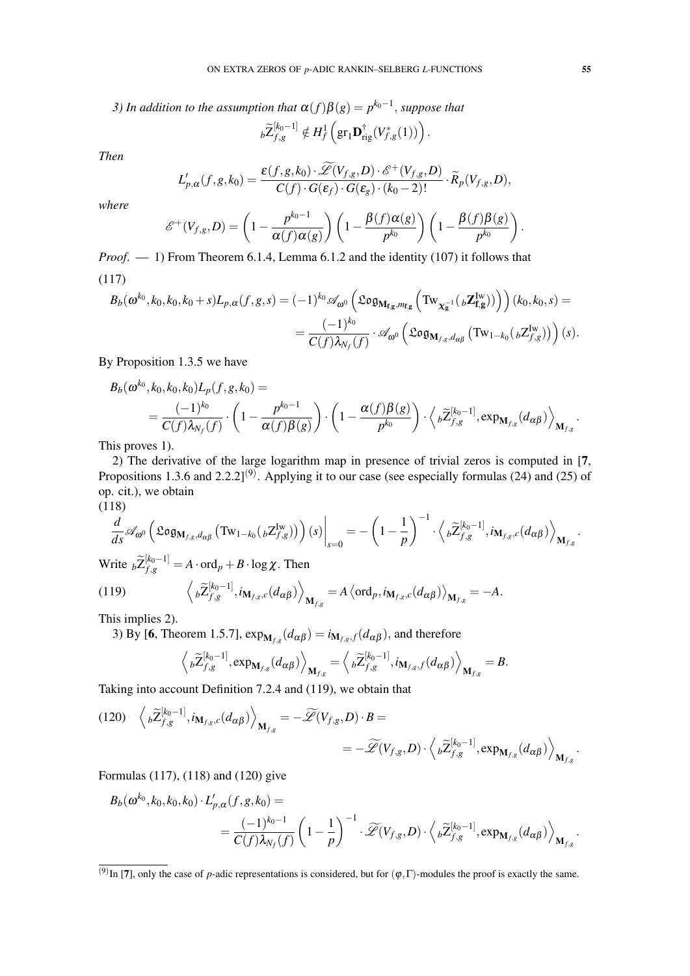*3)* In addition to the assumption that  $\alpha(f)\beta(g) = p^{k_0-1}$ , suppose that

$$
{}_{b}\widetilde{Z}_{f,g}^{[k_0-1]} \notin H^1_f\left(\text{gr}_1\mathbf{D}^{\dagger}_{\mathrm{rig}}(V_{f,g}^*(1))\right).
$$

*Then*

$$
L'_{p,\alpha}(f,g,k_0)=\frac{\varepsilon(f,g,k_0)\cdot\widetilde{\mathscr{L}}(V_{f,g},D)\cdot\mathscr{E}^+(V_{f,g},D)}{C(f)\cdot G(\varepsilon_f)\cdot G(\varepsilon_g)\cdot (k_0-2)!}\cdot\widetilde{R}_p(V_{f,g},D),
$$

*where*

$$
\mathscr{E}^+(V_{f,g},D)=\left(1-\frac{p^{k_0-1}}{\alpha(f)\alpha(g)}\right)\left(1-\frac{\beta(f)\alpha(g)}{p^{k_0}}\right)\left(1-\frac{\beta(f)\beta(g)}{p^{k_0}}\right).
$$

*Proof*. — 1) From Theorem 6.1.4, Lemma 6.1.2 and the identity (107) it follows that (117)

$$
B_b(\omega^{k_0}, k_0, k_0, k_0+s)L_{p,\alpha}(f,g,s) = (-1)^{k_0} \mathscr{A}_{\omega^0} \left( \mathfrak{Log}_{\mathbf{M}_{\mathbf{f},\mathbf{g}},m_{\mathbf{f},\mathbf{g}}} \left( \mathrm{Tw}_{\chi_{\mathbf{g}}^{-1}}(\ _b\mathbf{Z}_{\mathbf{f},\mathbf{g}}^{Iw}) \right) \right) (k_0, k_0, s) =
$$
  
= 
$$
\frac{(-1)^{k_0}}{C(f)\lambda_{N_f}(f)} \cdot \mathscr{A}_{\omega^0} \left( \mathfrak{Log}_{\mathbf{M}_{f,g},d_{\alpha\beta}} \left( \mathrm{Tw}_{1-k_0}(\ _b\mathbf{Z}_{f,g}^{Iw}) \right) \right)(s).
$$

By Proposition 1.3.5 we have

$$
B_b(\omega^{k_0}, k_0, k_0, k_0) L_p(f, g, k_0) =
$$
  
=  $\frac{(-1)^{k_0}}{C(f) \lambda_{N_f}(f)} \cdot \left(1 - \frac{p^{k_0 - 1}}{\alpha(f) \beta(g)}\right) \cdot \left(1 - \frac{\alpha(f) \beta(g)}{p^{k_0}}\right) \cdot \left\langle b\widetilde{Z}_{f,g}^{[k_0 - 1]}, \exp_{\mathbf{M}_{f,g}}(d_{\alpha\beta})\right\rangle_{\mathbf{M}_{f,g}}.$ 

This proves 1).

2) The derivative of the large logarithm map in presence of trivial zeros is computed in [7, Propositions 1.3.6 and 2.2.2]<sup>(9)</sup>. Applying it to our case (see especially formulas (24) and (25) of op. cit.), we obtain  $(118)$ 

$$
\frac{(11\delta)}{1}
$$

$$
\frac{d}{ds}\mathscr{A}_{\omega^0}\left(\mathfrak{Log}_{\mathbf{M}_{f,g},d_{\alpha\beta}}\left(\mathrm{Tw}_{1-k_0}({}_{b}\mathrm{Z}^{\mathrm{Iw}}_{f,g})\right)\right)(s)\bigg|_{s=0}=-\left(1-\frac{1}{p}\right)^{-1}\cdot\left\langle {}_{b}\widetilde{\mathrm{Z}}_{f,g}^{[k_0-1]},i_{\mathbf{M}_{f,g},c}(d_{\alpha\beta})\right\rangle_{\mathbf{M}_{f,g}}.
$$

Write  $_b\widetilde{Z}_{f,g}^{[k_0-1]} = A \cdot \text{ord}_p + B \cdot \log \chi$ . Then

(119) 
$$
\left\langle \left. \rho \widetilde{Z}_{f,g}^{[k_0-1]}, i_{\mathbf{M}_{f,g},c}(d_{\alpha\beta}) \right\rangle_{\mathbf{M}_{f,g}} = A \left\langle \text{ord}_p, i_{\mathbf{M}_{f,g},c}(d_{\alpha\beta}) \right\rangle_{\mathbf{M}_{f,g}} = -A.
$$

This implies 2).

3) By [6, Theorem 1.5.7],  $\exp_{\mathbf{M}_{f,g}}(d_{\alpha\beta}) = i_{\mathbf{M}_{f,g},f}(d_{\alpha\beta})$ , and therefore

$$
\left\langle \, _{\rho }\widetilde{Z}_{f,g}^{[k_0-1]},\exp_{\mathbf{M}_{f,g}}(d_{\alpha\beta})\right\rangle_{\mathbf{M}_{f,g}}=\left\langle \, _{\rho }\widetilde{Z}_{f,g}^{[k_0-1]},i_{\mathbf{M}_{f,g},f}(d_{\alpha\beta})\right\rangle_{\mathbf{M}_{f,g}}=B.
$$

Taking into account Definition 7.2.4 and (119), we obtain that

$$
(120) \left\langle b\widetilde{Z}_{f,g}^{[k_0-1]}, i_{\mathbf{M}_{f,g},c}(d_{\alpha\beta}) \right\rangle_{\mathbf{M}_{f,g}} = -\widetilde{\mathscr{L}}(V_{f,g}, D) \cdot B =
$$
  

$$
= -\widetilde{\mathscr{L}}(V_{f,g}, D) \cdot \left\langle b\widetilde{Z}_{f,g}^{[k_0-1]}, \exp_{\mathbf{M}_{f,g}}(d_{\alpha\beta}) \right\rangle_{\mathbf{M}_{f,g}}.
$$

Formulas (117), (118) and (120) give

$$
B_b(\boldsymbol{\omega}^{k_0}, k_0, k_0, k_0) \cdot L'_{p,\alpha}(f, g, k_0) =
$$
  
= 
$$
\frac{(-1)^{k_0-1}}{C(f)\lambda_{N_f}(f)} \left(1 - \frac{1}{p}\right)^{-1} \cdot \widetilde{\mathscr{L}}(V_{f,g}, D) \cdot \left\langle {}_b\widetilde{Z}_{f,g}^{[k_0-1]}, \exp_{\mathbf{M}_{f,g}}(d_{\alpha\beta}) \right\rangle_{\mathbf{M}_{f,g}}.
$$

<sup>&</sup>lt;sup>(9)</sup>In [7], only the case of *p*-adic representations is considered, but for  $(\varphi, \Gamma)$ -modules the proof is exactly the same.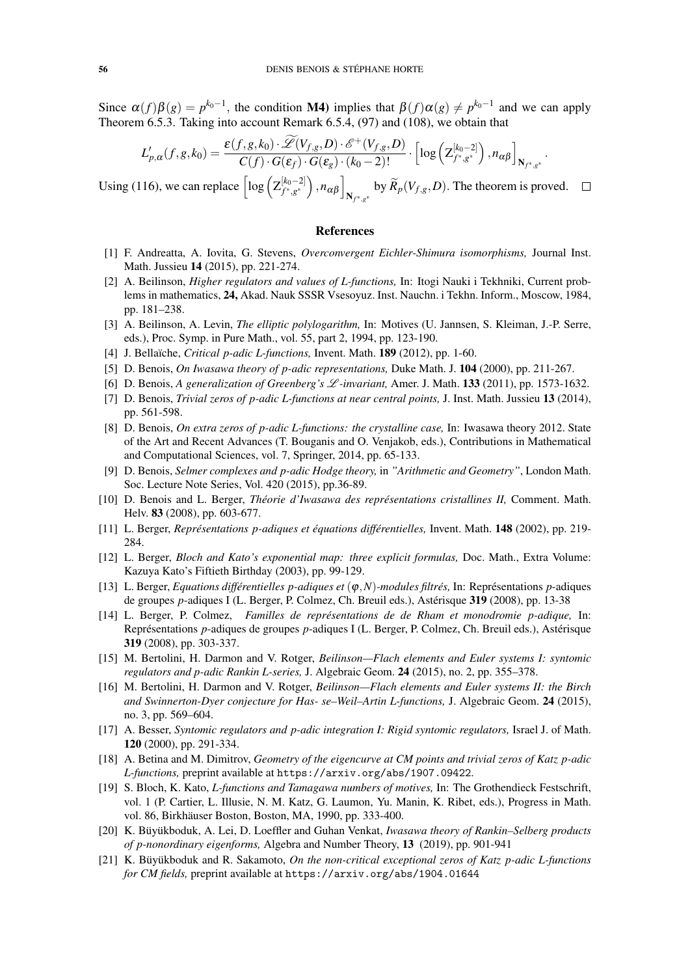Since  $\alpha(f)\beta(g) = p^{k_0-1}$ , the condition M4) implies that  $\beta(f)\alpha(g) \neq p^{k_0-1}$  and we can apply Theorem 6.5.3. Taking into account Remark 6.5.4, (97) and (108), we obtain that

$$
L'_{p,\alpha}(f,g,k_0) = \frac{\varepsilon(f,g,k_0) \cdot \widetilde{\mathscr{L}}(V_{f,g},D) \cdot \mathscr{E}^+(V_{f,g},D)}{C(f) \cdot G(\varepsilon_f) \cdot G(\varepsilon_g) \cdot (k_0-2)!} \cdot \left[ \log \left( \mathbb{Z}_{f^*,g^*}^{[k_0-2]} \right), n_{\alpha\beta} \right]_{\mathbb{N}_{f^*,g^*}}
$$

.

Using (116), we can replace  $\left[ \log \left( Z_{f^*, g^*}^{[k_0-2]} \right) \right]$  $\left[\begin{matrix} [k_0-2] \ f^*, g^* \end{matrix}\right), n_{\alpha\beta}\right]_{\mathbf{N}_{f^*,g^*}}$  by  $\widetilde{R}_p(V_{f,g}, D).$  The theorem is proved.

#### References

- [1] F. Andreatta, A. Iovita, G. Stevens, *Overconvergent Eichler-Shimura isomorphisms,* Journal Inst. Math. Jussieu 14 (2015), pp. 221-274.
- [2] A. Beilinson, *Higher regulators and values of L-functions,* In: Itogi Nauki i Tekhniki, Current problems in mathematics, 24, Akad. Nauk SSSR Vsesoyuz. Inst. Nauchn. i Tekhn. Inform., Moscow, 1984, pp. 181–238.
- [3] A. Beilinson, A. Levin, *The elliptic polylogarithm,* In: Motives (U. Jannsen, S. Kleiman, J.-P. Serre, eds.), Proc. Symp. in Pure Math., vol. 55, part 2, 1994, pp. 123-190.
- [4] J. Bellaïche, *Critical p-adic L-functions*, Invent. Math. **189** (2012), pp. 1-60.
- [5] D. Benois, *On Iwasawa theory of p-adic representations,* Duke Math. J. 104 (2000), pp. 211-267.
- [6] D. Benois, *A generalization of Greenberg's* L *-invariant,* Amer. J. Math. 133 (2011), pp. 1573-1632.
- [7] D. Benois, *Trivial zeros of p-adic L-functions at near central points,* J. Inst. Math. Jussieu 13 (2014), pp. 561-598.
- [8] D. Benois, *On extra zeros of p-adic L-functions: the crystalline case,* In: Iwasawa theory 2012. State of the Art and Recent Advances (T. Bouganis and O. Venjakob, eds.), Contributions in Mathematical and Computational Sciences, vol. 7, Springer, 2014, pp. 65-133.
- [9] D. Benois, *Selmer complexes and p-adic Hodge theory,* in *"Arithmetic and Geometry"*, London Math. Soc. Lecture Note Series, Vol. 420 (2015), pp.36-89.
- [10] D. Benois and L. Berger, *Theorie d'Iwasawa des repr ´ esentations cristallines II, ´* Comment. Math. Helv. 83 (2008), pp. 603-677.
- [11] L. Berger, *Representations p-adiques et ´ equations diff ´ erentielles, ´* Invent. Math. 148 (2002), pp. 219- 284.
- [12] L. Berger, *Bloch and Kato's exponential map: three explicit formulas,* Doc. Math., Extra Volume: Kazuya Kato's Fiftieth Birthday (2003), pp. 99-129.
- [13] L. Berger, *Equations différentielles p-adiques et*  $(\varphi, N)$ *-modules filtrés*, In: Représentations p-adiques de groupes *p*-adiques I (L. Berger, P. Colmez, Ch. Breuil eds.), Astérisque 319 (2008), pp. 13-38
- [14] L. Berger, P. Colmez, *Familles de representations de de Rham et monodromie p-adique, ´* In: Représentations *p*-adiques de groupes *p*-adiques I (L. Berger, P. Colmez, Ch. Breuil eds.), Astérisque 319 (2008), pp. 303-337.
- [15] M. Bertolini, H. Darmon and V. Rotger, *Beilinson—Flach elements and Euler systems I: syntomic regulators and p-adic Rankin L-series,* J. Algebraic Geom. 24 (2015), no. 2, pp. 355–378.
- [16] M. Bertolini, H. Darmon and V. Rotger, *Beilinson—Flach elements and Euler systems II: the Birch and Swinnerton-Dyer conjecture for Has- se–Weil–Artin L-functions,* J. Algebraic Geom. 24 (2015), no. 3, pp. 569–604.
- [17] A. Besser, *Syntomic regulators and p-adic integration I: Rigid syntomic regulators,* Israel J. of Math. 120 (2000), pp. 291-334.
- [18] A. Betina and M. Dimitrov, *Geometry of the eigencurve at CM points and trivial zeros of Katz p-adic L-functions,* preprint available at https://arxiv.org/abs/1907.09422.
- [19] S. Bloch, K. Kato, *L-functions and Tamagawa numbers of motives,* In: The Grothendieck Festschrift, vol. 1 (P. Cartier, L. Illusie, N. M. Katz, G. Laumon, Yu. Manin, K. Ribet, eds.), Progress in Math. vol. 86, Birkhäuser Boston, Boston, MA, 1990, pp. 333-400.
- [20] K. Büyükboduk, A. Lei, D. Loeffler and Guhan Venkat, *Iwasawa theory of Rankin–Selberg products of p-nonordinary eigenforms,* Algebra and Number Theory, 13 (2019), pp. 901-941
- [21] K. Büyükboduk and R. Sakamoto, On the non-critical exceptional zeros of Katz p-adic L-functions *for CM fields,* preprint available at https://arxiv.org/abs/1904.01644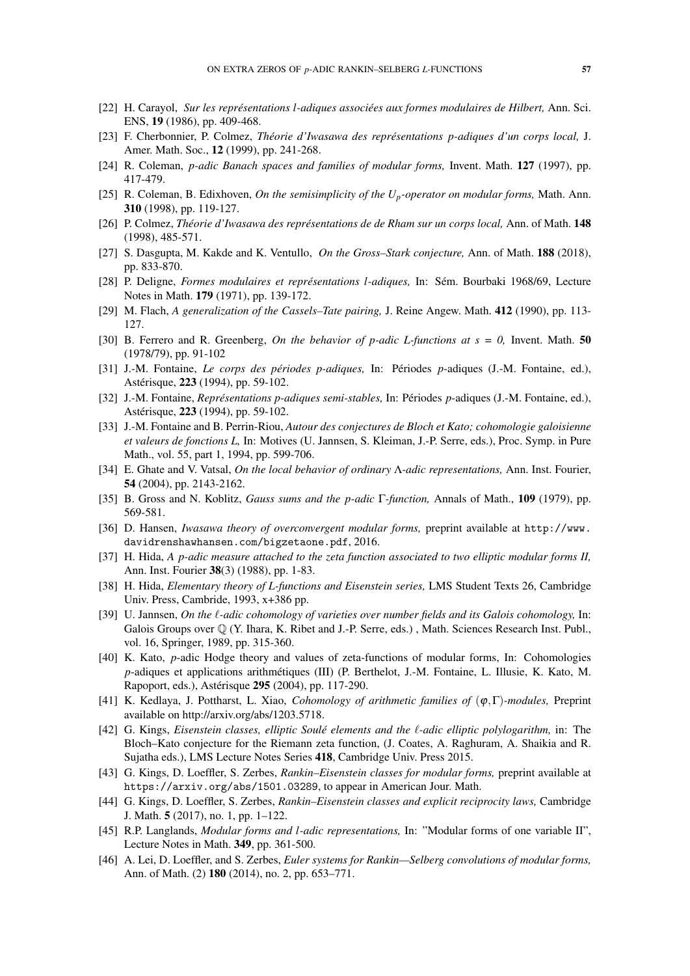- [22] H. Carayol, *Sur les representations l-adiques associ ´ ees aux formes modulaires de Hilbert, ´* Ann. Sci. ENS, 19 (1986), pp. 409-468.
- [23] F. Cherbonnier, P. Colmez, *Theorie d'Iwasawa des repr ´ esentations p-adiques d'un corps local, ´* J. Amer. Math. Soc., 12 (1999), pp. 241-268.
- [24] R. Coleman, *p-adic Banach spaces and families of modular forms,* Invent. Math. 127 (1997), pp. 417-479.
- [25] R. Coleman, B. Edixhoven, *On the semisimplicity of the Up-operator on modular forms,* Math. Ann. 310 (1998), pp. 119-127.
- [26] P. Colmez, *Theorie d'Iwasawa des repr ´ esentations de de Rham sur un corps local, ´* Ann. of Math. 148 (1998), 485-571.
- [27] S. Dasgupta, M. Kakde and K. Ventullo, *On the Gross–Stark conjecture,* Ann. of Math. 188 (2018), pp. 833-870.
- [28] P. Deligne, *Formes modulaires et representations l-adiques, ´* In: Sem. Bourbaki 1968/69, Lecture ´ Notes in Math. 179 (1971), pp. 139-172.
- [29] M. Flach, *A generalization of the Cassels–Tate pairing,* J. Reine Angew. Math. 412 (1990), pp. 113- 127.
- [30] B. Ferrero and R. Greenberg, *On the behavior of p-adic L-functions at s = 0,* Invent. Math. 50 (1978/79), pp. 91-102
- [31] J.-M. Fontaine, *Le corps des périodes p-adiques*, In: Périodes p-adiques (J.-M. Fontaine, ed.), Astérisque, 223 (1994), pp. 59-102.
- [32] J.-M. Fontaine, *Représentations p-adiques semi-stables*, In: Périodes *p*-adiques (J.-M. Fontaine, ed.), Astérisque, 223 (1994), pp. 59-102.
- [33] J.-M. Fontaine and B. Perrin-Riou, *Autour des conjectures de Bloch et Kato; cohomologie galoisienne et valeurs de fonctions L,* In: Motives (U. Jannsen, S. Kleiman, J.-P. Serre, eds.), Proc. Symp. in Pure Math., vol. 55, part 1, 1994, pp. 599-706.
- [34] E. Ghate and V. Vatsal, *On the local behavior of ordinary* Λ*-adic representations,* Ann. Inst. Fourier, 54 (2004), pp. 2143-2162.
- [35] B. Gross and N. Koblitz, *Gauss sums and the p-adic* Γ*-function,* Annals of Math., 109 (1979), pp. 569-581.
- [36] D. Hansen, *Iwasawa theory of overconvergent modular forms,* preprint available at http://www. davidrenshawhansen.com/bigzetaone.pdf, 2016.
- [37] H. Hida, *A p-adic measure attached to the zeta function associated to two elliptic modular forms II,* Ann. Inst. Fourier 38(3) (1988), pp. 1-83.
- [38] H. Hida, *Elementary theory of L-functions and Eisenstein series,* LMS Student Texts 26, Cambridge Univ. Press, Cambride, 1993, x+386 pp.
- [39] U. Jannsen, *On the l-adic cohomology of varieties over number fields and its Galois cohomology*, In: Galois Groups over Q (Y. Ihara, K. Ribet and J.-P. Serre, eds.) , Math. Sciences Research Inst. Publ., vol. 16, Springer, 1989, pp. 315-360.
- [40] K. Kato, *p*-adic Hodge theory and values of zeta-functions of modular forms, In: Cohomologies *p*-adiques et applications arithmetiques (III) (P. Berthelot, J.-M. Fontaine, L. Illusie, K. Kato, M. ´ Rapoport, eds.), Astérisque **295** (2004), pp. 117-290.
- [41] K. Kedlaya, J. Pottharst, L. Xiao, *Cohomology of arithmetic families of* (ϕ,Γ)*-modules,* Preprint available on http://arxiv.org/abs/1203.5718.
- [42] G. Kings, *Eisenstein classes, elliptic Soulé elements and the*  $\ell$ *-adic elliptic polylogarithm,* in: The Bloch–Kato conjecture for the Riemann zeta function, (J. Coates, A. Raghuram, A. Shaikia and R. Sujatha eds.), LMS Lecture Notes Series 418, Cambridge Univ. Press 2015.
- [43] G. Kings, D. Loeffler, S. Zerbes, *Rankin–Eisenstein classes for modular forms,* preprint available at https://arxiv.org/abs/1501.03289, to appear in American Jour. Math.
- [44] G. Kings, D. Loeffler, S. Zerbes, *Rankin–Eisenstein classes and explicit reciprocity laws,* Cambridge J. Math. 5 (2017), no. 1, pp. 1–122.
- [45] R.P. Langlands, *Modular forms and l-adic representations,* In: "Modular forms of one variable II", Lecture Notes in Math. 349, pp. 361-500.
- [46] A. Lei, D. Loeffler, and S. Zerbes, *Euler systems for Rankin—Selberg convolutions of modular forms,* Ann. of Math. (2) 180 (2014), no. 2, pp. 653–771.